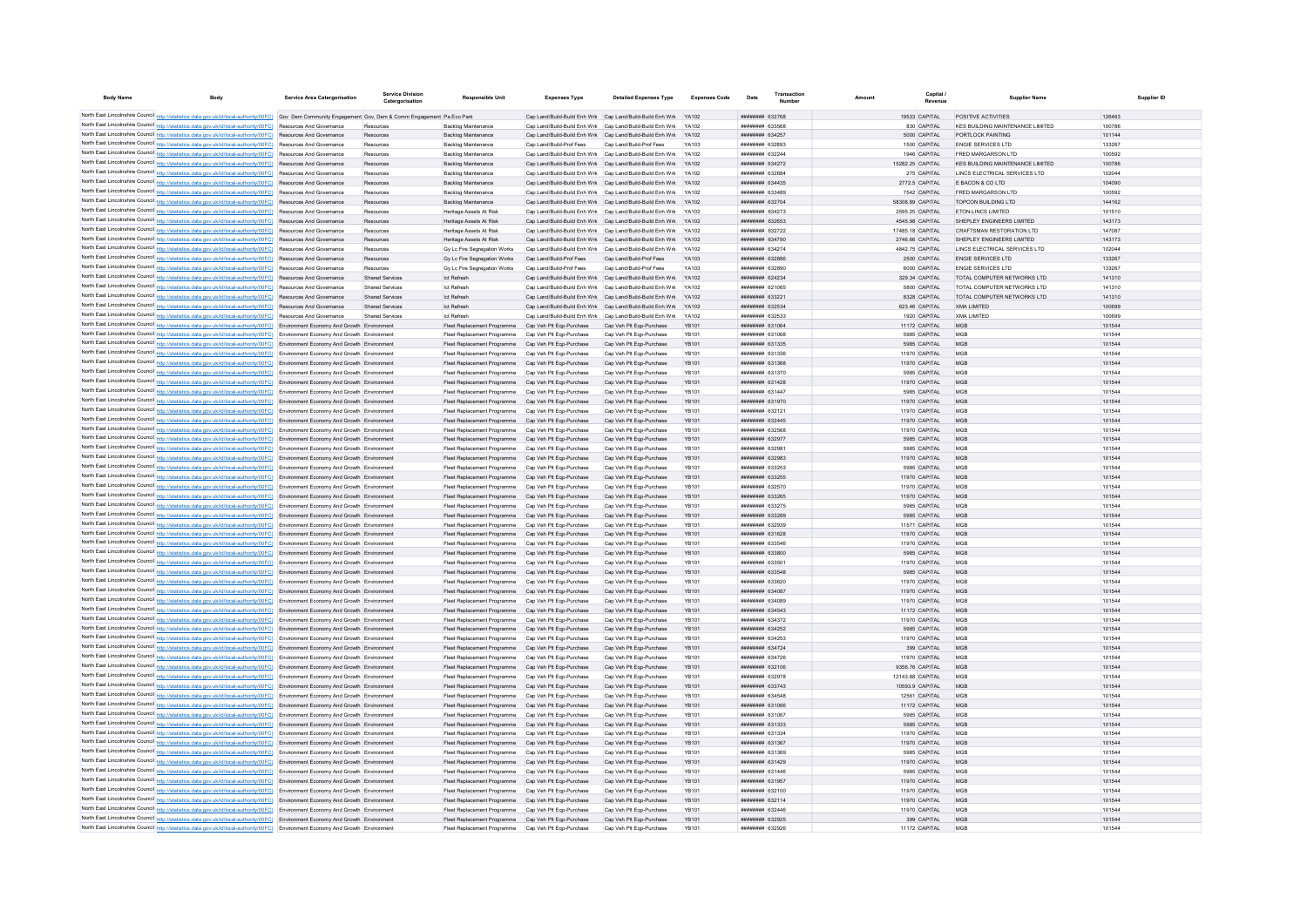| <b>Body Name</b> | Body                                                                                                                                                                                                                                                                   | Service Area Catergorisation | Service Divisio<br>Catergorisation | <b>Responsible Unit</b>                                                                                      | <b>Expenses Type</b>                                      | <b>Detailed Expenses Type</b>                                                                                          | <b>Expenses Code</b>  | Date                               | Amount | Capital                            | Supplier Name                                   | Supplier ID      |
|------------------|------------------------------------------------------------------------------------------------------------------------------------------------------------------------------------------------------------------------------------------------------------------------|------------------------------|------------------------------------|--------------------------------------------------------------------------------------------------------------|-----------------------------------------------------------|------------------------------------------------------------------------------------------------------------------------|-----------------------|------------------------------------|--------|------------------------------------|-------------------------------------------------|------------------|
|                  | North East Lincolnshire Council http://statistics.data.gov.uk/id/local-authority/00FC) Gov Dem Community Engagement Gov, Dem & Comm Engagement Pa Eco Park                                                                                                             |                              |                                    |                                                                                                              |                                                           | Cap Land/Build-Build Enh Wrk Cap Land/Build-Build Enh Wrk YA102                                                        |                       | ######## 632768                    |        | 19533 CAPITAL                      | POSITIVE ACTIVITIES                             | 126463           |
|                  | North East Lincolnshire Council http://statistics.data.gov.uk/id/local-authority/00FC) Resources And Governance                                                                                                                                                        |                              |                                    | Backlog Maintenance                                                                                          |                                                           | Cap Land/Build-Build Enh Wrk Cap Land/Build-Build Enh Wrk YA102                                                        |                       | <b>HUMMHHH</b> 633568              |        | 830 CAPITAL                        | KES BUILDING MAINTENANCE LIMITED                | 100786           |
|                  | North East Lincolnshire Council http://statistics.data.gov.uk/id/local-authority/00FC) Resources And Governance                                                                                                                                                        |                              |                                    | <b>Backlog Maintenance</b>                                                                                   |                                                           | Cap Land/Build-Build Enh Wrk Cap Land/Build-Build Enh Wrk YA102                                                        |                       | <b>ппинини 634257</b>              |        | 5000 CAPITAL                       | PORTLOCK PAINTING                               | 101144           |
|                  | North East Lincolnshire Council http://statistics.data.gov.uk/id/local-authority/00FC) Resources And Governance                                                                                                                                                        |                              | Resources                          | Backlog Maintenance                                                                                          | Can Land/Build-Prof Fees                                  | Can Land/Build-Prof Fees                                                                                               | <b>YA103</b>          | ######## 632893                    |        | 1500 CAPITAL                       | <b>ENGIF SERVICES LTD</b>                       | 133267           |
|                  | North East Lincolnshire Council http://statistics.data.gov.uk/id/local-authority/00FC) Resources And Governance                                                                                                                                                        |                              | Resources                          | Backlog Maintenance                                                                                          |                                                           | Cap Land/Build-Build Enh Wrk Cap Land/Build-Build Enh Wrk YA102                                                        |                       | ######## 632244                    |        | 1946 CAPITAL                       | FRED MARGARSON LTD                              | 100592           |
|                  | North East Lincolnshire Council http://statistics.data.gov.uk/id/local-authority/00FC) Resources And Governance                                                                                                                                                        |                              | Resources                          | Backlog Maintenance                                                                                          |                                                           | Cap Land/Build-Build Enh Wrk Cap Land/Build-Build Enh Wrk YA102                                                        |                       | ######## 634272                    |        | 15282.25 CAPITAL                   | KES BUILDING MAINTENANCE LIMITED                | 100786           |
|                  | North East Lincolnshire Council http://statistics.data.gov.uk/id/local-authority/00FC) Resources And Governance                                                                                                                                                        |                              | Resources                          | Backlog Maintenance                                                                                          |                                                           | Cap Land/Build-Build Enh Wrk Cap Land/Build-Build Enh Wrk YA102                                                        |                       | ######## 632684                    |        | 275 CAPITAL                        | LINCS ELECTRICAL SERVICES LTD                   | 102044           |
|                  | North East Lincolnshire Council http://statistics.data.gov.uk/id/local-authority/00FC) Resources And Governance                                                                                                                                                        |                              | Resources                          | Backlog Maintenance                                                                                          |                                                           | Cap Land/Build-Build Enh Wrk Cap Land/Build-Build Enh Wrk                                                              | YA102                 | ######## 634435                    |        | 2772.5 CAPITAL                     | E BACON & CO LTD                                | 104090           |
|                  | North East Lincolnshire Council http://statistics.data.gov.uk/id/local-authority/00FC) Resources And Governance                                                                                                                                                        |                              | Resources                          | Backlog Maintenance                                                                                          |                                                           | Cap Land/Build-Build Enh Wrk Cap Land/Build-Build Enh Wrk YA102                                                        |                       | ######## 633489                    |        | 7542 CAPITAL                       | FRED MARGARSON LTD                              | 100592           |
|                  | North East Lincolnshire Council http://statistics.data.gov.uk/id/local-authority/00FC) Resources And Governance                                                                                                                                                        |                              | Resources                          | Backlog Maintenance                                                                                          |                                                           | Cap Land/Build-Build Enh Wrk Cap Land/Build-Build Enh Wrk                                                              | YA102                 | <b>ппининия</b> 632704             |        | 58308.89 CAPITAL                   | <b>TOPCON BUILDING LTD</b>                      | 144162           |
|                  | North East Lincolnshire Council http://statistics.data.gov.uk/id/local-authority/00FC) Resources And Governance<br>North East Lincolnshire Council http://statistics.data.gov.uk/id/local-authority/00FC) Resources And Governance                                     |                              | Resources<br>Resources             | Heritage Assets At Risk<br>Heritage Assets At Risk                                                           |                                                           | Cap Land/Build-Build Enh Wrk Cap Land/Build-Build Enh Wrk<br>Cap Land/Build-Build Enh Wrk Cap Land/Build-Build Enh Wrk | YA102                 | ######## 634273<br>######## 632653 |        | 2595.25 CAPITAL<br>4545.98 CAPITAL | ETON-LINCS LIMITED<br>SHEPLEY ENGINEERS LIMITED | 101510<br>143173 |
|                  | North East Lincolnshire Council http://statistics.data.gov.uk/id/local-authority/00FC) Resources And Governance                                                                                                                                                        |                              | Resources                          | Heritage Assets At Risk                                                                                      | Cap Land/Build-Build Enh Wrk Cap Land/Build-Build Enh Wrk |                                                                                                                        |                       | ######## 632722                    |        | 17485.18 CAPITAL                   | <b>CRAFTSMAN RESTORATION LTD</b>                | 147087           |
|                  | North East Lincolnshire Council http://statistics.data.gov.uk/id/local-authority/00FC) Resources And Governance                                                                                                                                                        |                              | Resources                          | Heritage Assets At Risk                                                                                      | Cap Land/Build-Build Enh Wrk Cap Land/Build-Build Enh Wrk |                                                                                                                        | YA102                 | ######## 634790                    |        | 2746.66 CAPITAL                    | SHEPLEY ENGINEERS LIMITED                       | 143173           |
|                  | North East Lincolnshire Council http://statistics.data.gov.uk/id/local-authority/00FC) Resources And Governance                                                                                                                                                        |                              | Resources                          | Gy Lc Fire Segregation Works                                                                                 | Cap Land/Build-Build Enh Wrk Cap Land/Build-Build Enh Wrk |                                                                                                                        | YA102                 | <b>ппинини 634274</b>              |        | 4842.75 CAPITAL                    | LINCS ELECTRICAL SERVICES LTD                   | 102044           |
|                  | North East Lincolnshire Council http://statistics.data.gov.uk/id/local-authority/00FC) Resources And Governance                                                                                                                                                        |                              | Resources                          | Gy Lc Fire Segregation Works                                                                                 | Cap Land/Build-Prof Fees                                  | Cap Land/Build-Prof Fees                                                                                               | YA103                 | нининни 632886                     |        | 2500 CAPITAL                       | <b>ENGIE SERVICES LTD</b>                       | 133267           |
|                  | North East Lincolnshire Council http://statistics.data.gov.uk/id/local-authority/00FC) Resources And Governance                                                                                                                                                        |                              | Resources                          | Gy Lc Fire Segregation Works                                                                                 | Cap Land/Build-Prof Fees                                  | Cap Land/Build-Prof Fees                                                                                               | YA103                 | ######## 632890                    |        | 6000 CAPITAL                       | <b>ENGIE SERVICES LTD</b>                       | 133267           |
|                  | North East Lincolnshire Council http://statistics.data.gov.uk/id/local-authority/00FC) Resources And Governance                                                                                                                                                        |                              | Shared Services                    | <b>Ict Refresh</b>                                                                                           | Cap Land/Build-Build Enh Wrk Cap Land/Build-Build Enh Wrk |                                                                                                                        | YA102                 | ######## 624234                    |        | 329.34 CAPITAL                     | TOTAL COMPUTER NETWORKS LTD                     | 141310           |
|                  | North East Lincolnshire Council http://statistics.data.gov.uk/id/local-authority/00FC) Resources And Governance                                                                                                                                                        |                              | <b>Shared Services</b>             | <b>Ict Refresh</b>                                                                                           | Cap Land/Build-Build Enh Wrk Cap Land/Build-Build Enh Wrk |                                                                                                                        | YA102                 | ######## 621065                    |        | 5800 CAPITAL                       | TOTAL COMPUTER NETWORKS LTD                     | 141310           |
|                  | North East Lincolnshire Council http://statistics.data.gov.uk/id/local-authority/00FC) Resources And Governance                                                                                                                                                        |                              | <b>Shared Services</b>             | <b>Ict Refresh</b>                                                                                           | Cap Land/Build-Build Enh Wrk Cap Land/Build-Build Enh Wrk |                                                                                                                        | YA102                 | ######## 63322                     |        | 8328 CAPITAL                       | TOTAL COMPUTER NETWORKS LTD                     | 141310           |
|                  | North East Lincolnshire Council http://statistics.data.gov.uk/id/local-authority/00FC) Resources And Governance                                                                                                                                                        |                              | Shared Services                    | <b>Ict Refresh</b>                                                                                           | Cap Land/Build-Build Enh Wrk Cap Land/Build-Build Enh Wrk |                                                                                                                        | YA102                 | ######## 632534                    |        | 623.46 CAPITAL                     | <b>XMA LIMITED</b>                              | 100699           |
|                  | North East Lincolnshire Council http://statistics.data.gov.uk/id/local-authority/00FC) Resources And Governance<br>North East Lincolnshire Council http://statistics.data.gov.uk/id/local-authority/00FC) Environment Economy And Growth Environment                   |                              | <b>Shared Services</b>             | <b>Ict Refresh</b><br>Fleet Replacement Programme                                                            | Cap Land/Build-Build Enh Wrk Cap Land/Build-Build Enh Wrk |                                                                                                                        | YA102<br>YB101        | ######## 632533<br>######## 631064 |        | 1920 CAPITAL                       | <b>XMA LIMITED</b><br>MGE                       | 100699<br>101544 |
|                  | North East Lincolnshire Council http://statistics.data.gov.uk/id/local-authority/00FC) Environment Economy And Growth Environment                                                                                                                                      |                              |                                    | Fleet Replacement Programme                                                                                  | Cap Veh Plt Eqp-Purchase<br>Cap Veh Plt Eqp-Purchase      | Cap Veh Plt Eqp-Purchase<br>Cap Veh Plt Eqp-Purchase                                                                   | YB101                 | ######## 63106                     |        | 11172 CAPITAL<br>5985 CAPITAL      | MGE                                             | 101544           |
|                  | North East Lincolnshire Council http://statistics.data.gov.uk/id/local-authority/00FC) Environment Economy And Growth Environment                                                                                                                                      |                              |                                    | Fleet Replacement Programme                                                                                  | Cap Veh Plt Eqp-Purchase                                  | Cap Veh Plt Eqp-Purchase                                                                                               | <b>YB101</b>          | ######## 631335                    |        | 5985 CAPITAL                       | MGE                                             | 101544           |
|                  | North East Lincolnshire Council http://statistics.data.gov.uk/id/local-authority/00FC) Environment Economy And Growth Environmen                                                                                                                                       |                              |                                    | Fleet Replacement Programme                                                                                  | Cap Veh Plt Eqp-Purchase                                  | Cap Veh Plt Eqp-Purchase                                                                                               | <b>YB101</b>          | ######## 631336                    |        | 11970 CAPITAL                      | MGE                                             | 101544           |
|                  | North East Lincolnshire Council http://statistics.data.gov.uk/id/local-authority/00FC) Environment Economy And Growth Environment                                                                                                                                      |                              |                                    | Fleet Replacement Programme                                                                                  | Cap Veh Plt Eqp-Purchase                                  | Cap Veh Plt Eqp-Purchase                                                                                               | YR101                 | <b>####### 631368</b>              |        | 11970 CAPITAL                      | MGP                                             | 101544           |
|                  | North East Lincolnshire Council http://statistics.data.gov.uk/id/local-authority/00FC) Environment Economy And Growth Environment                                                                                                                                      |                              |                                    | Fleet Replacement Programme                                                                                  | Cap Veh Plt Eqp-Purchase                                  | Cap Veh Plt Eqp-Purchase                                                                                               | <b>YB101</b>          | ######## 631370                    |        | 5985 CAPITAL                       | MGB                                             | 101544           |
|                  | North East Lincolnshire Council http://statistics.data.gov.uk/id/local-authority/00FC) Environment Economy And Growth Environment                                                                                                                                      |                              |                                    | Fleet Renlacement Programme                                                                                  | Can Veh Plt Enn-Purchase                                  | Cap Veh Plt Eqp-Purchase                                                                                               | YB101                 | <b>ПЕНИНИЯ</b> 631428              |        | 11970 CAPITAL                      | MGP                                             | 101544           |
|                  | North East Lincolnshire Council http://statistics.data.gov.uk/id/local-authority/00FC) Environment Economy And Growth Environment                                                                                                                                      |                              |                                    | Fleet Replacement Programme                                                                                  | Cap Veh Plt Egp-Purchase                                  | Cap Veh Plt Egp-Purchase                                                                                               | YB101                 | ######## 631447                    |        | 5985 CAPITAL                       | MGP                                             | 101544           |
|                  | North East Lincolnshire Council http://statistics.data.gov.uk/id/local-authority/00FC) Environment Economy And Growth Environment                                                                                                                                      |                              |                                    | Fleet Replacement Programme Cap Veh Plt Ego-Purchase                                                         |                                                           | Cap Veh Pit Egp-Purchase                                                                                               | YR101                 | ######## 631970                    |        | 11970 CAPITAL                      | MGP                                             | 101544           |
|                  | North East Lincolnshire Council http://statistics.data.gov.uk/id/local-authority/00FC) Environment Economy And Growth Environmen                                                                                                                                       |                              |                                    | Fleet Replacement Programme Cap Veh Plt Ego-Purchase                                                         |                                                           | Cap Veh Plt Egp-Purchase                                                                                               | <b>YB101</b>          | ######## 632121                    |        | 11970 CAPITAL                      | MGE                                             | 101544           |
|                  | North East Lincolnshire Council http://statistics.data.gov.uk/id/local-authority/00FC) Environment Economy And Growth Environment                                                                                                                                      |                              |                                    | Fleet Replacement Programme Cap Veh Plt Eqp-Purchase                                                         |                                                           | Cap Veh Plt Eqp-Purchase                                                                                               | YB101                 | ######## 632445                    |        | 11970 CAPITAL                      | MGP                                             | 101544           |
|                  | North East Lincolnshire Council http://statistics.data.gov.uk/id/local-authority/00FC) Environment Economy And Growth Environmen<br>North East Lincolnshire Council http://statistics.data.gov.uk/id/local-authority/00FC) Environment Economy And Growth Environment  |                              |                                    | Fleet Replacement Programme<br>Fleet Replacement Programme Cap Veh Plt Ego-Purchase                          | Cap Veh Plt Eqp-Purchase                                  | Cap Veh Plt Eqp-Purchase<br>Cap Veh Plt Egp-Purchase                                                                   | YB101<br>YR101        | ######## 632568<br>######## 632977 |        | 11970 CAPITAL<br>5985 CAPITAL      | MGP<br>MGP                                      | 101544<br>101544 |
|                  | North East Lincolnshire Council http://statistics.data.gov.uk/id/local-authority/00FC) Environment Economy And Growth Environment                                                                                                                                      |                              |                                    | Fleet Replacement Programme                                                                                  | Cap Veh Plt Egp-Purchase                                  | Cap Veh Plt Egp-Purchase                                                                                               | YR101                 | ######## 63298                     |        | 5985 CAPITAL                       | MGP                                             | 101544           |
|                  | North East Lincolnshire Council http://statistics.data.gov.uk/id/local-authority/00FC) Environment Economy And Growth Environment                                                                                                                                      |                              |                                    | Fleet Replacement Programme Cap Veh Plt Ego-Purchase                                                         |                                                           | Cap Veh Plt Egp-Purchase                                                                                               | YR101                 | ######## 632983                    |        | 11970 CAPITAL                      | MGP                                             | 101544           |
|                  | North East Lincolnshire Council http://statistics.data.gov.uk/id/local-authority/00FC) Environment Economy And Growth Environmen                                                                                                                                       |                              |                                    | Fleet Replacement Programme                                                                                  | Cap Veh Plt Ego-Purchase                                  | Cap Veh Plt Egp-Purchase                                                                                               | <b>YB101</b>          | <b>####### 633253</b>              |        | 5985 CAPITAL                       |                                                 | 101544           |
|                  | North East Lincolnshire Council http://statistics.data.gov.uk/id/local-authority/00FC) Environment Economy And Growth Environmen                                                                                                                                       |                              |                                    | Fleet Replacement Programme                                                                                  | Cap Veh Plt Eqp-Purchase                                  | Cap Veh Plt Eqp-Purchase                                                                                               | <b>YB101</b>          | ######## 633255                    |        | 11970 CAPITAL                      | MGE                                             | 101544           |
|                  | North East Lincolnshire Council http://statistics.data.gov.uk/id/local-authority/00FC) Environment Economy And Growth Environmen                                                                                                                                       |                              |                                    | Fleet Replacement Programme                                                                                  | Cap Veh Plt Eqp-Purchase                                  | Cap Veh Plt Eqp-Purchase                                                                                               | YB101                 | ####### 632570                     |        | 11970 CAPITAL                      | MGP                                             | 101544           |
|                  | North East Lincolnshire Council http://statistics.data.gov.uk/id/local-authority/00FC) Environment Economy And Growth Environment                                                                                                                                      |                              |                                    | Fleet Renlacement Programme                                                                                  | Cap Veh Plt Egp-Purchase                                  | Cap Veh Plt Egp-Purchase                                                                                               | YR101                 | <i>ппининия</i> 633265             |        | 11970 CAPITAL                      | MGP                                             | 101544           |
|                  | North East Lincolnshire Council http://statistics.data.gov.uk/id/local-authority/00FC) Environment Economy And Growth Environment                                                                                                                                      |                              |                                    | Fleet Replacement Programme                                                                                  | Cap Veh Plt Egp-Purchase                                  | Cap Veh Plt Egp-Purchase                                                                                               | YB101                 | ######## 633275                    |        | 5985 CAPITAL                       | MGP                                             | 101544           |
|                  | North East Lincolnshire Council http://statistics.data.gov.uk/id/local-authority/00FC) Environment Economy And Growth Environment                                                                                                                                      |                              |                                    | Fleet Replacement Programme                                                                                  | Cap Veh Plt Egp-Purchase                                  | Cap Veh Pit Egp-Purchase                                                                                               | YB101                 | ######## 633289                    |        | 5985 CAPITAL                       | MGP                                             | 101544           |
|                  | North East Lincolnshire Council http://statistics.data.gov.uk/id/local-authority/00FC) Environment Economy And Growth Environmen                                                                                                                                       |                              |                                    | Fleet Replacement Programme                                                                                  | Cap Veh Plt Eqp-Purchase                                  | Cap Veh Plt Eqp-Purchase                                                                                               | <b>YB101</b>          | ######## 63293                     |        | 11571 CAPITAL                      | MGE                                             | 101544           |
|                  | North East Lincolnshire Council http://statistics.data.gov.uk/id/local-authority/00FC) Environment Economy And Growth Environmen<br>North East Lincolnshire Council http://statistics.data.gov.uk/id/local-authority/00FC) Environment Economy And Growth Environmen   |                              |                                    | Fleet Replacement Programme                                                                                  | Cap Veh Plt Eqp-Purchase                                  | Cap Veh Plt Eqp-Purchase<br>Cap Veh Plt Eqp-Purchase                                                                   | YB101                 | ######## 631628<br>####### 633546  |        | 11970 CAPITAL                      | MGE<br>MGE                                      | 101544<br>101544 |
|                  | North East Lincolnshire Council http://statistics.data.gov.uk/id/local-authority/00FC) Environment Economy And Growth Environment                                                                                                                                      |                              |                                    | Fleet Replacement Programme<br>Fleet Replacement Programme                                                   | Cap Veh Plt Eqp-Purchase<br>Cap Veh Plt Eqp-Purchase      | Cap Veh Plt Eqp-Purchase                                                                                               | YB101<br><b>YB101</b> | ######## 633800                    |        | 11970 CAPITAL<br>5985 CAPITAL      | MGP                                             | 101544           |
|                  | North East Lincolnshire Council http://statistics.data.gov.uk/id/local-authority/00FC) Environment Economy And Growth Environment                                                                                                                                      |                              |                                    | Fleet Replacement Programme                                                                                  | Cap Veh Plt Egp-Purchase                                  | Cap Veh Plt Ego-Purchase                                                                                               | YB101                 | ######## 63350                     |        | 11970 CAPITAL                      | MGP                                             | 101544           |
|                  | North East Lincolnshire Council http://statistics.data.gov.uk/id/local-authority/00FC) Environment Economy And Growth Environment                                                                                                                                      |                              |                                    | Fleet Replacement Programme                                                                                  | Cap Veh Plt Eqp-Purchase                                  | Cap Veh Plt Eqp-Purchase                                                                                               | <b>YB101</b>          | ######## 633548                    |        | 5985 CAPITAL                       | MGE                                             | 101544           |
|                  | North East Lincolnshire Council http://statistics.data.gov.uk/id/local-authority/00FC) Environment Economy And Growth Environmen                                                                                                                                       |                              |                                    | Fleet Replacement Programme                                                                                  | Cap Veh Plt Eqp-Purchase                                  | Cap Veh Plt Eqp-Purchase                                                                                               | YB101                 | ######## 633620                    |        | 11970 CAPITAL                      |                                                 | 101544           |
|                  | North East Lincolnshire Council http://statistics.data.gov.uk/id/local-authority/00FC) Environment Economy And Growth Environment                                                                                                                                      |                              |                                    | Fleet Replacement Programme                                                                                  | Cap Veh Plt Eqp-Purchase                                  | Cap Veh Plt Eqp-Purchase                                                                                               | <b>YB101</b>          | ######## 634087                    |        | 11970 CAPITAL                      | MGE                                             | 101544           |
|                  | North East Lincolnshire Council http://statistics.data.gov.uk/id/local-authority/00FC) Environment Economy And Growth Environment                                                                                                                                      |                              |                                    | Fleet Replacement Programme                                                                                  | Cap Veh Plt Eqp-Purchase                                  | Cap Veh Plt Eqp-Purchase                                                                                               | YB101                 | ниннини 634089                     |        | 11970 CAPITAL                      | MGP                                             | 101544           |
|                  | North East Lincolnshire Council http://statistics.data.gov.uk/id/local-authority/00FC) Environment Economy And Growth Environment                                                                                                                                      |                              |                                    | Fleet Replacement Programme                                                                                  | Cap Veh Plt Eqp-Purchase                                  | Cap Veh Plt Eqp-Purchase                                                                                               | <b>YB101</b>          | <i>ппинини</i> 634543              |        | 11172 CAPITAL                      | MGP                                             | 101544           |
|                  | North East Lincolnshire Council http://statistics.data.gov.uk/id/local-authority/00FC) Environment Economy And Growth Environment                                                                                                                                      |                              |                                    | Fleet Replacement Programme Cap Veh Plt Ego-Purchase                                                         |                                                           | Cap Veh Plt Egp-Purchase                                                                                               | YB101                 | ######## 634372                    |        | 11970 CAPITAL                      | MGP                                             | 101544           |
|                  | North East Lincolnshire Council http://statistics.data.gov.uk/id/local-authority/00FC) Environment Economy And Growth Environment                                                                                                                                      |                              |                                    | Fleet Replacement Programme Cap Veh Plt Eqp-Purchase                                                         |                                                           | Cap Veh Plt Eqp-Purchase                                                                                               | <b>YB101</b><br>YB101 | ######## 634252<br>####### 634253  |        | 5985 CAPITAL                       | MGE                                             | 101544           |
|                  | North East Lincolnshire Council http://statistics.data.gov.uk/id/local-authority/00FC) Environment Economy And Growth Environment<br>North East Lincolnshire Council http://statistics.data.gov.uk/id/local-authority/00FC) Environment Economy And Growth Environment |                              |                                    | Fleet Replacement Programme Cap Veh Plt Eqp-Purchase<br>Fleet Replacement Programme Cap Veh Plt Eqp-Purchase |                                                           | Cap Veh Plt Eqp-Purchase<br>Cap Veh Plt Eqp-Purchase                                                                   | YB101                 | ######## 634724                    |        | 11970 CAPITAL<br>399 CAPITAL       | MGE<br>MGE                                      | 101544<br>101544 |
|                  | North East Lincolnshire Council http://statistics.data.gov.uk/id/local-authority/00FC) Environment Economy And Growth Environment                                                                                                                                      |                              |                                    | Fleet Replacement Programme                                                                                  | Cap Veh Plt Eqp-Purchase                                  | Cap Veh Plt Eqp-Purchase                                                                                               | YB101                 | <b>ппининин</b> 634726             |        | 11970 CAPITAL                      | MGP                                             | 101544           |
|                  | North East Lincolnshire Council http://statistics.data.gov.uk/id/local-authority/00FC) Environment Economy And Growth Environment                                                                                                                                      |                              |                                    | Fleet Replacement Programme Cap Veh Plt Eqp-Purchase                                                         |                                                           | Cap Veh Plt Eqp-Purchase                                                                                               | YB101                 | ######## 632106                    |        | 9356.76 CAPITAL                    | MGP                                             | 101544           |
|                  | North East Lincolnshire Council http://statistics.data.gov.uk/id/local-authority/00FC) Environment Economy And Growth Environment                                                                                                                                      |                              |                                    | Fleet Replacement Programme Cap Veh Plt Ego-Purchase                                                         |                                                           | Cap Veh Plt Egp-Purchase                                                                                               | YB101                 | ######## 632978                    |        | 12143.88 CAPITAL                   | MGP                                             | 101544           |
|                  | North East Lincolnshire Council http://statistics.data.gov.uk/id/local-authority/00FC) Environment Economy And Growth Environment                                                                                                                                      |                              |                                    | Fleet Replacement Programme Cap Veh Plt Eqp-Purchase                                                         |                                                           | Cap Veh Plt Eqp-Purchase                                                                                               | <b>YB101</b>          | ######## 633743                    |        | 10593.9 CAPITAL                    | MGE                                             | 101544           |
|                  | North East Lincolnshire Council http://statistics.data.gov.uk/id/local-authority/00FC) Environment Economy And Growth Environment                                                                                                                                      |                              |                                    | Fleet Replacement Programme                                                                                  | Cap Veh Plt Eqp-Purchase                                  | Cap Veh Plt Eqp-Purchase                                                                                               | <b>YB101</b>          | ######## 634548                    |        | 12561 CAPITAL                      | MGE                                             | 101544           |
|                  | North East Lincolnshire Council http://statistics.data.gov.uk/id/local-authority/00FC) Environment Economy And Growth Environment                                                                                                                                      |                              |                                    | Fleet Replacement Programme                                                                                  | Cap Veh Plt Eqp-Purchase                                  | Cap Veh Plt Eqp-Purchase                                                                                               | <b>YB101</b>          | ######## 631066                    |        | 11172 CAPITAL                      | MGE                                             | 101544           |
|                  | North East Lincolnshire Council http://statistics.data.gov.uk/id/local-authority/00FC) Environment Economy And Growth Environmen                                                                                                                                       |                              |                                    | Fleet Replacement Programme                                                                                  | Cap Veh Plt Eqp-Purchase                                  | Cap Veh Plt Eqp-Purchase                                                                                               | YR101                 | ######## 631067                    |        | 5985 CAPITAL                       | MGB                                             | 101544           |
|                  | North East Lincolnshire Council http://statistics.data.gov.uk/id/local-authority/00FC) Environment Economy And Growth Environment                                                                                                                                      |                              |                                    | Fleet Replacement Programme                                                                                  | Cap Veh Plt Eqp-Purchase                                  | Cap Veh Plt Eqp-Purchase                                                                                               | YB101                 | <b>HHHHHHH 631333</b>              |        | 5985 CAPITAL                       | MGB                                             | 101544           |
|                  | North East Lincolnshire Council http://statistics.data.gov.uk/id/local-authority/00FC) Environment Economy And Growth Environment                                                                                                                                      |                              |                                    | Fleet Renlacement Programme                                                                                  | Can Veh Plt Fon-Purchase                                  | Cap Veh Plt Egp-Purchase                                                                                               | YB101                 | ######## 631334                    |        | 11970 CAPITAL                      | MGP                                             | 101544           |
|                  | North East Lincolnshire Council http://statistics.data.gov.uk/id/local-authority/00FC) Environment Economy And Growth Environment                                                                                                                                      |                              |                                    | Fleet Replacement Programme                                                                                  | Cap Veh Plt Egp-Purchase                                  | Cap Veh Pit Egp-Purchase                                                                                               | <b>YB101</b><br>YB101 | ######## 631367                    |        | 11970 CAPITAL                      | MGP<br>MGP                                      | 101544<br>101544 |
|                  | North East Lincolnshire Council http://statistics.data.gov.uk/id/local-authority/00FC) Environment Economy And Growth Environment<br>North East Lincolnshire Council http://statistics.data.gov.uk/id/local-authority/00FC) Environment Economy And Growth Environmen  |                              |                                    | Fleet Renlacement Programme                                                                                  | Cap Veh Plt Egp-Purchase                                  | Cap Veh Plt Egp-Purchase                                                                                               | <b>YB101</b>          | ######## 631369<br>######## 631429 |        | 5985 CAPITAL                       | MGE                                             | 101544           |
|                  | North East Lincolnshire Council http://statistics.data.gov.uk/id/local-authority/00FC) Environment Economy And Growth Environment                                                                                                                                      |                              |                                    | Fleet Replacement Programme Cap Veh Plt Eqp-Purchase<br>Fleet Replacement Programme                          | Cap Veh Plt Eqp-Purchase                                  | Cap Veh Plt Eqp-Purchase<br>Cap Veh Plt Eqp-Purchase                                                                   | YB101                 | <b>HENHHHHH</b> 631446             |        | 11970 CAPITAL<br>5985 CAPITAL      | MGP                                             | 101544           |
|                  | North East Lincolnshire Council http://statistics.data.gov.uk/id/local-authority/00FC) Environment Economy And Growth Environmen                                                                                                                                       |                              |                                    | Fleet Replacement Programme                                                                                  | Cap Veh Plt Eqp-Purchase                                  | Cap Veh Plt Eqp-Purchase                                                                                               | YB101                 | ######## 631957                    |        | 11970 CAPITAL                      | MGP                                             | 101544           |
|                  | North East Lincolnshire Council http://statistics.data.gov.uk/id/local-authority/00FC) Environment Economy And Growth Environment                                                                                                                                      |                              |                                    | Fleet Replacement Programme                                                                                  | Cap Veh Plt Egp-Purchase                                  | Cap Veh Plt Egp-Purchase                                                                                               | YB101                 | ######## 632100                    |        | 11970 CAPITAL                      | MGP                                             | 101544           |
|                  | North East Lincolnshire Council http://statistics.data.gov.uk/id/local-authority/00FC) Environment Economy And Growth Environment                                                                                                                                      |                              |                                    | Fleet Replacement Programme Cap Veh Plt Ego-Purchase                                                         |                                                           | Cap Veh Plt Egp-Purchase                                                                                               | YB101                 | ######## 632114                    |        | 11970 CAPITAL                      | MGP                                             | 101544           |
|                  | North East Lincolnshire Council http://statistics.data.gov.uk/id/local-authority/00FC) Environment Economy And Growth Environment                                                                                                                                      |                              |                                    | Fleet Replacement Programme Cap Veh Plt Egp-Purchase                                                         |                                                           | Cap Veh Plt Egp-Purchase                                                                                               | YB101                 | ######## 632446                    |        | 11970 CAPITAL                      | MGP                                             | 101544           |
|                  | North East Lincolnshire Council http://statistics.data.gov.uk/id/local-authority/00FC) Environment Economy And Growth Environment                                                                                                                                      |                              |                                    | Fleet Replacement Programme Cap Veh Plt Ego-Purchase                                                         |                                                           | Cap Veh Plt Egp-Purchase                                                                                               | <b>YB101</b>          | ######## 632925                    |        | 399 CAPITAL                        | MGE                                             | 101544           |
|                  | North East Lincolnshire Council http://statistics.data.gov.uk/id/local-authority/00FC) Environment Economy And Growth Environmen                                                                                                                                       |                              |                                    | Fleet Replacement Programme                                                                                  | Cap Veh Plt Egp-Purchase                                  | Cap Veh Plt Egp-Purchase                                                                                               | YR101                 | <b>ПЕНИННЫЙ</b> 632926             |        | 11172 CAPITAL                      | MGB                                             | 101544           |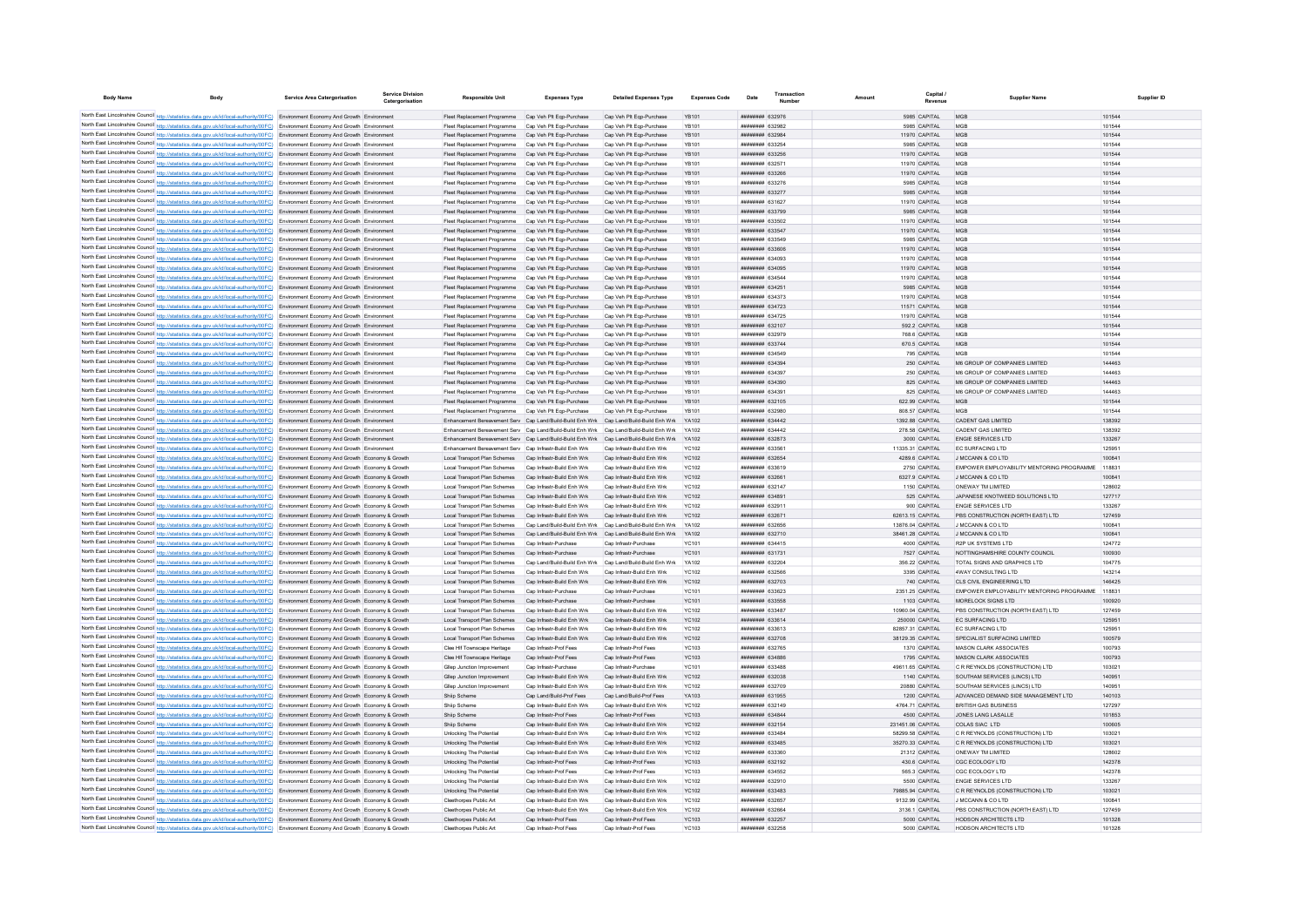| <b>Body Name</b>                             |                                                                                                                                                                                                                                                                                  | <b>Service Area Catergorisation</b>                                                      | <b>Service Division</b><br>Catergorisatio | <b>Responsible Unit</b>                                                                                      | <b>Expenses Type</b>                                      | <b>Detailed Expenses Type</b>                             | <b>Expenses Code</b>         | Date | Transaction                         |                   | Capital                           | Supplier Name                                                      |                  | Supplier ID |
|----------------------------------------------|----------------------------------------------------------------------------------------------------------------------------------------------------------------------------------------------------------------------------------------------------------------------------------|------------------------------------------------------------------------------------------|-------------------------------------------|--------------------------------------------------------------------------------------------------------------|-----------------------------------------------------------|-----------------------------------------------------------|------------------------------|------|-------------------------------------|-------------------|-----------------------------------|--------------------------------------------------------------------|------------------|-------------|
|                                              | North East Lincolnshire Council http://statistics.data.gov.uk/id/local-authority/00FC) Environment Economy And Growth Environment                                                                                                                                                |                                                                                          |                                           | Fleet Replacement Programme Cap Veh Plt Ego-Purchase                                                         |                                                           | Cap Veh Plt Ego-Purchase                                  | YB101                        |      | ######## 632976                     |                   | 5985 CAPITAL                      | MGB                                                                | 101544           |             |
|                                              | North East Lincolnshire Council http://statistics.data.gov.uk/id/local-authority/00FC) Environment Economy And Growth Environmen                                                                                                                                                 |                                                                                          |                                           | Fleet Replacement Programme                                                                                  | Cap Veh Plt Egp-Purchase                                  | Cap Veh Pit Egp-Purchase                                  |                              |      | ####### 632982                      |                   | 5985 CAPITAL                      |                                                                    | 101544           |             |
|                                              | North East Lincolnshire Council http://statistics.data.gov.uk/id/local-authority/00FC) Environment Economy And Growth Environment                                                                                                                                                |                                                                                          |                                           | Fleet Replacement Programme                                                                                  | Cap Veh Plt Egp-Purchase                                  | Cap Veh Plt Egp-Purchase                                  | <b>YB101</b>                 |      | ####### 632984                      |                   | 11970 CAPITAL                     | MGE                                                                | 101544           |             |
|                                              | North East Lincolnshire Council http://statistics.data.gov.uk/id/local-authority/00FC) Environment Economy And Growth Environment                                                                                                                                                |                                                                                          |                                           | Fleet Replacement Programme                                                                                  | Cap Veh Plt Eqp-Purchase                                  | Cap Veh Plt Eqp-Purchase                                  | YB101                        |      | ######## 633254                     |                   | 5985 CAPITAL                      | MGP                                                                | 101544           |             |
|                                              | North East Lincolnshire Council http://statistics.data.gov.uk/id/local-authority/00FC) Environment Economy And Growth Environment                                                                                                                                                |                                                                                          |                                           | Fleet Replacement Programme Cap Veh Plt Ego-Purchase                                                         |                                                           | Cap Veh Plt Eqp-Purchase                                  | <b>YB101</b>                 |      | ######## 633256                     |                   | 11970 CAPITAL                     | <b>MGB</b>                                                         | 101544           |             |
|                                              | North East Lincolnshire Council http://statistics.data.gov.uk/id/local-authority/00FC) Environment Economy And Growth Environment                                                                                                                                                |                                                                                          |                                           | Fleet Renlacement Programme                                                                                  | Cap Veh Plt Ego-Purchase                                  | Cap Veh Pit Egp-Purchase                                  | YB101                        |      | <b><i>BREEBBBB</i></b> 632571       |                   | 11970 CAPITAL                     | <b>MGB</b>                                                         | 101544           |             |
|                                              | North East Lincolnshire Council http://statistics.data.gov.uk/id/local-authority/00FC) Environment Economy And Growth Environment                                                                                                                                                |                                                                                          |                                           | Fleet Replacement Programme Cap Veh Plt Ego-Purchase                                                         |                                                           | Cap Veh Plt Egp-Purchase                                  | <b>YB101</b>                 |      | ######## 633266                     |                   | 11970 CAPITAL                     | <b>MGB</b>                                                         | 101544           |             |
|                                              | North East Lincolnshire Council http://statistics.data.gov.uk/id/local-authority/00FC) Environment Economy And Growth Environment                                                                                                                                                |                                                                                          |                                           | Fleet Replacement Programme Cap Veh Plt Ego-Purchase                                                         |                                                           | Cap Veh Plt Eqp-Purchase                                  | YB101                        |      | ######## 633276                     |                   | 5985 CAPITAL                      | MGE                                                                | 101544           |             |
|                                              | North East Lincolnshire Council http://statistics.data.gov.uk/id/local-authority/00FC) Environment Economy And Growth Environment                                                                                                                                                |                                                                                          |                                           | Fleet Replacement Programme Cap Veh Plt Ego-Purchase                                                         |                                                           | Cap Veh Plt Ego-Purchase                                  | <b>YB101</b>                 |      | ######## 633277                     |                   | 5985 CAPITAL                      | MGE                                                                | 101544           |             |
|                                              | North East Lincolnshire Council http://statistics.data.gov.uk/id/local-authority/00FC) Environment Economy And Growth Environment<br>North East Lincolnshire Council http://statistics.data.gov.uk/id/local-authority/00FC) Environment Economy And Growth Environment           |                                                                                          |                                           | Fleet Replacement Programme<br>Fleet Replacement Programme Cap Veh Plt Eqp-Purchase                          | Cap Veh Plt Eqp-Purchase                                  | Cap Veh Plt Eqp-Purchase<br>Cap Veh Plt Eqp-Purchase      | YB101<br><b>YB101</b>        |      | ######## 631627<br>######## 633799  |                   | 11970 CAPITAL<br>5985 CAPITAL     | MGE<br>MGP                                                         | 101544<br>101544 |             |
|                                              | North East Lincolnshire Council http://statistics.data.gov.uk/id/local-authority/00FC) Environment Economy And Growth Environment                                                                                                                                                |                                                                                          |                                           | Fleet Replacement Programme                                                                                  | Cap Veh Plt Egp-Purchase                                  | Cap Veh Plt Egp-Purchase                                  | <b>YB101</b>                 |      | ######## 633502                     |                   | 11970 CAPITAL                     | MGP                                                                | 101544           |             |
|                                              | North East Lincolnshire Council http://statistics.data.gov.uk/id/local-authority/00FC) Environment Economy And Growth Environment                                                                                                                                                |                                                                                          |                                           | Fleet Replacement Programme Cap Veh Plt Ego-Purchase                                                         |                                                           | Cap Veh Plt Egp-Purchase                                  | <b>YB101</b>                 |      | ######## 633547                     |                   | 11970 CAPITAL                     | <b>MGB</b>                                                         | 101544           |             |
|                                              | North East Lincolnshire Council http://statistics.data.gov.uk/id/local-authority/00FC)                                                                                                                                                                                           | Environment Economy And Growth Environmen                                                |                                           | Fleet Replacement Programme                                                                                  | Cap Veh Plt Egp-Purchase                                  | Cap Veh Plt Eqp-Purchase                                  | YB101                        |      |                                     |                   | 5985 CAPITAL                      | MGE                                                                | 101544           |             |
|                                              | North East Lincolnshire Council http://statistics.data.gov.uk/id/local-authority/00FC)                                                                                                                                                                                           | Environment Economy And Growth Environment                                               |                                           | Fleet Replacement Programme                                                                                  | Cap Veh Plt Eqp-Purchase                                  | Cap Veh Plt Eqp-Purchase                                  | YB101                        |      | ######## 633606                     |                   | 11970 CAPITAL                     | MGE                                                                | 101544           |             |
|                                              | North East Lincolnshire Council http://statistics.data.gov.uk/id/local-authority/00FC)                                                                                                                                                                                           | Environment Economy And Growth Environmer                                                |                                           |                                                                                                              | Cap Veh Plt Eqp-Purchase                                  | Cap Veh Plt Eqp-Purchase                                  | YB101                        |      | ######## 634093                     |                   | 11970 CAPITAL                     | MGE                                                                | 101544           |             |
|                                              | North East Lincolnshire Council http://statistics.data.gov.uk/id/local-authority/00FC) Environment Economy And Growth Environment                                                                                                                                                |                                                                                          |                                           | Fleet Replacement Programme                                                                                  | Cap Veh Plt Eqp-Purchase                                  | Cap Veh Plt Eqp-Purchase                                  | <b>YB101</b>                 |      | ######## 634095                     |                   | 11970 CAPITAL                     | <b>MGB</b>                                                         | 101544           |             |
|                                              | North East Lincolnshire Council http://statistics.data.gov.uk/id/local-authority/00FC) Environment Economy And Growth Environment                                                                                                                                                |                                                                                          |                                           | Fleet Replacement Programme                                                                                  | Cap Veh Plt Egp-Purchase                                  | Cap Veh Plt Egp-Purchase                                  | <b>YB101</b>                 |      | ######## 634544                     |                   | 11970 CAPITAL                     | <b>MGB</b>                                                         | 101544           |             |
|                                              | North East Lincolnshire Council http://statistics.data.gov.uk/id/local-authority/00FC)                                                                                                                                                                                           | Environment Economy And Growth Environment                                               |                                           | Fleet Replacement Programme                                                                                  | Cap Veh Plt Egp-Purchase                                  | Cap Veh Pit Egp-Purchase                                  | <b>YB101</b>                 |      | ######## 634251<br>######## 634373  |                   | 5985 CAPITAL                      | <b>MGB</b>                                                         | 101544<br>101544 |             |
|                                              | North East Lincolnshire Council http://statistics.data.gov.uk/id/local-authority/00FC)<br>North East Lincolnshire Council http://statistics.data.gov.uk/id/local-authority/00FC)                                                                                                 | Environment Economy And Growth Environment<br>Environment Economy And Growth Environment |                                           | Fleet Replacement Programme<br>Fleet Replacement Programme                                                   | Cap Veh Plt Eqp-Purchase<br>Cap Veh Plt Eqp-Purchase      | Cap Veh Plt Eqp-Purchase<br>Cap Veh Plt Eqp-Purchase      | YB101<br>YB101               |      | ######## 634723                     |                   | 11970 CAPITAL<br>11571 CAPITAL    | MGE<br>MGE                                                         | 101544           |             |
|                                              | North East Lincolnshire Council http://statistics.data.gov.uk/id/local-authority/00FC) Environment Economy And Growth Environment                                                                                                                                                |                                                                                          |                                           | Fleet Replacement Programme                                                                                  | Cap Veh Plt Eqp-Purchase                                  | Cap Veh Plt Eqp-Purchase                                  | YB101                        |      | ######## 634725                     |                   | 11970 CAPITAL                     | MGE                                                                | 101544           |             |
|                                              | North East Lincolnshire Council http://statistics.data.gov.uk/id/local-authority/00FC) Environment Economy And Growth Environment                                                                                                                                                |                                                                                          |                                           | Fleet Replacement Programme                                                                                  | Cap Veh Plt Eqp-Purchase                                  | Cap Veh Plt Eqp-Purchase                                  | <b>YB101</b>                 |      | ######## 632107                     |                   | 592.2 CAPITAL                     | MGP                                                                | 101544           |             |
|                                              | North East Lincolnshire Council http://statistics.data.gov.uk/id/local-authority/00FC) Environment Economy And Growth Environment                                                                                                                                                |                                                                                          |                                           | Fleet Replacement Programme                                                                                  | Cap Veh Plt Egp-Purchase                                  | Cap Veh Plt Egp-Purchase                                  | <b>YB101</b>                 |      | ######## 632979                     |                   | 768.6 CAPITAL                     | MGP                                                                | 101544           |             |
|                                              | North East Lincolnshire Council http://statistics.data.gov.uk/id/local-authority/00FC) Environment Economy And Growth Environment                                                                                                                                                |                                                                                          |                                           | Fleet Replacement Programme                                                                                  | Cap Veh Plt Egp-Purchase                                  | Cap Veh Plt Egp-Purchase                                  | <b>YB101</b>                 |      | ######## 633744                     |                   | 670.5 CAPITAL                     | <b>MGB</b>                                                         | 101544           |             |
|                                              | North East Lincolnshire Council http://statistics.data.gov.uk/id/local-authority/00FC) Environment Economy And Growth Environmen                                                                                                                                                 |                                                                                          |                                           | Fleet Replacement Programme                                                                                  | Cap Veh Plt Egp-Purchase                                  | Cap Veh Plt Eqp-Purchase                                  | YB101                        |      | ######## 634549                     |                   | 795 CAPITAL                       |                                                                    | 101544           |             |
|                                              | North East Lincolnshire Council http://statistics.data.gov.uk/id/local-authority/00FC) Environment Economy And Growth Environment                                                                                                                                                |                                                                                          |                                           | Fleet Replacement Programme                                                                                  | Cap Veh Plt Eqp-Purchase                                  | Cap Veh Plt Eqp-Purchase                                  | <b>YB101</b>                 |      | ####### 634394                      |                   | 250 CAPITAL                       | M6 GROUP OF COMPANIES LIMITED                                      | 144463           |             |
|                                              | North East Lincolnshire Council http://statistics.data.gov.uk/id/local-authority/00FC) Environment Economy And Growth Environmen                                                                                                                                                 |                                                                                          |                                           | Fleet Replacement Programm                                                                                   | Cap Veh Plt Eqp-Purchase                                  | Cap Veh Plt Eqp-Purchase                                  | YB101                        |      | ######## 634397                     |                   | 250 CAPITAL                       | M6 GROUP OF COMPANIES LIMITED                                      | 144463           |             |
|                                              | North East Lincolnshire Council http://statistics.data.gov.uk/id/local-authority/00FC) Environment Economy And Growth Environment                                                                                                                                                |                                                                                          |                                           | Fleet Replacement Programme                                                                                  | Cap Veh Plt Egp-Purchase                                  | Cap Veh Plt Eqp-Purchase                                  | YB101                        |      | ######## 634390                     |                   | 825 CAPITAL                       | M6 GROUP OF COMPANIES LIMITED                                      | 144463           |             |
|                                              | North East Lincolnshire Council http://statistics.data.gov.uk/id/local-authority/00FC) Environment Economy And Growth Environment                                                                                                                                                |                                                                                          |                                           | Fleet Replacement Programme                                                                                  | Cap Veh Plt Ego-Purchase                                  | Cap Veh Plt Egp-Purchase                                  | YB101                        |      | ######## 634391                     |                   | 825 CAPITAL                       | M6 GROUP OF COMPANIES LIMITED                                      | 144463           |             |
|                                              | North East Lincolnshire Council http://statistics.data.gov.uk/id/local-authority/00FC) Environment Economy And Growth Environment<br>North East Lincolnshire Council http://statistics.data.gov.uk/id/local-authority/00FC) Environment Economy And Growth Environment           |                                                                                          |                                           | Fleet Replacement Programme Cap Veh Plt Ego-Purchase<br>Fleet Replacement Programme Cap Veh Plt Eqp-Purchase |                                                           | Cap Veh Pit Egp-Purchase<br>Cap Veh Pit Egp-Purchase      | <b>YB101</b><br>YB101        |      | ######## 632105<br>######## 632980  |                   | 622.99 CAPITAL<br>808.57 CAPITAL  | <b>MGB</b><br>MGE                                                  | 101544<br>101544 |             |
|                                              | North East Lincolnshire Council http://statistics.data.gov.uk/id/local-authority/00FC) Environment Economy And Growth Environment                                                                                                                                                |                                                                                          |                                           | Enhancement Bereavement Serv Cap Land/Build-Build Enh Wrk Cap Land/Build-Build Enh Wrk                       |                                                           |                                                           | YA102                        |      | ######## 634442                     |                   | 1392.88 CAPITAL                   | <b>CADENT GAS LIMITED</b>                                          | 138392           |             |
|                                              | North East Lincolnshire Council http://statistics.data.gov.uk/id/local-authority/00FC) Environment Economy And Growth Environment                                                                                                                                                |                                                                                          |                                           | Enhancement Bereavement Serv Cap Land/Build-Build Enh Wrk Cap Land/Build-Build Enh Wrk                       |                                                           |                                                           | YA102                        |      | ######## 634442                     |                   | 278.58 CAPITAL                    | CADENT GAS LIMITED                                                 | 138392           |             |
|                                              | North East Lincolnshire Council http://statistics.data.gov.uk/id/local-authority/00FC) Environment Economy And Growth Environment                                                                                                                                                |                                                                                          |                                           | Enhancement Bereavement Serv Cap Land/Build-Build Enh Wrk Cap Land/Build-Build Enh Wrk                       |                                                           |                                                           | YA102                        |      | ######## 632873                     |                   | 3000 CAPITAL                      | <b>ENGIE SERVICES LTD</b>                                          | 133267           |             |
|                                              | North East Lincolnshire Council http://statistics.data.gov.uk/id/local-authority/00FC) Environment Economy And Growth Environment                                                                                                                                                |                                                                                          |                                           | Enhancement Bereavement Serv Cap Infrastr-Build Enh Wrk                                                      |                                                           | Cap Infrastr-Build Enh Wrk                                | <b>YC102</b>                 |      | ######## 633561                     |                   | 11335.31 CAPITAL                  | <b>EC SURFACING LTD</b>                                            | 125951           |             |
|                                              | North East Lincolnshire Council http://statistics.data.gov.uk/id/local-authority/00FC) Environment Economy And Growth Economy & Growth                                                                                                                                           |                                                                                          |                                           | Local Transport Plan Schemes Cap Infrastr-Build Enh Wrk                                                      |                                                           | Cap Infrastr-Build Enh Wrk                                | <b>YC102</b>                 |      | ######## 632654                     |                   | 4289.6 CAPITAL                    | J MCCANN & CO LTD                                                  | 100841           |             |
|                                              | North East Lincolnshire Council http://statistics.data.gov.uk/id/local-authority/00FC) Environment Economy And Growth Economy & Growth                                                                                                                                           |                                                                                          |                                           | Local Transport Plan Schemes                                                                                 | Cap Infrastr-Build Enh Wrk                                | Cap Infrastr-Build Enh Wrk                                | <b>YC102</b>                 |      | ######## 633619                     |                   | 2750 CAPITAL                      | EMPOWER EMPLOYABILITY MENTORING PROGRAMME                          | 118831           |             |
|                                              | North East Lincolnshire Council http://statistics.data.gov.uk/id/local-authority/00FC)                                                                                                                                                                                           | Environment Economy And Growth Economy & Growth                                          |                                           | Local Transport Plan Schemes                                                                                 | Cap Infrastr-Build Enh Wrk                                | Cap Infrastr-Build Enh Wrk                                | <b>YC102</b>                 |      | ######## 632661                     |                   | 6327.9 CAPITAL                    | J MCCANN & CO LTD                                                  | 100841           |             |
| North East Lincolnshire Council http://etat  |                                                                                                                                                                                                                                                                                  | Environment Economy And Growth Economy & Growth                                          |                                           | Local Transport Plan Schemes                                                                                 | Cap Infrastr-Build Enh Wrk                                | Cap Infrastr-Build Enh Wrk                                | YC102                        |      | ####### 632147                      |                   | 1150 CAPITAL                      | ONEWAY TM LIMITED                                                  | 128602           |             |
|                                              | North East Lincolnshire Council http://statistics.data.gov.uk/id/local-authority/00FC) Environment Economy And Growth Economy & Growth<br>North East Lincolnshire Council http://statistics.data.gov.uk/id/local-authority/00FC) Environment Economy And Growth Economy & Growth |                                                                                          |                                           | Local Transport Plan Schemes<br>Local Transport Plan Schemes                                                 | Cap Infrastr-Build Enh Wrk<br>Cap Infrastr-Build Enh Wrk  | Cap Infrastr-Build Enh Wrk<br>Cap Infrastr-Build Enh Wrk  | <b>YC102</b><br><b>YC102</b> |      | ######## 634891<br>######## 632911  |                   | 525 CAPITAL                       | JAPANESE KNOTWEED SOLUTIONS LTD<br><b>ENGIE SERVICES LTD</b>       | 127717<br>133267 |             |
|                                              | North East Lincolnshire Council http://statistics.data.gov.uk/id/local-authority/00FC) Environment Economy And Growth Economy & Growth                                                                                                                                           |                                                                                          |                                           | Local Transport Plan Schemes                                                                                 | Cap Infrastr-Build Enh Wrk                                | Cap Infrastr-Build Enh Wrk                                | <b>YC102</b>                 |      | ######## 632671                     | 62613.15 CAPITAL  | 900 CAPITAL                       | PBS CONSTRUCTION (NORTH EAST) LTD                                  | 127459           |             |
|                                              | North East Lincolnshire Council http://statistics.data.gov.uk/id/local-authority/00FC) Environment Economy And Growth Economy & Growth                                                                                                                                           |                                                                                          |                                           | <b>Local Transport Plan Schemes</b>                                                                          | Cap Land/Build-Build Enh Wrk Cap Land/Build-Build Enh Wrk |                                                           | YA102                        |      | ######## 632656                     |                   | 13876.04 CAPITAL                  | J MCCANN & CO LTD                                                  | 100841           |             |
|                                              | North East Lincolnshire Council http://statistics.data.gov.uk/id/local-authority/00FC)                                                                                                                                                                                           | Environment Economy And Growth Economy & Growth                                          |                                           | Local Transport Plan Schemes                                                                                 |                                                           | Cap Land/Build-Build Enh Wrk Cap Land/Build-Build Enh Wrk | YA102                        |      | ######## 632710                     | 38461.28 CAPITAL  |                                   | J MCCANN & CO LTD                                                  | 100841           |             |
|                                              | North East Lincolnshire Council http://statistics.data.gov.uk/id/local-authority/00FC) Environment Economy And Growth Economy & Growth                                                                                                                                           |                                                                                          |                                           | Local Transport Plan Schemes                                                                                 | Cap Infrastr-Purchase                                     | Cap Infrastr-Purchase                                     | YC101                        |      | ######## 634415                     |                   | 4000 CAPITAL                      | R2P UK SYSTEMS LTD                                                 | 124772           |             |
|                                              | North East Lincolnshire Council http://statistics.data.gov.uk/id/local-authority/00FC) Environment Economy And Growth Economy & Growth                                                                                                                                           |                                                                                          |                                           | Local Transport Plan Schemes                                                                                 | Cap Infrastr-Purchase                                     | Cap Infrastr-Purchase                                     | <b>YC101</b>                 |      | ######## 631731                     |                   | 7527 CAPITAL                      | NOTTINGHAMSHIRE COUNTY COUNCIL                                     | 100930           |             |
|                                              | North East Lincolnshire Council http://statistics.data.gov.uk/id/local-authority/00FC) Environment Economy And Growth Economy & Growth                                                                                                                                           |                                                                                          |                                           | <b>Local Transport Plan Schemes</b>                                                                          | Cap Land/Build-Build Enh Wrk Cap Land/Build-Build Enh Wrk |                                                           | YA102                        |      | ######## 632204                     |                   | 356.22 CAPITAL                    | TOTAL SIGNS AND GRAPHICS LTD                                       | 104775           |             |
|                                              | North East Lincolnshire Council http://statistics.data.gov.uk/id/local-authority/00FC) Environment Economy And Growth Economy & Growth                                                                                                                                           |                                                                                          |                                           | Local Transport Plan Schemes                                                                                 | Cap Infrastr-Build Enh Wrk                                | Cap Infrastr-Build Enh Wrk                                | <b>YC102</b>                 |      | ######## 632566                     |                   | 3395 CAPITAL                      | 4WAY CONSULTING LTD                                                | 143214           |             |
|                                              | North East Lincolnshire Council http://statistics.data.gov.uk/id/local-authority/00FC) Environment Economy And Growth Economy & Growth                                                                                                                                           |                                                                                          |                                           | Local Transport Plan Schemes                                                                                 | Cap Infrastr-Build Enh Wrk                                | Cap Infrastr-Build Enh Wrk                                | <b>YC102</b>                 |      | ######## 632703                     |                   | 740 CAPITAL                       | CLS CIVIL ENGINEERING LTD                                          | 146425           |             |
|                                              | North East Lincolnshire Council http://statistics.data.gov.uk/id/local-authority/00FC)                                                                                                                                                                                           | Environment Economy And Growth Economy & Growtl                                          |                                           | Local Transport Plan Schemer                                                                                 | Cap Infrastr-Purchas                                      | Cap Infrastr-Purchas                                      | YC101                        |      | ######## 633623                     |                   | 2351.25 CAPITAL                   | EMPOWER EMPLOYABILITY MENTORING PROGRAMME                          | 118831<br>100920 |             |
|                                              | North East Lincolnshire Council http://statistics.data.gov.uk/id/local-authority/00FC) Environment Economy And Growth Economy & Growth<br>North East Lincolnshire Council http://statistics.data.gov.uk/id/local-authority/00FC) Environment Economy And Growth Economy & Growth |                                                                                          |                                           | Local Transport Plan Schemes<br>Local Transport Plan Schemes                                                 | Cap Infrastr-Purchase<br>Cap Infrastr-Build Enh Wrk       | Cap Infrastr-Purchase<br>Cap Infrastr-Build Enh Wrk       | <b>YC101</b><br>YC102        |      | ######## 633558<br>######## 633487  |                   | 1103 CAPITAL<br>10960.04 CAPITAL  | MORELOCK SIGNS LTD<br>PBS CONSTRUCTION (NORTH EAST) LTD            | 127459           |             |
|                                              | North East Lincolnshire Council http://statistics.data.gov.uk/id/local-authority/00FC) Environment Economy And Growth Economy & Growth                                                                                                                                           |                                                                                          |                                           | Local Transport Plan Schemes                                                                                 | Can Infrastr-Build Enh Wrk                                | Can Infrastr-Build Enh Wrk                                | YC102                        |      | <b>######## 633614</b>              |                   | 250000 CAPITAL                    | FC SURFACING LTD                                                   | 125951           |             |
|                                              | North East Lincolnshire Council http://statistics.data.gov.uk/id/local-authority/00FC) Environment Economy And Growth Economy & Growth                                                                                                                                           |                                                                                          |                                           | Local Transport Plan Schemes                                                                                 | Cap Infrastr-Build Enh Wrk                                | Cap Infrastr-Build Enh Wrk                                | YC102                        |      | ######## 633613                     |                   | 82857.31 CAPITAL                  | <b>FC SURFACING LTD</b>                                            | 125951           |             |
|                                              | North East Lincolnshire Council http://statistics.data.gov.uk/id/local-authority/00FC) Environment Economy And Growth Economy & Growth                                                                                                                                           |                                                                                          |                                           | Local Transport Plan Schemes Cap Infrastr-Build Enh Wrk                                                      |                                                           | Cap Infrastr-Build Enh Wrk                                | <b>YC102</b>                 |      | ######## 632708                     |                   | 38129.35 CAPITAL                  | SPECIALIST SURFACING LIMITED                                       | 100579           |             |
|                                              | North East Lincolnshire Council http://statistics.data.gov.uk/id/local-authority/00FC) Environment Economy And Growth Economy & Growth                                                                                                                                           |                                                                                          |                                           | Clee Hif Townscape Heritage                                                                                  | Cap Infrastr-Prof Fees                                    | Cap Infrastr-Prof Fees                                    | YC103                        |      | ######## 632765                     |                   | 1370 CAPITAL                      | MASON CLARK ASSOCIATES                                             | 100793           |             |
|                                              | North East Lincolnshire Council http://statistics.data.gov.uk/id/local-authority/00FC) Environment Economy And Growth Economy & Growth                                                                                                                                           |                                                                                          |                                           | Clee Hif Townscape Heritage                                                                                  | Cap Infrastr-Prof Fees                                    | Cap Infrastr-Prof Fees                                    | <b>YC103</b>                 |      | ######## 634886                     |                   | 1795 CAPITAL                      | MASON CLARK ASSOCIATES                                             | 100793           |             |
|                                              | North East Lincolnshire Council http://statistics.data.gov.uk/id/local-authority/00FC) Environment Economy And Growth Economy & Growth                                                                                                                                           |                                                                                          |                                           | Gllep Junction Improvement                                                                                   | Cap Infrastr-Purchase                                     | Cap Infrastr-Purchase                                     | <b>YC101</b>                 |      | ######## 633488                     |                   | 49611.65 CAPITAL                  | C R REYNOLDS (CONSTRUCTION) LTD                                    | 103021           |             |
|                                              | North East Lincolnshire Council http://statistics.data.gov.uk/id/local-authority/00FC) Environment Economy And Growth Economy & Growth                                                                                                                                           |                                                                                          |                                           | Gllep Junction Improvement                                                                                   | Cap Infrastr-Build Enh Wrk                                | Cap Infrastr-Build Enh Wrk                                | YC102                        |      | <b>ппининия</b> 632038              |                   | 1140 CAPITAL                      | SOUTHAM SERVICES (LINCS) LTD                                       | 140951           |             |
|                                              | North East Lincolnshire Council http://statistics.data.gov.uk/id/local-authority/00FC) Environment Economy And Growth Economy & Growth                                                                                                                                           |                                                                                          |                                           | Gliep Junction Improvement                                                                                   | Cap Infrastr-Build Enh Wrk                                | Cap Infrastr-Build Enh Wrk                                | YC102                        |      | ######## 632709                     |                   | 20880 CAPITAL                     | SOUTHAM SERVICES (LINCS) LTD                                       | 140951           |             |
|                                              | North East Lincolnshire Council http://statistics.data.gov.uk/id/local-authority/00FC) Environment Economy And Growth Economy & Growth<br>North East Lincolnshire Council http://statistics.data.gov.uk/id/local-authority/00FC)                                                 | Environment Economy And Growth Economy & Growth                                          |                                           | Shiip Scheme<br>Ship Scheme                                                                                  | Cap Land/Build-Prof Fees<br>Cap Infrastr-Build Enh Wrk    | Cap Land/Build-Prof Fees<br>Cap Infrastr-Build Enh Wrk    | YA103<br><b>YC102</b>        |      | ######## 631955<br>000000000 632149 |                   | 1200 CAPITAL<br>4764.71 CAPITAL   | ADVANCED DEMAND SIDE MANAGEMENT LTD<br><b>BRITISH GAS BUSINESS</b> | 140103<br>127297 |             |
| North East Lincolnshire Council http://stati | stics.data.gov.uk/id/local-authority/00FC)                                                                                                                                                                                                                                       | Environment Economy And Growth Economy & Growth                                          |                                           | Shiip Scheme                                                                                                 | Cap Infrastr-Prof Fees                                    | Cap Infrastr-Prof Fees                                    | YC103                        |      | ######## 634844                     |                   | 4500 CAPITAL                      | JONES LANG LASALLE                                                 | 101853           |             |
|                                              | North East Lincolnshire Council http://statistics.data.gov.uk/id/local-authority/00FC)                                                                                                                                                                                           | Environment Economy And Growth Economy & Growth                                          |                                           | Shiip Schem                                                                                                  | Cap Infrastr-Build Enh Wrk                                | Cap Infrastr-Build Enh Wrk                                | <b>YC102</b>                 |      | ######## 632154                     | 231451.06 CAPITAL |                                   | COLAS SIAC LTD                                                     | 100605           |             |
|                                              | North East Lincolnshire Council http://statistics.data.gov.uk/id/local-authority/00FC) Environment Economy And Growth Economy & Growth                                                                                                                                           |                                                                                          |                                           | Unlocking The Potential                                                                                      | Can Infrastr-Build Fnh Wrk                                | Can Infrastr-Build Enh Wrk                                | YC102                        |      | <b>ппининия</b> 633484              | 58299.58 CAPITAL  |                                   | C.R. REYNOLDS (CONSTRUCTION) LTD.                                  | 103021           |             |
|                                              | North East Lincolnshire Council http://statistics.data.gov.uk/id/local-authority/00FC) Environment Economy And Growth Economy & Growth                                                                                                                                           |                                                                                          |                                           | <b>Unlocking The Potential</b>                                                                               | Cap Infrastr-Build Enh Wrk                                | Cap Infrastr-Build Enh Wrk                                | <b>YC102</b>                 |      | ######## 633485                     |                   | 35270.33 CAPITAL                  | C R REYNOLDS (CONSTRUCTION) LTD                                    | 103021           |             |
|                                              | North East Lincolnshire Council http://statistics.data.gov.uk/id/local-authority/00FC) Environment Economy And Growth Economy & Growth                                                                                                                                           |                                                                                          |                                           | Unlocking The Potential                                                                                      | Cap Infrastr-Build Enh Wrk                                | Cap Infrastr-Build Enh Wrk                                | <b>YC102</b>                 |      | ######## 633360                     |                   | 21312 CAPITAL                     | ONEWAY TM LIMITED                                                  | 128602           |             |
|                                              | North East Lincolnshire Council http://statistics.data.gov.uk/id/local-authority/00FC) Environment Economy And Growth Economy & Growth                                                                                                                                           |                                                                                          |                                           | Unlocking The Potential                                                                                      | Cap Infrastr-Prof Fees                                    | Cap Infrastr-Prof Fees                                    | <b>YC103</b>                 |      | ######## 632192                     |                   | 430.6 CAPITAL                     | CGC ECOLOGY LTD                                                    | 142378           |             |
|                                              | North East Lincolnshire Council http://statistics.data.gov.uk/id/local-authority/00FC) Environment Economy And Growth Economy & Growth                                                                                                                                           |                                                                                          |                                           | <b>Unlocking The Potential</b>                                                                               | Cap Infrastr-Prof Fees                                    | Cap Infrastr-Prof Fees                                    | YC103                        |      | ######## 634552                     |                   | 565.3 CAPITAL                     | CGC ECOLOGY LTD                                                    | 142378           |             |
|                                              | North East Lincolnshire Council http://statistics.data.gov.uk/id/local-authority/00FC) Environment Economy And Growth Economy & Growth                                                                                                                                           |                                                                                          |                                           | <b>Unlocking The Potential</b>                                                                               | Cap Infrastr-Build Enh Wrk                                | Cap Infrastr-Build Enh Wrk                                | YC102                        |      | ####### 632910                      |                   | 5500 CAPITAL                      | <b>ENGIE SERVICES LTD</b>                                          | 133267           |             |
|                                              | North East Lincolnshire Council http://statistics.data.gov.uk/id/local-authority/00FC) Environment Economy And Growth Economy & Growth                                                                                                                                           |                                                                                          |                                           | Unlocking The Potential                                                                                      | Cap Infrastr-Build Enh Wrk                                | Cap Infrastr-Build Enh Wrk                                | <b>YC102</b>                 |      | ######## 633483                     |                   | 79885.94 CAPITAL                  | C R REYNOLDS (CONSTRUCTION) LTD                                    | 103021           |             |
|                                              | North East Lincolnshire Council http://statistics.data.gov.uk/id/local-authority/00FC) Environment Economy And Growth Economy & Growth<br>North East Lincolnshire Council http://statistics.data.gov.uk/id/local-authority/00FC) Environment Economy And Growth Economy & Growth |                                                                                          |                                           | Cleethorpes Public Art<br>Cleethorpes Public Art                                                             | Cap Infrastr-Build Enh Wrk<br>Cap Infrastr-Build Enh Wrk  | Cap Infrastr-Build Enh Wrk<br>Cap Infrastr-Build Enh Wrk  | <b>YC102</b><br><b>YC102</b> |      | ######## 632657<br>######## 632664  |                   | 9132.99 CAPITAL<br>3136.1 CAPITAL | J MCCANN & CO LTD<br>PBS CONSTRUCTION (NORTH EAST) LTD             | 100841<br>127459 |             |
|                                              | North East Lincolnshire Council http://statistics.data.gov.uk/id/local-authority/00FC) Environment Economy And Growth Economy & Growth                                                                                                                                           |                                                                                          |                                           | Cleethorpes Public Art                                                                                       | Cap Infrastr-Prof Fees                                    | Cap Infrastr-Prof Fees                                    | <b>YC103</b>                 |      | ######## 632257                     |                   | 5000 CAPITAL                      | HODSON ARCHITECTS LTD                                              | 101328           |             |
|                                              | North East Lincolnshire Council http://statistics.data.gov.uk/id/local-authority/00FC) Environment Economy And Growth Economy & Growth                                                                                                                                           |                                                                                          |                                           | Cleethorpes Public Art                                                                                       | Cap Infrastr-Prof Fees                                    | Cap Infrastr-Prof Fees                                    | <b>YC103</b>                 |      | ######## 632258                     |                   | 5000 CAPITAL                      | HODSON ARCHITECTS LTD                                              | 101328           |             |
|                                              |                                                                                                                                                                                                                                                                                  |                                                                                          |                                           |                                                                                                              |                                                           |                                                           |                              |      |                                     |                   |                                   |                                                                    |                  |             |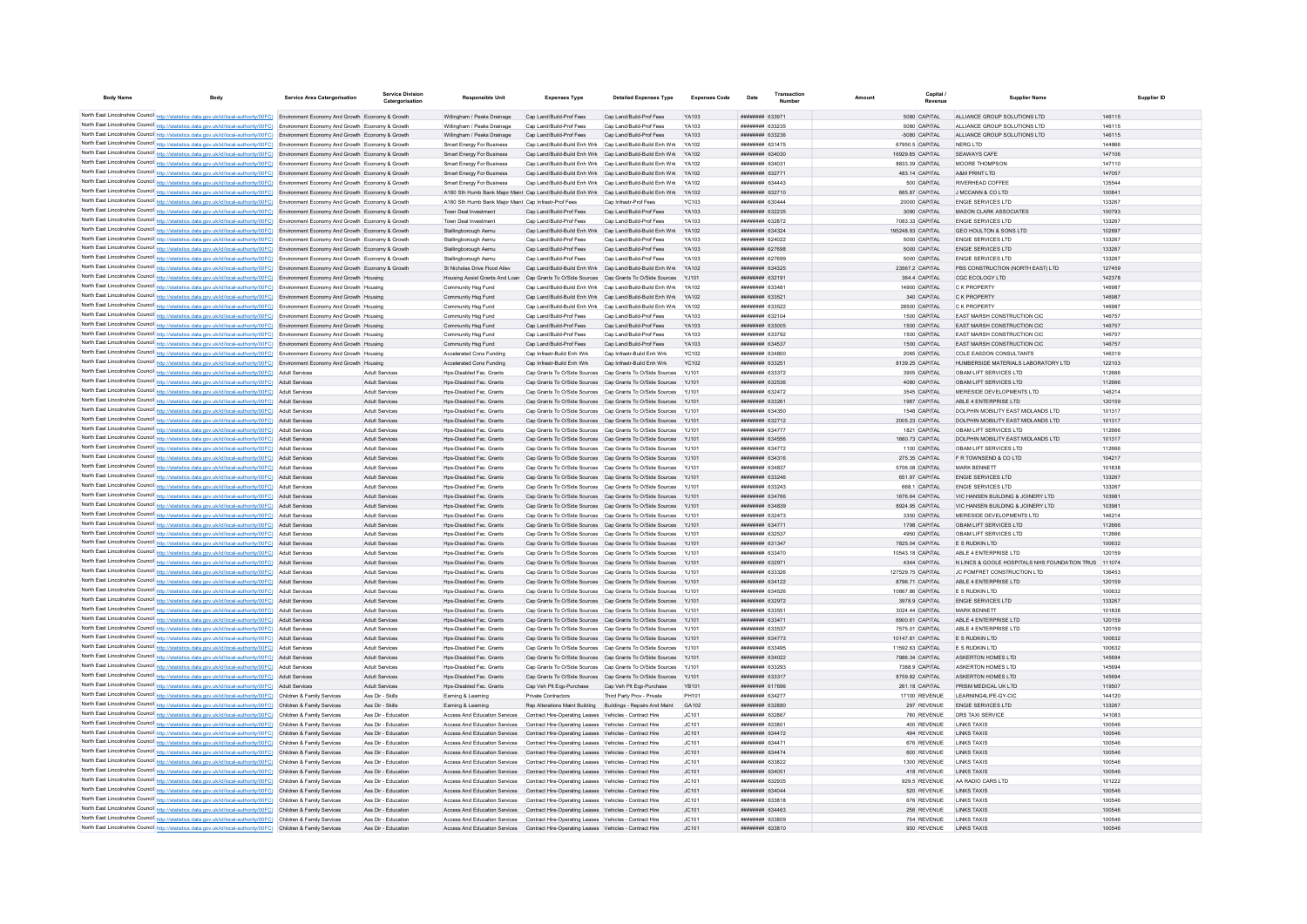| <b>Body Name</b>                           | Body                                                                                                                                                                                                                                                                             | <b>Service Area Catergorisation</b>             | <b>Service Division</b><br>Catergorisation | <b>Responsible Unit</b>                                                                                                                                                            | <b>Expenses Type</b>                                         | <b>Detailed Expenses Type</b>                                                                                                      | <b>Expenses Code</b>  | Date                                     | Transactio | Capital<br>Revenue                 | <b>Supplier Name</b>                                    | Supplier ID      |
|--------------------------------------------|----------------------------------------------------------------------------------------------------------------------------------------------------------------------------------------------------------------------------------------------------------------------------------|-------------------------------------------------|--------------------------------------------|------------------------------------------------------------------------------------------------------------------------------------------------------------------------------------|--------------------------------------------------------------|------------------------------------------------------------------------------------------------------------------------------------|-----------------------|------------------------------------------|------------|------------------------------------|---------------------------------------------------------|------------------|
|                                            |                                                                                                                                                                                                                                                                                  |                                                 |                                            |                                                                                                                                                                                    |                                                              |                                                                                                                                    |                       |                                          |            |                                    |                                                         |                  |
|                                            | North East Lincolnshire Council http://statistics.data.gov.uk/id/local-authority/00FC) Environment Economy And Growth Economy & Growth                                                                                                                                           |                                                 |                                            | Willingham / Peaks Drainage                                                                                                                                                        | Cap Land/Build-Prof Fees                                     | Cap Land/Build-Prof Fees                                                                                                           | YA103                 | <b>ПЕНИНИН 633971</b>                    |            | 5080 CAPITAL                       | ALLIANCE GROUP SOLUTIONS LTD                            | 146115           |
|                                            | North East Lincolnshire Council http://statistics.data.gov.uk/id/local-authority/00FC) Environment Economy And Growth Economy & Growth                                                                                                                                           |                                                 |                                            | Willingham / Peaks Drainage                                                                                                                                                        | Can Land/Build-Prof Fees                                     | Can Land/Build-Prof Fees                                                                                                           | YA103                 | <b>ппинини 633235</b>                    |            | 5080 CAPITAL                       | ALLIANCE GROUP SOLUTIONS LTD.                           | 146115           |
|                                            | North East Lincolnshire Council http://statistics.data.gov.uk/id/local-authority/00FC) Environment Economy And Growth Economy & Growth                                                                                                                                           |                                                 |                                            | Willingham / Peaks Drainage                                                                                                                                                        | Cap Land/Build-Prof Fees                                     | Can Land/Build-Prof Fees                                                                                                           | YA103                 | <i>вининни</i> 633236                    |            | -5080 CAPITAL                      | ALLIANCE GROUP SOLUTIONS LTD                            | 146115           |
|                                            | North East Lincolnshire Council http://statistics.data.gov.uk/id/local-authority/00FC) Environment Economy And Growth Economy & Growth                                                                                                                                           |                                                 |                                            | Smart Energy For Business                                                                                                                                                          |                                                              | Cap Land/Build-Build Enh Wrk Cap Land/Build-Build Enh Wrk                                                                          | YA102                 | ######## 631475<br>######## 634030       |            | 67950.5 CAPITAL                    | NERG LTD<br>SEAWAYS CAFE                                | 144866<br>147106 |
|                                            | North East Lincolnshire Council http://statistics.data.gov.uk/id/local-authority/00FC) Environment Economy And Growth Economy & Growth                                                                                                                                           |                                                 |                                            | <b>Smart Energy For Business</b>                                                                                                                                                   |                                                              | Cap Land/Build-Build Enh Wrk Cap Land/Build-Build Enh Wrk                                                                          | YA102                 |                                          |            | 16929.85 CAPITAL                   |                                                         |                  |
|                                            | North East Lincolnshire Council http://statistics.data.gov.uk/id/local-authority/00FC) Environment Economy And Growth Economy & Growth                                                                                                                                           |                                                 |                                            | <b>Smart Energy For Business</b>                                                                                                                                                   |                                                              | Cap Land/Build-Build Enh Wrk Cap Land/Build-Build Enh Wrk                                                                          | YA102<br><b>YA102</b> | ######## 634031                          |            | 8833.39 CAPITAL                    | MOORE THOMPSON                                          | 147110           |
|                                            | North East Lincolnshire Council http://statistics.data.gov.uk/id/local-authority/00FC) Environment Economy And Growth Economy & Growth                                                                                                                                           |                                                 |                                            | <b>Smart Energy For Business</b><br><b>Smart Energy For Business</b>                                                                                                               |                                                              | Cap Land/Build-Build Enh Wrk Cap Land/Build-Build Enh Wrk<br>Cap Land/Build-Build Enh Wrk Cap Land/Build-Build Enh Wrk             | YA102                 | ######## 632771<br><b>ппинини 634443</b> |            | 483.14 CAPITAL<br>500 CAPITAL      | A&M PRINT LTD<br><b>RIVERHEAD COFFEE</b>                | 147057<br>135544 |
|                                            | North East Lincolnshire Council http://statistics.data.gov.uk/id/local-authority/00FC) Environment Economy And Growth Economy & Growth<br>North East Lincolnshire Council http://statistics.data.gov.uk/id/local-authority/00FC) Environment Economy And Growth Economy & Growth |                                                 |                                            | A180 Sth Humb Bank Major Maint Cap Land/Build-Build Enh Wrk Cap Land/Build-Build Enh Wrk                                                                                           |                                                              |                                                                                                                                    | YA102                 | ######## 632710                          |            | 665.87 CAPITAL                     | J MCCANN & CO LTD                                       | 100841           |
|                                            | North East Lincolnshire Council http://statistics.data.gov.uk/id/local-authority/00FC) Environment Economy And Growth Economy & Growth                                                                                                                                           |                                                 |                                            | A180 Sth Humb Bank Maior Maint Cap Infrastr-Prof Fees                                                                                                                              |                                                              | Cap Infrastr-Prof Fees                                                                                                             | <b>YC103</b>          | ######## 630444                          |            | 20000 CAPITAL                      | <b>ENGIE SERVICES LTD</b>                               | 133267           |
|                                            | North East Lincolnshire Council http://statistics.data.gov.uk/id/local-authority/00FC) Environment Economy And Growth Economy & Growth                                                                                                                                           |                                                 |                                            | Town Deal Investment                                                                                                                                                               | Cap Land/Build-Prof Fees                                     | Cap Land/Build-Prof Fees                                                                                                           | YA103                 | ######## 632235                          |            | 3090 CAPITAL                       | MASON CLARK ASSOCIATES                                  | 100793           |
|                                            | North East Lincolnshire Council http://statistics.data.gov.uk/id/local-authority/00FC) Environment Economy And Growth Economy & Growth                                                                                                                                           |                                                 |                                            | Town Deal Investment                                                                                                                                                               | Cap Land/Build-Prof Fees                                     | Cap Land/Build-Prof Fees                                                                                                           | YA103                 | ######## 632872                          |            | 7083.33 CAPITAL                    | <b>ENGIE SERVICES LTD</b>                               | 133267           |
|                                            | North East Lincolnshire Council http://statistics.data.gov.uk/id/local-authority/00FC)                                                                                                                                                                                           | Environment Economy And Growth Economy & Growth |                                            | Stallingborough Aemu                                                                                                                                                               | Cap Land/Build-Build Enh Wrk                                 | Cap Land/Build-Build Enh Wrk                                                                                                       | YA102                 | ######## 634324                          |            | 195248.93 CAPITAL                  | <b>GEO HOULTON &amp; SONS LTD</b>                       | 102697           |
|                                            | North East Lincolnshire Council http://statistics.data.gov.uk/id/local-authority/00FC) Environment Economy And Growth Economy & Growth                                                                                                                                           |                                                 |                                            | Stallingborough Aemu                                                                                                                                                               | Cap Land/Build-Prof Fees                                     | Cap Land/Build-Prof Fees                                                                                                           | YA103                 | <b>ПЕНИНИН 624022</b>                    |            | 5000 CAPITAL                       | ENGIE SERVICES LTD                                      | 133267           |
|                                            | North East Lincolnshire Council http://statistics.data.gov.uk/id/local-authority/00FC) Environment Economy And Growth Economy & Growth                                                                                                                                           |                                                 |                                            | Stallingborough Aemu                                                                                                                                                               | Cap Land/Build-Prof Fees                                     | Cap Land/Build-Prof Fees                                                                                                           | YA103                 | ######## 627698                          |            | 5000 CAPITAL                       | <b>ENGIE SERVICES LTD</b>                               | 133267           |
|                                            | North East Lincolnshire Council http://statistics.data.gov.uk/id/local-authority/00FC) Environment Economy And Growth Economy & Growth                                                                                                                                           |                                                 |                                            | Stallingborough Aemu                                                                                                                                                               | Cap Land/Build-Prof Fees                                     | Cap Land/Build-Prof Fees                                                                                                           | YA103                 | ######## 627699                          |            | 5000 CAPITAL                       | ENGIE SERVICES LTD                                      | 133267           |
|                                            | North East Lincolnshire Council http://statistics.data.gov.uk/id/local-authority/00FC) Environment Economy And Growth Economy & Growth                                                                                                                                           |                                                 |                                            | St Nicholas Drive Flood Allev                                                                                                                                                      |                                                              | Cap Land/Build-Build Enh Wrk Cap Land/Build-Build Enh Wrk                                                                          | YA102                 | ######## 634325                          |            | 23567.2 CAPITAL                    | PBS CONSTRUCTION (NORTH EAST) LTD                       | 127459           |
|                                            | North East Lincolnshire Council http://statistics.data.gov.uk/id/local-authority/00FC) Environment Economy And Growth Housing                                                                                                                                                    |                                                 |                                            | Housing Assist Grants And Loan Cap Grants To O/Side Sources Cap Grants To O/Side Sources                                                                                           |                                                              |                                                                                                                                    | YJ101                 | ######## 632191                          |            | 364.4 CAPITAL                      | CGC ECOLOGY LTD                                         | 142378           |
|                                            | North East Lincolnshire Council http://statistics.data.gov.uk/id/local-authority/00FC) Environment Economy And Growth Housing                                                                                                                                                    |                                                 |                                            | Community Hsg Fund                                                                                                                                                                 | Cap Land/Build-Build Enh Wrk Cap Land/Build-Build Enh Wrk    |                                                                                                                                    |                       | ######## 633481                          |            | 14900 CAPITAL                      | C K PROPERTY                                            | 146987           |
|                                            | North East Lincolnshire Council http://statistics.data.gov.uk/id/local-authority/00FC) Environment Economy And Growth Housing                                                                                                                                                    |                                                 |                                            | Community Hsg Fund                                                                                                                                                                 |                                                              | Cap Land/Build-Build Enh Wrk Cap Land/Build-Build Enh Wrk                                                                          | YA102                 | ######## 633521                          |            | 340 CAPITAL                        | <b>C K PROPERTY</b>                                     | 146987           |
|                                            | North East Lincolnshire Council http://statistics.data.gov.uk/id/local-authority/00FC) Environment Economy And Growth Housing                                                                                                                                                    |                                                 |                                            | Community Hsg Fund                                                                                                                                                                 |                                                              | Cap Land/Build-Build Enh Wrk Cap Land/Build-Build Enh Wrk                                                                          | YA102                 | <b><i>BRAHHHHH 633522</i></b>            |            | 28500 CAPITAL                      | C.K PROPERTY                                            | 146987           |
|                                            | North East Lincolnshire Council http://statistics.data.gov.uk/id/local-authority/00FC) Environment Economy And Growth Housing                                                                                                                                                    |                                                 |                                            | Community Hsg Fund                                                                                                                                                                 | Can Land/Build-Prof Fees                                     | Can Land/Build-Prof Fees                                                                                                           | YA103                 | ######## 632104                          |            | 1500 CAPITAL                       | <b>FAST MARSH CONSTRUCTION CIC.</b>                     | 146757           |
|                                            | North East Lincolnshire Council http://statistics.data.gov.uk/id/local-authority/00FC) Environment Economy And Growth Housing                                                                                                                                                    |                                                 |                                            | Community Hsg Fund                                                                                                                                                                 | Cap Land/Build-Prof Fees                                     | Cap Land/Build-Prof Fees                                                                                                           | YA103                 | ######## 633005                          |            | 1500 CAPITAL                       | EAST MARSH CONSTRUCTION CIC                             | 146757           |
|                                            | North East Lincolnshire Council http://statistics.data.gov.uk/id/local-authority/00FC) Environment Economy And Growth Housing                                                                                                                                                    |                                                 |                                            | Community Hsg Fund                                                                                                                                                                 | Cap Land/Build-Prof Fees                                     | Cap Land/Build-Prof Fees                                                                                                           | YA103                 | ######## 633792                          |            | 1500 CAPITAL                       | EAST MARSH CONSTRUCTION CIC                             | 146757           |
|                                            | North East Lincolnshire Council http://statistics.data.gov.uk/id/local-authority/00FC) Environment Economy And Growth Housing                                                                                                                                                    |                                                 |                                            | Community Hsg Fund                                                                                                                                                                 | Cap Land/Build-Prof Fees                                     | Cap Land/Build-Prof Fees                                                                                                           | YA103                 | ######## 634537                          |            | 1500 CAPITAL                       | EAST MARSH CONSTRUCTION CIC                             | 146757           |
|                                            | North East Lincolnshire Council http://statistics.data.gov.uk/id/local-authority/00FC) Environment Economy And Growth Housing                                                                                                                                                    |                                                 |                                            | Accelerated Cons Funding                                                                                                                                                           | Cap Infrastr-Build Enh Wrk                                   | Cap Infrastr-Build Enh Wrk                                                                                                         | <b>YC102</b>          | <b>HRHHHHH 634800</b>                    |            | 2065 CAPITAL                       | COLE EASDON CONSULTANTS                                 | 146319           |
|                                            | North East Lincolnshire Council http://statistics.data.gov.uk/id/local-authority/00FC) Environment Economy And Growth Housing                                                                                                                                                    |                                                 |                                            | Accelerated Cons Funding                                                                                                                                                           | Cap Infrastr-Build Enh Wrk                                   | Cap Infrastr-Build Enh Wrk                                                                                                         | YC102                 | <b>ппининия</b> 633251                   |            | 8139.25 CAPITAL                    | HUMBERSIDE MATERIALS LABORATORY LTD                     | 122103           |
|                                            | North East Lincolnshire Council http://statistics.data.gov.uk/id/local-authority/00FC) Adult Services                                                                                                                                                                            |                                                 | <b>Adult Services</b>                      | Hos-Disabled Fac Grants                                                                                                                                                            |                                                              | Can Grants To O/Side Sources Can Grants To O/Side Sources                                                                          | Y.1101                | <b>НЕННИНИЯ</b> 633372                   |            | 3905 CAPITAL                       | OBAM LIFT SERVICES LTD                                  | 112666           |
|                                            | North East Lincolnshire Council http://statistics.data.gov.uk/id/local-authority/00FC) Adult Services                                                                                                                                                                            |                                                 | Adult Services                             | Hos-Disabled Fac. Grants                                                                                                                                                           |                                                              | Cap Grants To O/Side Sources Cap Grants To O/Side Sources YJ101                                                                    |                       | ######## 632536                          |            | 4080 CAPITAL                       | OBAM LIFT SERVICES LTD                                  | 112666           |
|                                            | North East Lincolnshire Council http://statistics.data.gov.uk/id/local-authority/00FC) Adult Services                                                                                                                                                                            |                                                 | Adult Services                             | Hos-Disabled Fac. Grants                                                                                                                                                           |                                                              | Cap Grants To O/Side Sources Cap Grants To O/Side Sources YJ101                                                                    |                       | ######## 632472                          |            | 3545 CAPITAL                       | MERESIDE DEVELOPMENTS LTD                               | 146214           |
|                                            | North East Lincolnshire Council http://statistics.data.gov.uk/id/local-authority/00FC) Adult Services                                                                                                                                                                            |                                                 | <b>Adult Services</b>                      | Hos-Disabled Fac. Grants                                                                                                                                                           |                                                              | Cap Grants To O/Side Sources Cap Grants To O/Side Sources                                                                          | YJ101                 | ######## 633261                          |            | 1987 CAPITAL                       | ABLE 4 ENTERPRISE LTD                                   | 120159           |
|                                            | North East Lincolnshire Council http://statistics.data.gov.uk/id/local-authority/00FC) Adult Services                                                                                                                                                                            |                                                 | <b>Adult Services</b>                      | Hps-Disabled Fac. Grants                                                                                                                                                           |                                                              | Cap Grants To O/Side Sources Cap Grants To O/Side Sources                                                                          | YJ101                 | ######## 634350                          |            | 1548 CAPITAL                       | DOLPHIN MOBILITY EAST MIDLANDS LTD                      | 101317           |
|                                            | North East Lincolnshire Council http://statistics.data.gov.uk/id/local-authority/00FC) Adult Services                                                                                                                                                                            |                                                 | <b>Adult Services</b>                      | Hps-Disabled Fac. Grants                                                                                                                                                           |                                                              | Cap Grants To O/Side Sources Cap Grants To O/Side Sources                                                                          | YJ101                 | ######## 632712                          |            | 2005.23 CAPITAL                    | DOLPHIN MOBILITY EAST MIDLANDS LTD                      | 101317           |
|                                            | North East Lincolnshire Council http://statistics.data.gov.uk/id/local-authority/00FC) Adult Services                                                                                                                                                                            |                                                 | Adult Services                             | Hos-Disabled Fac. Grants                                                                                                                                                           |                                                              | Cap Grants To O/Side Sources Cap Grants To O/Side Sources                                                                          | Y.1101                | <b>ппининин</b> 634777                   |            | 1821 CAPITAL                       | OBAM LIFT SERVICES LTD                                  | 112666           |
|                                            | North East Lincolnshire Council http://statistics.data.gov.uk/id/local-authority/00FC) Adult Services                                                                                                                                                                            |                                                 | <b>Adult Services</b>                      | Hos-Disabled Fac. Grants                                                                                                                                                           |                                                              | Cap Grants To O/Side Sources Cap Grants To O/Side Sources                                                                          | YJ101                 | ######## 634556                          |            | 1660.73 CAPITAL                    | DOLPHIN MOBILITY EAST MIDLANDS LTD                      | 101317           |
| North East Lincolnshire Council http://str | North East Lincolnshire Council http://statistics.data.gov.uk/id/local-authority/00FC)                                                                                                                                                                                           | <b>Adult Services</b>                           | Adult Services                             | Hos-Disabled Fac. Grants                                                                                                                                                           |                                                              | Cap Grants To O/Side Sources Cap Grants To O/Side Sources                                                                          |                       | ######## 634772                          |            | 1100 CAPITAL                       | OBAM LIFT SERVICES LTD                                  | 112666           |
|                                            | ics.data.gov.uk/id/local-authority/00FC)                                                                                                                                                                                                                                         | <b>Adult Services</b>                           | <b>Adult Services</b>                      | Hps-Disabled Fac. Grants                                                                                                                                                           |                                                              | Cap Grants To O/Side Sources Cap Grants To O/Side Sources                                                                          | YJ101                 | ######## 634316                          |            | 275.35 CAPITAL                     | F R TOWNSEND & CO LTD                                   | 104217           |
|                                            | North East Lincolnshire Council http://statistics.data.gov.uk/id/local-authority/00FC)<br>North East Lincolnshire Council http://statistics.data.gov.uk/id/local-authority/00FC) Adult Services                                                                                  | Adult Services                                  | Adult Services                             | Hps-Disabled Fac. Grants                                                                                                                                                           |                                                              | Cap Grants To O/Side Sources Cap Grants To O/Side Sources                                                                          |                       | ######## 634837                          |            | 5706.08 CAPITAL                    | <b>MARK BENNETT</b>                                     | 101838           |
|                                            | North East Lincolnshire Council http://statistics.data.gov.uk/id/local-authority/00FC) Adult Services                                                                                                                                                                            |                                                 | <b>Adult Services</b>                      | Hps-Disabled Fac. Grants                                                                                                                                                           |                                                              | Cap Grants To O/Side Sources Cap Grants To O/Side Sources                                                                          | YJ101                 | ######## 633246                          |            | 651.97 CAPITAL                     | <b>ENGIE SERVICES LTD</b>                               | 133267           |
|                                            | North East Lincolnshire Council http://statistics.data.gov.uk/id/local-authority/00FC) Adult Services                                                                                                                                                                            |                                                 | <b>Adult Services</b>                      | Hps-Disabled Fac. Grants                                                                                                                                                           |                                                              | Cap Grants To O/Side Sources Cap Grants To O/Side Sources                                                                          | YJ101                 | ######## 633243                          |            | 668.1 CAPITAL                      | ENGIE SERVICES LTD<br>VIC HANSEN BUILDING & JOINERY LTD | 133267           |
|                                            | North East Lincolnshire Council http://statistics.data.gov.uk/id/local-authority/00FC) Adult Services                                                                                                                                                                            |                                                 | <b>Adult Services</b><br>Adult Services    | Hos-Disabled Fac. Grants<br>Hps-Disabled Fac. Grants                                                                                                                               |                                                              | Cap Grants To O/Side Sources Cap Grants To O/Side Sources YJ101<br>Cap Grants To O/Side Sources Cap Grants To O/Side Sources YJ101 |                       | ######## 634766<br>######## 634839       |            | 1676.64 CAPITAL<br>8924.95 CAPITAL | VIC HANSEN BUILDING & JOINERY LTD                       | 103981<br>103981 |
|                                            | North East Lincolnshire Council http://statistics.data.gov.uk/id/local-authority/00FC) Adult Services                                                                                                                                                                            |                                                 | <b>Adult Services</b>                      | Hps-Disabled Fac. Grants                                                                                                                                                           |                                                              | Cap Grants To O/Side Sources Cap Grants To O/Side Sources                                                                          | YJ101                 | ######## 632473                          |            | 3350 CAPITAL                       | MERESIDE DEVELOPMENTS LTD                               | 146214           |
|                                            | North East Lincolnshire Council http://statistics.data.gov.uk/id/local-authority/00FC) Adult Services                                                                                                                                                                            |                                                 | <b>Adult Services</b>                      | Hps-Disabled Fac. Grants                                                                                                                                                           |                                                              | Cap Grants To O/Side Sources Cap Grants To O/Side Sources                                                                          |                       | ######## 634771                          |            | 1798 CAPITAL                       | OBAM LIFT SERVICES LTD                                  | 112666           |
|                                            | North East Lincolnshire Council http://statistics.data.gov.uk/id/local-authority/00FC) Adult Services                                                                                                                                                                            |                                                 | <b>Adult Services</b>                      | Hos-Disabled Fac. Grants                                                                                                                                                           |                                                              | Cap Grants To O/Side Sources Cap Grants To O/Side Sources                                                                          | Y.1101                | ######## 632537                          |            | 4950 CAPITAL                       | OBAM LIFT SERVICES LTD                                  | 112666           |
|                                            | North East Lincolnshire Council http://statistics.data.gov.uk/id/local-authority/00FC) Adult Services                                                                                                                                                                            |                                                 | Adult Services                             | Hps-Disabled Fac. Grants                                                                                                                                                           |                                                              | Cap Grants To O/Side Sources Cap Grants To O/Side Sources                                                                          | YJ101                 | ######## 631347                          |            | 7825.04 CAPITAL                    | E S RUDKIN LTD                                          | 100632           |
|                                            | North East Lincolnshire Council http://statistics.data.gov.uk/id/local-authority/00FC) Adult Services                                                                                                                                                                            |                                                 | <b>Adult Services</b>                      | Hos-Disabled Fac Grants                                                                                                                                                            |                                                              | Can Grants To O/Side Sources Can Grants To O/Side Sources Y.1101                                                                   |                       | <b>ппининия</b> 633470                   |            | 10543 18 CAPITAL                   | ABLE 4 ENTERPRISE LTD                                   | 120159           |
|                                            | North East Lincolnshire Council http://statistics.data.gov.uk/id/local-authority/00FC)                                                                                                                                                                                           | <b>Adult Services</b>                           | <b>Adult Services</b>                      | Hos-Disabled Fac. Grants                                                                                                                                                           |                                                              | Cap Grants To O/Side Sources Cap Grants To O/Side Sources                                                                          | Y.1101                | ######## 632971                          |            | 4344 CAPITAL                       | N LINCS & GOOLE HOSPITALS NHS FOUNDATION TRUS 111074    |                  |
|                                            | North East Lincolnshire Council http://statistics.data.gov.uk/id/local-authority/00FC)                                                                                                                                                                                           | <b>Adult Services</b>                           | Adult Services                             | Hos-Disabled Fac. Grants                                                                                                                                                           |                                                              | Cap Grants To O/Side Sources Cap Grants To O/Side Sources                                                                          |                       | ######## 633326                          |            | 127529.75 CAPITAL                  | JC POMFRET CONSTRUCTION LTD                             | 136453           |
|                                            | North East Lincolnshire Council http://statistics.data.gov.uk/id/local-authority/00FC)                                                                                                                                                                                           | <b>Adult Services</b>                           | <b>Adult Services</b>                      | Hos-Disabled Fac. Grants                                                                                                                                                           |                                                              | Cap Grants To O/Side Sources Cap Grants To O/Side Sources                                                                          |                       | ####### 634122                           |            | 8796.71 CAPITAL                    | ABLE 4 ENTERPRISE LTD                                   | 120159           |
|                                            | North East Lincolnshire Council http://statistics.data.gov.uk/id/local-authority/00FC) Adult Services                                                                                                                                                                            |                                                 | <b>Adult Services</b>                      | Hos-Disabled Fac. Grants                                                                                                                                                           |                                                              | Cap Grants To O/Side Sources Cap Grants To O/Side Sources YJ101                                                                    |                       | <b>ппининия</b> 634526                   |            | 10867.86 CAPITAL                   | <b>F S RUDKIN LTD</b>                                   | 100632           |
|                                            | North East Lincolnshire Council http://statistics.data.gov.uk/id/local-authority/00FC) Adult Services                                                                                                                                                                            |                                                 | <b>Adult Services</b>                      | Hos-Disabled Fac. Grants                                                                                                                                                           |                                                              | Cap Grants To O/Side Sources Cap Grants To O/Side Sources YJ101                                                                    |                       | ######## 632972                          |            | 3978.9 CAPITAL                     | <b>ENGIE SERVICES LTD</b>                               | 133267           |
|                                            | North East Lincolnshire Council http://statistics.data.gov.uk/id/local-authority/00FC) Adult Services                                                                                                                                                                            |                                                 | <b>Adult Services</b>                      | Hos-Disabled Fac Grants                                                                                                                                                            |                                                              | Can Grants To O/Side Sources Can Grants To O/Side Sources Y.1101                                                                   |                       | ######## 633551                          |            | 3024.44 CAPITAL                    | MARK RENNETT                                            | 101838           |
|                                            | North East Lincolnshire Council http://statistics.data.gov.uk/id/local-authority/00FC) Adult Services                                                                                                                                                                            |                                                 | <b>Adult Services</b>                      | Hos-Disabled Fac. Grants                                                                                                                                                           |                                                              | Cap Grants To O/Side Sources Cap Grants To O/Side Sources YJ101                                                                    |                       | ######## 633471                          |            | 6900.61 CAPITAL                    | ABLE 4 ENTERPRISE LTD                                   | 120159           |
|                                            | North East Lincolnshire Council http://statistics.data.gov.uk/id/local-authority/00FC) Adult Services                                                                                                                                                                            |                                                 | Adult Services                             | Hos-Disabled Fac. Grants                                                                                                                                                           |                                                              | Cap Grants To O/Side Sources Cap Grants To O/Side Sources YJ101                                                                    |                       | ######## 633537                          |            | 7575.01 CAPITAL                    | ABLE 4 ENTERPRISE LTD                                   | 120159           |
|                                            | North East Lincolnshire Council http://statistics.data.gov.uk/id/local-authority/00FC) Adult Services                                                                                                                                                                            |                                                 | <b>Adult Services</b>                      | Hos-Disabled Fac. Grants                                                                                                                                                           |                                                              | Cap Grants To O/Side Sources Cap Grants To O/Side Sources                                                                          |                       | ######## 634773                          |            | 10147.81 CAPITAL                   | E S RUDKIN LTD                                          | 100632           |
|                                            | North East Lincolnshire Council http://statistics.data.gov.uk/id/local-authority/00FC) Adult Services                                                                                                                                                                            |                                                 | <b>Adult Services</b>                      | Hps-Disabled Fac. Grants                                                                                                                                                           |                                                              | Cap Grants To O/Side Sources Cap Grants To O/Side Sources                                                                          | YJ101                 | ######## 633495                          |            | 11592.63 CAPITAL                   | E S RUDKIN LTD                                          | 100632           |
|                                            | North East Lincolnshire Council http://statistics.data.gov.uk/id/local-authority/00FC) Adult Services                                                                                                                                                                            |                                                 | Adult Services                             | Hos-Disabled Fac. Grants                                                                                                                                                           |                                                              | Cap Grants To O/Side Sources Cap Grants To O/Side Sources                                                                          | Y.1101                | ######## 634022                          |            | 7986.34 CAPITAL                    | ASKERTON HOMES LTD                                      | 145694           |
|                                            | North East Lincolnshire Council http://statistics.data.gov.uk/id/local-authority/00FC) Adult Services                                                                                                                                                                            |                                                 | Adult Services                             | Hos-Disabled Fac. Grants                                                                                                                                                           |                                                              | Cap Grants To O/Side Sources Cap Grants To O/Side Sources                                                                          | Y.1101                | <b>ппининин</b> 633293                   |            | 7388.9 CAPITAL                     | ASKERTON HOMES LTD                                      | 145694           |
|                                            | North East Lincolnshire Council http://statistics.data.gov.uk/id/local-authority/00FC) Adult Services                                                                                                                                                                            |                                                 | <b>Adult Services</b>                      | Hos-Disabled Fac. Grants                                                                                                                                                           |                                                              | Cap Grants To O/Side Sources Cap Grants To O/Side Sources                                                                          | YJ101                 | ######## 633317                          |            | 8759.82 CAPITAL                    | ASKERTON HOMES LTD                                      | 145694           |
|                                            | North East Lincolnshire Council http://statistics.data.gov.uk/id/local-authority/00FC)                                                                                                                                                                                           | <b>Adult Services</b>                           | <b>Adult Services</b>                      | Hps-Disabled Fac. Grants                                                                                                                                                           | Cap Veh Plt Eqp-Purchase Cap Veh Plt Eqp-Purchase            |                                                                                                                                    | <b>YB101</b>          | ######## 617696                          |            | 261.18 CAPITAL                     | PRISM MEDICAL UK LTD                                    | 119507           |
|                                            | North East Lincolnshire Council http://statistics.data.gov.uk/id/local-authority/00FC)                                                                                                                                                                                           | Children & Family Services                      | Ass Dir - Skills                           | Earning & Learning                                                                                                                                                                 | Private Contractors                                          | Third Party Prov - Private                                                                                                         | PH101                 | ######## 634277                          |            | 17100 REVENUE                      | LEARNING4LIFE-GY-CIC                                    | 144120           |
|                                            | North East Lincolnshire Council http://statistics.data.gov.uk/id/local-authority/00FC)                                                                                                                                                                                           | Children & Family Services                      | Ass Dir - Skills                           | Earning & Learning                                                                                                                                                                 | Rep Alterations Maint Building Buildings - Repairs And Maint |                                                                                                                                    | GA102                 | ######## 632880                          |            | 297 REVENUE                        | <b>ENGIE SERVICES LTD</b>                               | 133267           |
|                                            | North East Lincolnshire Council http://statistics.data.gov.uk/id/local-authority/00FC) Children & Family Services                                                                                                                                                                |                                                 | Ass Dir - Education                        | Access And Education Services                                                                                                                                                      | Contract Hire-Operating Leases Vehicles - Contract Hire      |                                                                                                                                    | JC101                 | ######## 632867                          |            | 780 REVENUE                        | DRS TAXI SERVICE                                        | 141083           |
|                                            | North East Lincolnshire Council http://statistics.data.gov.uk/id/local-authority/00FC) Children & Family Services                                                                                                                                                                |                                                 | Ass Dir - Education                        | Access And Education Services                                                                                                                                                      | Contract Hire-Operating Leases Vehicles - Contract Hire      |                                                                                                                                    | JC101                 | ######## 633801                          |            | 400 REVENUE                        | <b>I INKS TAXIS</b>                                     | 100546           |
|                                            | North East Lincolnshire Council http://statistics.data.gov.uk/id/local-authority/00FC) Children & Family Services                                                                                                                                                                |                                                 | Ass Dir - Education                        | Access And Education Services                                                                                                                                                      | Contract Hire-Operating Leases Vehicles - Contract Hire      |                                                                                                                                    | JC101                 | ######## 634472                          |            | 494 REVENUE                        | <b>LINKS TAXIS</b>                                      | 100546           |
|                                            | North East Lincolnshire Council http://statistics.data.gov.uk/id/local-authority/00FC) Children & Family Services                                                                                                                                                                |                                                 | Ass Dir - Education                        | Access And Education Services  Contract Hire-Operating Leases  Vehicles - Contract Hire                                                                                            |                                                              |                                                                                                                                    | JC101                 | ######## 634471                          |            | 676 REVENUE                        | LINKS TAXIS                                             | 100546           |
|                                            | North East Lincolnshire Council http://statistics.data.gov.uk/id/local-authority/00FC) Children & Family Services                                                                                                                                                                |                                                 | Ass Dir - Education                        | Access And Education Services Contract Hire-Operating Leases Vehicles - Contract Hire                                                                                              |                                                              |                                                                                                                                    | JC101                 | <b>ппиннин</b> 634474                    |            | 600 REVENUE                        | <b>LINKS TAXIS</b>                                      | 100546           |
|                                            | North East Lincolnshire Council http://statistics.data.gov.uk/id/local-authority/00FC) Children & Family Services                                                                                                                                                                |                                                 | Ass Dir - Education                        | Access And Education Services                                                                                                                                                      | Contract Hire-Operating Leases Vehicles - Contract Hire      |                                                                                                                                    | JC101                 | ######## 633822                          |            | 1300 REVENUE                       | <b>LINKS TAXIS</b>                                      | 100546           |
|                                            | North East Lincolnshire Council http://statistics.data.gov.uk/id/local-authority/00FC) Children & Family Services                                                                                                                                                                |                                                 | Ass Dir - Education                        | Access And Education Services Contract Hire-Operating Leases Vehicles - Contract Hire                                                                                              |                                                              |                                                                                                                                    | JC101                 | ######## 634051                          |            | 418 REVENUE                        | <b>LINKS TAXIS</b>                                      | 100546           |
|                                            | North East Lincolnshire Council http://statistics.data.gov.uk/id/local-authority/00FC) Children & Family Services                                                                                                                                                                |                                                 | Ass Dir - Education                        | Access And Education Services                                                                                                                                                      | Contract Hire-Operating Leases Vehicles - Contract Hire      |                                                                                                                                    | JC101                 | ######## 632935<br><b>ппиннни 634044</b> |            | 929.5 REVENUE<br>520 REVENUE       | AA RADIO CARS LTD<br><b>I INKS TAXIS</b>                | 101222<br>100546 |
|                                            | North East Lincolnshire Council http://statistics.data.gov.uk/id/local-authority/00FC) Children & Family Services<br>North East Lincolnshire Council http://statistics.data.gov.uk/id/local-authority/00FC) Children & Family Services                                           |                                                 | Ass Dir - Education<br>Ass Dir - Education | Access And Education Services  Contract Hire-Operating Leases  Vehicles - Contract Hire<br>Access And Education Services  Contract Hire-Operating Leases  Vehicles - Contract Hire |                                                              |                                                                                                                                    | JC101<br>JC101        | ######## 633818                          |            | 676 REVENUE                        | <b>LINKS TAXIS</b>                                      | 100546           |
|                                            | North East Lincolnshire Council http://statistics.data.gov.uk/id/local-authority/00FC) Children & Family Services                                                                                                                                                                |                                                 | Ass Dir - Education                        | Access And Education Services  Contract Hire-Operating Leases  Vehicles - Contract Hire                                                                                            |                                                              |                                                                                                                                    | JC101                 | ######## 634463                          |            | 256 REVENUE                        | <b>LINKS TAXIS</b>                                      | 100546           |
|                                            | North East Lincolnshire Council http://statistics.data.gov.uk/id/local-authority/00FC) Children & Family Services                                                                                                                                                                |                                                 | Ass Dir - Education                        | Access And Education Services  Contract Hire-Operating Leases  Vehicles - Contract Hire                                                                                            |                                                              |                                                                                                                                    | JC101                 | ######## 63380                           |            | 754 REVENUE                        | LINKS TAXIS                                             | 100546           |
|                                            | North East Lincolnshire Council http://statistics.data.gov.uk/id/local-authority/00FC) Children & Family Services                                                                                                                                                                |                                                 | Ass Dir - Education                        | Access And Education Services  Contract Hire-Operating Leases  Vehicles - Contract Hire                                                                                            |                                                              |                                                                                                                                    | JC101                 | <b>HENRHHHH 633810</b>                   |            | 930 REVENUE                        | <b>I INKS TAXIS</b>                                     | 100546           |
|                                            |                                                                                                                                                                                                                                                                                  |                                                 |                                            |                                                                                                                                                                                    |                                                              |                                                                                                                                    |                       |                                          |            |                                    |                                                         |                  |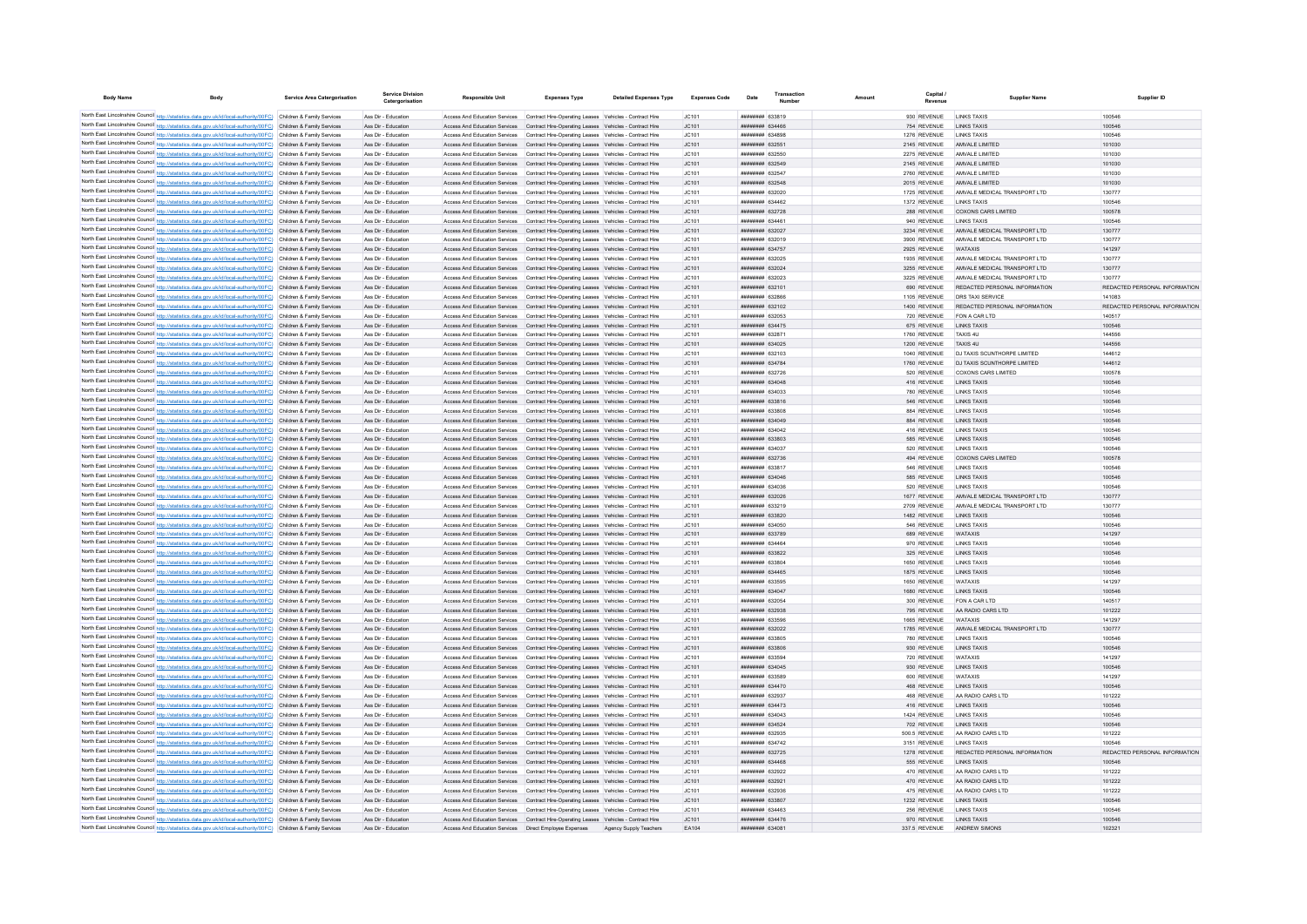| <b>Body Name</b> | <b>Body</b>                                                                                                                                                                                                                            | Service Area Catergorisation | <b>Service Division</b><br>Catergorisation | <b>Responsible Unit</b>                                        | <b>Expenses Type</b>                                                                                                                                                             | <b>Detailed Expenses Type</b> | <b>Expenses Code</b> | Date                                             | Transaction | Amoun | Capital                      | <b>Supplier Name</b>                                       | Supplier ID                             |
|------------------|----------------------------------------------------------------------------------------------------------------------------------------------------------------------------------------------------------------------------------------|------------------------------|--------------------------------------------|----------------------------------------------------------------|----------------------------------------------------------------------------------------------------------------------------------------------------------------------------------|-------------------------------|----------------------|--------------------------------------------------|-------------|-------|------------------------------|------------------------------------------------------------|-----------------------------------------|
|                  |                                                                                                                                                                                                                                        |                              |                                            |                                                                |                                                                                                                                                                                  |                               |                      |                                                  |             |       |                              |                                                            |                                         |
|                  | North East Lincolnshire Council http://statistics.data.gov.uk/id/local-authority/00FC) Children & Family Services<br>North East Lincolnshire Council http://statistics.data.gov.uk/id/local-authority/00FC) Children & Family Services |                              | Ass Dir - Education<br>Ass Dir - Education | Access And Education Services                                  | Access And Education Services  Contract Hire-Operating Leases  Vehicles - Contract Hire<br>Contract Hire-Operating Leases Vehicles - Contract Hire                               |                               | IC.101<br>JC101      | ######## 633819<br>######## 634466               |             |       | 930 REVENUE<br>754 REVENUE   | <b>I INKS TAXIS</b><br><b>LINKS TAXIS</b>                  | 100546<br>100546                        |
|                  | North East Lincolnshire Council http://statistics.data.gov.uk/id/local-authority/00FC) Children & Family Services                                                                                                                      |                              | Ass Dir - Education                        | Access And Education Services                                  | Contract Hire-Operating Leases Vehicles - Contract Hire                                                                                                                          |                               | JC101                | ######## 634898                                  |             |       | 1276 REVENUE                 | <b>I INKS TAXIS</b>                                        | 100546                                  |
|                  | North East Lincolnshire Council http://statistics.data.gov.uk/id/local-authority/00FC) Children & Family Services                                                                                                                      |                              | Ass Dir - Education                        |                                                                | Access And Education Services  Contract Hire-Operating Leases  Vehicles - Contract Hire                                                                                          |                               | JC101                | ######## 632551                                  |             |       | 2145 REVENUE                 | AMVALE LIMITED                                             | 101030                                  |
|                  | North East Lincolnshire Council http://statistics.data.gov.uk/id/local-authority/00FC) Children & Family Services                                                                                                                      |                              | Ass Dir - Education                        |                                                                | Access And Education Services  Contract Hire-Operating Leases  Vehicles - Contract Hire                                                                                          |                               | IC.101               | ######## 632550                                  |             |       | 2275 REVENUE                 | AMVALE LIMITED                                             | 101030                                  |
|                  | North East Lincolnshire Council http://statistics.data.gov.uk/id/local-authority/00FC) Children & Family Services                                                                                                                      |                              | Ass Dir - Education                        |                                                                | Access And Education Services Contract Hire-Operating Leases Vehicles - Contract Hire                                                                                            |                               | IC.101               | <b>ппинини 632549</b>                            |             |       | 2145 REVENUE                 | AMVALE LIMITED                                             | 101030                                  |
|                  | North East Lincolnshire Council http://statistics.data.gov.uk/id/local-authority/00FC) Children & Family Services                                                                                                                      |                              | Ass Dir - Education                        |                                                                | Access And Education Services  Contract Hire-Operating Leases  Vehicles - Contract Hire                                                                                          |                               | JC101                | <b>ппинини 632547</b>                            |             |       | 2760 REVENUE                 | AMVALE LIMITED                                             | 101030                                  |
|                  | North East Lincolnshire Council http://statistics.data.gov.uk/id/local-authority/00FC) Children & Family Services                                                                                                                      |                              | Ass Dir - Education                        |                                                                | Access And Education Services  Contract Hire-Operating Leases  Vehicles - Contract Hire                                                                                          |                               | JC101                | ######## 632548                                  |             |       | 2015 REVENUE                 | AMVALE LIMITED                                             | 101030                                  |
|                  | North East Lincolnshire Council http://statistics.data.gov.uk/id/local-authority/00FC) Children & Family Services                                                                                                                      |                              | Ass Dir - Education                        |                                                                | Access And Education Services  Contract Hire-Operating Leases  Vehicles - Contract Hire                                                                                          |                               | JC101                | ######## 632020                                  |             |       | 1725 REVENUE                 | AMVALE MEDICAL TRANSPORT LTD                               | 130777                                  |
|                  | North East Lincolnshire Council http://statistics.data.gov.uk/id/local-authority/00FC) Children & Family Services                                                                                                                      |                              | Ass Dir - Education                        |                                                                | Access And Education Services  Contract Hire-Operating Leases  Vehicles - Contract Hire                                                                                          |                               | JC101                | ######## 634462                                  |             |       | 1372 REVENUE                 | <b>I INKS TAXIS</b>                                        | 100546                                  |
|                  | North East Lincolnshire Council http://statistics.data.gov.uk/id/local-authority/00FC) Children & Family Services                                                                                                                      |                              | Ass Dir - Education                        |                                                                | Access And Education Services  Contract Hire-Operating Leases  Vehicles - Contract Hire                                                                                          |                               | JC101                | <b>ПЕННИНИИ</b> 632728                           |             |       | 288 REVENUE                  | COXONS CARS LIMITED                                        | 100578                                  |
|                  | North East Lincolnshire Council http://statistics.data.gov.uk/id/local-authority/00FC) Children & Family Services                                                                                                                      |                              | Ass Dir - Education                        |                                                                | Access And Education Services  Contract Hire-Operating Leases  Vehicles - Contract Hire                                                                                          |                               | IC.101               | ######## 634461                                  |             |       | 940 REVENUE                  | <b>I INKS TAXIS</b>                                        | 100546                                  |
|                  | North East Lincolnshire Council http://statistics.data.gov.uk/id/local-authority/00FC) Children & Family Services                                                                                                                      |                              | Ass Dir - Education                        |                                                                | Access And Education Services  Contract Hire-Operating Leases  Vehicles - Contract Hire                                                                                          |                               | JC101                | ######## 632027                                  |             |       | 3234 REVENUE                 | AMVALE MEDICAL TRANSPORT LTD                               | 130777                                  |
|                  | North East Lincolnshire Council http://statistics.data.gov.uk/id/local-authority/00FC) Children & Family Services<br>North East Lincolnshire Council http://statistics.data.gov.uk/id/local-authority/00FC)                            | Children & Family Services   | Ass Dir - Education<br>Ass Dir - Education | Access And Education Services<br>Access And Education Services | Contract Hire-Operating Leases Vehicles - Contract Hire<br>Contract Hire-Operating Leases Vehicles - Contract Hire                                                               |                               | JC101<br>JC101       | ######## 63201<br>######## 634757                |             |       | 3900 REVENUE<br>2925 REVENUE | AMVALE MEDICAL TRANSPORT LTD<br><b>WATAYIS</b>             | 130777<br>141297                        |
|                  | North East Lincolnshire Council http://statistics.data.gov.uk/id/local-authority/00FC) Children & Family Services                                                                                                                      |                              | Ass Dir - Education                        | Access And Education Services                                  | Contract Hire-Operating Leases Vehicles - Contract Hire                                                                                                                          |                               | JC101                | ######## 632025                                  |             |       | 1935 REVENUE                 | AMVALE MEDICAL TRANSPORT LTD                               | 130777                                  |
|                  | North East Lincolnshire Council http://statistics.data.gov.uk/id/local-authority/00FC) Children & Family Services                                                                                                                      |                              | Ass Dir - Education                        |                                                                | Access And Education Services  Contract Hire-Operating Leases  Vehicles - Contract Hire                                                                                          |                               | JC101                | <b>ппинини 632024</b>                            |             |       | 3255 REVENUE                 | AMVALE MEDICAL TRANSPORT LTD                               | 130777                                  |
|                  | North East Lincolnshire Council http://statistics.data.gov.uk/id/local-authority/00FC) Children & Family Services                                                                                                                      |                              | Ass Dir - Education                        |                                                                | Access And Education Services  Contract Hire-Operating Leases  Vehicles - Contract Hire                                                                                          |                               | JC101                | ######## 632023                                  |             |       | 3225 REVENUE                 | AMVALE MEDICAL TRANSPORT LTD                               | 130777                                  |
|                  | North East Lincolnshire Council http://statistics.data.gov.uk/id/local-authority/00FC) Children & Family Services                                                                                                                      |                              | Ass Dir - Education                        |                                                                | Access And Education Services  Contract Hire-Operating Leases  Vehicles - Contract Hire                                                                                          |                               | JC101                | ######## 632101                                  |             |       | 690 REVENUE                  | REDACTED PERSONAL INFORMATION                              | REDACTED PERSONAL INFORMATION           |
|                  | North East Lincolnshire Council http://statistics.data.gov.uk/id/local-authority/00FC) Children & Family Services                                                                                                                      |                              | Ass Dir - Education                        | Access And Education Services                                  | Contract Hire-Operating Leases Vehicles - Contract Hire                                                                                                                          |                               | JC101                | ######## 632866                                  |             |       | 1105 REVENUE                 | DRS TAXI SERVICE                                           | 141083                                  |
|                  | North East Lincolnshire Council http://statistics.data.gov.uk/id/local-authority/00FC) Children & Family Services                                                                                                                      |                              | Ass Dir - Education                        | Access And Education Services                                  | Contract Hire-Operating Leases Vehicles - Contract Hire                                                                                                                          |                               | JC101                | ######## 632102                                  |             |       | 1400 REVENUE                 | REDACTED PERSONAL INFORMATION                              | REDACTED PERSONAL INFORMATION           |
|                  | North East Lincolnshire Council http://statistics.data.gov.uk/id/local-authority/00FC) Children & Family Services                                                                                                                      |                              | Ass Dir - Education                        | Access And Education Services                                  | Contract Hire-Operating Leases Vehicles - Contract Hire                                                                                                                          |                               | JC101                | ######## 632053                                  |             |       | 720 REVENUE                  | FON A CAR LTD                                              | 140517                                  |
|                  | North East Lincolnshire Council http://statistics.data.gov.uk/id/local-authority/00FC) Children & Family Services                                                                                                                      |                              | Ass Dir - Education                        |                                                                | Access And Education Services Contract Hire-Operating Leases Vehicles - Contract Hire                                                                                            |                               | JC101                | ######## 634475                                  |             |       | 675 REVENUE                  | <b>I INKS TAXIS</b>                                        | 100546                                  |
|                  | North East Lincolnshire Council http://statistics.data.gov.uk/id/local-authority/00FC) Children & Family Services                                                                                                                      |                              | Ass Dir - Education                        |                                                                | Access And Education Services  Contract Hire-Operating Leases  Vehicles - Contract Hire                                                                                          |                               | JC101                | ######## 632871                                  |             |       | 1760 REVENUE                 | TAXIS 4U                                                   | 144556                                  |
|                  | North East Lincolnshire Council http://statistics.data.gov.uk/id/local-authority/00FC) Children & Family Services                                                                                                                      |                              | Ass Dir - Education                        | Access And Education Services                                  | Contract Hire-Operating Leases Vehicles - Contract Hire                                                                                                                          |                               | JC101                | ######## 634025                                  |             |       | 1200 REVENUE                 | <b>TAXIS 4U</b>                                            | 144556                                  |
|                  | North East Lincolnshire Council http://statistics.data.gov.uk/id/local-authority/00FC) Children & Family Services<br>North East Lincolnshire Council http://statistics.data.gov.uk/id/local-authority/00FC) Children & Family Services |                              | Ass Dir - Education                        | Access And Education Services                                  | Contract Hire-Operating Leases Vehicles - Contract Hire                                                                                                                          |                               | JC101                | ######## 632103<br>######## 634784               |             |       | 1040 REVENUE                 | DJ TAXIS SCUNTHORPE LIMITED<br>DJ TAXIS SCUNTHORPE LIMITED | 144612<br>144612                        |
|                  | North East Lincolnshire Council http://statistics.data.gov.uk/id/local-authority/00FC) Children & Family Services                                                                                                                      |                              | Ass Dir - Education<br>Ass Dir - Education | Access And Education Services<br>Access And Education Services | Contract Hire-Operating Leases Vehicles - Contract Hire<br>Contract Hire-Operating Leases Vehicles - Contract Hire                                                               |                               | JC101<br>JC101       | ######## 632726                                  |             |       | 1760 REVENUE<br>520 REVENUE  | COXONS CARS LIMITED                                        | 100578                                  |
|                  | North East Lincolnshire Council http://statistics.data.gov.uk/id/local-authority/00FC) Children & Family Services                                                                                                                      |                              | Ass Dir - Education                        | Access And Education Services                                  | Contract Hire-Operating Leases Vehicles - Contract Hire                                                                                                                          |                               | JC101                | ниннини 634048                                   |             |       | 416 REVENUE                  | <b>I INKS TAXIS</b>                                        | 100546                                  |
|                  | North East Lincolnshire Council http://statistics.data.gov.uk/id/local-authority/00FC) Children & Family Services                                                                                                                      |                              | Ass Dir - Education                        |                                                                | Access And Education Services  Contract Hire-Operating Leases  Vehicles - Contract Hire                                                                                          |                               | JC101                | ######## 634033                                  |             |       | 780 REVENUE                  | <b>I INKS TAXIS</b>                                        | 100546                                  |
|                  | North East Lincolnshire Council http://statistics.data.gov.uk/id/local-authority/00FC) Children & Family Services                                                                                                                      |                              | Ass Dir - Education                        |                                                                | Access And Education Services  Contract Hire-Operating Leases  Vehicles - Contract Hire                                                                                          |                               | JC101                | ######## 633816                                  |             |       | 546 REVENUE                  | <b>LINKS TAXIS</b>                                         | 100546                                  |
|                  | North East Lincolnshire Council http://statistics.data.gov.uk/id/local-authority/00FC) Children & Family Services                                                                                                                      |                              | Ass Dir - Education                        |                                                                | Access And Education Services  Contract Hire-Operating Leases  Vehicles - Contract Hire                                                                                          |                               | JC101                | ######## 633808                                  |             |       | 884 REVENUE                  | LINKS TAXIS                                                | 100546                                  |
|                  | North East Lincolnshire Council http://statistics.data.gov.uk/id/local-authority/00FC) Children & Family Services                                                                                                                      |                              | Ass Dir - Education                        |                                                                | Access And Education Services Contract Hire-Operating Leases Vehicles - Contract Hire                                                                                            |                               | JC101                | ######## 634049                                  |             |       | 884 REVENUE                  | <b>LINKS TAXIS</b>                                         | 100546                                  |
|                  | North East Lincolnshire Council http://statistics.data.gov.uk/id/local-authority/00FC) Children & Family Services                                                                                                                      |                              | Ass Dir - Education                        |                                                                | Access And Education Services  Contract Hire-Operating Leases  Vehicles - Contract Hire                                                                                          |                               | JC101                | ######## 634042                                  |             |       | 416 REVENUE                  | <b>LINKS TAXIS</b>                                         | 100546                                  |
|                  | North East Lincolnshire Council http://statistics.data.gov.uk/id/local-authority/00FC) Children & Family Services                                                                                                                      |                              | Ass Dir - Education                        |                                                                | Access And Education Services  Contract Hire-Operating Leases  Vehicles - Contract Hire                                                                                          |                               | JC101                | ######## 633803                                  |             |       | 585 REVENUE                  | <b>I INKS TAXIS</b>                                        | 100546                                  |
|                  | North East Lincolnshire Council http://statistics.data.gov.uk/id/local-authority/00FC) Children & Family Services                                                                                                                      |                              | Ass Dir - Education                        |                                                                | Access And Education Services  Contract Hire-Operating Leases  Vehicles - Contract Hire                                                                                          |                               | JC101                | ######## 634037                                  |             |       | 520 REVENUE                  | <b>I INKS TAXIS</b>                                        | 100546                                  |
|                  | North East Lincolnshire Council http://statistics.data.gov.uk/id/local-authority/00FC) Children & Family Services                                                                                                                      |                              | Ass Dir - Education                        |                                                                | Access And Education Services  Contract Hire-Operating Leases  Vehicles - Contract Hire                                                                                          |                               | JC101                | ######## 632736                                  |             |       | 494 REVENUE                  | <b>COXONS CARS LIMITED</b>                                 | 100578                                  |
|                  | North East Lincolnshire Council http://statistics.data.gov.uk/id/local-authority/00FC) Children & Family Services                                                                                                                      |                              | Ass Dir - Education                        | Access And Education Services                                  | Contract Hire-Operating Leases Vehicles - Contract Hire                                                                                                                          |                               | JC101                | ######## 63381                                   |             |       | 546 REVENUE                  | <b>LINKS TAXIS</b>                                         | 100546                                  |
|                  | North East Lincolnshire Council http://statistics.data.gov.uk/id/local-authority/00FC)                                                                                                                                                 | Children & Family Services   | Ass Dir - Education                        | Access And Education Services                                  | Contract Hire-Operating Leases Vehicles - Contract Hire                                                                                                                          |                               | JC101                | ######## 634046                                  |             |       | 585 REVENUE                  | <b>LINKS TAXIS</b>                                         | 100546                                  |
|                  | North East Lincolnshire Council http://statistics.data.gov.uk/id/local-authority/00FC) Children & Family Services<br>North East Lincolnshire Council http://statistics.data.gov.uk/id/local-authority/00FC) Children & Family Services |                              | Ass Dir - Education<br>Ass Dir - Education | Access And Education Services<br>Access And Education Services | Contract Hire-Operating Leases Vehicles - Contract Hire<br>Contract Hire-Operating Leases Vehicles - Contract Hire                                                               |                               | JC101<br>JC101       | ######## 634036<br><b>НЕННИНИЯ</b> 632026        |             |       | 520 REVENUE<br>1677 REVENUE  | <b>I INKS TAXIS</b><br>AMVALE MEDICAL TRANSPORT LTD        | 100546<br>130777                        |
|                  | North East Lincolnshire Council http://statistics.data.gov.uk/id/local-authority/00FC) Children & Family Services                                                                                                                      |                              | Ass Dir - Education                        |                                                                | Access And Education Services  Contract Hire-Operating Leases  Vehicles - Contract Hire                                                                                          |                               | JC101                | ######## 633219                                  |             |       | 2709 REVENUE                 | AMVALE MEDICAL TRANSPORT LTD                               | 130777                                  |
|                  | North East Lincolnshire Council http://statistics.data.gov.uk/id/local-authority/00FC) Children & Family Services                                                                                                                      |                              | Ass Dir - Education                        |                                                                | Access And Education Services  Contract Hire-Operating Leases  Vehicles - Contract Hire                                                                                          |                               | JC101                | ######## 633820                                  |             |       | 1482 REVENUE                 | <b>I INKS TAXIS</b>                                        | 100546                                  |
|                  | North East Lincolnshire Council http://statistics.data.gov.uk/id/local-authority/00FC) Children & Family Services                                                                                                                      |                              | Ass Dir - Education                        |                                                                | Access And Education Services  Contract Hire-Operating Leases  Vehicles - Contract Hire                                                                                          |                               | JC101                | ######## 634050                                  |             |       | 546 REVENUE                  | LINKS TAXIS                                                | 100546                                  |
|                  | North East Lincolnshire Council http://statistics.data.gov.uk/id/local-authority/00FC) Children & Family Services                                                                                                                      |                              | Ass Dir - Education                        |                                                                | Access And Education Services Contract Hire-Operating Leases Vehicles - Contract Hire                                                                                            |                               | JC101                | ######## 633789                                  |             |       | 689 REVENUE                  | <b>WATAXIS</b>                                             | 141297                                  |
|                  | North East Lincolnshire Council http://statistics.data.gov.uk/id/local-authority/00FC) Children & Family Services                                                                                                                      |                              | Ass Dir - Education                        | Access And Education Services                                  | Contract Hire-Operating Leases Vehicles - Contract Hire                                                                                                                          |                               | JC101                | ######## 634464                                  |             |       | 970 REVENUE                  | <b>LINKS TAXIS</b>                                         | 100546                                  |
|                  | North East Lincolnshire Council http://statistics.data.gov.uk/id/local-authority/00FC) Children & Family Services                                                                                                                      |                              | Ass Dir - Education                        |                                                                | Access And Education Services Contract Hire-Operating Leases Vehicles - Contract Hire                                                                                            |                               | JC101                | ######## 633822                                  |             |       | 325 REVENUE                  | <b>I INKS TAXIS</b>                                        | 100546                                  |
|                  | North East Lincolnshire Council http://statistics.data.gov.uk/id/local-authority/00FC) Children & Family Services                                                                                                                      |                              | Ass Dir - Education                        | Access And Education Services                                  | Contract Hire-Operating Leases Vehicles - Contract Hire                                                                                                                          |                               | JC101                | ######## 633804                                  |             |       | 1650 REVENUE                 | LINKS TAXIS                                                | 100546                                  |
|                  | North East Lincolnshire Council http://statistics.data.gov.uk/id/local-authority/00FC) Children & Family Services                                                                                                                      |                              | Ass Dir - Education                        | Access And Education Services                                  | Contract Hire-Operating Leases Vehicles - Contract Hire                                                                                                                          |                               | JC101                | ######## 634465                                  |             |       | 1875 REVENUE                 | <b>LINKS TAXIS</b>                                         | 100546                                  |
|                  | North East Lincolnshire Council http://statistics.data.gov.uk/id/local-authority/00FC) Children & Family Services                                                                                                                      |                              | Ass Dir - Education                        | Access And Education Services                                  | Contract Hire-Operating Leases Vehicles - Contract Hire                                                                                                                          |                               | JC101                | ######## 633595                                  |             |       | 1650 REVENUE                 | <b>WATAXIS</b>                                             | 141297                                  |
|                  | North East Lincolnshire Council http://statistics.data.gov.uk/id/local-authority/00FC)                                                                                                                                                 | Children & Family Services   | Ass Dir - Education                        | Access And Education Services                                  | Contract Hire-Operating Leases Vehicles - Contract Hire                                                                                                                          |                               | JC101                | ######## 634047                                  |             |       | 1680 REVENUE                 | <b>LINKS TAXIS</b>                                         | 100546                                  |
|                  | North East Lincolnshire Council http://statistics.data.gov.uk/id/local-authority/00FC) Children & Family Services                                                                                                                      |                              | Ass Dir - Education                        | Access And Education Services                                  | Contract Hire-Operating Leases Vehicles - Contract Hire                                                                                                                          |                               | JC101                | <b>HENHHHHH</b> 632054<br><b>HENHHHHH G32038</b> |             |       | 300 REVENUE                  | FON A CAR LTD                                              | 140517                                  |
|                  | North East Lincolnshire Council http://statistics.data.gov.uk/id/local-authority/00FC) Children & Family Services<br>North East Lincolnshire Council http://statistics.data.gov.uk/id/local-authority/00FC) Children & Family Services |                              | Ass Dir - Education<br>Ass Dir - Education | Access And Education Services                                  | Contract Hire-Operating Leases Vehicles - Contract Hire<br>Access And Education Services Contract Hire-Operating Leases Vehicles - Contract Hire                                 |                               | JC101<br>IC101       | <b>пининни 633596</b>                            |             |       | 795 REVENUE<br>1665 REVENUE  | AA RADIO CARS LTD<br><b>WATAYIS</b>                        | 101222<br>141297                        |
|                  | North East Lincolnshire Council http://statistics.data.gov.uk/id/local-authority/00FC) Children & Family Services                                                                                                                      |                              | Ass Dir - Education                        |                                                                | Access And Education Services Contract Hire-Operating Leases Vehicles - Contract Hire                                                                                            |                               | JC101                | <b>НЕННИНИЯ</b> 632022                           |             |       | 1785 REVENUE                 | AMVALE MEDICAL TRANSPORT LTD                               | 130777                                  |
|                  | North East Lincolnshire Council http://statistics.data.gov.uk/id/local-authority/00FC) Children & Family Services                                                                                                                      |                              | Ass Dir - Education                        |                                                                | Access And Education Services Contract Hire-Operating Leases Vehicles - Contract Hire                                                                                            |                               | JC101                | ######## 633805                                  |             |       | 780 REVENUE                  | <b>I INKS TAXIS</b>                                        | 100546                                  |
|                  | North East Lincolnshire Council http://statistics.data.gov.uk/id/local-authority/00FC) Children & Family Services                                                                                                                      |                              | Ass Dir - Education                        |                                                                | Access And Education Services Contract Hire-Operating Leases Vehicles - Contract Hire                                                                                            |                               | JC101                | ######## 633806                                  |             |       | 930 REVENUE                  | <b>LINKS TAXIS</b>                                         | 100546                                  |
|                  | North East Lincolnshire Council http://statistics.data.gov.uk/id/local-authority/00FC) Children & Family Services                                                                                                                      |                              | Ass Dir - Education                        |                                                                | Access And Education Services Contract Hire-Operating Leases Vehicles - Contract Hire                                                                                            |                               | JC101                | <b>ппинини 633594</b>                            |             |       | 720 REVENUE                  | <b>WATAXIS</b>                                             | 141297                                  |
|                  | North East Lincolnshire Council http://statistics.data.gov.uk/id/local-authority/00FC) Children & Family Services                                                                                                                      |                              | Ass Dir - Education                        |                                                                | Access And Education Services Contract Hire-Operating Leases Vehicles - Contract Hire                                                                                            |                               | JC101                | <b>ппининин</b> 634045                           |             |       | 930 REVENUE                  | <b>I INKS TAXIS</b>                                        | 100546                                  |
|                  | North East Lincolnshire Council http://statistics.data.gov.uk/id/local-authority/00FC) Children & Family Services                                                                                                                      |                              | Ass Dir - Education                        |                                                                | Access And Education Services Contract Hire-Operating Leases Vehicles - Contract Hire                                                                                            |                               | IC.101               | ######## 633589                                  |             |       | 600 REVENUE                  | <b>WATAXIS</b>                                             | 141297                                  |
|                  | North East Lincolnshire Council http://statistics.data.gov.uk/id/local-authority/00FC) Children & Family Services                                                                                                                      |                              | Ass Dir - Education                        |                                                                | Access And Education Services  Contract Hire-Operating Leases  Vehicles - Contract Hire                                                                                          |                               | IC.101               | <b>НЕННИНИЯ</b> 634470                           |             |       | 468 REVENUE                  | <b>I INKS TAXIS</b>                                        | 100546                                  |
|                  | North East Lincolnshire Council http://statistics.data.gov.uk/id/local-authority/00FC) Children & Family Services                                                                                                                      |                              | Ass Dir - Education                        |                                                                | Access And Education Services  Contract Hire-Operating Leases  Vehicles - Contract Hire                                                                                          |                               | JC101                | ######## 632937                                  |             |       | 468 REVENUE                  | AA RADIO CARS LTD                                          | 101222                                  |
|                  | North East Lincolnshire Council http://statistics.data.gov.uk/id/local-authority/00FC)                                                                                                                                                 | Children & Family Services   | Ass Dir - Education                        | Access And Education Services                                  | Contract Hire-Operating Leases Vehicles - Contract Hire                                                                                                                          |                               | JC101                | ######## 634473                                  |             |       | 416 REVENUE                  | <b>INKS TAXIS</b>                                          | 100546                                  |
|                  | North East Lincolnshire Council http://statistics.data.gov.uk/id/local-authority/00FC)                                                                                                                                                 | Children & Family Services   | Ass Dir - Education                        | Access And Education Services                                  | Contract Hire-Operating Leases Vehicles - Contract Hire                                                                                                                          |                               | JC101                | FAOASA HHHHHHH                                   |             |       | 1424 REVENUE                 | <b>I INKS TAYIS</b>                                        | 100546                                  |
|                  | North East Lincolnshire Council http://statistics.data.gov.uk/id/local-authority/00FC) Children & Family Services                                                                                                                      |                              | Ass Dir - Education                        | Access And Education Services                                  | Contract Hire-Operating Leases Vehicles - Contract Hire                                                                                                                          |                               | JC101                | <b>ппининин</b> 634524                           |             |       | 702 REVENUE                  | <b>I INKS TAXIS</b>                                        | 100546                                  |
|                  | North East Lincolnshire Council http://statistics.data.gov.uk/id/local-authority/00FC) Children & Family Services                                                                                                                      |                              | Ass Dir - Education                        | Access And Education Services                                  | Contract Hire-Operating Leases Vehicles - Contract Hire                                                                                                                          |                               | IC.101               | ######## 632935<br><b>ппинини</b> 634742         |             |       | 500 5 REVENUE                | AA RADIO CARS LTD                                          | 101222                                  |
|                  | North East Lincolnshire Council http://statistics.data.gov.uk/id/local-authority/00FC) Children & Family Services                                                                                                                      |                              | Ass Dir - Education                        |                                                                | Access And Education Services  Contract Hire-Operating Leases  Vehicles - Contract Hire                                                                                          |                               | JC101                | ######## 632725                                  |             |       | 3151 REVENUE                 | <b>I INKS TAXIS</b>                                        | 100546                                  |
|                  | North East Lincolnshire Council http://statistics.data.gov.uk/id/local-authority/00FC) Children & Family Services<br>North East Lincolnshire Council http://statistics.data.gov.uk/id/local-authority/00FC) Children & Family Services |                              | Ass Dir - Education<br>Ass Dir - Education |                                                                | Access And Education Services  Contract Hire-Operating Leases  Vehicles - Contract Hire<br>Access And Education Services Contract Hire-Operating Leases Vehicles - Contract Hire |                               | JC101<br>JC101       | ######## 634468                                  |             |       | 1278 REVENUE<br>555 REVENUE  | REDACTED PERSONAL INFORMATION<br><b>LINKS TAXIS</b>        | REDACTED PERSONAL INFORMATION<br>100546 |
|                  | North East Lincolnshire Council http://statistics.data.gov.uk/id/local-authority/00FC) Children & Family Services                                                                                                                      |                              | Ass Dir - Education                        |                                                                | Access And Education Services  Contract Hire-Operating Leases  Vehicles - Contract Hire                                                                                          |                               | JC101                | <b>ппининин</b> 632922                           |             |       | 470 REVENUE                  | AA RADIO CARS LTD                                          | 101222                                  |
|                  | North East Lincolnshire Council http://statistics.data.gov.uk/id/local-authority/00FC) Children & Family Services                                                                                                                      |                              | Ass Dir - Education                        |                                                                | Access And Education Services  Contract Hire-Operating Leases  Vehicles - Contract Hire                                                                                          |                               | JC101                | ######## 632921                                  |             |       | 470 REVENUE                  | AA RADIO CARS LTD                                          | 101222                                  |
|                  | North East Lincolnshire Council http://statistics.data.gov.uk/id/local-authority/00FC) Children & Family Services                                                                                                                      |                              | Ass Dir - Education                        |                                                                | Access And Education Services Contract Hire-Operating Leases Vehicles - Contract Hire                                                                                            |                               | IC.101               | <b>ппинини 632936</b>                            |             |       | 475 REVENUE                  | AA RADIO CARS LTD                                          | 101222                                  |
|                  | North East Lincolnshire Council http://statistics.data.gov.uk/id/local-authority/00FC) Children & Family Services                                                                                                                      |                              | Ass Dir - Education                        |                                                                | Access And Education Services  Contract Hire-Operating Leases  Vehicles - Contract Hire                                                                                          |                               | JC101                | ######## 633807                                  |             |       | 1232 REVENUE                 | <b>I INKS TAXIS</b>                                        | 100546                                  |
|                  | North East Lincolnshire Council http://statistics.data.gov.uk/id/local-authority/00FC) Children & Family Services                                                                                                                      |                              | Ass Dir - Education                        |                                                                | Access And Education Services  Contract Hire-Operating Leases  Vehicles - Contract Hire                                                                                          |                               | JC101                | <i>ппинини</i> 634463                            |             |       | 256 REVENUE                  | <b>I INKS TAXIS</b>                                        | 100546                                  |
|                  | North East Lincolnshire Council http://statistics.data.gov.uk/id/local-authority/00FC) Children & Family Services                                                                                                                      |                              | Ass Dir - Education                        |                                                                | Access And Education Services Contract Hire-Operating Leases Vehicles - Contract Hire                                                                                            |                               | JC101                | ######## 634476                                  |             |       | 970 REVENUE                  | <b>LINKS TAXIS</b>                                         | 100546                                  |
|                  | North East Lincolnshire Council http://statistics.data.gov.uk/id/local-authority/00FC) Children & Family Services                                                                                                                      |                              | Ass Dir - Education                        | Access And Education Services                                  | Direct Employee Expenses                                                                                                                                                         | Agency Supply Teachers        | FA104                | ######## 634081                                  |             |       | 337.5 REVENUE                | ANDREW SIMONS                                              | 102321                                  |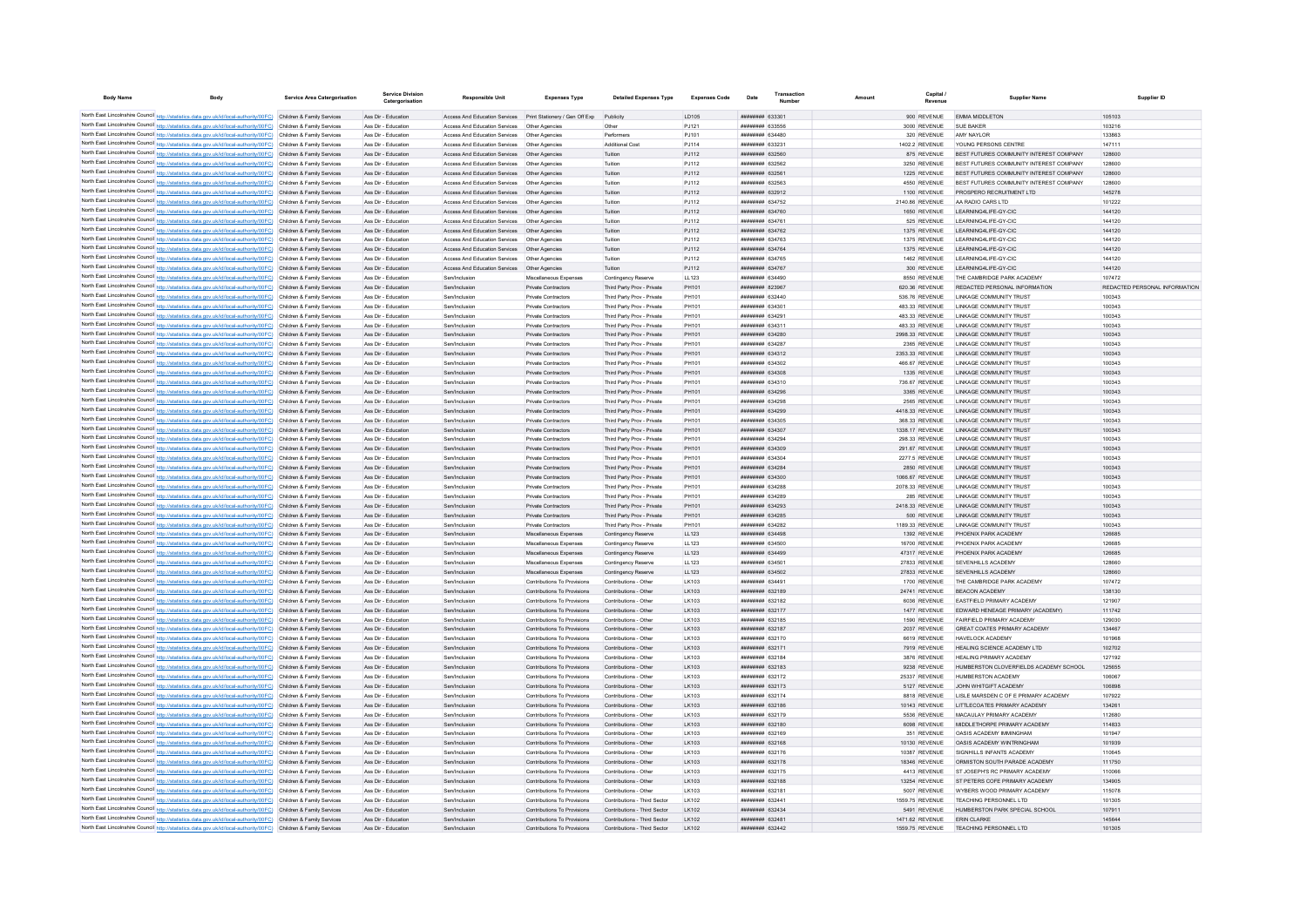| <b>Body Name</b>                                                                       | <b>Body</b>                                                                                                                                                                                                                            | <b>Service Area Catergorisation</b>                      | <b>Service Division</b><br>Catergorisation | <b>Responsible Unit</b>                                                                         | <b>Expenses Type</b>                                       | <b>Detailed Expenses Type</b>                            | <b>Expenses Code</b> | Date                                     | Transaction | Amount | Capital                          | <b>Supplier Name</b>                                                               | Supplier ID                   |
|----------------------------------------------------------------------------------------|----------------------------------------------------------------------------------------------------------------------------------------------------------------------------------------------------------------------------------------|----------------------------------------------------------|--------------------------------------------|-------------------------------------------------------------------------------------------------|------------------------------------------------------------|----------------------------------------------------------|----------------------|------------------------------------------|-------------|--------|----------------------------------|------------------------------------------------------------------------------------|-------------------------------|
|                                                                                        | North East Lincolnshire Council http://statistics.data.gov.uk/id/local-authority/00FC) Children & Family Services                                                                                                                      |                                                          | Ass Dir - Education                        | Access And Education Services    Print Stationery / Gen Off Exp                                 |                                                            | Publicity                                                | LD105                | ######## 633301                          |             |        | 900 REVENUE                      | <b>FMMA MIDDI FTON</b>                                                             | 105103                        |
|                                                                                        | North East Lincolnshire Council http://statistics.data.gov.uk/id/local-authority/00FC) Children & Family Services                                                                                                                      |                                                          | Ass Dir - Education                        | Access And Education Services                                                                   | Other Agencies                                             |                                                          | PJ121                | ######## 633556                          |             |        | 3000 REVENUE                     | SUE BAKER                                                                          | 103216                        |
|                                                                                        | North East Lincolnshire Council http://statistics.data.gov.uk/id/local-authority/00FC) Children & Family Services                                                                                                                      |                                                          | Ass Dir - Education                        | Access And Education Services                                                                   | Other Agencies                                             | Performers                                               | PJ101                | ######## 634480                          |             |        | 320 REVENUE                      | AMY NAYLOR                                                                         | 133863                        |
|                                                                                        | North East Lincolnshire Council http://statistics.data.gov.uk/id/local-authority/00FC) Children & Family Services                                                                                                                      |                                                          | Ass Dir - Education                        | Access And Education Services                                                                   | Other Agencies                                             | <b>Additional Cost</b>                                   | PJ114                | ######## 633231                          |             |        | 1402.2 REVENUE                   | YOUNG PERSONS CENTRE                                                               | 147111                        |
|                                                                                        | North East Lincolnshire Council http://statistics.data.gov.uk/id/local-authority/00FC) Children & Family Services                                                                                                                      |                                                          | Ass Dir - Education                        | Access And Education Services Other Agencies                                                    |                                                            | Tuition                                                  | PJ112                | ######## 632560                          |             |        | 875 REVENUE                      | BEST FUTURES COMMUNITY INTEREST COMPANY                                            | 128600                        |
|                                                                                        | North East Lincolnshire Council http://statistics.data.gov.uk/id/local-authority/00FC) Children & Family Services                                                                                                                      |                                                          | Ass Dir - Education                        | Access And Education Services Other Agencies                                                    |                                                            | Tuition                                                  | PJ112                | <b>ппинини 632562</b>                    |             |        | 3250 REVENUE                     | BEST FUTURES COMMUNITY INTEREST COMPANY                                            | 128600                        |
|                                                                                        | North East Lincolnshire Council http://statistics.data.gov.uk/id/local-authority/00FC) Children & Family Services<br>North East Lincolnshire Council http://statistics.data.gov.uk/id/local-authority/00FC) Children & Family Services |                                                          | Ass Dir - Education<br>Ass Dir - Education | Access And Education Services  Other Agencies<br>Access And Education Services   Other Agencies |                                                            | Tuition<br>Tuition                                       | PJ112<br>PJ112       | ######## 632561<br>######## 632563       |             |        | 1225 REVENUE<br>4550 REVENUE     | BEST FUTURES COMMUNITY INTEREST COMPANY<br>BEST FUTURES COMMUNITY INTEREST COMPANY | 128600<br>128600              |
|                                                                                        | North East Lincolnshire Council http://statistics.data.gov.uk/id/local-authority/00FC) Children & Family Services                                                                                                                      |                                                          | Ass Dir - Education                        | Access And Education Services   Other Agencies                                                  |                                                            | Tuition                                                  | PJ112                | ######## 632912                          |             |        | 1100 REVENUE                     | PROSPERO RECRUITMENT LTD                                                           | 145278                        |
|                                                                                        | North East Lincolnshire Council http://statistics.data.gov.uk/id/local-authority/00FC) Children & Family Services                                                                                                                      |                                                          | Ass Dir - Education                        | Access And Education Services                                                                   | Other Agencies                                             | Tuition                                                  | PJ112                | ######## 634752                          |             |        | 2140.86 REVENUE                  | AA RADIO CARS LTD                                                                  | 101222                        |
|                                                                                        | North East Lincolnshire Council http://statistics.data.gov.uk/id/local-authority/00FC) Children & Family Services                                                                                                                      |                                                          | Ass Dir - Education                        | Access And Education Services Other Agencies                                                    |                                                            | Tuition                                                  | PJ112                | ######## 634760                          |             |        | 1650 REVENUE                     | I FARNING4LIFF-GY-CIC                                                              | 144120                        |
|                                                                                        | North East Lincolnshire Council http://statistics.data.gov.uk/id/local-authority/00FC) Children & Family Services                                                                                                                      |                                                          | Ass Dir - Education                        | Access And Education Services                                                                   | Other Agencies                                             | Tuition                                                  | PJ112                | ######## 634761                          |             |        | 525 REVENUE                      | LEARNING4LIFE-GY-CIC                                                               | 144120                        |
|                                                                                        | North East Lincolnshire Council http://statistics.data.gov.uk/id/local-authority/00FC) Children & Family Services                                                                                                                      |                                                          | Ass Dir - Education                        | Access And Education Services  Other Agencies                                                   |                                                            | Tuition                                                  | PJ112                | ######## 634762                          |             |        | 1375 REVENUE                     | LEARNING4LIFE-GY-CIC                                                               | 144120                        |
| North East Lincolnshire Council http://statistics.data.gov.uk/id/local-authority/00FC) | North East Lincolnshire Council http://statistics.data.gov.uk/id/local-authority/00FC)                                                                                                                                                 | Children & Family Services<br>Children & Family Services | Ass Dir - Education<br>Ass Dir - Education | Access And Education Services<br>Access And Education Services                                  | Other Agencies<br>Other Agencies                           | Tuition<br>Tuition                                       | PJ112<br>PJ112       | ######## 634763<br>######## 634764       |             |        | 1375 REVENUE<br>1375 REVENUE     | LEARNING4LIFE-GY-CIC<br>LEARNING4LIFE-GY-CIC                                       | 144120<br>144120              |
|                                                                                        | North East Lincolnshire Council http://statistics.data.gov.uk/id/local-authority/00FC)                                                                                                                                                 | Children & Family Services                               | Ass Dir - Education                        | Access And Education Services                                                                   | Other Agencie                                              | Tuition                                                  | PJ112                | ######## 634765                          |             |        | 1462 REVENUE                     | I FARNING4LIFF-GY-CIC                                                              | 144120                        |
|                                                                                        | North East Lincolnshire Council http://statistics.data.gov.uk/id/local-authority/00FC) Children & Family Services                                                                                                                      |                                                          | Ass Dir - Education                        | Access And Education Services Other Agencies                                                    |                                                            | Tuition                                                  | PJ112                | <b><i>BREERERH 634767</i></b>            |             |        | 300 REVENUE                      | I FARNING4LIFF-GY-CIC                                                              | 144120                        |
|                                                                                        | North East Lincolnshire Council http://statistics.data.gov.uk/id/local-authority/00FC) Children & Family Services                                                                                                                      |                                                          | Ass Dir - Education                        | Sen/Inclusion                                                                                   | Miscellaneous Expenses                                     | Contingency Reserve                                      | LL123                | ######## 634490                          |             |        | 8550 REVENUE                     | THE CAMBRIDGE PARK ACADEMY                                                         | 107472                        |
|                                                                                        | North East Lincolnshire Council http://statistics.data.gov.uk/id/local-authority/00FC)                                                                                                                                                 | Children & Family Services                               | Ass Dir - Education                        | Sen/Inclusion                                                                                   | Private Contractors                                        | Third Party Prov - Private                               | PH101                | ######## 823967                          |             |        | 620.36 REVENUE                   | REDACTED PERSONAL INFORMATION                                                      | REDACTED PERSONAL INFORMATION |
|                                                                                        | North East Lincolnshire Council http://statistics.data.gov.uk/id/local-authority/00FC) Children & Family Services                                                                                                                      |                                                          | Ass Dir - Education                        | Sen/Inclusion                                                                                   | Private Contractors                                        | Third Party Prov - Private                               | PH101                | ######## 632440                          |             |        | 536.76 REVENUE                   | LINKAGE COMMUNITY TRUST                                                            | 100343                        |
|                                                                                        | North East Lincolnshire Council http://statistics.data.gov.uk/id/local-authority/00FC)                                                                                                                                                 | Children & Family Services                               | Ass Dir - Education                        | Sen/Inclusion                                                                                   | Private Contractors                                        | Third Party Prov - Private                               | PH101                | ######## 634301                          |             |        | 483.33 REVENUE                   | LINKAGE COMMUNITY TRUST                                                            | 100343                        |
|                                                                                        | North East Lincolnshire Council http://statistics.data.gov.uk/id/local-authority/00FC) Children & Family Services<br>North East Lincolnshire Council http://statistics.data.gov.uk/id/local-authority/00FC) Children & Family Services |                                                          | Ass Dir - Education<br>Ass Dir - Education | Sen/Inclusion<br>Sen/Inclusion                                                                  | Private Contractors<br>Private Contractors                 | Third Party Prov - Private<br>Third Party Prov - Private | PH101<br>PH101       | ######## 634291<br><b>ппинини 634311</b> |             |        | 483.33 REVENUE<br>483.33 REVENUE | LINKAGE COMMUNITY TRUST<br><b>I INKAGE COMMUNITY TRUST</b>                         | 100343<br>100343              |
|                                                                                        | North East Lincolnshire Council http://statistics.data.gov.uk/id/local-authority/00FC) Children & Family Services                                                                                                                      |                                                          | Ass Dir - Education                        | Sen/Inclusion                                                                                   | <b>Private Contractors</b>                                 | Third Party Prov - Private                               | PH101                | ######## 634280                          |             |        | 2998.33 REVENUE                  | <b>LINKAGE COMMUNITY TRUST</b>                                                     | 100343                        |
|                                                                                        | North East Lincolnshire Council http://statistics.data.gov.uk/id/local-authority/00FC) Children & Family Services                                                                                                                      |                                                          | Ass Dir - Education                        | Sen/Inclusion                                                                                   | <b>Private Contractors</b>                                 | Third Party Prov - Private                               | PH101                | ######## 634287                          |             |        | 2365 REVENUE                     | LINKAGE COMMUNITY TRUST                                                            | 100343                        |
|                                                                                        | North East Lincolnshire Council http://statistics.data.gov.uk/id/local-authority/00FC)                                                                                                                                                 | Children & Family Services                               | Ass Dir - Education                        | Sen/Inclusion                                                                                   | Private Contractors                                        | Third Party Prov - Private                               | PH101                | ######## 634312                          |             |        | 2353.33 REVENUE                  | <b>LINKAGE COMMUNITY TRUST</b>                                                     | 100343                        |
| North East Lincolnshire Council http://statistics.data.gov.uk/id/local-authority/00FC) |                                                                                                                                                                                                                                        | Children & Family Servicer                               | Ass Dir - Education                        | Sen/Inclusion                                                                                   | Private Contractor                                         | Third Party Prov - Private                               | PH101                | ######## 634302                          |             |        | 466.67 REVENUE                   | LINKAGE COMMUNITY TRUST                                                            | 100343                        |
|                                                                                        | North East Lincolnshire Council http://statistics.data.gov.uk/id/local-authority/00FC).                                                                                                                                                | Children & Family Services                               | Ass Dir - Education                        | Sen/Inclusion                                                                                   | Private Contractors                                        | Third Party Prov - Private                               | PH101                | ######## 634308                          |             |        | 1335 REVENUE                     | <b>LINKAGE COMMUNITY TRUST</b>                                                     | 100343                        |
|                                                                                        | North East Lincolnshire Council http://statistics.data.gov.uk/id/local-authority/00FC) Children & Family Services                                                                                                                      |                                                          | Ass Dir - Education                        | Sen/Inclusion                                                                                   | Private Contractors                                        | Third Party Prov - Private                               | PH101                | <b>ппинини 634310</b>                    |             |        | 736.67 REVENUE                   | <b>I INKAGE COMMUNITY TRUST</b>                                                    | 100343                        |
|                                                                                        | North East Lincolnshire Council http://statistics.data.gov.uk/id/local-authority/00FC) Children & Family Services<br>North East Lincolnshire Council http://statistics.data.gov.uk/id/local-authority/00FC) Children & Family Services |                                                          | Ass Dir - Education<br>Ass Dir - Education | Sen/Inclusion<br>Sen/Inclusion                                                                  | Private Contractors<br>Private Contractors                 | Third Party Prov - Private<br>Third Party Prov - Private | PH101<br>PH101       | ######## 634296<br>######## 634298       |             |        | 3365 REVENUE<br>2565 REVENUE     | <b>LINKAGE COMMUNITY TRUST</b><br>LINKAGE COMMUNITY TRUST                          | 100343<br>100343              |
|                                                                                        | North East Lincolnshire Council http://statistics.data.gov.uk/id/local-authority/00FC) Children & Family Services                                                                                                                      |                                                          | Ass Dir - Education                        | Sen/Inclusion                                                                                   | Private Contractors                                        | Third Party Prov - Private                               | PH101                | ######## 634299                          |             |        | 4418.33 REVENUE                  | <b>LINKAGE COMMUNITY TRUST</b>                                                     | 100343                        |
|                                                                                        | North East Lincolnshire Council http://statistics.data.gov.uk/id/local-authority/00FC) Children & Family Services                                                                                                                      |                                                          | Ass Dir - Education                        | Sen/Inclusion                                                                                   | Private Contractors                                        | Third Party Prov - Private                               | PH101                | ######## 634305                          |             |        | 368.33 REVENUE                   | LINKAGE COMMUNITY TRUST                                                            | 100343                        |
|                                                                                        | North East Lincolnshire Council http://statistics.data.gov.uk/id/local-authority/00FC) Children & Family Services                                                                                                                      |                                                          | Ass Dir - Education                        | Sen/Inclusion                                                                                   | Private Contractors                                        | Third Party Prov - Private                               | PH101                | ######## 634307                          |             |        | 1338.17 REVENUE                  | LINKAGE COMMUNITY TRUST                                                            | 100343                        |
|                                                                                        | North East Lincolnshire Council http://statistics.data.gov.uk/id/local-authority/00FC) Children & Family Services                                                                                                                      |                                                          | Ass Dir - Education                        | Sen/Inclusion                                                                                   | Private Contractors                                        | Third Party Prov - Private                               | PH101                | ######## 634294                          |             |        | 298.33 REVENUE                   | <b>I INKAGE COMMUNITY TRUST</b>                                                    | 100343                        |
|                                                                                        | North East Lincolnshire Council http://statistics.data.gov.uk/id/local-authority/00FC) Children & Family Services                                                                                                                      |                                                          | Ass Dir - Education                        | Sen/Inclusion                                                                                   | Private Contractors                                        | Third Party Prov - Private                               | PH101                | ######## 634309                          |             |        | 291.67 REVENUE                   | <b>LINKAGE COMMUNITY TRUST</b>                                                     | 100343                        |
|                                                                                        | North East Lincolnshire Council http://statistics.data.gov.uk/id/local-authority/00FC) Children & Family Services<br>North East Lincolnshire Council http://statistics.data.gov.uk/id/local-authority/00FC) Children & Family Services |                                                          | Ass Dir - Education<br>Ass Dir - Education | Sen/Inclusion<br>Sen/Inclusion                                                                  | Private Contractors<br>Private Contractors                 | Third Party Prov - Private                               | PH101<br>PH101       | ######## 634304<br>######## 634284       |             |        | <b>2277.5 REVENUE</b>            | <b>LINKAGE COMMUNITY TRUST</b><br><b>LINKAGE COMMUNITY TRUST</b>                   | 100343<br>100343              |
|                                                                                        | North East Lincolnshire Council http://statistics.data.gov.uk/id/local-authority/00FC)                                                                                                                                                 | Children & Family Services                               | Ass Dir - Education                        | Sen/Inclusion                                                                                   | Private Contractors                                        | Third Party Prov - Private<br>Third Party Prov - Private | PH101                | ######## 634300                          |             |        | 2850 REVENUE<br>1066.67 REVENUE  | LINKAGE COMMUNITY TRUST                                                            | 100343                        |
|                                                                                        | North East Lincolnshire Council http://statistics.data.gov.uk/id/local-authority/00FC).                                                                                                                                                | Children & Family Services                               | Ass Dir - Educatio                         | Sen/Inclusion                                                                                   | Private Contractors                                        | Third Party Prov - Private                               | PH101                | ######## 634288                          |             |        | 2078.33 REVENUE                  | <b>LINKAGE COMMUNITY TRUST</b>                                                     | 100343                        |
|                                                                                        | North East Lincolnshire Council http://statistics.data.gov.uk/id/local-authority/00FC) Children & Family Services                                                                                                                      |                                                          | Ass Dir - Education                        | Sen/Inclusion                                                                                   | Private Contractors                                        | Third Party Prov - Private                               | PH101                | ниннини 634289                           |             |        | 285 REVENUE                      | <b>I INKAGE COMMUNITY TRUST</b>                                                    | 100343                        |
|                                                                                        | North East Lincolnshire Council http://statistics.data.gov.uk/id/local-authority/00FC) Children & Family Services                                                                                                                      |                                                          | Ass Dir - Education                        | Sen/Inclusion                                                                                   | Private Contractors                                        | Third Party Prov - Private                               | PH101                | ######## 634293                          |             |        | 2418.33 REVENUE                  | <b>LINKAGE COMMUNITY TRUST</b>                                                     | 100343                        |
|                                                                                        | North East Lincolnshire Council http://statistics.data.gov.uk/id/local-authority/00FC) Children & Family Services                                                                                                                      |                                                          | Ass Dir - Education                        | Sen/Inclusion                                                                                   | Private Contractors                                        | Third Party Prov - Private                               | PH101                | ######## 634285                          |             |        | 500 REVENUE                      | <b>LINKAGE COMMUNITY TRUST</b>                                                     | 100343                        |
|                                                                                        | North East Lincolnshire Council http://statistics.data.gov.uk/id/local-authority/00FC) Children & Family Services                                                                                                                      |                                                          | Ass Dir - Education                        | Sen/Inclusion                                                                                   | Private Contractors                                        | Third Party Prov - Private                               | PH101                | ######## 634282                          |             |        | 1189.33 REVENUE                  | LINKAGE COMMUNITY TRUST                                                            | 100343                        |
|                                                                                        | North East Lincolnshire Council http://statistics.data.gov.uk/id/local-authority/00FC)                                                                                                                                                 | Children & Family Services                               | Ass Dir - Education                        | Sen/Inclusion                                                                                   | Miscellaneous Expenses                                     | Contingency Reserve                                      | LL123                | ######## 634498                          |             |        | 1392 REVENUE                     | PHOENIX PARK ACADEMY                                                               | 126685                        |
|                                                                                        | North East Lincolnshire Council http://statistics.data.gov.uk/id/local-authority/00FC) Children & Family Services<br>North East Lincolnshire Council http://statistics.data.gov.uk/id/local-authority/00FC) Children & Family Services |                                                          | Ass Dir - Educatio<br>Ass Dir - Education  | Sen/Inclusion<br>Sen/Inclusion                                                                  | Miscellaneous Expenses<br>Miscellaneous Expenses           | Contingency Reserve<br>Contingency Reserve               | LL123<br>LL123       | ######## 634500<br>######## 634499       |             |        | 16700 REVENUE<br>47317 REVENUE   | PHOENIX PARK ACADEMY<br>PHOENIX PARK ACADEMY                                       | 126685<br>126685              |
|                                                                                        | North East Lincolnshire Council http://statistics.data.gov.uk/id/local-authority/00FC) Children & Family Services                                                                                                                      |                                                          | Ass Dir - Education                        | Sen/Inclusion                                                                                   | Miscellaneous Expenses                                     | Contingency Reserve                                      | LL123                | ######## 634501                          |             |        | 27833 REVENUE                    | SEVENHILLS ACADEMY                                                                 | 128660                        |
|                                                                                        | North East Lincolnshire Council http://statistics.data.gov.uk/id/local-authority/00FC) Children & Family Services                                                                                                                      |                                                          | Ass Dir - Education                        | Sen/Inclusion                                                                                   | Miscellaneous Expenses                                     | Contingency Reserve                                      | LL123                | ######## 634502                          |             |        | 27833 REVENUE                    | SEVENHILLS ACADEMY                                                                 | 128660                        |
|                                                                                        | North East Lincolnshire Council http://statistics.data.gov.uk/id/local-authority/00FC) Children & Family Services                                                                                                                      |                                                          | Ass Dir - Education                        | Sen/Inclusion                                                                                   | Contributions To Provisions                                | Contributions - Other                                    | LK103                | ######## 634491                          |             |        | 1700 REVENUE                     | THE CAMBRIDGE PARK ACADEMY                                                         | 107472                        |
|                                                                                        | North East Lincolnshire Council http://statistics.data.gov.uk/id/local-authority/00FC)                                                                                                                                                 | Children & Family Services                               | Ass Dir - Education                        | Sen/Inclusion                                                                                   | Contributions To Provisions                                | Contributions - Other                                    | LK103                | ######## 632189                          |             |        | 24741 REVENUE                    | <b>BEACON ACADEMY</b>                                                              | 138130                        |
| North East Lincolnshire Council http://statistics.data.gov.uk/id/local-authority/00FC) |                                                                                                                                                                                                                                        | Children & Family Services                               | Ass Dir - Education                        | Sen/Inclusion                                                                                   | Contributions To Provisions                                | Contributions - Other                                    | LK103                | ######## 632182                          |             |        | 6036 REVENUE                     | EASTFIELD PRIMARY ACADEMY                                                          | 121907                        |
|                                                                                        | North East Lincolnshire Council http://statistics.data.gov.uk/id/local-authority/00FC) Children & Family Services<br>North East Lincolnshire Council http://statistics.data.gov.uk/id/local-authority/00FC) Children & Family Services |                                                          | Ass Dir - Education<br>Ass Dir - Education | Sen/Inclusion<br>Sen/Inclusion                                                                  | Contributions To Provisions<br>Contributions To Provisions | Contributions - Other<br>Contributions - Other           | LK103<br>I K103      | ######## 632177<br>######## 632185       |             |        | 1477 REVENUE<br>1590 REVENUE     | EDWARD HENEAGE PRIMARY (ACADEMY)<br><b>FAIRFIFLD PRIMARY ACADEMY</b>               | 111742<br>129030              |
|                                                                                        | North East Lincolnshire Council http://statistics.data.gov.uk/id/local-authority/00FC) Children & Family Services                                                                                                                      |                                                          | Ass Dir - Education                        | Sen/Inclusion                                                                                   | Contributions To Provisions                                | Contributions - Other                                    | LK103                | ######## 632187                          |             |        | 2037 REVENUE                     | GREAT COATES PRIMARY ACADEMY                                                       | 134467                        |
|                                                                                        | North East Lincolnshire Council http://statistics.data.gov.uk/id/local-authority/00FC) Children & Family Services                                                                                                                      |                                                          | Ass Dir - Education                        | Sen/Inclusion                                                                                   | Contributions To Provisions                                | Contributions - Other                                    | LK103                | <b>иннинний</b> 632170                   |             |        | 6619 REVENUE                     | HAVELOCK ACADEMY                                                                   | 101968                        |
|                                                                                        | North East Lincolnshire Council http://statistics.data.gov.uk/id/local-authority/00FC) Children & Family Services                                                                                                                      |                                                          | Ass Dir - Education                        | Sen/Inclusion                                                                                   | Contributions To Provisions                                | Contributions - Other                                    | LK103                | ######## 632171                          |             |        | 7919 REVENUE                     | HEALING SCIENCE ACADEMY LTD                                                        | 102702                        |
|                                                                                        | North East Lincolnshire Council http://statistics.data.gov.uk/id/local-authority/00FC) Children & Family Services                                                                                                                      |                                                          | Ass Dir - Education                        | Sen/Inclusion                                                                                   | Contributions To Provisions                                | Contributions - Other                                    | LK103                | <b>ппинини 632184</b>                    |             |        | 3876 REVENUE                     | HEALING PRIMARY ACADEMY                                                            | 127192                        |
|                                                                                        | North East Lincolnshire Council http://statistics.data.gov.uk/id/local-authority/00FC) Children & Family Services                                                                                                                      |                                                          | Ass Dir - Education                        | Sen/Inclusion                                                                                   | Contributions To Provisions                                | Contributions - Other                                    | LK103                | ######## 632183                          |             |        | 9238 REVENUE                     | HUMBERSTON CLOVERFIELDS ACADEMY SCHOOL                                             | 125655                        |
|                                                                                        | North East Lincolnshire Council http://statistics.data.gov.uk/id/local-authority/00FC) Children & Family Services                                                                                                                      |                                                          | Ass Dir - Education                        | Sen/Inclusion                                                                                   | Contributions To Provisions                                | Contributions - Other                                    | LK103                | ######## 632172                          |             |        | 25337 REVENUE                    | HUMBERSTON ACADEMY                                                                 | 106067                        |
|                                                                                        | North East Lincolnshire Council http://statistics.data.gov.uk/id/local-authority/00FC) Children & Family Services<br>North East Lincolnshire Council http://statistics.data.gov.uk/id/local-authority/00FC) Children & Family Services |                                                          | Ass Dir - Education<br>Ass Dir - Education | Sen/Inclusion<br>Sen/Inclusion                                                                  | Contributions To Provisions<br>Contributions To Provisions | Contributions - Other<br>Contributions - Other           | I K103<br>LK103      | ######## 632173<br><b>ппинини 632174</b> |             |        | 5127 REVENUE<br>8818 REVENUE     | JOHN WHITGIFT ACADEMY<br>LISLE MARSDEN C OF E PRIMARY ACADEMY                      | 106898<br>107922              |
|                                                                                        | North East Lincolnshire Council http://statistics.data.gov.uk/id/local-authority/00FC)                                                                                                                                                 | Children & Family Services                               | Ass Dir - Education                        | Sen/Inclusion                                                                                   | Contributions To Provisions                                | Contributions - Other                                    | LK103                | ######## 632186                          |             |        | 10143 REVENUE                    | LITTLECOATES PRIMARY ACADEMY                                                       | 134261                        |
|                                                                                        | North East Lincolnshire Council http://statistics.data.gov.uk/id/local-authority/00FC)                                                                                                                                                 | Children & Family Services                               | Ass Dir - Education                        | Sen/Inclusion                                                                                   | Contributions To Provisions                                | Contributions - Other                                    | LK103                | ######## 632179                          |             |        | 5536 REVENUE                     | MACAULAY PRIMARY ACADEMY                                                           | 112680                        |
|                                                                                        | North East Lincolnshire Council http://statistics.data.gov.uk/id/local-authority/00FC).                                                                                                                                                | Children & Family Services                               | Ass Dir - Education                        | Sen/Inclusion                                                                                   | Contributions To Provisions                                | Contributions - Other                                    | LK103                | ######## 632180                          |             |        | 6098 REVENUE                     | MIDDI FTHORPF PRIMARY ACADEMY                                                      | 114833                        |
|                                                                                        | North East Lincolnshire Council http://statistics.data.gov.uk/id/local-authority/00FC) Children & Family Services                                                                                                                      |                                                          | Ass Dir - Education                        | Sen/Inclusion                                                                                   | Contributions To Provisions                                | Contributions - Other                                    | I K103               | ######## 632169                          |             |        | 351 REVENUE                      | <b>OASIS ACADEMY IMMINGHAM</b>                                                     | 101947                        |
|                                                                                        | North East Lincolnshire Council http://statistics.data.gov.uk/id/local-authority/00FC) Children & Family Services                                                                                                                      |                                                          | Ass Dir - Education                        | Sen/Inclusion                                                                                   | Contributions To Provisions                                | Contributions - Other                                    | LK103                | ######## 632168                          |             |        | 10130 REVENUE                    | OASIS ACADEMY WINTRINGHAM                                                          | 101939                        |
|                                                                                        | North East Lincolnshire Council http://statistics.data.gov.uk/id/local-authority/00FC) Children & Family Services                                                                                                                      |                                                          | Ass Dir - Education                        | Sen/Inclusion                                                                                   | Contributions To Provisions                                | Contributions - Other                                    | LK103                | ######## 632176                          |             |        | 10387 REVENUE                    | SIGNHILLS INFANTS ACADEMY                                                          | 110645                        |
|                                                                                        | North East Lincolnshire Council http://statistics.data.gov.uk/id/local-authority/00FC) Children & Family Services<br>North East Lincolnshire Council http://statistics.data.gov.uk/id/local-authority/00FC) Children & Family Services |                                                          | Ass Dir - Education<br>Ass Dir - Education | Sen/Inclusion<br>Sen/Inclusion                                                                  | Contributions To Provisions<br>Contributions To Provisions | Contributions - Other<br>Contributions - Other           | LK103<br>LK103       | ######## 632178<br>######## 632175       |             |        | 18346 REVENUE<br>4413 REVENUE    | ORMISTON SOUTH PARADE ACADEMY<br>ST JOSEPH'S RC PRIMARY ACADEMY                    | 111750<br>110066              |
|                                                                                        | North East Lincolnshire Council http://statistics.data.gov.uk/id/local-authority/00FC) Children & Family Services                                                                                                                      |                                                          | Ass Dir - Education                        | Sen/Inclusion                                                                                   | Contributions To Provisions                                | Contributions - Other                                    | LK103                | ######## 632188                          |             |        | 13254 REVENUE                    | ST PETERS COFE PRIMARY ACADEMY                                                     | 134905                        |
|                                                                                        | North East Lincolnshire Council http://statistics.data.gov.uk/id/local-authority/00FC) Children & Family Services                                                                                                                      |                                                          | Ass Dir - Education                        | Sen/Inclusion                                                                                   | Contributions To Provisions                                | Contributions - Other                                    | LK103                | ######## 632181                          |             |        | 5007 REVENUE                     | WYRERS WOOD PRIMARY ACADEMY                                                        | 115078                        |
|                                                                                        | North East Lincolnshire Council http://statistics.data.gov.uk/id/local-authority/00FC) Children & Family Services                                                                                                                      |                                                          | Ass Dir - Education                        | Sen/Inclusion                                                                                   | Contributions To Provisions                                | Contributions - Third Sector                             | LK102                | ######## 632441                          |             |        | 1559.75 REVENUE                  | TEACHING PERSONNEL LTD.                                                            | 101305                        |
|                                                                                        | North East Lincolnshire Council http://statistics.data.gov.uk/id/local-authority/00FC) Children & Family Services                                                                                                                      |                                                          | Ass Dir - Education                        | Sen/Inclusion                                                                                   | Contributions To Provisions                                | Contributions - Third Sector                             | I K102               | ######## 632434                          |             |        | 5491 REVENUE                     | HUMBERSTON PARK SPECIAL SCHOOL                                                     | 107911                        |
|                                                                                        | North East Lincolnshire Council http://statistics.data.gov.uk/id/local-authority/00FC) Children & Family Services                                                                                                                      |                                                          | Ass Dir - Education                        | Sen/Inclusion                                                                                   | Contributions To Provisions                                | Contributions - Third Sector                             | LK102                | ######## 632481                          |             |        | 1471.62 REVENUE                  | <b>ERIN CLARKE</b>                                                                 | 145644                        |
|                                                                                        | North East Lincolnshire Council http://statistics.data.gov.uk/id/local-authority/00FC) Children & Family Services                                                                                                                      |                                                          | Ass Dir - Education                        | Sen/Inclusion                                                                                   | Contributions To Provisions                                | Contributions - Third Sector                             | LK102                | <b>ппиннин</b> 632442                    |             |        | 1559.75 REVENUE                  | <b>TEACHING PERSONNEL LTD</b>                                                      | 101305                        |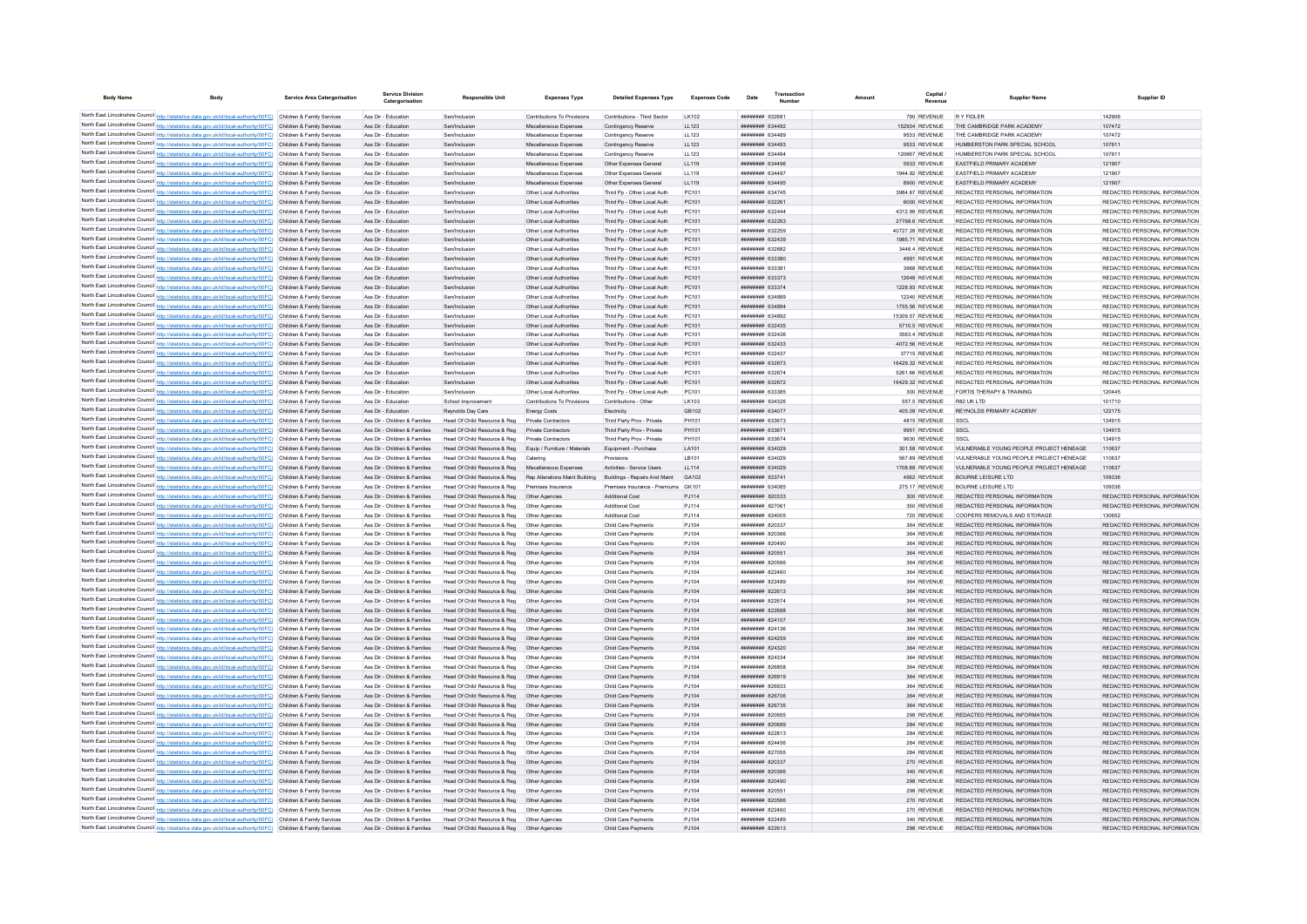| <b>Body Name</b> | <b>Body</b>                                                                                                                                                                                                                            | Service Area Catergorisation | <b>Service Division</b><br>Catergorisation                     | <b>Responsible Unit</b>                                      | <b>Expenses Type</b>                               | <b>Detailed Expenses Type</b>                              | <b>Expenses Code</b> | Date                                             | Transaction            | Amount | Capital                            | <b>Supplier Name</b>                                           | Supplier ID                                                    |
|------------------|----------------------------------------------------------------------------------------------------------------------------------------------------------------------------------------------------------------------------------------|------------------------------|----------------------------------------------------------------|--------------------------------------------------------------|----------------------------------------------------|------------------------------------------------------------|----------------------|--------------------------------------------------|------------------------|--------|------------------------------------|----------------------------------------------------------------|----------------------------------------------------------------|
|                  | North East Lincolnshire Council http://statistics.data.gov.uk/id/local-authority/00FC) Children & Family Services                                                                                                                      |                              | Ass Dir - Education                                            | Sen/Inclusion                                                | Contributions To Provisions                        | Contributions - Third Sector                               | I K102               | <b>иннинин</b> 632681                            |                        |        | 790 REVENUE                        | <b>RYFIDI FR</b>                                               | 142906                                                         |
|                  | North East Lincolnshire Council http://statistics.data.gov.uk/id/local-authority/00FC) Children & Family Services                                                                                                                      |                              | Ass Dir - Education                                            | Sen/Inclusion                                                | Miscellaneous Expenses                             | Contingency Reserve                                        | LL123                |                                                  | ######## 634492        |        | 152934 REVENUE                     | THE CAMBRIDGE PARK ACADEMY                                     | 107472                                                         |
|                  | North East Lincolnshire Council http://statistics.data.gov.uk/id/local-authority/00FC) Children & Family Services                                                                                                                      |                              | Ass Dir - Education                                            | Sen/Inclusio                                                 | Miscellaneous Expenser                             | Contingency Reserve                                        | LL123                |                                                  | ######## 634489        |        | 9533 REVENUE                       | THE CAMBRIDGE PARK ACADEMY                                     | 107472                                                         |
|                  | North East Lincolnshire Council http://statistics.data.gov.uk/id/local-authority/00FC) Children & Family Services                                                                                                                      |                              | Ass Dir - Education                                            | Sen/Inclusion                                                | Miscellaneous Expenses                             | Contingency Reserve                                        | LL123                | <b>ппиннин</b> 634493                            |                        |        | 9533 REVENUE                       | HUMBERSTON PARK SPECIAL SCHOOL                                 | 107911                                                         |
|                  | North East Lincolnshire Council http://statistics.data.gov.uk/id/local-authority/00FC) Children & Family Services                                                                                                                      |                              | Ass Dir - Education                                            | Sen/Inclusion                                                | Miscellaneous Expenses                             | Contingency Reserve                                        | 11 123               | <b>пппппппп</b> 634494                           |                        |        | 120667 REVENUE                     | HUMBERSTON PARK SPECIAL SCHOOL                                 | 107911                                                         |
|                  | North East Lincolnshire Council http://statistics.data.gov.uk/id/local-authority/00FC) Children & Family Services                                                                                                                      |                              | Ass Dir - Education                                            | Sen/Inclusion                                                | Miscellaneous Expenses                             | Other Expenses General                                     | 119                  | <b>HHHHHHH 634496</b>                            |                        |        | 5933 REVENUE                       | <b>FASTEIFLD PRIMARY ACADEMY</b>                               | 121907                                                         |
|                  | North East Lincolnshire Council http://statistics.data.gov.uk/id/local-authority/00FC) Children & Family Services                                                                                                                      |                              | Ass Dir - Education                                            | Sen/Inclusion                                                | Miscellaneous Expenses                             | Other Expenses General                                     | LL119                | <b>ининнин</b> 634497                            |                        |        | 1944.92 REVENUE                    | <b>FASTEIFLD PRIMARY ACADEMY</b>                               | 121907                                                         |
|                  | North East Lincolnshire Council http://statistics.data.gov.uk/id/local-authority/00FC) Children & Family Services                                                                                                                      |                              | Ass Dir - Education                                            | Sen/Inclusion                                                | Miscellaneous Expenses                             | Other Expenses General                                     | LL119                | ######## 634495                                  |                        |        | 8900 REVENUE                       | EASTFIELD PRIMARY ACADEMY                                      | 121907                                                         |
|                  | North East Lincolnshire Council http://statistics.data.gov.uk/id/local-authority/00FC) Children & Family Services                                                                                                                      |                              | Ass Dir - Education                                            | Sen/Inclusion                                                | Other Local Authorities                            | Third Pp - Other Local Auth                                | PC101                | ######## 634745                                  |                        |        | 3984.67 REVENUE                    | REDACTED PERSONAL INFORMATION                                  | REDACTED PERSONAL INFORMATION                                  |
|                  | North East Lincolnshire Council http://statistics.data.gov.uk/id/local-authority/00FC) Children & Family Services                                                                                                                      |                              | Ass Dir - Education                                            | Sen/Inclusion                                                | Other Local Authorities                            | Third Pp - Other Local Auth                                | PC101                | ######## 632261                                  |                        |        | 6000 REVENUE                       | REDACTED PERSONAL INFORMATION                                  | REDACTED PERSONAL INFORMATION                                  |
|                  | North East Lincolnshire Council http://statistics.data.gov.uk/id/local-authority/00FC) Children & Family Services<br>North East Lincolnshire Council http://statistics.data.gov.uk/id/local-authority/00FC) Children & Family Services |                              | Ass Dir - Education<br>Ass Dir - Education                     | Sen/Inclusion<br>Sen/Inclusion                               | Other Local Authorities<br>Other Local Authorities | Third Po - Other Local Auth<br>Third Pp - Other Local Auth | PC101<br>PC101       | <b><i>BREERBER</i></b> 632444<br>######## 632263 |                        |        | 4312.99 REVENUE<br>27768.6 REVENUE | REDACTED PERSONAL INFORMATION<br>REDACTED PERSONAL INFORMATION | REDACTED PERSONAL INFORMATION<br>REDACTED PERSONAL INFORMATION |
|                  | North East Lincolnshire Council http://statistics.data.gov.uk/id/local-authority/00FC) Children & Family Services                                                                                                                      |                              | Ass Dir - Education                                            | Sen/Inclusion                                                | Other Local Authorities                            | Third Pp - Other Local Auth                                | PC101                | ######## 632259                                  |                        |        | 40727.28 REVENUE                   | REDACTED PERSONAL INFORMATION                                  | REDACTED PERSONAL INFORMATION                                  |
|                  | North East Lincolnshire Council http://statistics.data.gov.uk/id/local-authority/00FC) Children & Family Services                                                                                                                      |                              | Ass Dir - Education                                            | Sen/Inclusion                                                | Other Local Authorities                            | Third Po - Other Local Auth                                | PC101                |                                                  | ######## 632439        |        | 1985.71 REVENUE                    | REDACTED PERSONAL INFORMATION                                  | REDACTED PERSONAL INFORMATION                                  |
|                  | North East Lincolnshire Council http://statistics.data.gov.uk/id/local-authority/00FC) Children & Family Services                                                                                                                      |                              | Ass Dir - Education                                            | Sen/Inclusion                                                | Other Local Authorities                            | Third Po - Other Local Auth                                | PC101                | ######## 632682                                  |                        |        | 3446.4 REVENUE                     | REDACTED PERSONAL INFORMATION                                  | REDACTED PERSONAL INFORMATION                                  |
|                  | North East Lincolnshire Council http://statistics.data.gov.uk/id/local-authority/00FC) Children & Family Services                                                                                                                      |                              | Ass Dir - Education                                            | Sen/Inclusion                                                | Other Local Authorities                            | Third Pp - Other Local Auth                                | PC101                | ######## 633380                                  |                        |        | 4991 REVENUE                       | REDACTED PERSONAL INFORMATION                                  | REDACTED PERSONAL INFORMATION                                  |
|                  | North East Lincolnshire Council http://statistics.data.gov.uk/id/local-authority/00FC) Children & Family Services                                                                                                                      |                              | Ass Dir - Education                                            | Sen/Inclusion                                                | Other Local Authorities                            | Third Pn - Other Local Auth                                | PC101                | ######## 633381                                  |                        |        | 3968 REVENUE                       | REDACTED PERSONAL INFORMATION                                  | REDACTED PERSONAL INFORMATION                                  |
|                  | North East Lincolnshire Council http://statistics.data.gov.uk/id/local-authority/00FC) Children & Family Services                                                                                                                      |                              | Ass Dir - Education                                            | Sen/Inclusion                                                | Other Local Authorities                            | Third Pp - Other Local Auth                                | PC101                | ######## 633373                                  |                        |        | 12648 REVENUE                      | REDACTED PERSONAL INFORMATION                                  | REDACTED PERSONAL INFORMATION                                  |
|                  | North East Lincolnshire Council http://statistics.data.gov.uk/id/local-authority/00FC) Children & Family Services                                                                                                                      |                              | Ass Dir - Education                                            | Sen/Inclusion                                                | Other Local Authorities                            | Third Po - Other Local Auth                                | PC101                | ######## 633374                                  |                        |        | 1228.93 REVENUE                    | REDACTED PERSONAL INFORMATION                                  | REDACTED PERSONAL INFORMATION                                  |
|                  | North East Lincolnshire Council http://statistics.data.gov.uk/id/local-authority/00FC) Children & Family Services                                                                                                                      |                              | Ass Dir - Education                                            | Sen/Inclusion                                                | Other Local Authorities                            | Third Po - Other Local Auth                                | PC101                | ######## 634889                                  |                        |        | 12240 REVENUE                      | REDACTED PERSONAL INFORMATION                                  | REDACTED PERSONAL INFORMATION                                  |
|                  | North East Lincolnshire Council http://statistics.data.gov.uk/id/local-authority/00FC) Children & Family Services                                                                                                                      |                              | Ass Dir - Education                                            | Sen/Inclusion                                                | Other Local Authorities                            | Third Pp - Other Local Auth                                | PC101                | ######## 634894                                  |                        |        | 1755.56 REVENUE                    | REDACTED PERSONAL INFORMATION                                  | REDACTED PERSONAL INFORMATION                                  |
|                  | North East Lincolnshire Council http://statistics.data.gov.uk/id/local-authority/00FC) Children & Family Services                                                                                                                      |                              | Ass Dir - Education                                            | Sen/Inclusion                                                | Other Local Authorities                            | Third Pp - Other Local Auth                                | PC101                | ######## 634892                                  |                        |        | 15309.57 REVENUE                   | REDACTED PERSONAL INFORMATION                                  | REDACTED PERSONAL INFORMATION                                  |
|                  | North East Lincolnshire Council http://statistics.data.gov.uk/id/local-authority/00FC) Children & Family Services                                                                                                                      |                              | Ass Dir - Education                                            | Sen/Inclusion                                                | Other Local Authorities                            | Third Pp - Other Local Auth                                | PC101                | ######## 632435                                  |                        |        | 5710.5 REVENUE                     | REDACTED PERSONAL INFORMATION                                  | REDACTED PERSONAL INFORMATION                                  |
|                  | North East Lincolnshire Council http://statistics.data.gov.uk/id/local-authority/00FC) Children & Family Services                                                                                                                      |                              | Ass Dir - Education                                            | Sen/Inclusion                                                | Other Local Authorities                            | Third Pp - Other Local Auth                                | PC101                | ######## 632436                                  |                        |        | 3563.4 REVENUE                     | REDACTED PERSONAL INFORMATION                                  | REDACTED PERSONAL INFORMATION                                  |
|                  | North East Lincolnshire Council http://statistics.data.gov.uk/id/local-authority/00FC) Children & Family Services                                                                                                                      |                              | Ass Dir - Education                                            | Sen/Inclusion                                                | Other Local Authorities                            | Third Pp - Other Local Auth                                | PC101                | ######## 632433                                  |                        |        | 4072.56 REVENUE                    | REDACTED PERSONAL INFORMATION                                  | REDACTED PERSONAL INFORMATION                                  |
|                  | North East Lincolnshire Council http://statistics.data.gov.uk/id/local-authority/00FC) Children & Family Services                                                                                                                      |                              | Ass Dir - Education                                            | Sen/Inclusio                                                 | Other Local Authorities                            | Third Po - Other Local Auth                                | PC101                | ####### 63243                                    |                        |        | 37715 REVENUE                      | REDACTED PERSONAL INFORMATION                                  | REDACTED PERSONAL INFORMATION                                  |
|                  | North East Lincolnshire Council http://statistics.data.gov.uk/id/local-authority/00FC) Children & Family Services                                                                                                                      |                              | Ass Dir - Education                                            | Sen/Inclusion                                                | Other Local Authorities                            | Third Pp - Other Local Auth                                | PC101                | ######## 632673                                  |                        |        | 16429.32 REVENUE                   | REDACTED PERSONAL INFORMATION                                  | REDACTED PERSONAL INFORMATION                                  |
|                  | North East Lincolnshire Council http://statistics.data.gov.uk/id/local-authority/00FC) Children & Family Services                                                                                                                      |                              | Ass Dir - Education                                            | Sen/Inclusio                                                 | Other Local Authorities                            | Third Pp - Other Local Auth                                | PC101                | <b>иннинни 632674</b>                            |                        |        | 5261.66 REVENUE                    | REDACTED PERSONAL INFORMATION                                  | REDACTED PERSONAL INFORMATION                                  |
|                  | North East Lincolnshire Council http://statistics.data.gov.uk/id/local-authority/00FC) Children & Family Services                                                                                                                      |                              | Ass Dir - Education                                            | Sen/Inclusion                                                | Other Local Authorities                            | Third Pp - Other Local Auth                                | PC101                | <b>ппининин</b> 632672                           |                        |        | 16429.32 REVENUE                   | REDACTED PERSONAL INFORMATION                                  | REDACTED PERSONAL INFORMATION                                  |
|                  | North East Lincolnshire Council http://statistics.data.gov.uk/id/local-authority/00FC) Children & Family Services                                                                                                                      |                              | Ass Dir - Education                                            | Sen/Inclusion                                                | Other Local Authorities                            | Third Po - Other Local Auth                                | PC101                | ######## 633385                                  |                        |        | 300 REVENUE                        | FORTIS THERAPY & TRAINING                                      | 120445                                                         |
|                  | North East Lincolnshire Council http://statistics.data.gov.uk/id/local-authority/00FC) Children & Family Services                                                                                                                      |                              | Ass Dir - Education<br>Ass Dir - Education                     | School Improvement<br>Reynolds Day Care                      | Contributions To Provisions                        | Contributions - Other<br>Electricity                       | LK103<br>GB102       | ######## 634326<br>######## 634077               |                        |        | 557.5 REVENUE<br>405.09 REVENUE    | R82 UK LTD<br>REYNOLDS PRIMARY ACADEMY                         | 101710<br>122175                                               |
|                  | North East Lincolnshire Council http://statistics.data.gov.uk/id/local-authority/00FC) Children & Family Services<br>North East Lincolnshire Council http://statistics.data.gov.uk/id/local-authority/00FC) Children & Family Services |                              | Ass Dir - Children & Families                                  | Head Of Child Resource & Reg                                 | Energy Costs<br>Private Contractors                | Third Party Prov - Private                                 | PH101                | ######## 633673                                  |                        |        | 4815 REVENUE                       | SSCL                                                           | 134915                                                         |
|                  | North East Lincolnshire Council http://statistics.data.gov.uk/id/local-authority/00FC) Children & Family Services                                                                                                                      |                              | Ass Dir - Children & Families                                  | Head Of Child Resource & Reg                                 | Private Contractors                                | Third Party Prov - Private                                 | PH101                | ######## 63367                                   |                        |        | 9951 REVENUE                       | SSCL                                                           | 134915                                                         |
|                  | North East Lincolnshire Council http://statistics.data.gov.uk/id/local-authority/00FC) Children & Family Services                                                                                                                      |                              | Ass Dir - Children & Families                                  | Head Of Child Resource & Reg                                 | Private Contractors                                | Third Party Prov - Private                                 | PH101                | <b>ппинини 633674</b>                            |                        |        | 9630 REVENUE                       | SSCI                                                           | 134915                                                         |
|                  | North East Lincolnshire Council http://statistics.data.gov.uk/id/local-authority/00FC) Children & Family Services                                                                                                                      |                              | Ass Dir - Children & Families                                  | Head Of Child Resource & Reg                                 | Equip / Furniture / Materials                      | Equipment - Purchase                                       | LA101                | ######## 634029                                  |                        |        | 301.58 REVENUE                     | VULNERABLE YOUNG PEOPLE PROJECT HENEAGE                        | 110637                                                         |
|                  | North East Lincolnshire Council http://statistics.data.gov.uk/id/local-authority/00FC) Children & Family Services                                                                                                                      |                              | Ass Dir - Children & Families                                  | Head Of Child Resource & Reg                                 | Catering                                           | Provisions                                                 | I B101               | ######## 634029                                  |                        |        | 567.89 REVENUE                     | VULNERABLE YOUNG PEOPLE PROJECT HENEAGE                        | 110637                                                         |
|                  | North East Lincolnshire Council http://statistics.data.gov.uk/id/local-authority/00FC) Children & Family Services                                                                                                                      |                              | Ass Dir - Children & Families                                  | Head Of Child Resource & Reg                                 | Miscellaneous Expenses                             | Activities - Service Users                                 | LL114                |                                                  | ######## 634029        |        | 1708.88 REVENUE                    | VULNERABLE YOUNG PEOPLE PROJECT HENEAGE                        | 110637                                                         |
|                  | North East Lincolnshire Council http://statistics.data.gov.uk/id/local-authority/00FC) Children & Family Services                                                                                                                      |                              | Ass Dir - Children & Families                                  | Head Of Child Resource & Reg                                 | Rep Alterations Maint Building                     | Buildings - Repairs And Maint                              | GA102                | ######## 633741                                  |                        |        | 4562 REVENUE                       | <b>BOURNE LEISURE LTD</b>                                      | 109336                                                         |
|                  | North East Lincolnshire Council http://statistics.data.gov.uk/id/local-authority/00FC) Children & Family Services                                                                                                                      |                              | Ass Dir - Children & Families                                  | Head Of Child Resource & Reg                                 | ses Insurance                                      | Premises Insurance - Premiums                              | GK101                | ######## 63408                                   |                        |        | 275.17 REVENUE                     | <b>BOURNE LEISURE LTD</b>                                      | 109336                                                         |
|                  | North East Lincolnshire Council http://statistics.data.gov.uk/id/local-authority/00FC) Children & Family Services                                                                                                                      |                              | Ass Dir - Children & Families                                  | Head Of Child Resource & Reg                                 | Other Agencies                                     | Additional Cost                                            | PJ114                | <b>ппинини 820333</b>                            |                        |        | 300 REVENUE                        | REDACTED PERSONAL INFORMATION                                  | REDACTED PERSONAL INFORMATION                                  |
|                  | North East Lincolnshire Council http://statistics.data.gov.uk/id/local-authority/00FC) Children & Family Services                                                                                                                      |                              | Ass Dir - Children & Families                                  | Head Of Child Resource & Reg                                 | Other Agencies                                     | Additional Cost                                            | PJ114                | ######## 827061                                  |                        |        | 350 REVENUE                        | REDACTED PERSONAL INFORMATION                                  | REDACTED PERSONAL INFORMATION                                  |
|                  | North East Lincolnshire Council http://statistics.data.gov.uk/id/local-authority/00FC) Children & Family Services                                                                                                                      |                              | Ass Dir - Children & Families                                  | Head Of Child Resource & Reg                                 | Other Agencies                                     | Additional Cost                                            | PJ114                | ######## 634005                                  |                        |        | 720 REVENUE                        | COOPERS REMOVALS AND STORAGE                                   | 130652                                                         |
|                  | North East Lincolnshire Council http://statistics.data.gov.uk/id/local-authority/00FC) Children & Family Services                                                                                                                      |                              | Ass Dir - Children & Families                                  | Head Of Child Resource & Reg                                 | Other Agencies                                     | Child Care Payments                                        | PJ104                | ######## 820337                                  |                        |        | 364 REVENUE                        | REDACTED PERSONAL INFORMATION                                  | REDACTED PERSONAL INFORMATION                                  |
|                  | North East Lincolnshire Council http://statistics.data.gov.uk/id/local-authority/00FC) Children & Family Services                                                                                                                      |                              | Ass Dir - Children & Families                                  | Head Of Child Resource & Reg                                 | Other Agencies                                     | Child Care Payments                                        | PJ104                | ######## 820366                                  |                        |        | 364 REVENUE                        | REDACTED PERSONAL INFORMATION                                  | REDACTED PERSONAL INFORMATION                                  |
|                  | North East Lincolnshire Council http://statistics.data.gov.uk/id/local-authority/00FC) Children & Family Services                                                                                                                      |                              | Ass Dir - Children & Families                                  | Head Of Child Resource & Reg                                 | Other Agencies                                     | Child Care Payments                                        | PJ104                | ######## 820490                                  |                        |        | 364 REVENUE                        | REDACTED PERSONAL INFORMATION                                  | REDACTED PERSONAL INFORMATION                                  |
|                  | North East Lincolnshire Council http://statistics.data.gov.uk/id/local-authority/00FC) Children & Family Services                                                                                                                      |                              | Ass Dir - Children & Families                                  | Head Of Child Resource & Reg                                 | Other Agencies                                     | Child Care Payments                                        | PJ104                | ######## 820551                                  |                        |        | 364 REVENUE                        | REDACTED PERSONAL INFORMATION                                  | REDACTED PERSONAL INFORMATION                                  |
|                  | North East Lincolnshire Council http://statistics.data.gov.uk/id/local-authority/00FC) Children & Family Services                                                                                                                      |                              | Ass Dir - Children & Families                                  | Head Of Child Resource & Reg                                 | Other Agencies                                     | Child Care Payments                                        | PJ104                | ######## 820566                                  |                        |        | 364 REVENUE                        | REDACTED PERSONAL INFORMATION                                  | REDACTED PERSONAL INFORMATION                                  |
|                  | North East Lincolnshire Council http://statistics.data.gov.uk/id/local-authority/00FC) Children & Family Services                                                                                                                      |                              | Ass Dir - Children & Families                                  | Head Of Child Resource & Reg                                 | Other Agencies                                     | Child Care Payments                                        | PJ104                | ######## 822460                                  |                        |        | 364 REVENUE                        | REDACTED PERSONAL INFORMATION                                  | REDACTED PERSONAL INFORMATION                                  |
|                  | North East Lincolnshire Council http://statistics.data.gov.uk/id/local-authority/00FC) Children & Family Services                                                                                                                      |                              | Ass Dir - Children & Families                                  | Head Of Child Resource & Reg                                 | Other Agencies                                     | Child Care Payments                                        | PJ104                |                                                  | ####### 822489         |        | 364 REVENUE                        | REDACTED PERSONAL INFORMATION                                  | REDACTED PERSONAL INFORMATION                                  |
|                  | North East Lincolnshire Council http://statistics.data.gov.uk/id/local-authority/00FC) Children & Family Services                                                                                                                      |                              | Ass Dir - Children & Families                                  | Head Of Child Resource & Reg                                 | Other Agencies                                     | Child Care Payments                                        | PJ104                |                                                  | ####### 822613         |        | 364 REVENUE                        | REDACTED PERSONAL INFORMATION                                  | REDACTED PERSONAL INFORMATION                                  |
|                  | North East Lincolnshire Council http://statistics.data.gov.uk/id/local-authority/00FC) Children & Family Services                                                                                                                      |                              | Ass Dir - Children & Families                                  | Head Of Child Resource & Reg                                 | Other Agencies                                     | Child Care Payments                                        | PJ104                | ######## 822674                                  |                        |        | 364 REVENUE                        | REDACTED PERSONAL INFORMATION                                  | REDACTED PERSONAL INFORMATION                                  |
|                  | North East Lincolnshire Council http://statistics.data.gov.uk/id/local-authority/00FC) Children & Family Services                                                                                                                      |                              | Ass Dir - Children & Families                                  | Head Of Child Resource & Reg                                 | Other Agencies                                     | Child Care Payments                                        | PJ104                | <b><i>HHHHHHH</i></b> 822688                     |                        |        | 364 REVENUE                        | REDACTED PERSONAL INFORMATION                                  | REDACTED PERSONAL INFORMATION                                  |
|                  | North East Lincolnshire Council http://statistics.data.gov.uk/id/local-authority/00FC) Children & Family Services                                                                                                                      |                              | Ass Dir - Children & Families<br>Ass Dir - Children & Families | Head Of Child Resource & Reg.                                | Other Agencies<br>Other Agencies                   | Child Care Payments                                        | P.1104<br>P.1104     | <b>ппинини 824107</b><br><b>ининнин</b> 824136   |                        |        | 364 REVENUE<br>364 REVENUE         | REDACTED PERSONAL INFORMATION<br>REDACTED PERSONAL INFORMATION | REDACTED PERSONAL INFORMATION<br>REDACTED PERSONAL INFORMATION |
|                  | North East Lincolnshire Council http://statistics.data.gov.uk/id/local-authority/00FC) Children & Family Services                                                                                                                      |                              | Ass Dir - Children & Families                                  | Head Of Child Resource & Reg                                 | Other Agencies                                     | Child Care Payments                                        | P.1104               | <b>ининнин</b> 824259                            |                        |        |                                    | REDACTED PERSONAL INFORMATION                                  | REDACTED PERSONAL INFORMATION                                  |
|                  | North East Lincolnshire Council http://statistics.data.gov.uk/id/local-authority/00FC) Children & Family Services<br>North East Lincolnshire Council http://statistics.data.gov.uk/id/local-authority/00FC) Children & Family Services |                              | Ass Dir - Children & Families                                  | Head Of Child Resource & Reg<br>Head Of Child Resource & Reg | Other Agencies                                     | Child Care Payments<br>Child Care Payments                 | PJ104                | ######## 824320                                  |                        |        | 364 REVENUE<br>364 REVENUE         | REDACTED PERSONAL INFORMATION                                  | REDACTED PERSONAL INFORMATION                                  |
|                  | North East Lincolnshire Council http://statistics.data.gov.uk/id/local-authority/00FC) Children & Family Services                                                                                                                      |                              | Ass Dir - Children & Families                                  | Head Of Child Resource & Reg                                 | Other Agencies                                     | Child Care Payments                                        | PJ104                | ######## 824334                                  |                        |        | 364 REVENUE                        | REDACTED PERSONAL INFORMATION                                  | REDACTED PERSONAL INFORMATION                                  |
|                  | North East Lincolnshire Council http://statistics.data.gov.uk/id/local-authority/00FC) Children & Family Services                                                                                                                      |                              | Ass Dir - Children & Families                                  | Head Of Child Resource & Reg                                 | Other Agencies                                     | Child Care Payments                                        | PJ104                | ниннини 826858                                   |                        |        | 364 REVENUE                        | REDACTED PERSONAL INFORMATION                                  | REDACTED PERSONAL INFORMATION                                  |
|                  | North East Lincolnshire Council http://statistics.data.gov.uk/id/local-authority/00FC) Children & Family Services                                                                                                                      |                              | Ass Dir - Children & Families                                  | Head Of Child Resource & Reg.                                | Other Agencies                                     | Child Care Payments                                        | P.1104               | ######## 826919                                  |                        |        | 364 REVENUE                        | REDACTED PERSONAL INFORMATION                                  | REDACTED PERSONAL INFORMATION                                  |
|                  | North East Lincolnshire Council http://statistics.data.gov.uk/id/local-authority/00FC) Children & Family Services                                                                                                                      |                              | Ass Dir - Children & Families                                  | Head Of Child Resource & Reg                                 | Other Agencies                                     | Child Care Payments                                        | P.1104               |                                                  | <b>ппининин</b> 826933 |        | 364 REVENUE                        | REDACTED PERSONAL INFORMATION                                  | REDACTED PERSONAL INFORMATION                                  |
|                  | North East Lincolnshire Council http://statistics.data.gov.uk/id/local-authority/00FC) Children & Family Services                                                                                                                      |                              | Ass Dir - Children & Families                                  | Head Of Child Resource & Reg                                 | Other Agencies                                     | Child Care Payments                                        | P.1104               | <b>НЕННИНИ 826706</b>                            |                        |        | 364 REVENUE                        | REDACTED PERSONAL INFORMATION                                  | REDACTED PERSONAL INFORMATION                                  |
|                  | North East Lincolnshire Council http://statistics.data.gov.uk/id/local-authority/00FC) Children & Family Services                                                                                                                      |                              | Ass Dir - Children & Families                                  | Head Of Child Resource & Reg                                 | Other Agencies                                     | Child Care Payments                                        | PJ104                | ######## 826735                                  |                        |        | 364 REVENUE                        | REDACTED PERSONAL INFORMATION                                  | REDACTED PERSONAL INFORMATION                                  |
|                  | North East Lincolnshire Council http://statistics.data.gov.uk/id/local-authority/00FC) Children & Family Services                                                                                                                      |                              | Ass Dir - Children & Families                                  | Head Of Child Resource & Reg                                 | Other Anencies                                     | Child Care Payments                                        | PJ104                | ниннини 820665                                   |                        |        | 298 REVENUE                        | REDACTED PERSONAL INFORMATION                                  | REDACTED PERSONAL INFORMATION                                  |
|                  | North East Lincolnshire Council http://statistics.data.gov.uk/id/local-authority/00FC) Children & Family Services                                                                                                                      |                              | Ass Dir - Children & Families                                  | Head Of Child Resource & Reg                                 | Other Agencies                                     | Child Care Payments                                        | PJ104                | ниннини взоввя                                   |                        |        | 284 REVENUE                        | REDACTED PERSONAL INFORMATION                                  | REDACTED PERSONAL INFORMATION                                  |
|                  | North East Lincolnshire Council http://statistics.data.gov.uk/id/local-authority/00FC) Children & Family Services                                                                                                                      |                              | Ass Dir - Children & Families                                  | Head Of Child Resource & Reg.                                | Other Agencies                                     | Child Care Payments                                        | P.1104               | <b>ппинини 822813</b>                            |                        |        | 284 REVENUE                        | REDACTED PERSONAL INFORMATION                                  | REDACTED PERSONAL INFORMATION                                  |
|                  | North East Lincolnshire Council http://statistics.data.gov.uk/id/local-authority/00FC) Children & Family Services                                                                                                                      |                              | Ass Dir - Children & Families                                  | Head Of Child Resource & Reg                                 | Other Agencies                                     | Child Care Payments                                        | PJ104                | <b>ининнин</b> 824456                            |                        |        | 284 REVENUE                        | REDACTED PERSONAL INFORMATION                                  | REDACTED PERSONAL INFORMATION                                  |
|                  | North East Lincolnshire Council http://statistics.data.gov.uk/id/local-authority/00FC) Children & Family Services                                                                                                                      |                              | Ass Dir - Children & Families                                  | Head Of Child Resource & Reg.                                | Other Anencies                                     | Child Care Payments                                        | PJ104                | <b><i>BREEZER 827055</i></b>                     |                        |        | 284 REVENUE                        | REDACTED PERSONAL INFORMATION                                  | REDACTED PERSONAL INFORMATION                                  |
|                  | North East Lincolnshire Council http://statistics.data.gov.uk/id/local-authority/00FC) Children & Family Services                                                                                                                      |                              | Ass Dir - Children & Families                                  | Head Of Child Resource & Reg                                 | Other Agencies                                     | Child Care Payments                                        | PJ104                | ######## 820337                                  |                        |        | 270 REVENUE                        | REDACTED PERSONAL INFORMATION                                  | REDACTED PERSONAL INFORMATION                                  |
|                  | North East Lincolnshire Council http://statistics.data.gov.uk/id/local-authority/00FC) Children & Family Services                                                                                                                      |                              | Ass Dir - Children & Families                                  | Head Of Child Resource & Reg                                 | Other Agencies                                     | Child Care Payments                                        | PJ104                | ниннини 820366                                   |                        |        | 340 REVENUE                        | REDACTED PERSONAL INFORMATION                                  | REDACTED PERSONAL INFORMATION                                  |
|                  | North East Lincolnshire Council http://statistics.data.gov.uk/id/local-authority/00FC) Children & Family Services                                                                                                                      |                              | Ass Dir - Children & Families                                  | Head Of Child Resource & Reg                                 | Other Agencies                                     | Child Care Payments                                        | PJ104                | ######## 820490                                  |                        |        | 298 REVENUE                        | REDACTED PERSONAL INFORMATION                                  | REDACTED PERSONAL INFORMATION                                  |
|                  | North East Lincolnshire Council http://statistics.data.gov.uk/id/local-authority/00FC) Children & Family Services                                                                                                                      |                              | Ass Dir - Children & Families                                  | Head Of Child Resource & Reg.                                | Other Agencies                                     | Child Care Payments                                        | P.1104               | ######## 820551                                  |                        |        | 298 REVENUE                        | REDACTED PERSONAL INFORMATION                                  | REDACTED PERSONAL INFORMATION                                  |
|                  | North East Lincolnshire Council http://statistics.data.gov.uk/id/local-authority/00FC) Children & Family Services                                                                                                                      |                              | Ass Dir - Children & Families                                  | Head Of Child Resource & Reg                                 | Other Agencies                                     | Child Care Payments                                        | PJ104                | ######## 820566                                  |                        |        | 270 REVENUE                        | REDACTED PERSONAL INFORMATION                                  | REDACTED PERSONAL INFORMATION                                  |
|                  | North East Lincolnshire Council http://statistics.data.gov.uk/id/local-authority/00FC) Children & Family Services                                                                                                                      |                              | Ass Dir - Children & Families                                  | Head Of Child Resource & Reg                                 | Other Agencies                                     | Child Care Payments                                        | PJ104                | ниннини 822460                                   |                        |        | 270 REVENUE                        | REDACTED PERSONAL INFORMATION                                  | REDACTED PERSONAL INFORMATION                                  |
|                  | North East Lincolnshire Council http://statistics.data.gov.uk/id/local-authority/00FC) Children & Family Services                                                                                                                      |                              | Ass Dir - Children & Families                                  | Head Of Child Resource & Reg                                 | Other Agencies                                     | Child Care Payments                                        | PJ104                | ######## 82248                                   |                        |        | 340 REVENUE                        | REDACTED PERSONAL INFORMATION                                  | REDACTED PERSONAL INFORMATION                                  |
|                  | North East Lincolnshire Council http://statistics.data.gov.uk/id/local-authority/00FC) Children & Family Services                                                                                                                      |                              | Ass Dir - Children & Families                                  | Head Of Child Resource & Reg.                                | Other Agencie                                      | Child Care Payments                                        | P.1104               | <b>ппинини 822613</b>                            |                        |        | 298 REVENUE                        | REDACTED PERSONAL INFORMATION                                  | REDACTED PERSONAL INFORMATION                                  |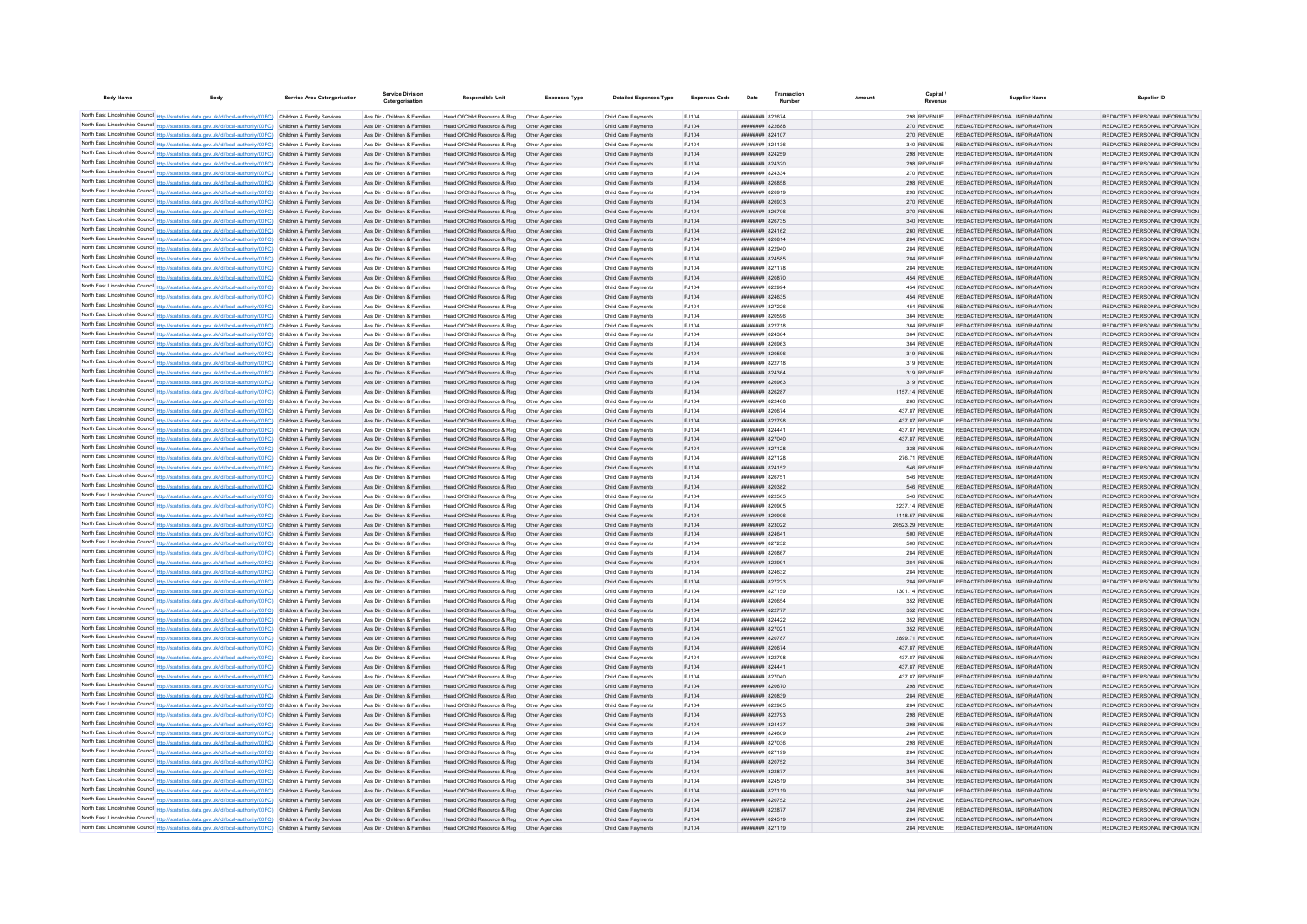| <b>Body Name</b>                                                                                                                                                                                                                       | <b>Body</b> | <b>Service Area Catergorisation</b>                      | <b>Service Division</b><br>Catergorisation                     | <b>Responsible Unit</b>                                       | <b>Expenses Type</b>             | <b>Detailed Expenses Type</b>              | <b>Expenses Code</b> | Date                                             | Transaction | Amount | Capital                          | <b>Supplier Name</b>                                           | Supplier ID                                                    |
|----------------------------------------------------------------------------------------------------------------------------------------------------------------------------------------------------------------------------------------|-------------|----------------------------------------------------------|----------------------------------------------------------------|---------------------------------------------------------------|----------------------------------|--------------------------------------------|----------------------|--------------------------------------------------|-------------|--------|----------------------------------|----------------------------------------------------------------|----------------------------------------------------------------|
| North East Lincolnshire Council http://statistics.data.gov.uk/id/local-authority/00FC) Children & Family Services                                                                                                                      |             |                                                          | Ass Dir - Children & Families                                  | Head Of Child Resource & Reg                                  | Other Anencies                   | Child Care Payments                        | P.1104               | <b>иннинни 822674</b>                            |             |        | 298 REVENUE                      | REDACTED PERSONAL INFORMATION                                  | REDACTED PERSONAL INFORMATION                                  |
| North East Lincolnshire Council http://statistics.data.gov.uk/id/local-authority/00FC) Children & Family Services                                                                                                                      |             |                                                          | Ass Dir - Children & Families                                  | Head Of Child Resource & Reg                                  | Other Agencies                   | Child Care Payments                        | PJ104                | ######## 822688                                  |             |        | 270 REVENUE                      | REDACTED PERSONAL INFORMATION                                  | REDACTED PERSONAL INFORMATION                                  |
| North East Lincolnshire Council http://statistics.data.gov.uk/id/local-authority/00FC) Children & Family Services                                                                                                                      |             |                                                          | Ass Dir - Children & Families                                  | Head Of Child Resource & Reg                                  | Other Agencies                   | Child Care Payments                        | PJ104                | ######## 824107                                  |             |        | 270 REVENUE                      | REDACTED PERSONAL INFORMATION                                  | REDACTED PERSONAL INFORMATION                                  |
| North East Lincolnshire Council http://statistics.data.gov.uk/id/local-authority/00FC) Children & Family Services                                                                                                                      |             |                                                          | Ass Dir - Children & Families                                  | Head Of Child Resource & Reg                                  | Other Agencies                   | Child Care Payments                        | PJ104                | <b>ппинини 824136</b>                            |             |        | 340 REVENUE                      | REDACTED PERSONAL INFORMATION                                  | REDACTED PERSONAL INFORMATION                                  |
| North East Lincolnshire Council http://statistics.data.gov.uk/id/local-authority/00FC) Children & Family Services                                                                                                                      |             |                                                          | Ass Dir - Children & Families                                  | Head Of Child Resource & Reg.                                 | Other Agencies                   | Child Care Payments                        | PJ104                | <b>ППИНИНИЯ</b> 824259                           |             |        | 298 REVENUE                      | REDACTED PERSONAL INFORMATION                                  | REDACTED PERSONAL INFORMATION                                  |
| North East Lincolnshire Council http://statistics.data.gov.uk/id/local-authority/00FC) Children & Family Services                                                                                                                      |             |                                                          | Ass Dir - Children & Families                                  | Head Of Child Resource & Reg                                  | Other Agencies                   | Child Care Payments                        | PJ104                | <b>ппининия</b> 824320                           |             |        | 298 REVENUE                      | REDACTED PERSONAL INFORMATION                                  | REDACTED PERSONAL INFORMATION                                  |
| North East Lincolnshire Council http://statistics.data.gov.uk/id/local-authority/00FC) Children & Family Services                                                                                                                      |             |                                                          | Ass Dir - Children & Families                                  | Head Of Child Resource & Reg                                  | Other Agencies                   | Child Care Payments                        | PJ104                | ####### 824334                                   |             |        | 270 REVENUE                      | REDACTED PERSONAL INFORMATION                                  | REDACTED PERSONAL INFORMATION                                  |
| North East Lincolnshire Council http://statistics.data.gov.uk/id/local-authority/00FC) Children & Family Services                                                                                                                      |             |                                                          | Ass Dir - Children & Families                                  | Head Of Child Resource & Reg                                  | Other Agencies                   | Child Care Payments                        | PJ104                | ######## 826858                                  |             |        | 298 REVENUE                      | REDACTED PERSONAL INFORMATION                                  | REDACTED PERSONAL INFORMATION                                  |
| North East Lincolnshire Council http://statistics.data.gov.uk/id/local-authority/00FC) Children & Family Services<br>North East Lincolnshire Council http://statistics.data.gov.uk/id/local-authority/00FC) Children & Family Services |             |                                                          | Ass Dir - Children & Families<br>Ass Dir - Children & Families | Head Of Child Resource & Reg<br>Head Of Child Resource & Reg  | Other Agencies<br>Other Agencies | Child Care Payments<br>Child Care Payments | PJ104<br>PJ104       | ######## 826919<br>######## 826933               |             |        | 298 REVENUE<br>270 REVENUE       | REDACTED PERSONAL INFORMATION<br>REDACTED PERSONAL INFORMATION | REDACTED PERSONAL INFORMATION<br>REDACTED PERSONAL INFORMATION |
| North East Lincolnshire Council http://statistics.data.gov.uk/id/local-authority/00FC) Children & Family Services                                                                                                                      |             |                                                          | Ass Dir - Children & Families                                  | Head Of Child Resource & Reg                                  | Other Agencies                   | Child Care Payments                        | PJ104                | ######## 826706                                  |             |        | 270 REVENUE                      | REDACTED PERSONAL INFORMATION                                  | REDACTED PERSONAL INFORMATION                                  |
| North East Lincolnshire Council http://statistics.data.gov.uk/id/local-authority/00FC) Children & Family Services                                                                                                                      |             |                                                          | Ass Dir - Children & Families                                  | Head Of Child Resource & Reg                                  | Other Agencies                   | Child Care Payments                        | PJ104                | ######## 826735                                  |             |        | 340 REVENUE                      | REDACTED PERSONAL INFORMATION                                  | REDACTED PERSONAL INFORMATION                                  |
| North East Lincolnshire Council http://statistics.data.gov.uk/id/local-authority/00FC) Children & Family Services                                                                                                                      |             |                                                          | Ass Dir - Children & Families                                  | Head Of Child Resource & Reg                                  | Other Agencies                   | Child Care Payments                        | PJ104                | ######## 824162                                  |             |        | 260 REVENUE                      | REDACTED PERSONAL INFORMATION                                  | REDACTED PERSONAL INFORMATION                                  |
| North East Lincolnshire Council http://statistics.data.gov.uk/id/local-authority/00FC)                                                                                                                                                 |             | Children & Family Services                               | Ass Dir - Children & Families                                  | Head Of Child Resource & Reg                                  | Other Agencies                   | Child Care Payments                        | PJ104                | ######## 820814                                  |             |        | 284 REVENUE                      | REDACTED PERSONAL INFORMATION                                  | REDACTED PERSONAL INFORMATION                                  |
| North East Lincolnshire Council http://statistics.data.gov.uk/id/local-authority/00FC)                                                                                                                                                 |             | Children & Family Services                               | Ass Dir - Children & Families                                  | Head Of Child Resource & Reg                                  | Other Agencie                    | Child Care Payments                        | PJ104                | ####### 822940                                   |             |        | 284 REVENUE                      | REDACTED PERSONAL INFORMATION                                  | REDACTED PERSONAL INFORMATION                                  |
| North East Lincolnshire Council http://statistics.data.gov.uk/id/local-authority/00FC)                                                                                                                                                 |             | Children & Family Services                               | Ass Dir - Children & Families                                  | Head Of Child Resource & Reg                                  | Other Agencies                   | Child Care Payments                        | PJ104                | ######## 824585                                  |             |        | 284 REVENUE                      | REDACTED PERSONAL INFORMATION                                  | REDACTED PERSONAL INFORMATION                                  |
| North East Lincolnshire Council http://statistics.data.gov.uk/id/local-authority/00FC) Children & Family Services                                                                                                                      |             |                                                          | Ass Dir - Children & Families                                  | Head Of Child Resource & Reg                                  | Other Anencies                   | Child Care Payments                        | PJ104                | <b>ппининия</b> 827178                           |             |        | 284 REVENUE                      | REDACTED PERSONAL INFORMATION                                  | REDACTED PERSONAL INFORMATION                                  |
| North East Lincolnshire Council http://statistics.data.gov.uk/id/local-authority/00FC) Children & Family Services                                                                                                                      |             |                                                          | Ass Dir - Children & Families                                  | Head Of Child Resource & Reg                                  | Other Agencies                   | Child Care Payments                        | PJ104                | ######## 820870                                  |             |        | 454 REVENUE                      | REDACTED PERSONAL INFORMATION                                  | REDACTED PERSONAL INFORMATION                                  |
| North East Lincolnshire Council http://statistics.data.gov.uk/id/local-authority/00FC) Children & Family Services<br>North East Lincolnshire Council http://statistics.data.gov.uk/id/local-authority/00FC)                            |             | Children & Family Services                               | Ass Dir - Children & Families<br>Ass Dir - Children & Families | Head Of Child Resource & Reg<br>Head Of Child Resource & Reg  | Other Agencies<br>Other Agencies | Child Care Payments<br>Child Care Payments | PJ104<br>PJ104       | ######## 822994<br>######## 824635               |             |        | 454 REVENUE<br>454 REVENUE       | REDACTED PERSONAL INFORMATION<br>REDACTED PERSONAL INFORMATION | REDACTED PERSONAL INFORMATION<br>REDACTED PERSONAL INFORMATION |
| North East Lincolnshire Council http://statistics.data.gov.uk/id/local-authority/00FC) Children & Family Services                                                                                                                      |             |                                                          | Ass Dir - Children & Families                                  | Head Of Child Resource & Reg                                  | Other Agencies                   | Child Care Payments                        | PJ104                | ######## 827226                                  |             |        | 454 REVENUE                      | REDACTED PERSONAL INFORMATION                                  | REDACTED PERSONAL INFORMATION                                  |
| North East Lincolnshire Council http://statistics.data.gov.uk/id/local-authority/00FC) Children & Family Services                                                                                                                      |             |                                                          | Ass Dir - Children & Families                                  | Head Of Child Resource & Reg                                  | Other Agencie                    | Child Care Payments                        | PJ104                | ######## 820596                                  |             |        | 364 REVENUE                      | REDACTED PERSONAL INFORMATION                                  | REDACTED PERSONAL INFORMATION                                  |
| North East Lincolnshire Council http://statistics.data.gov.uk/id/local-authority/00FC) Children & Family Services                                                                                                                      |             |                                                          | Ass Dir - Children & Families                                  | Head Of Child Resource & Reg                                  | Other Agencies                   | Child Care Payments                        | PJ104                | <b>ппинини 822718</b>                            |             |        | 364 REVENUE                      | REDACTED PERSONAL INFORMATION                                  | REDACTED PERSONAL INFORMATION                                  |
| North East Lincolnshire Council http://statistics.data.gov.uk/id/local-authority/00FC) Children & Family Services                                                                                                                      |             |                                                          | Ass Dir - Children & Families                                  | Head Of Child Resource & Reg                                  | Other Agencies                   | Child Care Payments                        | PJ104                | ######## 824364                                  |             |        | 364 REVENUE                      | REDACTED PERSONAL INFORMATION                                  | REDACTED PERSONAL INFORMATION                                  |
| North East Lincolnshire Council http://statistics.data.gov.uk/id/local-authority/00FC) Children & Family Services                                                                                                                      |             |                                                          | Ass Dir - Children & Families                                  | Head Of Child Resource & Reg                                  | Other Agencies                   | Child Care Payments                        | PJ104                | ######## 826963                                  |             |        | 364 REVENUE                      | REDACTED PERSONAL INFORMATION                                  | REDACTED PERSONAL INFORMATION                                  |
| North East Lincolnshire Council http://statistics.data.gov.uk/id/local-authority/00FC)                                                                                                                                                 |             | Children & Family Services                               | Ass Dir - Children & Families                                  | Head Of Child Resource & Reg                                  | Other Agencies                   | Child Care Payments                        | PJ104                | ######## 820596                                  |             |        | 319 REVENUE                      | REDACTED PERSONAL INFORMATION                                  | REDACTED PERSONAL INFORMATION                                  |
| North East Lincolnshire Council http://statistics.data.gov.uk/id/local-authority/00FC) Children & Family Services                                                                                                                      |             |                                                          | Ass Dir - Children & Families                                  | Head Of Child Resource & Reg                                  | Other Agencie                    | Child Care Payments                        | PJ104                | ######## 822718                                  |             |        | 319 REVENUE                      | REDACTED PERSONAL INFORMATION                                  | REDACTED PERSONAL INFORMATION                                  |
| North East Lincolnshire Council http://statistics.data.gov.uk/id/local-authority/00FC).                                                                                                                                                |             | Children & Family Services                               | Ass Dir - Children & Families                                  | Head Of Child Resource & Reg                                  | Other Agencie                    | Child Care Payments                        | PJ104                | ######## 824364                                  |             |        | 319 REVENUE                      | REDACTED PERSONAL INFORMATION                                  | REDACTED PERSONAL INFORMATION                                  |
| North East Lincolnshire Council http://statistics.data.gov.uk/id/local-authority/00FC) Children & Family Services                                                                                                                      |             |                                                          | Ass Dir - Children & Families<br>Ass Dir - Children & Families | Head Of Child Resource & Reg<br>Head Of Child Resource & Reg  | Other Agencies                   | Child Care Payments<br>Child Care Payments | PJ104<br>PJ104       | ниннини 826963<br>######## 826287                |             |        | 319 REVENUE<br>1157.14 REVENUE   | REDACTED PERSONAL INFORMATION<br>REDACTED PERSONAL INFORMATION | REDACTED PERSONAL INFORMATION<br>REDACTED PERSONAL INFORMATION |
| North East Lincolnshire Council http://statistics.data.gov.uk/id/local-authority/00FC) Children & Family Services<br>North East Lincolnshire Council http://statistics.data.gov.uk/id/local-authority/00FC) Children & Family Services |             |                                                          | Ass Dir - Children & Families                                  | Head Of Child Resource & Reg                                  | Other Agencies<br>Other Agencies | Child Care Payments                        | PJ104                | ######## 822468                                  |             |        | 260 REVENUE                      | REDACTED PERSONAL INFORMATION                                  | REDACTED PERSONAL INFORMATION                                  |
| North East Lincolnshire Council http://statistics.data.gov.uk/id/local-authority/00FC) Children & Family Services                                                                                                                      |             |                                                          | Ass Dir - Children & Families                                  | Head Of Child Resource & Reg                                  | Other Agencies                   | Child Care Payments                        | PJ104                | ####### 820674                                   |             |        | 437.87 REVENUE                   | REDACTED PERSONAL INFORMATION                                  | REDACTED PERSONAL INFORMATION                                  |
| North East Lincolnshire Council http://statistics.data.gov.uk/id/local-authority/00FC) Children & Family Services                                                                                                                      |             |                                                          | Ass Dir - Children & Families                                  | Head Of Child Resource & Reg                                  | Other Agencies                   | Child Care Payments                        | PJ104                | ######## 822798                                  |             |        | 437.87 REVENUE                   | REDACTED PERSONAL INFORMATION                                  | REDACTED PERSONAL INFORMATION                                  |
| North East Lincolnshire Council http://statistics.data.gov.uk/id/local-authority/00FC) Children & Family Services                                                                                                                      |             |                                                          | Ass Dir - Children & Families                                  | Head Of Child Resource & Reg                                  | Other Agencies                   | Child Care Payments                        | PJ104                | ####### 824441                                   |             |        | 437.87 REVENUE                   | REDACTED PERSONAL INFORMATION                                  | REDACTED PERSONAL INFORMATION                                  |
| North East Lincolnshire Council http://statistics.data.gov.uk/id/local-authority/00FC) Children & Family Services                                                                                                                      |             |                                                          | Ass Dir - Children & Families                                  | Head Of Child Resource & Reg                                  | Other Agencies                   | Child Care Payments                        | PJ104                | ######## 827040                                  |             |        | 437.87 REVENUE                   | REDACTED PERSONAL INFORMATION                                  | REDACTED PERSONAL INFORMATION                                  |
| North East Lincolnshire Council http://statistics.data.gov.uk/id/local-authority/00FC) Children & Family Services                                                                                                                      |             |                                                          | Ass Dir - Children & Families                                  | Head Of Child Resource & Reg                                  | Other Agencies                   | Child Care Payments                        | PJ104                | ######## 827128                                  |             |        | 338 REVENUE                      | REDACTED PERSONAL INFORMATION                                  | REDACTED PERSONAL INFORMATION                                  |
| North East Lincolnshire Council http://statistics.data.gov.uk/id/local-authority/00FC) Children & Family Services                                                                                                                      |             |                                                          | Ass Dir - Children & Families                                  | Head Of Child Resource & Reg                                  | Other Agencies                   | Child Care Payments                        | PJ104                | ######## 827128                                  |             |        | 276.71 REVENUE                   | REDACTED PERSONAL INFORMATION                                  | REDACTED PERSONAL INFORMATION                                  |
| North East Lincolnshire Council http://statistics.data.gov.uk/id/local-authority/00FC) Children & Family Services                                                                                                                      |             |                                                          | Ass Dir - Children & Families                                  | Head Of Child Resource & Reg                                  | Other Agencies                   | Child Care Payments                        | PJ104                | ######## 824152                                  |             |        | 546 REVENUE                      | REDACTED PERSONAL INFORMATION                                  | REDACTED PERSONAL INFORMATION                                  |
| North East Lincolnshire Council http://statistics.data.gov.uk/id/local-authority/00FC)                                                                                                                                                 |             | Children & Family Services                               | Ass Dir - Children & Families                                  | Head Of Child Resource & Reg                                  | Other Agencie                    | Child Care Payments                        | PJ104                | ######## 826751                                  |             |        | 546 REVENUE                      | REDACTED PERSONAL INFORMATION                                  | REDACTED PERSONAL INFORMATION                                  |
| North East Lincolnshire Council http://statistics.data.gov.uk/id/local-authority/00FC).<br>North East Lincolnshire Council http://statistics.data.gov.uk/id/local-authority/00FC) Children & Family Services                           |             | Children & Family Services                               | Ass Dir - Children & Families<br>Ass Dir - Children & Families | Head Of Child Resource & Reg<br>Head Of Child Resource & Reg  | Other Agencie<br>Other Anencies  | Child Care Payments<br>Child Care Payments | PJ104<br>PJ104       | ######## 820382<br>######## 822505               |             |        | 546 REVENUE<br>546 REVENUE       | REDACTED PERSONAL INFORMATION<br>REDACTED PERSONAL INFORMATION | REDACTED PERSONAL INFORMATION<br>REDACTED PERSONAL INFORMATION |
| North East Lincolnshire Council http://statistics.data.gov.uk/id/local-authority/00FC) Children & Family Services                                                                                                                      |             |                                                          | Ass Dir - Children & Families                                  | Head Of Child Resource & Reg                                  | Other Agencies                   | Child Care Payments                        | PJ104                | ######## 820905                                  |             |        | 2237.14 REVENUE                  | REDACTED PERSONAL INFORMATION                                  | REDACTED PERSONAL INFORMATION                                  |
| North East Lincolnshire Council http://statistics.data.gov.uk/id/local-authority/00FC) Children & Family Services                                                                                                                      |             |                                                          | Ass Dir - Children & Families                                  | Head Of Child Resource & Reg                                  | Other Agencies                   | Child Care Payments                        | PJ104                | ######## 820906                                  |             |        | 1118.57 REVENUE                  | REDACTED PERSONAL INFORMATION                                  | REDACTED PERSONAL INFORMATION                                  |
| North East Lincolnshire Council http://statistics.data.gov.uk/id/local-authority/00FC) Children & Family Services                                                                                                                      |             |                                                          | Ass Dir - Children & Families                                  | Head Of Child Resource & Reg                                  | Other Agencies                   | Child Care Payments                        | PJ104                | ######## 823022                                  |             |        | 20523.29 REVENUE                 | REDACTED PERSONAL INFORMATION                                  | REDACTED PERSONAL INFORMATION                                  |
| North East Lincolnshire Council http://statistics.data.gov.uk/id/local-authority/00FC)                                                                                                                                                 |             | Children & Family Services                               | Ass Dir - Children & Families                                  | Head Of Child Resource & Reg                                  | Other Agencie                    | Child Care Payments                        | PJ104                | ####### 824641                                   |             |        | 500 REVENUE                      | REDACTED PERSONAL INFORMATION                                  | REDACTED PERSONAL INFORMATION                                  |
| North East Lincolnshire Council http://statistics.data.gov.uk/id/local-authority/00FC) Children & Family Services                                                                                                                      |             |                                                          | Ass Dir - Children & Families                                  | Head Of Child Resource & Reg                                  | Other Agencie                    | Child Care Payments                        | PJ104                | ######## 827232                                  |             |        | 500 REVENUE                      | REDACTED PERSONAL INFORMATION                                  | REDACTED PERSONAL INFORMATION                                  |
| North East Lincolnshire Council http://statistics.data.gov.uk/id/local-authority/00FC) Children & Family Services                                                                                                                      |             |                                                          | Ass Dir - Children & Families                                  | Head Of Child Resource & Reg                                  | Other Agencies                   | Child Care Payments                        | PJ104                | ######## 820867                                  |             |        | 284 REVENUE                      | REDACTED PERSONAL INFORMATION                                  | REDACTED PERSONAL INFORMATION                                  |
| North East Lincolnshire Council http://statistics.data.gov.uk/id/local-authority/00FC) Children & Family Services                                                                                                                      |             |                                                          | Ass Dir - Children & Families                                  | Head Of Child Resource & Reg                                  | Other Agencies                   | Child Care Payments                        | PJ104                | ######## 822991                                  |             |        | 284 REVENUE                      | REDACTED PERSONAL INFORMATION                                  | REDACTED PERSONAL INFORMATION                                  |
| North East Lincolnshire Council http://statistics.data.gov.uk/id/local-authority/00FC) Children & Family Services                                                                                                                      |             |                                                          | Ass Dir - Children & Families                                  | Head Of Child Resource & Reg                                  | Other Agencies                   | Child Care Payments                        | PJ104                | ######## 824632                                  |             |        | 284 REVENUE                      | REDACTED PERSONAL INFORMATION                                  | REDACTED PERSONAL INFORMATION                                  |
| North East Lincolnshire Council http://statistics.data.gov.uk/id/local-authority/00FC)<br>North East Lincolnshire Council http://statistics.data.gov.uk/id/local-authority/00FC)                                                       |             | Children & Family Services<br>Children & Family Services | Ass Dir - Children & Families<br>Ass Dir - Children & Families | Head Of Child Resource & Reg<br>Head Of Child Resource & Reg  | Other Agencies<br>Other Agencie  | Child Care Payments<br>Child Care Payments | PJ104<br>PJ104       | ######## 827223<br>######## 827159               |             |        | 284 REVENUE<br>1301.14 REVENUE   | REDACTED PERSONAL INFORMATION<br>REDACTED PERSONAL INFORMATION | REDACTED PERSONAL INFORMATION<br>REDACTED PERSONAL INFORMATION |
| North East Lincolnshire Council http://statistics.data.gov.uk/id/local-authority/00FC) Children & Family Services                                                                                                                      |             |                                                          | Ass Dir - Children & Families                                  | Head Of Child Resource & Reg                                  | Other Agencie                    | Child Care Payments                        | PJ104                | ######## 820654                                  |             |        | 352 REVENUE                      | REDACTED PERSONAL INFORMATION                                  | REDACTED PERSONAL INFORMATION                                  |
| North East Lincolnshire Council http://statistics.data.gov.uk/id/local-authority/00FC) Children & Family Services                                                                                                                      |             |                                                          | Ass Dir - Children & Families                                  | Head Of Child Resource & Reg                                  | Other Agencie                    | Child Care Payments                        | PJ104                | ######## 822777                                  |             |        | 352 REVENUE                      | REDACTED PERSONAL INFORMATION                                  | REDACTED PERSONAL INFORMATION                                  |
| North East Lincolnshire Council http://statistics.data.gov.uk/id/local-authority/00FC) Children & Family Services                                                                                                                      |             |                                                          | Ass Dir - Children & Families                                  | Head Of Child Resource & Reg                                  | Other Agencies                   | Child Care Payments                        | P.1104               | <b>ппинини 824422</b>                            |             |        | 352 REVENUE                      | REDACTED PERSONAL INFORMATION                                  | REDACTED PERSONAL INFORMATION                                  |
| North East Lincolnshire Council http://statistics.data.gov.uk/id/local-authority/00FC) Children & Family Services                                                                                                                      |             |                                                          | Ass Dir - Children & Families                                  | Head Of Child Resource & Reg                                  | Other Agencies                   | Child Care Payments                        | PJ104                | <b>ининнин</b> 827021                            |             |        | 352 REVENUE                      | REDACTED PERSONAL INFORMATION                                  | REDACTED PERSONAL INFORMATION                                  |
| North East Lincolnshire Council http://statistics.data.gov.uk/id/local-authority/00FC) Children & Family Services                                                                                                                      |             |                                                          | Ass Dir - Children & Families                                  | Head Of Child Resource & Reg                                  | Other Agencies                   | Child Care Payments                        | PJ104                | <b>иннинни 820787</b>                            |             |        | 2899.71 REVENUE                  | REDACTED PERSONAL INFORMATION                                  | REDACTED PERSONAL INFORMATION                                  |
| North East Lincolnshire Council http://statistics.data.gov.uk/id/local-authority/00FC) Children & Family Services                                                                                                                      |             |                                                          | Ass Dir - Children & Families                                  | Head Of Child Resource & Reg                                  | Other Agencies                   | Child Care Payments                        | PJ104                | ######## 820674                                  |             |        | 437.87 REVENUE                   | REDACTED PERSONAL INFORMATION                                  | REDACTED PERSONAL INFORMATION                                  |
| North East Lincolnshire Council http://statistics.data.gov.uk/id/local-authority/00FC) Children & Family Services                                                                                                                      |             |                                                          | Ass Dir - Children & Families                                  | Head Of Child Resource & Reg                                  | Other Agencies                   | Child Care Payments                        | PJ104                | ниннини 822798                                   |             |        | 437.87 REVENUE                   | REDACTED PERSONAL INFORMATION                                  | REDACTED PERSONAL INFORMATION                                  |
| North East Lincolnshire Council http://statistics.data.gov.uk/id/local-authority/00FC) Children & Family Services<br>North East Lincolnshire Council http://statistics.data.gov.uk/id/local-authority/00FC) Children & Family Services |             |                                                          | Ass Dir - Children & Families<br>Ass Dir - Children & Families | Head Of Child Resource & Reg<br>Head Of Child Resource & Reg. | Other Agencies<br>Other Anencies | Child Care Payments<br>Child Care Payments | PJ104<br>P.1104      | ######## 824441<br><b><i>ппининия</i></b> 827040 |             |        | 437.87 REVENUE<br>437 87 REVENUE | REDACTED PERSONAL INFORMATION<br>REDACTED PERSONAL INFORMATION | REDACTED PERSONAL INFORMATION<br>REDACTED PERSONAL INFORMATION |
| North East Lincolnshire Council http://statistics.data.gov.uk/id/local-authority/00FC) Children & Family Services                                                                                                                      |             |                                                          | Ass Dir - Children & Families                                  | Head Of Child Resource & Reg                                  | Other Agencies                   | Child Care Payments                        | PJ104                | ######## 820670                                  |             |        | 298 REVENUE                      | REDACTED PERSONAL INFORMATION                                  | REDACTED PERSONAL INFORMATION                                  |
| North East Lincolnshire Council http://statistics.data.gov.uk/id/local-authority/00FC) Children & Family Services                                                                                                                      |             |                                                          | Ass Dir - Children & Families                                  | Head Of Child Resource & Reg                                  | Other Agencies                   | Child Care Payments                        | PJ104                | ######## 820839                                  |             |        | 284 REVENUE                      | REDACTED PERSONAL INFORMATION                                  | REDACTED PERSONAL INFORMATION                                  |
| North East Lincolnshire Council http://statistics.data.gov.uk/id/local-authority/00FC)                                                                                                                                                 |             | Children & Family Services                               | Ass Dir - Children & Families                                  | Head Of Child Resource & Reg                                  | Other Agencie                    | Child Care Payments                        | PJ104                | ######## 822965                                  |             |        | 284 REVENUE                      | REDACTED PERSONAL INFORMATION                                  | REDACTED PERSONAL INFORMATION                                  |
| North East Lincolnshire Council http://statistics.data.gov.uk/id/local-authority/00FC)                                                                                                                                                 |             | Children & Family Services                               | Ass Dir - Children & Families                                  | Head Of Child Resource & Reg                                  | Other Agencies                   | Child Care Payments                        | PJ104                | ######## 822793                                  |             |        | 298 REVENUE                      | REDACTED PERSONAL INFORMATION                                  | REDACTED PERSONAL INFORMATION                                  |
| North East Lincolnshire Council http://statistics.data.gov.uk/id/local-authority/00FC).                                                                                                                                                |             | Children & Family Services                               | Ass Dir - Children & Families                                  | Head Of Child Resource & Reg                                  | Other Agencie                    | Child Care Payments                        | PJ104                | <b>ппинини 824437</b>                            |             |        | 298 REVENUE                      | REDACTED PERSONAL INFORMATION                                  | REDACTED PERSONAL INFORMATION                                  |
| North East Lincolnshire Council http://statistics.data.gov.uk/id/local-authority/00FC) Children & Family Services                                                                                                                      |             |                                                          | Ass Dir - Children & Families                                  | Head Of Child Resource & Reg.                                 | Other Agencies                   | Child Care Payments                        | PJ104                | ######## 824609                                  |             |        | 284 REVENUE                      | REDACTED PERSONAL INFORMATION                                  | REDACTED PERSONAL INFORMATION                                  |
| North East Lincolnshire Council http://statistics.data.gov.uk/id/local-authority/00FC) Children & Family Services                                                                                                                      |             |                                                          | Ass Dir - Children & Families                                  | Head Of Child Resource & Reg                                  | Other Agencies                   | Child Care Payments                        | PJ104                | ####### 827036                                   |             |        | 298 REVENUE                      | REDACTED PERSONAL INFORMATION                                  | REDACTED PERSONAL INFORMATION                                  |
| North East Lincolnshire Council http://statistics.data.gov.uk/id/local-authority/00FC) Children & Family Services                                                                                                                      |             |                                                          | Ass Dir - Children & Families                                  | Head Of Child Resource & Reg                                  | Other Anencies                   | Child Care Payments                        | PJ104                | ####### 827199                                   |             |        | 284 REVENUE                      | REDACTED PERSONAL INFORMATION                                  | REDACTED PERSONAL INFORMATION                                  |
| North East Lincolnshire Council http://statistics.data.gov.uk/id/local-authority/00FC) Children & Family Services<br>North East Lincolnshire Council http://statistics.data.gov.uk/id/local-authority/00FC) Children & Family Services |             |                                                          | Ass Dir - Children & Families<br>Ass Dir - Children & Families | Head Of Child Resource & Reg<br>Head Of Child Resource & Reg  | Other Agencie<br>Other Agencies  | Child Care Payments<br>Child Care Payments | PJ104<br>PJ104       | ######## 820752<br>######## 822877               |             |        | 364 REVENUE<br>364 REVENUE       | REDACTED PERSONAL INFORMATION<br>REDACTED PERSONAL INFORMATION | REDACTED PERSONAL INFORMATION<br>REDACTED PERSONAL INFORMATION |
| North East Lincolnshire Council http://statistics.data.gov.uk/id/local-authority/00FC) Children & Family Services                                                                                                                      |             |                                                          | Ass Dir - Children & Families                                  | Head Of Child Resource & Reg                                  | Other Agencies                   | Child Care Payments                        | PJ104                | ######## 824519                                  |             |        | 364 REVENUE                      | REDACTED PERSONAL INFORMATION                                  | REDACTED PERSONAL INFORMATION                                  |
| North East Lincolnshire Council http://statistics.data.gov.uk/id/local-authority/00FC) Children & Family Services                                                                                                                      |             |                                                          | Ass Dir - Children & Families                                  | Head Of Child Resource & Reg.                                 | Other Agencies                   | Child Care Payments                        | PJ104                | ######## 827119                                  |             |        | 364 REVENUE                      | REDACTED PERSONAL INFORMATION                                  | REDACTED PERSONAL INFORMATION                                  |
| North East Lincolnshire Council http://statistics.data.gov.uk/id/local-authority/00FC) Children & Family Services                                                                                                                      |             |                                                          | Ass Dir - Children & Families                                  | Head Of Child Resource & Reg                                  | Other Agencies                   | Child Care Payments                        | PJ104                | ######## 820752                                  |             |        | 284 REVENUE                      | REDACTED PERSONAL INFORMATION                                  | REDACTED PERSONAL INFORMATION                                  |
| North East Lincolnshire Council http://statistics.data.gov.uk/id/local-authority/00FC) Children & Family Services                                                                                                                      |             |                                                          | Ass Dir - Children & Families                                  | Head Of Child Resource & Reg                                  | Other Agencies                   | Child Care Payments                        | PJ104                | <b>НИНИНИЯ</b> 822877                            |             |        | 284 REVENUE                      | REDACTED PERSONAL INFORMATION                                  | REDACTED PERSONAL INFORMATION                                  |
| North East Lincolnshire Council http://statistics.data.gov.uk/id/local-authority/00FC) Children & Family Services                                                                                                                      |             |                                                          | Ass Dir - Children & Families                                  | Head Of Child Resource & Reg                                  | Other Agencies                   | Child Care Payments                        | PJ104                | ######## 824519                                  |             |        | 284 REVENUE                      | REDACTED PERSONAL INFORMATION                                  | REDACTED PERSONAL INFORMATION                                  |
| North East Lincolnshire Council http://statistics.data.gov.uk/id/local-authority/00FC) Children & Family Services                                                                                                                      |             |                                                          | Ass Dir - Children & Families                                  | Head Of Child Resource & Reg                                  | Other Agencie                    | Child Care Payments                        | PJ104                | <b>ПЕНИНИН</b> 827119                            |             |        | 284 REVENUE                      | REDACTED PERSONAL INFORMATION                                  | REDACTED PERSONAL INFORMATION                                  |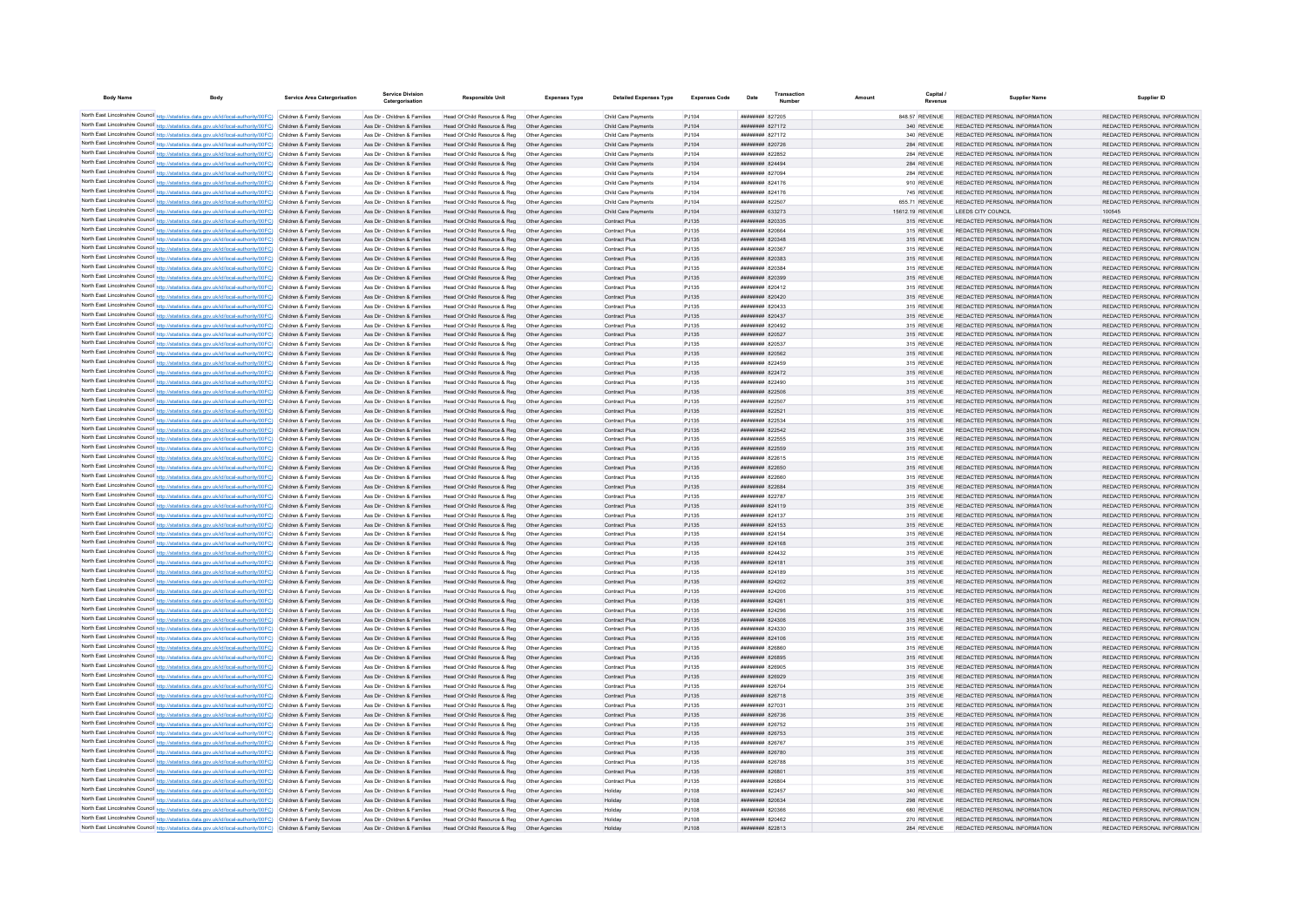| <b>Body Name</b> | <b>Body</b>                                                                                                                                                                                                                            | Service Area Catergorisation | <b>Service Division</b><br>Catergorisation                     | <b>Responsible Unit</b>                                       | <b>Expenses Type</b>             | <b>Detailed Expenses Type</b>              | <b>Expenses Code</b> | Date                                             | Transaction | Amount | Capital                    | <b>Supplier Name</b>                                           | Supplier ID                                                    |
|------------------|----------------------------------------------------------------------------------------------------------------------------------------------------------------------------------------------------------------------------------------|------------------------------|----------------------------------------------------------------|---------------------------------------------------------------|----------------------------------|--------------------------------------------|----------------------|--------------------------------------------------|-------------|--------|----------------------------|----------------------------------------------------------------|----------------------------------------------------------------|
|                  | North East Lincolnshire Council http://statistics.data.gov.uk/id/local-authority/00FC) Children & Family Services                                                                                                                      |                              | Ass Dir - Children & Families                                  | Head Of Child Resource & Reg                                  | Other Anencies                   | Child Care Payments                        | P.1104               | ######## 827205                                  |             |        | 848 57 REVENUE             | REDACTED PERSONAL INFORMATION                                  | REDACTED PERSONAL INFORMATION                                  |
|                  | North East Lincolnshire Council http://statistics.data.gov.uk/id/local-authority/00FC) Children & Family Services                                                                                                                      |                              | Ass Dir - Children & Families                                  | Head Of Child Resource & Reg                                  | Other Agencies                   | Child Care Payments                        | PJ104                | ####### 827172                                   |             |        | 340 REVENUE                | REDACTED PERSONAL INFORMATION                                  | REDACTED PERSONAL INFORMATION                                  |
|                  | North East Lincolnshire Council http://statistics.data.gov.uk/id/local-authority/00FC) Children & Family Services                                                                                                                      |                              | Ass Dir - Children & Families                                  | Head Of Child Resource & Reg                                  | Other Agencies                   | Child Care Payments                        | PJ104                | ####### 827172                                   |             |        | 340 REVENUE                | REDACTED PERSONAL INFORMATION                                  | REDACTED PERSONAL INFORMATION                                  |
|                  | North East Lincolnshire Council http://statistics.data.gov.uk/id/local-authority/00FC) Children & Family Services                                                                                                                      |                              | Ass Dir - Children & Families                                  | Head Of Child Resource & Reg                                  | Other Agencies                   | Child Care Payments                        | PJ104                | <b>НЕННИНИЯ</b> 820726                           |             |        | 284 REVENUE                | REDACTED PERSONAL INFORMATION                                  | REDACTED PERSONAL INFORMATION                                  |
|                  | North East Lincolnshire Council http://statistics.data.gov.uk/id/local-authority/00FC) Children & Family Services                                                                                                                      |                              | Ass Dir - Children & Families                                  | Head Of Child Resource & Reg.                                 | Other Agencies                   | Child Care Payments                        | P.1104               | <b>ПЕННИНИЯ</b> 822852<br><b>ппининин</b> 824494 |             |        | 284 REVENUE                | REDACTED PERSONAL INFORMATION                                  | REDACTED PERSONAL INFORMATION<br>REDACTED PERSONAL INFORMATION |
|                  | North East Lincolnshire Council http://statistics.data.gov.uk/id/local-authority/00FC) Children & Family Services<br>North East Lincolnshire Council http://statistics.data.gov.uk/id/local-authority/00FC) Children & Family Services |                              | Ass Dir - Children & Families<br>Ass Dir - Children & Families | Head Of Child Resource & Reg<br>Head Of Child Resource & Reg  | Other Agencies<br>Other Agencies | Child Care Payments<br>Child Care Payments | PJ104<br>PJ104       | <b>ппининин</b> 827094                           |             |        | 284 REVENUE<br>284 REVENUE | REDACTED PERSONAL INFORMATION<br>REDACTED PERSONAL INFORMATION | REDACTED PERSONAL INFORMATION                                  |
|                  | North East Lincolnshire Council http://statistics.data.gov.uk/id/local-authority/00FC) Children & Family Services                                                                                                                      |                              | Ass Dir - Children & Families                                  | Head Of Child Resource & Reg                                  | Other Agencies                   | Child Care Payments                        | PJ104                | ######## 824176                                  |             |        | 910 REVENUE                | REDACTED PERSONAL INFORMATION                                  | REDACTED PERSONAL INFORMATION                                  |
|                  | North East Lincolnshire Council http://statistics.data.gov.uk/id/local-authority/00FC) Children & Family Services                                                                                                                      |                              | Ass Dir - Children & Families                                  | Head Of Child Resource & Reg                                  | Other Agencies                   | Child Care Payments                        | PJ104                | ######## 824176                                  |             |        | 745 REVENUE                | REDACTED PERSONAL INFORMATION                                  | REDACTED PERSONAL INFORMATION                                  |
|                  | North East Lincolnshire Council http://statistics.data.gov.uk/id/local-authority/00FC) Children & Family Services                                                                                                                      |                              | Ass Dir - Children & Families                                  | Head Of Child Resource & Reg                                  | Other Agencies                   | Child Care Payments                        | PJ104                | ######## 822507                                  |             |        | 655.71 REVENUE             | REDACTED PERSONAL INFORMATION                                  | REDACTED PERSONAL INFORMATION                                  |
|                  | North East Lincolnshire Council http://statistics.data.gov.uk/id/local-authority/00FC) Children & Family Services                                                                                                                      |                              | Ass Dir - Children & Families                                  | Head Of Child Resource & Reg                                  | Other Agencies                   | Child Care Payments                        | PJ104                | <b>ппининия</b> 633273                           |             |        | 15612.19 REVENUE           | LEEDS CITY COUNCIL                                             | 100545                                                         |
|                  | North East Lincolnshire Council http://statistics.data.gov.uk/id/local-authority/00FC) Children & Family Services                                                                                                                      |                              | Ass Dir - Children & Families                                  | Head Of Child Resource & Reg                                  | Other Agencies                   | Contract Plus                              | PJ135                | ######## 820335                                  |             |        | 315 REVENUE                | REDACTED PERSONAL INFORMATION                                  | REDACTED PERSONAL INFORMATION                                  |
|                  | North East Lincolnshire Council http://statistics.data.gov.uk/id/local-authority/00FC) Children & Family Services<br>North East Lincolnshire Council http://statistics.data.gov.uk/id/local-authority/00FC) Children & Family Services |                              | Ass Dir - Children & Families<br>Ass Dir - Children & Families | Head Of Child Resource & Reg<br>Head Of Child Resource & Reg  | Other Agencies<br>Other Agencies | Contract Plus<br>Contract Plus             | PJ135<br>PJ135       | ######## 820664<br>######## 820348               |             |        | 315 REVENUE<br>315 REVENUE | REDACTED PERSONAL INFORMATION<br>REDACTED PERSONAL INFORMATION | REDACTED PERSONAL INFORMATION<br>REDACTED PERSONAL INFORMATION |
|                  | North East Lincolnshire Council http://statistics.data.gov.uk/id/local-authority/00FC)                                                                                                                                                 | Children & Family Services   | Ass Dir - Children & Families                                  | Head Of Child Resource & Reg                                  | Other Agencies                   | Contract Plus                              | PJ135                | <b>плиннин 820367</b>                            |             |        | 315 REVENUE                | REDACTED PERSONAL INFORMATION                                  | REDACTED PERSONAL INFORMATION                                  |
|                  | North East Lincolnshire Council http://statistics.data.gov.uk/id/local-authority/00FC)                                                                                                                                                 | Children & Family Services   | Ass Dir - Children & Families                                  | Head Of Child Resource & Reg                                  | Other Agencies                   | Contract Plus                              | PJ135                | ######## 820383                                  |             |        | 315 REVENUE                | REDACTED PERSONAL INFORMATION                                  | REDACTED PERSONAL INFORMATION                                  |
|                  | North East Lincolnshire Council http://statistics.data.gov.uk/id/local-authority/00FC) Children & Family Services                                                                                                                      |                              | Ass Dir - Children & Families                                  | Head Of Child Resource & Reg.                                 | Other Agencies                   | Contract Plus                              | PJ135                | ниннини вопзве                                   |             |        | 315 REVENUE                | REDACTED PERSONAL INFORMATION                                  | REDACTED PERSONAL INFORMATION                                  |
|                  | North East Lincolnshire Council http://statistics.data.gov.uk/id/local-authority/00FC) Children & Family Services                                                                                                                      |                              | Ass Dir - Children & Families                                  | Head Of Child Resource & Reg                                  | Other Agencies                   | Contract Plus                              | PJ135                | ######## 820399                                  |             |        | 315 REVENUE                | REDACTED PERSONAL INFORMATION                                  | REDACTED PERSONAL INFORMATION                                  |
|                  | North East Lincolnshire Council http://statistics.data.gov.uk/id/local-authority/00FC) Children & Family Services                                                                                                                      |                              | Ass Dir - Children & Families                                  | Head Of Child Resource & Reg                                  | Other Agencies                   | Contract Plus                              | PJ135                | ######## 820412                                  |             |        | 315 REVENUE                | REDACTED PERSONAL INFORMATION                                  | REDACTED PERSONAL INFORMATION                                  |
|                  | North East Lincolnshire Council http://statistics.data.gov.uk/id/local-authority/00FC) Children & Family Services                                                                                                                      |                              | Ass Dir - Children & Families                                  | Head Of Child Resource & Reg                                  | Other Agencies                   | Contract Plus                              | PJ135                | ######## 820420                                  |             |        | 315 REVENUE                | REDACTED PERSONAL INFORMATION                                  | REDACTED PERSONAL INFORMATION                                  |
|                  | North East Lincolnshire Council http://statistics.data.gov.uk/id/local-authority/00FC) Children & Family Services                                                                                                                      |                              | Ass Dir - Children & Families                                  | Head Of Child Resource & Reg                                  | Other Agencies                   | Contract Plus                              | PJ135                | ######## 820433                                  |             |        | 315 REVENUE                | REDACTED PERSONAL INFORMATION                                  | REDACTED PERSONAL INFORMATION                                  |
|                  | North East Lincolnshire Council http://statistics.data.gov.uk/id/local-authority/00FC) Children & Family Services<br>North East Lincolnshire Council http://statistics.data.gov.uk/id/local-authority/00FC) Children & Family Services |                              | Ass Dir - Children & Families<br>Ass Dir - Children & Families | Head Of Child Resource & Reg<br>Head Of Child Resource & Reg  | Other Agencies<br>Other Agencies | Contract Plus<br>Contract Plus             | PJ135<br>PJ135       | ######## 820437<br><b>НЕННИНИЯ</b> 820492        |             |        | 315 REVENUE<br>315 REVENUE | REDACTED PERSONAL INFORMATION<br>REDACTED PERSONAL INFORMATION | REDACTED PERSONAL INFORMATION<br>REDACTED PERSONAL INFORMATION |
|                  | North East Lincolnshire Council http://statistics.data.gov.uk/id/local-authority/00FC) Children & Family Services                                                                                                                      |                              | Ass Dir - Children & Families                                  | Head Of Child Resource & Reg                                  | Other Agencies                   | Contract Plus                              | PJ135                | ######## 820527                                  |             |        | 315 REVENUE                | REDACTED PERSONAL INFORMATION                                  | REDACTED PERSONAL INFORMATION                                  |
|                  | North East Lincolnshire Council http://statistics.data.gov.uk/id/local-authority/00FC) Children & Family Services                                                                                                                      |                              | Ass Dir - Children & Families                                  | Head Of Child Resource & Reg                                  | Other Agencies                   | Contract Plus                              | PJ135                | ######## 820537                                  |             |        | 315 REVENUE                | REDACTED PERSONAL INFORMATION                                  | REDACTED PERSONAL INFORMATION                                  |
|                  | North East Lincolnshire Council http://statistics.data.gov.uk/id/local-authority/00FC) Children & Family Services                                                                                                                      |                              | Ass Dir - Children & Families                                  | Head Of Child Resource & Reg                                  | Other Agencies                   | Contract Plus                              | PJ135                | ######## 820562                                  |             |        | 315 REVENUE                | REDACTED PERSONAL INFORMATION                                  | REDACTED PERSONAL INFORMATION                                  |
|                  | North East Lincolnshire Council http://statistics.data.gov.uk/id/local-authority/00FC) Children & Family Services                                                                                                                      |                              | Ass Dir - Children & Families                                  | Head Of Child Resource & Reg                                  | Other Agencies                   | Contract Plus                              | PJ135                | ####### 822459                                   |             |        | 315 REVENUE                | REDACTED PERSONAL INFORMATION                                  | REDACTED PERSONAL INFORMATION                                  |
|                  | North East Lincolnshire Council http://statistics.data.gov.uk/id/local-authority/00FC).                                                                                                                                                | Children & Family Services   | Ass Dir - Children & Families                                  | Head Of Child Resource & Reg                                  | Other Agencies                   | Contract Plus                              | PJ135                | ######## 822472                                  |             |        | 315 REVENUE                | REDACTED PERSONAL INFORMATION                                  | REDACTED PERSONAL INFORMATION                                  |
|                  | North East Lincolnshire Council http://statistics.data.gov.uk/id/local-authority/00FC) Children & Family Services<br>North East Lincolnshire Council http://statistics.data.gov.uk/id/local-authority/00FC) Children & Family Services |                              | Ass Dir - Children & Families<br>Ass Dir - Children & Families | Head Of Child Resource & Reg<br>Head Of Child Resource & Reg. | Other Agencies<br>Other Agencies | Contract Plus<br>Contract Plus             | PJ135<br>P.1135      | <b>HRHHHHHH</b> 822490<br><b>НЕННИНИЯ</b> 822506 |             |        | 315 REVENUE<br>315 REVENUE | REDACTED PERSONAL INFORMATION<br>REDACTED PERSONAL INFORMATION | REDACTED PERSONAL INFORMATION<br>REDACTED PERSONAL INFORMATION |
|                  | North East Lincolnshire Council http://statistics.data.gov.uk/id/local-authority/00FC) Children & Family Services                                                                                                                      |                              | Ass Dir - Children & Families                                  | Head Of Child Resource & Reg.                                 | Other Agencies                   | Contract Plus                              | PJ135                | <b>НЕННИНИЯ</b> 822507                           |             |        | 315 REVENUE                | REDACTED PERSONAL INFORMATION                                  | REDACTED PERSONAL INFORMATION                                  |
|                  | North East Lincolnshire Council http://statistics.data.gov.uk/id/local-authority/00FC) Children & Family Services                                                                                                                      |                              | Ass Dir - Children & Families                                  | Head Of Child Resource & Reg                                  | Other Agencies                   | Contract Plus                              | PJ135                | <b>НЕННИНИ 822521</b>                            |             |        | 315 REVENUE                | REDACTED PERSONAL INFORMATION                                  | REDACTED PERSONAL INFORMATION                                  |
|                  | North East Lincolnshire Council http://statistics.data.gov.uk/id/local-authority/00FC) Children & Family Services                                                                                                                      |                              | Ass Dir - Children & Families                                  | Head Of Child Resource & Reg                                  | Other Agencies                   | Contract Plus                              | PJ135                | ######## 822534                                  |             |        | 315 REVENUE                | REDACTED PERSONAL INFORMATION                                  | REDACTED PERSONAL INFORMATION                                  |
|                  | North East Lincolnshire Council http://statistics.data.gov.uk/id/local-authority/00FC) Children & Family Services                                                                                                                      |                              | Ass Dir - Children & Families                                  | Head Of Child Resource & Reg                                  | Other Agencies                   | Contract Plus                              | PJ135                | ######## 822542                                  |             |        | 315 REVENUE                | REDACTED PERSONAL INFORMATION                                  | REDACTED PERSONAL INFORMATION                                  |
|                  | North East Lincolnshire Council http://statistics.data.gov.uk/id/local-authority/00FC) Children & Family Services                                                                                                                      |                              | Ass Dir - Children & Families                                  | Head Of Child Resource & Reg                                  | Other Agencies                   | <b>Contract Plus</b>                       | PJ135                | ######## 822555                                  |             |        | 315 REVENUE                | REDACTED PERSONAL INFORMATION                                  | REDACTED PERSONAL INFORMATION                                  |
|                  | North East Lincolnshire Council http://statistics.data.gov.uk/id/local-authority/00FC) Children & Family Services                                                                                                                      |                              | Ass Dir - Children & Families                                  | Head Of Child Resource & Reg                                  | Other Agencies                   | Contract Plus                              | P.1135               | ######## 822559                                  |             |        | 315 REVENUE                | REDACTED PERSONAL INFORMATION                                  | REDACTED PERSONAL INFORMATION                                  |
|                  | North East Lincolnshire Council http://statistics.data.gov.uk/id/local-authority/00FC) Children & Family Services<br>North East Lincolnshire Council http://statistics.data.gov.uk/id/local-authority/00FC) Children & Family Services |                              | Ass Dir - Children & Families<br>Ass Dir - Children & Families | Head Of Child Resource & Reg.<br>Head Of Child Resource & Reg | Other Agencies<br>Other Agencies | Contract Plus<br>Contract Plus             | PJ135<br>PJ135       | <b>BREEZER 822615</b><br>######## 822650         |             |        | 315 REVENUE<br>315 REVENUE | REDACTED PERSONAL INFORMATION<br>REDACTED PERSONAL INFORMATION | REDACTED PERSONAL INFORMATION<br>REDACTED PERSONAL INFORMATION |
|                  | North East Lincolnshire Council http://statistics.data.gov.uk/id/local-authority/00FC) Children & Family Services                                                                                                                      |                              | Ass Dir - Children & Families                                  | Head Of Child Resource & Reg                                  |                                  | Contract Plus                              | PJ135                | ######## 822660                                  |             |        | 315 REVENUE                | REDACTED PERSONAL INFORMATION                                  | REDACTED PERSONAL INFORMATION                                  |
|                  | North East Lincolnshire Council http://statistics.data.gov.uk/id/local-authority/00FC).                                                                                                                                                | Children & Family Services   | Ass Dir - Children & Families                                  | Head Of Child Resource & Reg                                  |                                  | Contract Plus                              | PJ135                | ######## 822684                                  |             |        | 315 REVENUE                | REDACTED PERSONAL INFORMATION                                  | REDACTED PERSONAL INFORMATION                                  |
|                  | North East Lincolnshire Council http://statistics.data.gov.uk/id/local-authority/00FC) Children & Family Services                                                                                                                      |                              | Ass Dir - Children & Families                                  | Head Of Child Resource & Reg                                  | Other Agencies                   | <b>Contract Plus</b>                       | PJ135                | ######## 822787                                  |             |        | 315 REVENUE                | REDACTED PERSONAL INFORMATION                                  | REDACTED PERSONAL INFORMATION                                  |
|                  | North East Lincolnshire Council http://statistics.data.gov.uk/id/local-authority/00FC) Children & Family Services                                                                                                                      |                              | Ass Dir - Children & Families                                  | Head Of Child Resource & Reg                                  | Other Agencies                   | Contract Plus                              | PJ135                | ######## 824119                                  |             |        | 315 REVENUE                | REDACTED PERSONAL INFORMATION                                  | REDACTED PERSONAL INFORMATION                                  |
|                  | North East Lincolnshire Council http://statistics.data.gov.uk/id/local-authority/00FC) Children & Family Services                                                                                                                      |                              | Ass Dir - Children & Families                                  | Head Of Child Resource & Reg.                                 | Other Agencies                   | Contract Plus                              | PJ135                | <b>ппинини 824137</b>                            |             |        | 315 REVENUE                | REDACTED PERSONAL INFORMATION                                  | REDACTED PERSONAL INFORMATION                                  |
|                  | North East Lincolnshire Council http://statistics.data.gov.uk/id/local-authority/00FC) Children & Family Services                                                                                                                      |                              | Ass Dir - Children & Families                                  | Head Of Child Resource & Reg                                  | Other Agencies                   | Contract Plus                              | PJ135                | ######## 824153                                  |             |        | 315 REVENUE                | REDACTED PERSONAL INFORMATION                                  | REDACTED PERSONAL INFORMATION                                  |
|                  | North East Lincolnshire Council http://statistics.data.gov.uk/id/local-authority/00FC) Children & Family Services<br>North East Lincolnshire Council http://statistics.data.gov.uk/id/local-authority/00FC) Children & Family Services |                              | Ass Dir - Children & Families<br>Ass Dir - Children & Families | Head Of Child Resource & Reg<br>Head Of Child Resource & Reg  | Other Agencies<br>Other Agencies | Contract Plus<br>Contract Plus             | PJ135<br>PJ135       | ######## 824154<br>######## 824168               |             |        | 315 REVENUE<br>315 REVENUE | REDACTED PERSONAL INFORMATION<br>REDACTED PERSONAL INFORMATION | REDACTED PERSONAL INFORMATION<br>REDACTED PERSONAL INFORMATION |
|                  | North East Lincolnshire Council http://statistics.data.gov.uk/id/local-authority/00FC) Children & Family Services                                                                                                                      |                              | Ass Dir - Children & Families                                  | Head Of Child Resource & Reg                                  | Other Agencies                   | Contract Plus                              | PJ135                | ######## 824432                                  |             |        | 315 REVENUE                | REDACTED PERSONAL INFORMATION                                  | REDACTED PERSONAL INFORMATION                                  |
|                  | North East Lincolnshire Council http://statistics.data.gov.uk/id/local-authority/00FC) Children & Family Services                                                                                                                      |                              | Ass Dir - Children & Families                                  | Head Of Child Resource & Reg                                  | Other Agencies                   | Contract Plus                              | PJ135                | <b>ПЕНИНИНИ</b> 824181                           |             |        | 315 REVENUE                | REDACTED PERSONAL INFORMATION                                  | REDACTED PERSONAL INFORMATION                                  |
|                  | North East Lincolnshire Council http://statistics.data.gov.uk/id/local-authority/00FC) Children & Family Services                                                                                                                      |                              | Ass Dir - Children & Families                                  | Head Of Child Resource & Reg                                  | Other Agencies                   | Contract Plus                              | PJ135                | ######## 824189                                  |             |        | 315 REVENUE                | REDACTED PERSONAL INFORMATION                                  | REDACTED PERSONAL INFORMATION                                  |
|                  | North East Lincolnshire Council http://statistics.data.gov.uk/id/local-authority/00FC) Children & Family Services                                                                                                                      |                              | Ass Dir - Children & Families                                  | Head Of Child Resource & Reg                                  | Other Agencies                   | Contract Plus                              | PJ135                | ######## 824202                                  |             |        | 315 REVENUE                | REDACTED PERSONAL INFORMATION                                  | REDACTED PERSONAL INFORMATION                                  |
|                  | North East Lincolnshire Council http://statistics.data.gov.uk/id/local-authority/00FC) Children & Family Services                                                                                                                      |                              | Ass Dir - Children & Families                                  | Head Of Child Resource & Reg                                  | Other Agencies                   | Contract Plus                              | PJ135                | ######## 824206                                  |             |        | 315 REVENUE                | REDACTED PERSONAL INFORMATION                                  | REDACTED PERSONAL INFORMATION                                  |
|                  | North East Lincolnshire Council http://statistics.data.gov.uk/id/local-authority/00FC) Children & Family Services                                                                                                                      |                              | Ass Dir - Children & Families                                  | Head Of Child Resource & Reg                                  | Other Agencies                   | Contract Plus                              | PJ135                | ######## 824261                                  |             |        | 315 REVENUE                | REDACTED PERSONAL INFORMATION                                  | REDACTED PERSONAL INFORMATION                                  |
|                  | North East Lincolnshire Council http://statistics.data.gov.uk/id/local-authority/00FC) Children & Family Services<br>North East Lincolnshire Council http://statistics.data.gov.uk/id/local-authority/00FC) Children & Family Services |                              | Ass Dir - Children & Families<br>Ass Dir - Children & Families | Head Of Child Resource & Reg<br>Head Of Child Resource & Reg  | Other Agencies<br>Other Agencies | Contract Plus<br>Contract Plus             | PJ135<br>PJ135       | ######## 824296<br><b>НЕННИНИЯ</b> 824306        |             |        | 315 REVENUE<br>315 REVENUE | REDACTED PERSONAL INFORMATION<br>REDACTED PERSONAL INFORMATION | REDACTED PERSONAL INFORMATION<br>REDACTED PERSONAL INFORMATION |
|                  | North East Lincolnshire Council http://statistics.data.gov.uk/id/local-authority/00FC) Children & Family Services                                                                                                                      |                              | Ass Dir - Children & Families                                  | Head Of Child Resource & Reg                                  | Other Agencies                   | Contract Plus                              | PJ135                | ######## 824330                                  |             |        | 315 REVENUE                | REDACTED PERSONAL INFORMATION                                  | REDACTED PERSONAL INFORMATION                                  |
|                  | North East Lincolnshire Council http://statistics.data.gov.uk/id/local-authority/00FC) Children & Family Services                                                                                                                      |                              | Ass Dir - Children & Families                                  | Head Of Child Resource & Reg                                  | Other Agencies                   | Contract Plus                              | PJ135                | ######## 824106                                  |             |        | 315 REVENUE                | REDACTED PERSONAL INFORMATION                                  | REDACTED PERSONAL INFORMATION                                  |
|                  | North East Lincolnshire Council http://statistics.data.gov.uk/id/local-authority/00FC) Children & Family Services                                                                                                                      |                              | Ass Dir - Children & Families                                  | Head Of Child Resource & Reg                                  | Other Agencies                   | Contract Plus                              | PJ135                | ######## 826860                                  |             |        | 315 REVENUE                | REDACTED PERSONAL INFORMATION                                  | REDACTED PERSONAL INFORMATION                                  |
|                  | North East Lincolnshire Council http://statistics.data.gov.uk/id/local-authority/00FC) Children & Family Services                                                                                                                      |                              | Ass Dir - Children & Families                                  | Head Of Child Resource & Reg                                  | Other Agencies                   | Contract Plus                              | PJ135                | ######## 826895                                  |             |        | 315 REVENUE                | REDACTED PERSONAL INFORMATION                                  | REDACTED PERSONAL INFORMATION                                  |
|                  | North East Lincolnshire Council http://statistics.data.gov.uk/id/local-authority/00FC) Children & Family Services                                                                                                                      |                              | Ass Dir - Children & Families                                  | Head Of Child Resource & Reg                                  | Other Agencies                   | Contract Plus                              | PJ135                | ####### 826905                                   |             |        | 315 REVENUE                | REDACTED PERSONAL INFORMATION                                  | REDACTED PERSONAL INFORMATION                                  |
|                  | North East Lincolnshire Council http://statistics.data.gov.uk/id/local-authority/00FC) Children & Family Services                                                                                                                      |                              | Ass Dir - Children & Families                                  | Head Of Child Resource & Reg                                  | Other Agencies                   | Contract Plus                              | PJ135                | ######## 826929                                  |             |        | 315 REVENUE                | REDACTED PERSONAL INFORMATION<br>REDACTED PERSONAL INFORMATION | REDACTED PERSONAL INFORMATION<br>REDACTED PERSONAL INFORMATION |
|                  | North East Lincolnshire Council http://statistics.data.gov.uk/id/local-authority/00FC) Children & Family Services<br>North East Lincolnshire Council http://statistics.data.gov.uk/id/local-authority/00FC) Children & Family Services |                              | Ass Dir - Children & Families<br>Ass Dir - Children & Families | Head Of Child Resource & Reg<br>Head Of Child Resource & Reg  | Other Agencies<br>Other Agencies | Contract Plus<br>Contract Plus             | PJ135<br>PJ135       | ######## 826704<br>######## 826718               |             |        | 315 REVENUE<br>315 REVENUE | REDACTED PERSONAL INFORMATION                                  | REDACTED PERSONAL INFORMATION                                  |
|                  | North East Lincolnshire Council http://statistics.data.gov.uk/id/local-authority/00FC) Children & Family Services                                                                                                                      |                              | Ass Dir - Children & Families                                  | Head Of Child Resource & Reg                                  | Other Agencies                   | Contract Plus                              | PJ135                | ######## 827031                                  |             |        | 315 REVENUE                | REDACTED PERSONAL INFORMATION                                  | REDACTED PERSONAL INFORMATION                                  |
|                  | North East Lincolnshire Council http://statistics.data.gov.uk/id/local-authority/00FC)                                                                                                                                                 | Children & Family Services   | Ass Dir - Children & Families                                  | Head Of Child Resource & Reg                                  | Other Agencies                   | Contract Plus                              | PJ135                | ######## 826736                                  |             |        | 315 REVENUE                | REDACTED PERSONAL INFORMATION                                  | REDACTED PERSONAL INFORMATION                                  |
|                  | North East Lincolnshire Council http://statistics.data.gov.uk/id/local-authority/00FC).                                                                                                                                                | Children & Family Services   | Ass Dir - Children & Families                                  | Head Of Child Resource & Reg                                  | Other Agencie                    | Contract Plus                              | PJ135                | ######## 826752                                  |             |        | 315 REVENUE                | REDACTED PERSONAL INFORMATION                                  | REDACTED PERSONAL INFORMATION                                  |
|                  | North East Lincolnshire Council http://statistics.data.gov.uk/id/local-authority/00FC) Children & Family Services                                                                                                                      |                              | Ass Dir - Children & Families                                  | Head Of Child Resource & Reg                                  | Other Agencies                   | Contract Plus                              | PJ135                | <b>ппининин</b> 826753                           |             |        | 315 REVENUE                | REDACTED PERSONAL INFORMATION                                  | REDACTED PERSONAL INFORMATION                                  |
|                  | North East Lincolnshire Council http://statistics.data.gov.uk/id/local-authority/00FC) Children & Family Services                                                                                                                      |                              | Ass Dir - Children & Families                                  | Head Of Child Resource & Reg.                                 | Other Agencies                   | Contract Plus                              | P.1135               | <b>######## 826767</b>                           |             |        | 315 REVENUE                | REDACTED PERSONAL INFORMATION                                  | REDACTED PERSONAL INFORMATION                                  |
|                  | North East Lincolnshire Council http://statistics.data.gov.uk/id/local-authority/00FC) Children & Family Services                                                                                                                      |                              | Ass Dir - Children & Families                                  | Head Of Child Resource & Reg.                                 | Other Agencies                   | Contract Plus                              | P.1135               | ######## 826780                                  |             |        | 315 REVENUE                | REDACTED PERSONAL INFORMATION                                  | REDACTED PERSONAL INFORMATION                                  |
|                  | North East Lincolnshire Council http://statistics.data.gov.uk/id/local-authority/00FC) Children & Family Services<br>North East Lincolnshire Council http://statistics.data.gov.uk/id/local-authority/00FC) Children & Family Services |                              | Ass Dir - Children & Families<br>Ass Dir - Children & Families | Head Of Child Resource & Reg<br>Head Of Child Resource & Reg  | Other Anencies<br>Other Agencies | Contract Plus<br>Contract Plus             | PJ135<br>PJ135       | <b>плинини 826788</b><br>######## 826801         |             |        | 315 REVENUE<br>315 REVENUE | REDACTED PERSONAL INFORMATION<br>REDACTED PERSONAL INFORMATION | REDACTED PERSONAL INFORMATION<br>REDACTED PERSONAL INFORMATION |
|                  | North East Lincolnshire Council http://statistics.data.gov.uk/id/local-authority/00FC) Children & Family Services                                                                                                                      |                              | Ass Dir - Children & Families                                  | Head Of Child Resource & Reg                                  | Other Agencies                   | Contract Plus                              | PJ135                | ######## 826804                                  |             |        | 315 REVENUE                | REDACTED PERSONAL INFORMATION                                  | REDACTED PERSONAL INFORMATION                                  |
|                  | North East Lincolnshire Council http://statistics.data.gov.uk/id/local-authority/00FC) Children & Family Services                                                                                                                      |                              | Ass Dir - Children & Families                                  | Head Of Child Resource & Reg                                  | Other Agencies                   | Holiday                                    | PJ108                | <b>ппинини 822457</b>                            |             |        | 340 REVENUE                | REDACTED PERSONAL INFORMATION                                  | REDACTED PERSONAL INFORMATION                                  |
|                  | North East Lincolnshire Council http://statistics.data.gov.uk/id/local-authority/00FC) Children & Family Services                                                                                                                      |                              | Ass Dir - Children & Families                                  | Head Of Child Resource & Reg                                  | Other Agencies                   | Holiday                                    | PJ108                | <i>ппининин</i> 820634                           |             |        | 298 REVENUE                | REDACTED PERSONAL INFORMATION                                  | REDACTED PERSONAL INFORMATION                                  |
|                  | North East Lincolnshire Council http://statistics.data.gov.uk/id/local-authority/00FC) Children & Family Services                                                                                                                      |                              | Ass Dir - Children & Families                                  | Head Of Child Resource & Reg.                                 | Other Agencies                   | Holiday                                    | P.1108               | <b>ппинини 820366</b>                            |             |        | 680 REVENUE                | REDACTED PERSONAL INFORMATION                                  | REDACTED PERSONAL INFORMATION                                  |
|                  | North East Lincolnshire Council http://statistics.data.gov.uk/id/local-authority/00FC) Children & Family Services                                                                                                                      |                              | Ass Dir - Children & Families                                  | Head Of Child Resource & Reg                                  | Other Agencies                   | Holiday                                    | PJ108                | нининин волас                                    |             |        | 270 REVENUE                | REDACTED PERSONAL INFORMATION                                  | REDACTED PERSONAL INFORMATION                                  |
|                  | North East Lincolnshire Council http://statistics.data.gov.uk/id/local-authority/00FC) Children & Family Services                                                                                                                      |                              | Ass Dir - Children & Families                                  | Head Of Child Resource & Reg                                  | Other Agencies                   |                                            | PJ108                | <b>ппининин</b> 822813                           |             |        | 284 REVENUE                | REDACTED PERSONAL INFORMATION                                  | REDACTED PERSONAL INFORMATION                                  |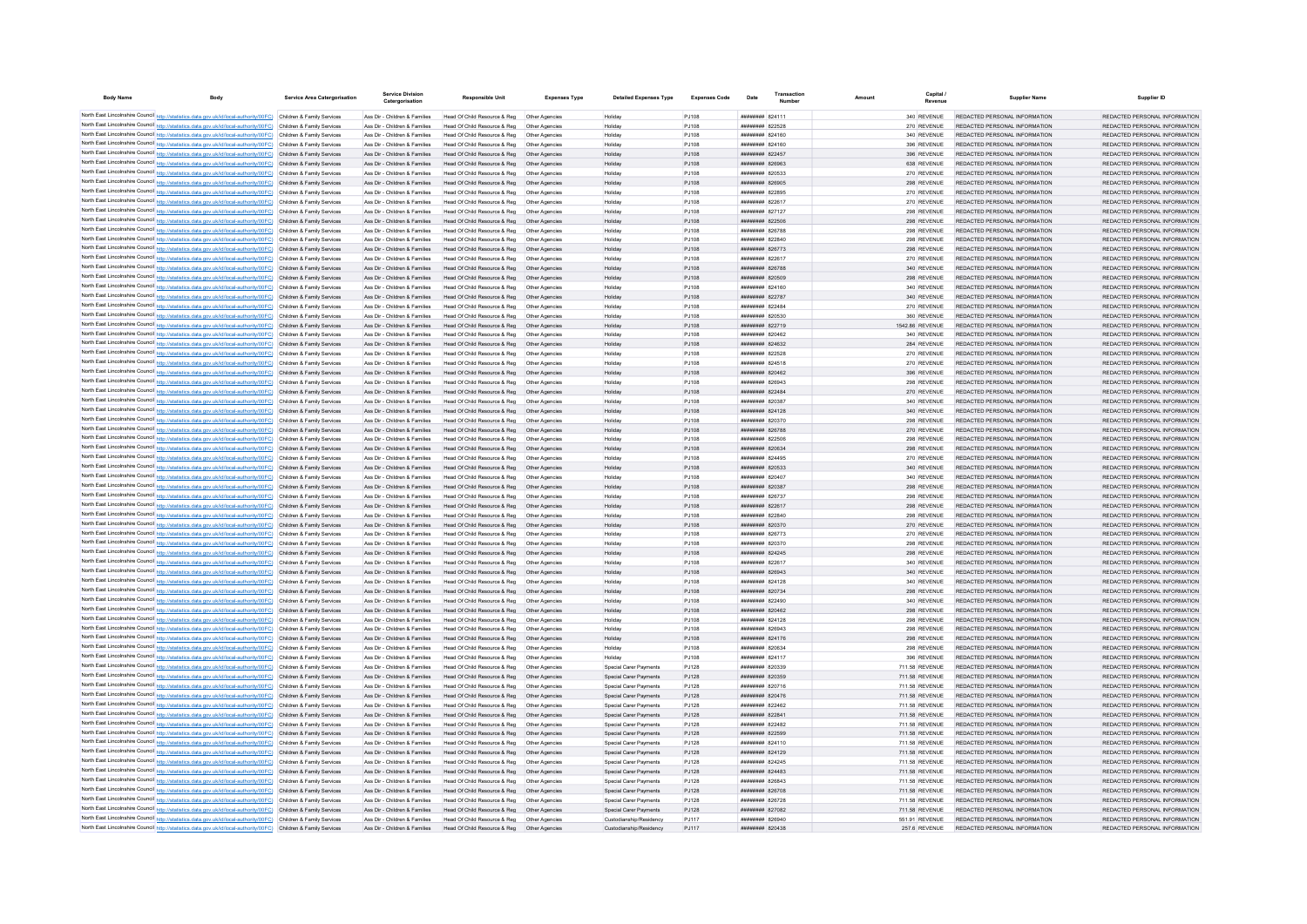| <b>Body Name</b>                                                                       | <b>Body</b>                                                                                                                                                                                                                            | <b>Service Area Catergorisation</b>                      | <b>Service Division</b><br>Catergorisation                     | <b>Responsible Unit</b>                                      | <b>Expenses Type</b>             | <b>Detailed Expenses Type</b>                    | <b>Expenses Code</b>  | Date                               | Transaction | Amount                           | Capital                    | <b>Supplier Name</b>                                           | Supplier ID                                                    |
|----------------------------------------------------------------------------------------|----------------------------------------------------------------------------------------------------------------------------------------------------------------------------------------------------------------------------------------|----------------------------------------------------------|----------------------------------------------------------------|--------------------------------------------------------------|----------------------------------|--------------------------------------------------|-----------------------|------------------------------------|-------------|----------------------------------|----------------------------|----------------------------------------------------------------|----------------------------------------------------------------|
|                                                                                        | North East Lincolnshire Council http://statistics.data.gov.uk/id/local-authority/00FC) Children & Family Services                                                                                                                      |                                                          | Ass Dir - Children & Families                                  | Head Of Child Resource & Reg  Other Agencies                 |                                  | Holiday                                          | P.1108                | <b>ппинини</b> 824111              |             |                                  | 340 REVENUE                | REDACTED PERSONAL INFORMATION                                  | REDACTED PERSONAL INFORMATION                                  |
|                                                                                        | North East Lincolnshire Council http://statistics.data.gov.uk/id/local-authority/00FC) Children & Family Services                                                                                                                      |                                                          | Ass Dir - Children & Families                                  | Head Of Child Resource & Reg                                 |                                  | Holiday                                          | PJ108                 | ######## 822528                    |             |                                  | 270 REVENUE                | REDACTED PERSONAL INFORMATION                                  | REDACTED PERSONAL INFORMATION                                  |
|                                                                                        | North East Lincolnshire Council http://statistics.data.gov.uk/id/local-authority/00FC) Children & Family Services                                                                                                                      |                                                          | Ass Dir - Children & Families                                  | Head Of Child Resource & Reg                                 |                                  | Holiday                                          | PJ108                 | ######## 824160                    |             |                                  | 340 REVENUE                | REDACTED PERSONAL INFORMATION                                  | REDACTED PERSONAL INFORMATION                                  |
|                                                                                        | North East Lincolnshire Council http://statistics.data.gov.uk/id/local-authority/00FC) Children & Family Services                                                                                                                      |                                                          | Ass Dir - Children & Families                                  | Head Of Child Resource & Reg                                 | Other Agencies                   | Holiday                                          | PJ108                 | <b>ппинини 824160</b>              |             |                                  | 396 REVENUE                | REDACTED PERSONAL INFORMATION                                  | REDACTED PERSONAL INFORMATION                                  |
|                                                                                        | North East Lincolnshire Council http://statistics.data.gov.uk/id/local-authority/00FC) Children & Family Services                                                                                                                      |                                                          | Ass Dir - Children & Families                                  | Head Of Child Resource & Reg.                                | Other Agencies                   | Holiday                                          | P.1108                | <b>ппининин</b> 822457             |             |                                  | 396 REVENUE                | REDACTED PERSONAL INFORMATION                                  | REDACTED PERSONAL INFORMATION                                  |
|                                                                                        | North East Lincolnshire Council http://statistics.data.gov.uk/id/local-authority/00FC) Children & Family Services                                                                                                                      |                                                          | Ass Dir - Children & Families                                  | Head Of Child Resource & Reg                                 | Other Agencies                   | Holiday                                          | PJ108                 | <b>HHHHHHH 826963</b>              |             |                                  | 638 REVENUE                | REDACTED PERSONAL INFORMATION                                  | REDACTED PERSONAL INFORMATION                                  |
|                                                                                        | North East Lincolnshire Council http://statistics.data.gov.uk/id/local-authority/00FC) Children & Family Services                                                                                                                      |                                                          | Ass Dir - Children & Families                                  | Head Of Child Resource & Reg                                 | Other Agencies                   | Holiday                                          | PJ108                 | <b>ппинини 820533</b>              |             |                                  | 270 REVENUE                | REDACTED PERSONAL INFORMATION                                  | REDACTED PERSONAL INFORMATION                                  |
|                                                                                        | North East Lincolnshire Council http://statistics.data.gov.uk/id/local-authority/00FC) Children & Family Services                                                                                                                      |                                                          | Ass Dir - Children & Families                                  | Head Of Child Resource & Reg  Other Agencies                 |                                  | Holiday                                          | PJ108                 | ######## 826905                    |             |                                  | 298 REVENUE                | REDACTED PERSONAL INFORMATION                                  | REDACTED PERSONAL INFORMATION                                  |
|                                                                                        | North East Lincolnshire Council http://statistics.data.gov.uk/id/local-authority/00FC) Children & Family Services<br>North East Lincolnshire Council http://statistics.data.gov.uk/id/local-authority/00FC) Children & Family Services |                                                          | Ass Dir - Children & Families<br>Ass Dir - Children & Families | Head Of Child Resource & Reg<br>Head Of Child Resource & Reg | Other Agencies<br>Other Agencies | Holiday<br>Holiday                               | PJ108<br>PJ108        | ######## 822895<br>######## 822617 |             |                                  | 270 REVENUE<br>270 REVENUE | REDACTED PERSONAL INFORMATION<br>REDACTED PERSONAL INFORMATION | REDACTED PERSONAL INFORMATION<br>REDACTED PERSONAL INFORMATION |
|                                                                                        | North East Lincolnshire Council http://statistics.data.gov.uk/id/local-authority/00FC) Children & Family Services                                                                                                                      |                                                          | Ass Dir - Children & Families                                  | Head Of Child Resource & Reg                                 | Other Anencies                   | Holiday                                          | P.1108                | <b><i>BREEBBBB</i></b> 827127      |             |                                  | 298 REVENUE                | REDACTED PERSONAL INFORMATION                                  | REDACTED PERSONAL INFORMATION                                  |
|                                                                                        | North East Lincolnshire Council http://statistics.data.gov.uk/id/local-authority/00FC) Children & Family Services                                                                                                                      |                                                          | Ass Dir - Children & Families                                  | Head Of Child Resource & Reg                                 | Other Agencies                   | Holiday                                          | PJ108                 | ######## 822506                    |             |                                  | 298 REVENUE                | REDACTED PERSONAL INFORMATION                                  | REDACTED PERSONAL INFORMATION                                  |
|                                                                                        | North East Lincolnshire Council http://statistics.data.gov.uk/id/local-authority/00FC) Children & Family Services                                                                                                                      |                                                          | Ass Dir - Children & Families                                  | Head Of Child Resource & Reg                                 | Other Anencies                   | Holiday                                          | PJ108                 | ######## 826788                    |             |                                  | 298 REVENUE                | REDACTED PERSONAL INFORMATION                                  | REDACTED PERSONAL INFORMATION                                  |
|                                                                                        | North East Lincolnshire Council http://statistics.data.gov.uk/id/local-authority/00FC) Children & Family Services                                                                                                                      |                                                          | Ass Dir - Children & Families                                  | Head Of Child Resource & Reg                                 | Other Agencies                   | Holiday                                          | PJ108                 | ######## 822840                    |             |                                  | 298 REVENUE                | REDACTED PERSONAL INFORMATION                                  | REDACTED PERSONAL INFORMATION                                  |
|                                                                                        | North East Lincolnshire Council http://statistics.data.gov.uk/id/local-authority/00FC)                                                                                                                                                 | Children & Family Services                               | Ass Dir - Children & Families                                  | Head Of Child Resource & Reg                                 | Other Agencies                   | Holiday                                          | PJ108                 | ######## 826773                    |             |                                  | 298 REVENUE                | REDACTED PERSONAL INFORMATION                                  | REDACTED PERSONAL INFORMATION                                  |
|                                                                                        | North East Lincolnshire Council http://statistics.data.gov.uk/id/local-authority/00FC)                                                                                                                                                 | Children & Family Services                               | Ass Dir - Children & Families                                  | Head Of Child Resource & Reg                                 | Other Agencie                    | Holida <sup>®</sup>                              | PJ108                 | ####### 822617                     |             |                                  | 270 REVENUE                | REDACTED PERSONAL INFORMATION                                  | REDACTED PERSONAL INFORMATION                                  |
|                                                                                        | North East Lincolnshire Council http://statistics.data.gov.uk/id/local-authority/00FC) Children & Family Services                                                                                                                      |                                                          | Ass Dir - Children & Families                                  | Head Of Child Resource & Reg.                                | Other Agencies                   | Holiday                                          | PJ108                 | <b><i>BREERERH R26788</i></b>      |             |                                  | 340 REVENUE                | REDACTED PERSONAL INFORMATION                                  | REDACTED PERSONAL INFORMATION                                  |
|                                                                                        | North East Lincolnshire Council http://statistics.data.gov.uk/id/local-authority/00FC) Children & Family Services<br>North East Lincolnshire Council http://statistics.data.gov.uk/id/local-authority/00FC) Children & Family Services |                                                          | Ass Dir - Children & Families                                  | Head Of Child Resource & Reg                                 | Other Agencies<br>Other Agencies | Holiday                                          | PJ108                 | ######## 820509<br>####### 824160  |             |                                  | 298 REVENUE                | REDACTED PERSONAL INFORMATION<br>REDACTED PERSONAL INFORMATION | REDACTED PERSONAL INFORMATION<br>REDACTED PERSONAL INFORMATION |
|                                                                                        | North East Lincolnshire Council http://statistics.data.gov.uk/id/local-authority/00FC) Children & Family Services                                                                                                                      |                                                          | Ass Dir - Children & Families<br>Ass Dir - Children & Families | Head Of Child Resource & Reg<br>Head Of Child Resource & Reg | Other Agencies                   | Holiday<br>Holiday                               | PJ108<br>PJ108        | ####### 822787                     |             |                                  | 340 REVENUE<br>340 REVENUE | REDACTED PERSONAL INFORMATION                                  | REDACTED PERSONAL INFORMATION                                  |
|                                                                                        | North East Lincolnshire Council http://statistics.data.gov.uk/id/local-authority/00FC) Children & Family Services                                                                                                                      |                                                          | Ass Dir - Children & Families                                  | Head Of Child Resource & Reg                                 | Other Agencie                    | Holiday                                          | PJ108                 | ######## 822484                    |             |                                  | 270 REVENUE                | REDACTED PERSONAL INFORMATION                                  | REDACTED PERSONAL INFORMATION                                  |
|                                                                                        | North East Lincolnshire Council http://statistics.data.gov.uk/id/local-authority/00FC) Children & Family Services                                                                                                                      |                                                          | Ass Dir - Children & Families                                  | Head Of Child Resource & Reg.                                | Other Agencie                    | Holiday                                          | PJ108                 | ######## 820530                    |             |                                  | 360 REVENUE                | REDACTED PERSONAL INFORMATION                                  | REDACTED PERSONAL INFORMATION                                  |
|                                                                                        | North East Lincolnshire Council http://statistics.data.gov.uk/id/local-authority/00FC) Children & Family Services                                                                                                                      |                                                          | Ass Dir - Children & Families                                  | Head Of Child Resource & Reg                                 | Other Agencies                   | Holiday                                          | PJ108                 | ######## 822719                    |             | 1542.86 REVENUE                  |                            | REDACTED PERSONAL INFORMATION                                  | REDACTED PERSONAL INFORMATION                                  |
|                                                                                        | North East Lincolnshire Council http://statistics.data.gov.uk/id/local-authority/00FC) Children & Family Services                                                                                                                      |                                                          | Ass Dir - Children & Families                                  | Head Of Child Resource & Reg                                 | Other Agencies                   | Holiday                                          | PJ108                 | ######## 820462                    |             |                                  | 340 REVENUE                | REDACTED PERSONAL INFORMATION                                  | REDACTED PERSONAL INFORMATION                                  |
|                                                                                        | North East Lincolnshire Council http://statistics.data.gov.uk/id/local-authority/00FC) Children & Family Services                                                                                                                      |                                                          | Ass Dir - Children & Families                                  | Head Of Child Resource & Reg                                 | Other Agencies                   | Holiday                                          | PJ108                 | ######## 824632                    |             |                                  | 284 REVENUE                | REDACTED PERSONAL INFORMATION                                  | REDACTED PERSONAL INFORMATION                                  |
|                                                                                        | North East Lincolnshire Council http://statistics.data.gov.uk/id/local-authority/00FC) Children & Family Services                                                                                                                      |                                                          | Ass Dir - Children & Families                                  | Head Of Child Resource & Reg                                 | Other Agencies                   | Holiday                                          | PJ108                 | ####### 822528                     |             |                                  | 270 REVENUE                | REDACTED PERSONAL INFORMATION                                  | REDACTED PERSONAL INFORMATION                                  |
|                                                                                        | North East Lincolnshire Council http://statistics.data.gov.uk/id/local-authority/00FC) Children & Family Services                                                                                                                      |                                                          | Ass Dir - Children & Families                                  | Head Of Child Resource & Reg                                 | Other Agencie                    | Holiday                                          | PJ108                 | ######## 824518                    |             |                                  | 270 REVENUE                | REDACTED PERSONAL INFORMATION                                  | REDACTED PERSONAL INFORMATION                                  |
|                                                                                        | North East Lincolnshire Council http://statistics.data.gov.uk/id/local-authority/00FC) Children & Family Services                                                                                                                      |                                                          | Ass Dir - Children & Families<br>Ass Dir - Children & Families | Head Of Child Resource & Reg                                 | Other Agencie<br>Other Anencies  | Holiday                                          | PJ108                 | ######## 820462<br>ниннини 826943  |             |                                  | 396 REVENUE                | REDACTED PERSONAL INFORMATION<br>REDACTED PERSONAL INFORMATION | REDACTED PERSONAL INFORMATION<br>REDACTED PERSONAL INFORMATION |
|                                                                                        | North East Lincolnshire Council http://statistics.data.gov.uk/id/local-authority/00FC) Children & Family Services<br>North East Lincolnshire Council http://statistics.data.gov.uk/id/local-authority/00FC) Children & Family Services |                                                          | Ass Dir - Children & Families                                  | Head Of Child Resource & Reg<br>Head Of Child Resource & Reg | Other Agencies                   | Holiday<br>Holiday                               | PJ108<br>PJ108        | ######## 822484                    |             |                                  | 298 REVENUE<br>270 REVENUE | REDACTED PERSONAL INFORMATION                                  | REDACTED PERSONAL INFORMATION                                  |
|                                                                                        | North East Lincolnshire Council http://statistics.data.gov.uk/id/local-authority/00FC) Children & Family Services                                                                                                                      |                                                          | Ass Dir - Children & Families                                  | Head Of Child Resource & Reg                                 | Other Agencies                   | Holiday                                          | PJ108                 | ######## 820387                    |             |                                  | 340 REVENUE                | REDACTED PERSONAL INFORMATION                                  | REDACTED PERSONAL INFORMATION                                  |
|                                                                                        | North East Lincolnshire Council http://statistics.data.gov.uk/id/local-authority/00FC) Children & Family Services                                                                                                                      |                                                          | Ass Dir - Children & Families                                  | Head Of Child Resource & Reg                                 | Other Agencies                   | Holiday                                          | PJ108                 | ######## 824128                    |             |                                  | 340 REVENUE                | REDACTED PERSONAL INFORMATION                                  | REDACTED PERSONAL INFORMATION                                  |
|                                                                                        | North East Lincolnshire Council http://statistics.data.gov.uk/id/local-authority/00FC) Children & Family Services                                                                                                                      |                                                          | Ass Dir - Children & Families                                  | Head Of Child Resource & Reg                                 | Other Agencies                   | Holiday                                          | PJ108                 | ######## 820370                    |             |                                  | 298 REVENUE                | REDACTED PERSONAL INFORMATION                                  | REDACTED PERSONAL INFORMATION                                  |
|                                                                                        | North East Lincolnshire Council http://statistics.data.gov.uk/id/local-authority/00FC) Children & Family Services                                                                                                                      |                                                          | Ass Dir - Children & Families                                  | Head Of Child Resource & Reg                                 | Other Agencies                   | Holiday                                          | PJ108                 | ######## 826788                    |             |                                  | 270 REVENUE                | REDACTED PERSONAL INFORMATION                                  | REDACTED PERSONAL INFORMATION                                  |
|                                                                                        | North East Lincolnshire Council http://statistics.data.gov.uk/id/local-authority/00FC) Children & Family Services                                                                                                                      |                                                          | Ass Dir - Children & Families                                  | Head Of Child Resource & Reg                                 | Other Agencies                   | Holiday                                          | PJ108                 | ######## 822506                    |             |                                  | 298 REVENUE                | REDACTED PERSONAL INFORMATION                                  | REDACTED PERSONAL INFORMATION                                  |
|                                                                                        | North East Lincolnshire Council http://statistics.data.gov.uk/id/local-authority/00FC) Children & Family Services                                                                                                                      |                                                          | Ass Dir - Children & Families                                  | Head Of Child Resource & Reg                                 | Other Agencies                   | Holiday                                          | PJ108                 | ######## 820634                    |             |                                  | 298 REVENUE                | REDACTED PERSONAL INFORMATION                                  | REDACTED PERSONAL INFORMATION                                  |
|                                                                                        | North East Lincolnshire Council http://statistics.data.gov.uk/id/local-authority/00FC) Children & Family Services                                                                                                                      |                                                          | Ass Dir - Children & Families                                  | Head Of Child Resource & Reg                                 | Other Agencies                   | Holiday                                          | PJ108                 | ######## 824495                    |             |                                  | 270 REVENUE                | REDACTED PERSONAL INFORMATION                                  | REDACTED PERSONAL INFORMATION                                  |
|                                                                                        | North East Lincolnshire Council http://statistics.data.gov.uk/id/local-authority/00FC) Children & Family Services                                                                                                                      |                                                          | Ass Dir - Children & Families                                  | Head Of Child Resource & Reg                                 | Other Agencies                   | Holiday                                          | PJ108                 | ######## 820533                    |             |                                  | 340 REVENUE                | REDACTED PERSONAL INFORMATION                                  | REDACTED PERSONAL INFORMATION                                  |
|                                                                                        | North East Lincolnshire Council http://statistics.data.gov.uk/id/local-authority/00FC)<br>North East Lincolnshire Council http://statistics.data.gov.uk/id/local-authority/00FC).                                                      | Children & Family Services<br>Children & Family Services | Ass Dir - Children & Families<br>Ass Dir - Children & Families | Head Of Child Resource & Reg<br>Head Of Child Resource & Reg | Other Agencie<br>Other Agencies  | Holiday<br>Holiday                               | PJ108<br>PJ108        | ######## 820407<br>######## 820387 |             |                                  | 340 REVENUE<br>298 REVENUE | REDACTED PERSONAL INFORMATION<br>REDACTED PERSONAL INFORMATION | REDACTED PERSONAL INFORMATION<br>REDACTED PERSONAL INFORMATION |
|                                                                                        | North East Lincolnshire Council http://statistics.data.gov.uk/id/local-authority/00FC) Children & Family Services                                                                                                                      |                                                          | Ass Dir - Children & Families                                  | Head Of Child Resource & Reg                                 | Other Anencies                   | Holiday                                          | PJ108                 | <b>ппинини 826737</b>              |             |                                  | 298 REVENUE                | REDACTED PERSONAL INFORMATION                                  | REDACTED PERSONAL INFORMATION                                  |
|                                                                                        | North East Lincolnshire Council http://statistics.data.gov.uk/id/local-authority/00FC) Children & Family Services                                                                                                                      |                                                          | Ass Dir - Children & Families                                  | Head Of Child Resource & Reg                                 | Other Agencies                   | Holiday                                          | PJ108                 | ######## 822617                    |             |                                  | 298 REVENUE                | REDACTED PERSONAL INFORMATION                                  | REDACTED PERSONAL INFORMATION                                  |
|                                                                                        | North East Lincolnshire Council http://statistics.data.gov.uk/id/local-authority/00FC) Children & Family Services                                                                                                                      |                                                          | Ass Dir - Children & Families                                  | Head Of Child Resource & Reg                                 | Other Agencies                   | Holiday                                          | PJ108                 | ######## 822840                    |             |                                  | 298 REVENUE                | REDACTED PERSONAL INFORMATION                                  | REDACTED PERSONAL INFORMATION                                  |
|                                                                                        | North East Lincolnshire Council http://statistics.data.gov.uk/id/local-authority/00FC) Children & Family Services                                                                                                                      |                                                          | Ass Dir - Children & Families                                  | Head Of Child Resource & Reg                                 | Other Agencies                   | Holiday                                          | PJ108                 | ######## 820370                    |             |                                  | 270 REVENUE                | REDACTED PERSONAL INFORMATION                                  | REDACTED PERSONAL INFORMATION                                  |
|                                                                                        | North East Lincolnshire Council http://statistics.data.gov.uk/id/local-authority/00FC) Children & Family Services                                                                                                                      |                                                          | Ass Dir - Children & Families                                  | Head Of Child Resource & Reg                                 | Other Agencie                    | Holiday                                          | PJ108                 | ######## 826773                    |             |                                  | 270 REVENUE                | REDACTED PERSONAL INFORMATION                                  | REDACTED PERSONAL INFORMATION                                  |
|                                                                                        | North East Lincolnshire Council http://statistics.data.gov.uk/id/local-authority/00FC) Children & Family Services                                                                                                                      |                                                          | Ass Dir - Children & Families                                  | Head Of Child Resource & Reg                                 | Other Agencie                    | Holiday                                          | PJ108                 | ######## 820370                    |             |                                  | 298 REVENUE                | REDACTED PERSONAL INFORMATION                                  | REDACTED PERSONAL INFORMATION                                  |
|                                                                                        | North East Lincolnshire Council http://statistics.data.gov.uk/id/local-authority/00FC) Children & Family Services                                                                                                                      |                                                          | Ass Dir - Children & Families                                  | Head Of Child Resource & Reg                                 | Other Agencies                   | Holiday                                          | PJ108                 | ######## 824245                    |             |                                  | 298 REVENUE                | REDACTED PERSONAL INFORMATION                                  | REDACTED PERSONAL INFORMATION                                  |
|                                                                                        | North East Lincolnshire Council http://statistics.data.gov.uk/id/local-authority/00FC) Children & Family Services<br>North East Lincolnshire Council http://statistics.data.gov.uk/id/local-authority/00FC) Children & Family Services |                                                          | Ass Dir - Children & Families<br>Ass Dir - Children & Families | Head Of Child Resource & Reg<br>Head Of Child Resource & Reg | Other Agencies<br>Other Agencies | Holiday<br>Holiday                               | PJ108<br>PJ108        | ######## 822617<br>######## 826943 |             |                                  | 340 REVENUE<br>340 REVENUE | REDACTED PERSONAL INFORMATION<br>REDACTED PERSONAL INFORMATION | REDACTED PERSONAL INFORMATION<br>REDACTED PERSONAL INFORMATION |
|                                                                                        | North East Lincolnshire Council http://statistics.data.gov.uk/id/local-authority/00FC) Children & Family Services                                                                                                                      |                                                          | Ass Dir - Children & Families                                  | Head Of Child Resource & Reg                                 | Other Agencies                   | Holiday                                          | PJ108                 | ######## 824128                    |             |                                  | 340 REVENUE                | REDACTED PERSONAL INFORMATION                                  | REDACTED PERSONAL INFORMATION                                  |
| North East Lincolnshire Council http://statistics.data.gov.uk/id/local-authority/00FC) |                                                                                                                                                                                                                                        | Children & Family Services                               | Ass Dir - Children & Families                                  | Head Of Child Resource & Reg                                 | Other Agencie                    | Holiday                                          | PJ108                 | ######## 820734                    |             |                                  | 298 REVENUE                | REDACTED PERSONAL INFORMATION                                  | REDACTED PERSONAL INFORMATION                                  |
|                                                                                        | North East Lincolnshire Council http://statistics.data.gov.uk/id/local-authority/00FC) Children & Family Services                                                                                                                      |                                                          | Ass Dir - Children & Families                                  | Head Of Child Resource & Reg                                 | Other Agencie                    | Holiday                                          | PJ108                 | ######## 822490                    |             |                                  | 340 REVENUE                | REDACTED PERSONAL INFORMATION                                  | REDACTED PERSONAL INFORMATION                                  |
|                                                                                        | North East Lincolnshire Council http://statistics.data.gov.uk/id/local-authority/00FC) Children & Family Services                                                                                                                      |                                                          | Ass Dir - Children & Families                                  | Head Of Child Resource & Reg                                 | Other Agencie                    | Holiday                                          | PJ108                 | ######## 820462                    |             |                                  | 298 REVENUE                | REDACTED PERSONAL INFORMATION                                  | REDACTED PERSONAL INFORMATION                                  |
|                                                                                        | North East Lincolnshire Council http://statistics.data.gov.uk/id/local-authority/00FC) Children & Family Services                                                                                                                      |                                                          | Ass Dir - Children & Families                                  | Head Of Child Resource & Reg                                 | Other Agencies                   | Holiday                                          | P.1108                | <b>ППИНИНИН</b> 824128             |             |                                  | 298 REVENUE                | REDACTED PERSONAL INFORMATION                                  | REDACTED PERSONAL INFORMATION                                  |
|                                                                                        | North East Lincolnshire Council http://statistics.data.gov.uk/id/local-authority/00FC) Children & Family Services                                                                                                                      |                                                          | Ass Dir - Children & Families                                  | Head Of Child Resource & Reg                                 | Other Agencies                   | Holiday                                          | PJ108                 | <b>иннинни 826943</b>              |             |                                  | 298 REVENUE                | REDACTED PERSONAL INFORMATION                                  | REDACTED PERSONAL INFORMATION                                  |
|                                                                                        | North East Lincolnshire Council http://statistics.data.gov.uk/id/local-authority/00FC) Children & Family Services                                                                                                                      |                                                          | Ass Dir - Children & Families                                  | Head Of Child Resource & Reg                                 | Other Agencies                   | Holiday                                          | PJ108                 | <b>ининини 824176</b>              |             |                                  | 298 REVENUE                | REDACTED PERSONAL INFORMATION                                  | REDACTED PERSONAL INFORMATION                                  |
|                                                                                        | North East Lincolnshire Council http://statistics.data.gov.uk/id/local-authority/00FC) Children & Family Services                                                                                                                      |                                                          | Ass Dir - Children & Families<br>Ass Dir - Children & Families | Head Of Child Resource & Reg                                 | Other Agencies                   | Holiday                                          | PJ108<br>PJ108        | ######## 820634<br>######## 824117 |             |                                  | 298 REVENUE<br>396 REVENUE | REDACTED PERSONAL INFORMATION<br>REDACTED PERSONAL INFORMATION | REDACTED PERSONAL INFORMATION<br>REDACTED PERSONAL INFORMATION |
|                                                                                        | North East Lincolnshire Council http://statistics.data.gov.uk/id/local-authority/00FC) Children & Family Services<br>North East Lincolnshire Council http://statistics.data.gov.uk/id/local-authority/00FC) Children & Family Services |                                                          | Ass Dir - Children & Families                                  | Head Of Child Resource & Reg<br>Head Of Child Resource & Reg | Other Agencies<br>Other Agencies | Holiday<br>Special Carer Payments                | <b>PJ128</b>          | ниннини вопззя                     |             | 711.58 REVENUE                   |                            | REDACTED PERSONAL INFORMATION                                  | REDACTED PERSONAL INFORMATION                                  |
|                                                                                        | North East Lincolnshire Council http://statistics.data.gov.uk/id/local-authority/00FC) Children & Family Services                                                                                                                      |                                                          | Ass Dir - Children & Families                                  | Head Of Child Resource & Reg.                                | Other Agencies                   | Snecial Carer Payments                           | P.1128                | ######## 820359                    |             | 711 58 REVENUE                   |                            | REDACTED PERSONAL INFORMATION                                  | REDACTED PERSONAL INFORMATION                                  |
|                                                                                        | North East Lincolnshire Council http://statistics.data.gov.uk/id/local-authority/00FC) Children & Family Services                                                                                                                      |                                                          | Ass Dir - Children & Families                                  | Head Of Child Resource & Reg                                 | Other Agencies                   | Special Carer Payments                           | P.1128                | <b>ппинини 820716</b>              |             | 711.58 REVENUE                   |                            | REDACTED PERSONAL INFORMATION                                  | REDACTED PERSONAL INFORMATION                                  |
|                                                                                        | North East Lincolnshire Council http://statistics.data.gov.uk/id/local-authority/00FC) Children & Family Services                                                                                                                      |                                                          | Ass Dir - Children & Families                                  | Head Of Child Resource & Reg                                 | Other Agencies                   | Special Carer Payments                           | P.1128                | <b>ппининин</b> 820476             |             | 711.58 REVENUE                   |                            | REDACTED PERSONAL INFORMATION                                  | REDACTED PERSONAL INFORMATION                                  |
|                                                                                        | North East Lincolnshire Council http://statistics.data.gov.uk/id/local-authority/00FC)                                                                                                                                                 | Children & Family Services                               | Ass Dir - Children & Families                                  | Head Of Child Resource & Reg                                 | Other Agencie                    | Special Carer Payments                           | <b>PJ128</b>          | ######## 822462                    |             | 711.58 REVENUE                   |                            | REDACTED PERSONAL INFORMATION                                  | REDACTED PERSONAL INFORMATION                                  |
|                                                                                        | North East Lincolnshire Council http://statistics.data.gov.uk/id/local-authority/00FC)                                                                                                                                                 | Children & Family Services                               | Ass Dir - Children & Families                                  | Head Of Child Resource & Reg                                 | Other Agencies                   | Special Carer Payments                           | PJ128                 | ######## 822841                    |             | 711.58 REVENUE                   |                            | REDACTED PERSONAL INFORMATION                                  | REDACTED PERSONAL INFORMATION                                  |
|                                                                                        | North East Lincolnshire Council http://statistics.data.gov.uk/id/local-authority/00FC) Children & Family Services                                                                                                                      |                                                          | Ass Dir - Children & Families                                  | Head Of Child Resource & Reg                                 | Other Agencie                    | Special Carer Payments                           | <b>PJ128</b>          | ниннини 822482                     |             | 711.58 REVENUE                   |                            | REDACTED PERSONAL INFORMATION                                  | REDACTED PERSONAL INFORMATION                                  |
|                                                                                        | North East Lincolnshire Council http://statistics.data.gov.uk/id/local-authority/00FC) Children & Family Services                                                                                                                      |                                                          | Ass Dir - Children & Families                                  | Head Of Child Resource & Reg.                                | Other Agencies                   | Snecial Carer Payments                           | PJ128                 | ######## 822599                    |             | 711 58 REVENUE                   |                            | REDACTED PERSONAL INFORMATION                                  | REDACTED PERSONAL INFORMATION                                  |
|                                                                                        | North East Lincolnshire Council http://statistics.data.gov.uk/id/local-authority/00FC) Children & Family Services                                                                                                                      |                                                          | Ass Dir - Children & Families                                  | Head Of Child Resource & Reg                                 | Other Agencies                   | Special Carer Payments                           | PJ128                 | ######## 824110                    |             | 711.58 REVENUE                   |                            | REDACTED PERSONAL INFORMATION                                  | REDACTED PERSONAL INFORMATION                                  |
|                                                                                        | North East Lincolnshire Council http://statistics.data.gov.uk/id/local-authority/00FC) Children & Family Services<br>North East Lincolnshire Council http://statistics.data.gov.uk/id/local-authority/00FC) Children & Family Services |                                                          | Ass Dir - Children & Families<br>Ass Dir - Children & Families | Head Of Child Resource & Reg<br>Head Of Child Resource & Reg | Other Agencies<br>Other Agencie  | Special Carer Payments<br>Special Carer Payments | PJ128<br><b>PJ128</b> | ######## 824129<br>######## 824245 |             | 711.58 REVENUE<br>711.58 REVENUE |                            | REDACTED PERSONAL INFORMATION<br>REDACTED PERSONAL INFORMATION | REDACTED PERSONAL INFORMATION<br>REDACTED PERSONAL INFORMATION |
|                                                                                        | North East Lincolnshire Council http://statistics.data.gov.uk/id/local-authority/00FC) Children & Family Services                                                                                                                      |                                                          | Ass Dir - Children & Families                                  | Head Of Child Resource & Reg                                 | Other Agencies                   | Special Carer Payments                           | PJ128                 | ######## 824483                    |             | 711.58 REVENUE                   |                            | REDACTED PERSONAL INFORMATION                                  | REDACTED PERSONAL INFORMATION                                  |
|                                                                                        | North East Lincolnshire Council http://statistics.data.gov.uk/id/local-authority/00FC) Children & Family Services                                                                                                                      |                                                          | Ass Dir - Children & Families                                  | Head Of Child Resource & Reg                                 | Other Agencies                   | Special Carer Payments                           | PJ128                 | ######## 826843                    |             | 711.58 REVENUE                   |                            | REDACTED PERSONAL INFORMATION                                  | REDACTED PERSONAL INFORMATION                                  |
|                                                                                        | North East Lincolnshire Council http://statistics.data.gov.uk/id/local-authority/00FC) Children & Family Services                                                                                                                      |                                                          | Ass Dir - Children & Families                                  | Head Of Child Resource & Reg                                 | Other Agencies                   | Special Carer Payments                           | PJ128                 | ######## 826708                    |             | 711.58 REVENUE                   |                            | REDACTED PERSONAL INFORMATION                                  | REDACTED PERSONAL INFORMATION                                  |
|                                                                                        | North East Lincolnshire Council http://statistics.data.gov.uk/id/local-authority/00FC) Children & Family Services                                                                                                                      |                                                          | Ass Dir - Children & Families                                  | Head Of Child Resource & Reg                                 | Other Agencies                   | Special Carer Payments                           | P.1128                | ######## 826728                    |             | 711.58 REVENUE                   |                            | REDACTED PERSONAL INFORMATION                                  | REDACTED PERSONAL INFORMATION                                  |
|                                                                                        | North East Lincolnshire Council http://statistics.data.gov.uk/id/local-authority/00FC) Children & Family Services                                                                                                                      |                                                          | Ass Dir - Children & Families                                  | Head Of Child Resource & Reg                                 | Other Agencies                   | Special Carer Payments                           | PJ128                 | ######## 827082                    |             | 711.58 REVENUE                   |                            | REDACTED PERSONAL INFORMATION                                  | REDACTED PERSONAL INFORMATION                                  |
|                                                                                        | North East Lincolnshire Council http://statistics.data.gov.uk/id/local-authority/00FC) Children & Family Services                                                                                                                      |                                                          | Ass Dir - Children & Families                                  | Head Of Child Resource & Reg                                 | Other Agencies                   | Custodianship/Residency                          | PJ117                 | ######## 82694                     |             | 551.91 REVENUE                   |                            | REDACTED PERSONAL INFORMATION                                  | REDACTED PERSONAL INFORMATION                                  |
|                                                                                        | North East Lincolnshire Council http://statistics.data.gov.uk/id/local-authority/00FC) Children & Family Services                                                                                                                      |                                                          | Ass Dir - Children & Families                                  | Head Of Child Resource & Reg                                 | Other Agencie                    | Custodianship/Residency                          | PJ117                 | <b>ппининин</b> 820438             |             |                                  | 257.6 REVENUE              | REDACTED PERSONAL INFORMATION                                  | REDACTED PERSONAL INFORMATION                                  |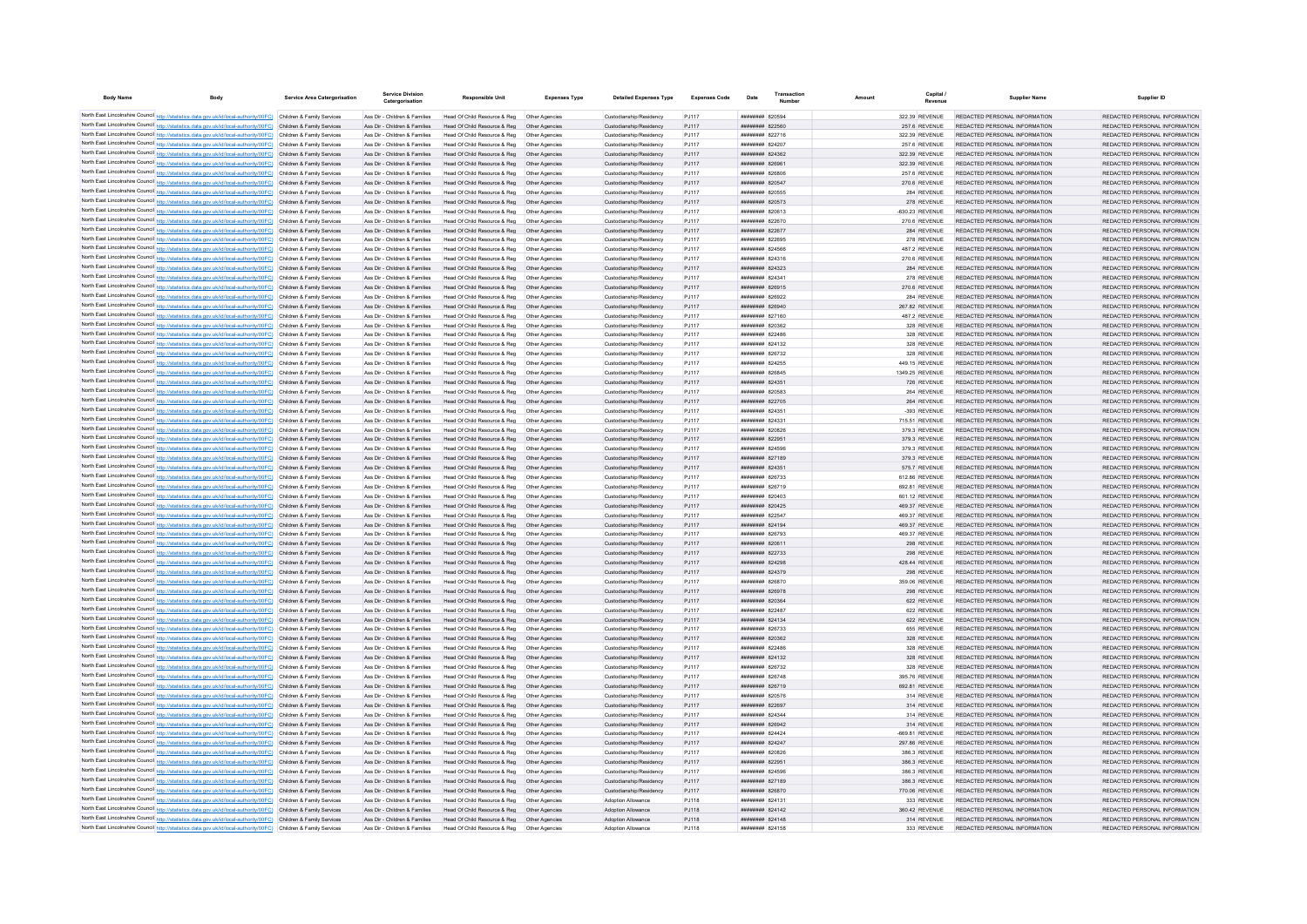| <b>Body Name</b>                                                                                                                                                                                                                       | <b>Body</b> | <b>Service Area Catergorisation</b> | <b>Service Division</b><br>Catergorisation                     | <b>Responsible Unit</b>                                       | <b>Expenses Type</b>             | <b>Detailed Expenses Type</b>                      | <b>Expenses Code</b> | Date                                     | Amount | Capital                          | <b>Supplier Name</b>                                           | Supplier ID                                                    |
|----------------------------------------------------------------------------------------------------------------------------------------------------------------------------------------------------------------------------------------|-------------|-------------------------------------|----------------------------------------------------------------|---------------------------------------------------------------|----------------------------------|----------------------------------------------------|----------------------|------------------------------------------|--------|----------------------------------|----------------------------------------------------------------|----------------------------------------------------------------|
| North East Lincolnshire Council http://statistics.data.gov.uk/id/local-authority/00FC) Children & Family Services                                                                                                                      |             |                                     | Ass Dir - Children & Families                                  | Head Of Child Resource & Reg                                  | Other Anencies                   | Custodianship/Residency                            | P.1117               | <b>HHHHHHH 820594</b>                    |        | 322.39 REVENUE                   | REDACTED PERSONAL INFORMATION                                  | REDACTED PERSONAL INFORMATION                                  |
| North East Lincolnshire Council http://statistics.data.gov.uk/id/local-authority/00FC) Children & Family Services                                                                                                                      |             |                                     | Ass Dir - Children & Families                                  | Head Of Child Resource & Reg                                  | Other Agencies                   | Custodianship/Residency                            | <b>PJ117</b>         | ######## 822560                          |        | 257.6 REVENUE                    | REDACTED PERSONAL INFORMATION                                  | REDACTED PERSONAL INFORMATION                                  |
| North East Lincolnshire Council http://statistics.data.gov.uk/id/local-authority/00FC) Children & Family Services                                                                                                                      |             |                                     | Ass Dir - Children & Families                                  | Head Of Child Resource & Reg                                  | Other Agencies                   | Custodianship/Residency                            | PJ117                | ######## 822716                          |        | 322.39 REVENUE                   | REDACTED PERSONAL INFORMATION                                  | REDACTED PERSONAL INFORMATION                                  |
| North East Lincolnshire Council http://statistics.data.gov.uk/id/local-authority/00FC) Children & Family Services                                                                                                                      |             |                                     | Ass Dir - Children & Families                                  | Head Of Child Resource & Reg                                  | Other Agencies                   | Custodianship/Residency                            | PJ117                | <b>ппинини 824207</b>                    |        | 257.6 REVENUE                    | REDACTED PERSONAL INFORMATION                                  | REDACTED PERSONAL INFORMATION                                  |
| North East Lincolnshire Council http://statistics.data.gov.uk/id/local-authority/00FC) Children & Family Services                                                                                                                      |             |                                     | Ass Dir - Children & Families                                  | Head Of Child Resource & Reg.                                 | Other Agencies                   | Custodianship/Residency                            | PJ117                | <b>ПЕНИННЫЕ</b> 824362                   |        | 322 39 REVENUE                   | REDACTED PERSONAL INFORMATION                                  | REDACTED PERSONAL INFORMATION                                  |
| North East Lincolnshire Council http://statistics.data.gov.uk/id/local-authority/00FC) Children & Family Services                                                                                                                      |             |                                     | Ass Dir - Children & Families                                  | Head Of Child Resource & Reg                                  | Other Agencies                   | Custodianship/Residency                            | PJ117                | ######## 826961                          |        | 322 39 REVENUE                   | REDACTED PERSONAL INFORMATION                                  | REDACTED PERSONAL INFORMATION                                  |
| North East Lincolnshire Council http://statistics.data.gov.uk/id/local-authority/00FC) Children & Family Services                                                                                                                      |             |                                     | Ass Dir - Children & Families                                  | Head Of Child Resource & Reg                                  | Other Agencies                   | Custodianship/Residency                            | PJ117                | ниннини в 26806                          |        | 257.6 REVENUE                    | REDACTED PERSONAL INFORMATION                                  | REDACTED PERSONAL INFORMATION                                  |
| North East Lincolnshire Council http://statistics.data.gov.uk/id/local-authority/00FC) Children & Family Services                                                                                                                      |             |                                     | Ass Dir - Children & Families                                  | Head Of Child Resource & Reg  Other Agencies                  |                                  | Custodianship/Residency                            | PJ117                | ######## 820547                          |        | 270.6 REVENUE                    | REDACTED PERSONAL INFORMATION                                  | REDACTED PERSONAL INFORMATION                                  |
| North East Lincolnshire Council http://statistics.data.gov.uk/id/local-authority/00FC) Children & Family Services<br>North East Lincolnshire Council http://statistics.data.gov.uk/id/local-authority/00FC) Children & Family Services |             |                                     | Ass Dir - Children & Families<br>Ass Dir - Children & Families | Head Of Child Resource & Reg<br>Head Of Child Resource & Reg  | Other Agencies<br>Other Agencies | Custodianship/Residency<br>Custodianship/Residency | PJ117<br>PJ117       | ######## 820555<br>######## 820573       |        | 284 REVENUE<br>278 REVENUE       | REDACTED PERSONAL INFORMATION<br>REDACTED PERSONAL INFORMATION | REDACTED PERSONAL INFORMATION<br>REDACTED PERSONAL INFORMATION |
| North East Lincolnshire Council http://statistics.data.gov.uk/id/local-authority/00FC) Children & Family Services                                                                                                                      |             |                                     | Ass Dir - Children & Families                                  | Head Of Child Resource & Reg                                  | Other Anencies                   | Custodianship/Residency                            | PJ117                | ######## 820613                          |        | -630 23 REVENUE                  | REDACTED PERSONAL INFORMATION                                  | REDACTED PERSONAL INFORMATION                                  |
| North East Lincolnshire Council http://statistics.data.gov.uk/id/local-authority/00FC) Children & Family Services                                                                                                                      |             |                                     | Ass Dir - Children & Families                                  | Head Of Child Resource & Reg                                  | Other Agencies                   | Custodianship/Residency                            | PJ117                | ######## 822670                          |        | 270.6 REVENUE                    | REDACTED PERSONAL INFORMATION                                  | REDACTED PERSONAL INFORMATION                                  |
| North East Lincolnshire Council http://statistics.data.gov.uk/id/local-authority/00FC) Children & Family Services                                                                                                                      |             |                                     | Ass Dir - Children & Families                                  | Head Of Child Resource & Reg                                  | Other Agencies                   | Custodianship/Residency                            | PJ117                | ######## 822677                          |        | 284 REVENUE                      | REDACTED PERSONAL INFORMATION                                  | REDACTED PERSONAL INFORMATION                                  |
| North East Lincolnshire Council http://statistics.data.gov.uk/id/local-authority/00FC) Children & Family Services                                                                                                                      |             |                                     | Ass Dir - Children & Families                                  | Head Of Child Resource & Reg                                  | Other Agencies                   | Custodianship/Residency                            | PJ117                | ######## 822695                          |        | 278 REVENUE                      | REDACTED PERSONAL INFORMATION                                  | REDACTED PERSONAL INFORMATION                                  |
| North East Lincolnshire Council http://statistics.data.gov.uk/id/local-authority/00FC)                                                                                                                                                 |             | Children & Family Services          | Ass Dir - Children & Families                                  | Head Of Child Resource & Reg                                  | Other Agencies                   | Custodianship/Residency                            | PJ117                | ######## 824566                          |        | 487.2 REVENUE                    | REDACTED PERSONAL INFORMATION                                  | REDACTED PERSONAL INFORMATION                                  |
| North East Lincolnshire Council http://statistics.data.gov.uk/id/local-authority/00FC)                                                                                                                                                 |             | Children & Family Services          | Ass Dir - Children & Families                                  | Head Of Child Resource & Reg                                  | Other Agencie                    | Custodianship/Residency                            | PJ117                | ####### 824316                           |        | 270.6 REVENUE                    | REDACTED PERSONAL INFORMATION                                  | REDACTED PERSONAL INFORMATION                                  |
| North East Lincolnshire Council http://statistics.data.gov.uk/id/local-authority/00FC) Children & Family Services                                                                                                                      |             |                                     | Ass Dir - Children & Families                                  | Head Of Child Resource & Reg                                  | Other Agencies                   | Custodianship/Residency                            | PJ117                | <b>ппининин</b> 824323                   |        | 284 REVENUE                      | REDACTED PERSONAL INFORMATION                                  | REDACTED PERSONAL INFORMATION                                  |
| North East Lincolnshire Council http://statistics.data.gov.uk/id/local-authority/00FC) Children & Family Services<br>North East Lincolnshire Council http://statistics.data.gov.uk/id/local-authority/00FC) Children & Family Services |             |                                     | Ass Dir - Children & Families<br>Ass Dir - Children & Families | Head Of Child Resource & Reg<br>Head Of Child Resource & Reg  | Other Agencies<br>Other Agencies | Custodianship/Residency<br>Custodianship/Residency | PJ117<br>PJ117       | ######## 824341<br>######## 826915       |        | 278 REVENUE<br>270.6 REVENUE     | REDACTED PERSONAL INFORMATION<br>REDACTED PERSONAL INFORMATION | REDACTED PERSONAL INFORMATION<br>REDACTED PERSONAL INFORMATION |
| North East Lincolnshire Council http://statistics.data.gov.uk/id/local-authority/00FC) Children & Family Services                                                                                                                      |             |                                     | Ass Dir - Children & Families                                  | Head Of Child Resource & Reg                                  | Other Agencies                   | Custodianship/Residency                            | PJ117                | ######## 826922                          |        | 284 REVENUE                      | REDACTED PERSONAL INFORMATION                                  | REDACTED PERSONAL INFORMATION                                  |
| North East Lincolnshire Council http://statistics.data.gov.uk/id/local-authority/00FC) Children & Family Services                                                                                                                      |             |                                     | Ass Dir - Children & Families                                  | Head Of Child Resource & Reg                                  | Other Agencies                   | Custodianship/Residency                            | PJ117                | ######## 826940                          |        | 267.82 REVENUE                   | REDACTED PERSONAL INFORMATION                                  | REDACTED PERSONAL INFORMATION                                  |
| North East Lincolnshire Council http://statistics.data.gov.uk/id/local-authority/00FC) Children & Family Services                                                                                                                      |             |                                     | Ass Dir - Children & Families                                  | Head Of Child Resource & Reg                                  | Other Agencie                    | Custodianship/Residency                            | PJ117                | ######## 827160                          |        | 487.2 REVENUE                    | REDACTED PERSONAL INFORMATION                                  | REDACTED PERSONAL INFORMATION                                  |
| North East Lincolnshire Council http://statistics.data.gov.uk/id/local-authority/00FC) Children & Family Services                                                                                                                      |             |                                     | Ass Dir - Children & Families                                  | Head Of Child Resource & Reg                                  | Other Agencies                   | Custodianship/Residency                            | PJ117                | <b>ппинини 820362</b>                    |        | 328 REVENUE                      | REDACTED PERSONAL INFORMATION                                  | REDACTED PERSONAL INFORMATION                                  |
| North East Lincolnshire Council http://statistics.data.gov.uk/id/local-authority/00FC) Children & Family Services                                                                                                                      |             |                                     | Ass Dir - Children & Families                                  | Head Of Child Resource & Reg                                  | Other Agencies                   | Custodianship/Residency                            | PJ117                | ######## 822486                          |        | 328 REVENUE                      | REDACTED PERSONAL INFORMATION                                  | REDACTED PERSONAL INFORMATION                                  |
| North East Lincolnshire Council http://statistics.data.gov.uk/id/local-authority/00FC) Children & Family Services                                                                                                                      |             |                                     | Ass Dir - Children & Families                                  | Head Of Child Resource & Reg                                  | Other Agencies                   | Custodianship/Residency                            | PJ117                | ######## 824132                          |        | 328 REVENUE                      | REDACTED PERSONAL INFORMATION                                  | REDACTED PERSONAL INFORMATION                                  |
| North East Lincolnshire Council http://statistics.data.gov.uk/id/local-authority/00FC) Children & Family Services                                                                                                                      |             |                                     | Ass Dir - Children & Families                                  | Head Of Child Resource & Reg                                  | Other Agencies                   | Custodianship/Residency                            | PJ117                | ######## 826732                          |        | 328 REVENUE                      | REDACTED PERSONAL INFORMATION                                  | REDACTED PERSONAL INFORMATION                                  |
| North East Lincolnshire Council http://statistics.data.gov.uk/id/local-authority/00FC) Children & Family Services                                                                                                                      |             |                                     | Ass Dir - Children & Families                                  | Head Of Child Resource & Reg                                  | Other Agencie                    | Custodianship/Residency                            | PJ117                | ######## 824255                          |        | 449.15 REVENUE                   | REDACTED PERSONAL INFORMATION                                  | REDACTED PERSONAL INFORMATION                                  |
| North East Lincolnshire Council http://statistics.data.gov.uk/id/local-authority/00FC) Children & Family Services                                                                                                                      |             |                                     | Ass Dir - Children & Families<br>Ass Dir - Children & Families | Head Of Child Resource & Reg                                  | Other Agencie<br>Other Agencies  | Custodianship/Residency                            | PJ117                | ######## 826845<br><b>ппинини 824351</b> |        | 1349.25 REVENUE                  | REDACTED PERSONAL INFORMATION<br>REDACTED PERSONAL INFORMATION | REDACTED PERSONAL INFORMATION<br>REDACTED PERSONAL INFORMATION |
| North East Lincolnshire Council http://statistics.data.gov.uk/id/local-authority/00FC) Children & Family Services<br>North East Lincolnshire Council http://statistics.data.gov.uk/id/local-authority/00FC) Children & Family Services |             |                                     | Ass Dir - Children & Families                                  | Head Of Child Resource & Reg<br>Head Of Child Resource & Reg  | Other Agencies                   | Custodianship/Residency<br>Custodianship/Residency | PJ117<br>PJ117       | ######## 820583                          |        | 726 REVENUE<br>264 REVENUE       | REDACTED PERSONAL INFORMATION                                  | REDACTED PERSONAL INFORMATION                                  |
| North East Lincolnshire Council http://statistics.data.gov.uk/id/local-authority/00FC) Children & Family Services                                                                                                                      |             |                                     | Ass Dir - Children & Families                                  | Head Of Child Resource & Reg                                  | Other Agencies                   | Custodianship/Residency                            | PJ117                | ######## 822705                          |        | 264 REVENUE                      | REDACTED PERSONAL INFORMATION                                  | REDACTED PERSONAL INFORMATION                                  |
| North East Lincolnshire Council http://statistics.data.gov.uk/id/local-authority/00FC) Children & Family Services                                                                                                                      |             |                                     | Ass Dir - Children & Families                                  | Head Of Child Resource & Reg                                  | Other Agencies                   | Custodianship/Residency                            | PJ117                | ######## 824351                          |        | -393 REVENUE                     | REDACTED PERSONAL INFORMATION                                  | REDACTED PERSONAL INFORMATION                                  |
| North East Lincolnshire Council http://statistics.data.gov.uk/id/local-authority/00FC) Children & Family Services                                                                                                                      |             |                                     | Ass Dir - Children & Families                                  | Head Of Child Resource & Reg                                  | Other Agencies                   | Custodianship/Residency                            | PJ117                | ######## 824331                          |        | 715.51 REVENUE                   | REDACTED PERSONAL INFORMATION                                  | REDACTED PERSONAL INFORMATION                                  |
| North East Lincolnshire Council http://statistics.data.gov.uk/id/local-authority/00FC) Children & Family Services                                                                                                                      |             |                                     | Ass Dir - Children & Families                                  | Head Of Child Resource & Reg                                  | Other Agencies                   | Custodianship/Residency                            | PJ117                | ######## 820826                          |        | 379.3 REVENUE                    | REDACTED PERSONAL INFORMATION                                  | REDACTED PERSONAL INFORMATION                                  |
| North East Lincolnshire Council http://statistics.data.gov.uk/id/local-authority/00FC) Children & Family Services                                                                                                                      |             |                                     | Ass Dir - Children & Families                                  | Head Of Child Resource & Reg                                  | Other Agencies                   | Custodianship/Residency                            | PJ117                | ######## 822951                          |        | 379.3 REVENUE                    | REDACTED PERSONAL INFORMATION                                  | REDACTED PERSONAL INFORMATION                                  |
| North East Lincolnshire Council http://statistics.data.gov.uk/id/local-authority/00FC) Children & Family Services                                                                                                                      |             |                                     | Ass Dir - Children & Families                                  | Head Of Child Resource & Reg                                  | Other Agencies                   | Custodianship/Residency                            | PJ117                | ######## 824596                          |        | 379.3 REVENUE                    | REDACTED PERSONAL INFORMATION                                  | REDACTED PERSONAL INFORMATION                                  |
| North East Lincolnshire Council http://statistics.data.gov.uk/id/local-authority/00FC) Children & Family Services                                                                                                                      |             |                                     | Ass Dir - Children & Families                                  | Head Of Child Resource & Reg                                  | Other Agencies                   | Custodianship/Residency                            | PJ117                | ######## 827189                          |        | 379.3 REVENUE                    | REDACTED PERSONAL INFORMATION                                  | REDACTED PERSONAL INFORMATION                                  |
| North East Lincolnshire Council http://statistics.data.gov.uk/id/local-authority/00FC) Children & Family Services                                                                                                                      |             |                                     | Ass Dir - Children & Families                                  | Head Of Child Resource & Reg                                  | Other Agencies                   | Custodianship/Residency                            | PJ117                | ######## 824351                          |        | 575.7 REVENUE                    | REDACTED PERSONAL INFORMATION                                  | REDACTED PERSONAL INFORMATION                                  |
| North East Lincolnshire Council http://statistics.data.gov.uk/id/local-authority/00FC)<br>North East Lincolnshire Council http://statistics.data.gov.uk/id/local-authority/00FC).                                                      |             | Children & Family Services          | Ass Dir - Children & Families                                  | Head Of Child Resource & Reg                                  | Other Agencie<br>Other Agencie   | Custodianship/Residency                            | PJ117                | ######## 826733                          |        | 612.86 REVENUE                   | REDACTED PERSONAL INFORMATION<br>REDACTED PERSONAL INFORMATION | REDACTED PERSONAL INFORMATION                                  |
| North East Lincolnshire Council http://statistics.data.gov.uk/id/local-authority/00FC) Children & Family Services                                                                                                                      |             | Children & Family Services          | Ass Dir - Children & Families<br>Ass Dir - Children & Families | Head Of Child Resource & Reg<br>Head Of Child Resource & Reg  | Other Agencies                   | Custodianship/Residency<br>Custodianship/Residency | PJ117<br>PJ117       | ######## 826719<br><b>ппинини 820403</b> |        | 692.81 REVENUE<br>601.12 REVENUE | REDACTED PERSONAL INFORMATION                                  | REDACTED PERSONAL INFORMATION<br>REDACTED PERSONAL INFORMATION |
| North East Lincolnshire Council http://statistics.data.gov.uk/id/local-authority/00FC) Children & Family Services                                                                                                                      |             |                                     | Ass Dir - Children & Families                                  | Head Of Child Resource & Reg                                  | Other Agencies                   | Custodianship/Residency                            | PJ117                | ######## 820425                          |        | 469.37 REVENUE                   | REDACTED PERSONAL INFORMATION                                  | REDACTED PERSONAL INFORMATION                                  |
| North East Lincolnshire Council http://statistics.data.gov.uk/id/local-authority/00FC) Children & Family Services                                                                                                                      |             |                                     | Ass Dir - Children & Families                                  | Head Of Child Resource & Reg                                  | Other Agencies                   | Custodianship/Residency                            | PJ117                | ######## 822547                          |        | 469.37 REVENUE                   | REDACTED PERSONAL INFORMATION                                  | REDACTED PERSONAL INFORMATION                                  |
| North East Lincolnshire Council http://statistics.data.gov.uk/id/local-authority/00FC) Children & Family Services                                                                                                                      |             |                                     | Ass Dir - Children & Families                                  | Head Of Child Resource & Reg                                  | Other Agencies                   | Custodianship/Residency                            | PJ117                | ####### 824194                           |        | 469.37 REVENUE                   | REDACTED PERSONAL INFORMATION                                  | REDACTED PERSONAL INFORMATION                                  |
| North East Lincolnshire Council http://statistics.data.gov.uk/id/local-authority/00FC) Children & Family Services                                                                                                                      |             |                                     | Ass Dir - Children & Families                                  | Head Of Child Resource & Reg                                  | Other Agencie                    | Custodianship/Residency                            | PJ117                | ######## 826793                          |        | 469.37 REVENUE                   | REDACTED PERSONAL INFORMATION                                  | REDACTED PERSONAL INFORMATION                                  |
| North East Lincolnshire Council http://statistics.data.gov.uk/id/local-authority/00FC) Children & Family Services                                                                                                                      |             |                                     | Ass Dir - Children & Families                                  | Head Of Child Resource & Reg                                  | Other Agencie                    | Custodianship/Residency                            | PJ117                | ######## 820611                          |        | 298 REVENUE                      | REDACTED PERSONAL INFORMATION                                  | REDACTED PERSONAL INFORMATION                                  |
| North East Lincolnshire Council http://statistics.data.gov.uk/id/local-authority/00FC) Children & Family Services                                                                                                                      |             |                                     | Ass Dir - Children & Families                                  | Head Of Child Resource & Reg                                  | Other Agencies                   | Custodianship/Residency                            | PJ117                | ######## 822733                          |        | 298 REVENUE                      | REDACTED PERSONAL INFORMATION                                  | REDACTED PERSONAL INFORMATION                                  |
| North East Lincolnshire Council http://statistics.data.gov.uk/id/local-authority/00FC) Children & Family Services                                                                                                                      |             |                                     | Ass Dir - Children & Families                                  | Head Of Child Resource & Reg                                  | Other Agencies                   | Custodianship/Residency                            | PJ117                | ######## 824298                          |        | 428.44 REVENUE                   | REDACTED PERSONAL INFORMATION                                  | REDACTED PERSONAL INFORMATION<br>REDACTED PERSONAL INFORMATION |
| North East Lincolnshire Council http://statistics.data.gov.uk/id/local-authority/00FC) Children & Family Services<br>North East Lincolnshire Council http://statistics.data.gov.uk/id/local-authority/00FC) Children & Family Services |             |                                     | Ass Dir - Children & Families<br>Ass Dir - Children & Families | Head Of Child Resource & Reg<br>Head Of Child Resource & Reg  | Other Agencies<br>Other Agencies | Custodianship/Residency<br>Custodianship/Residency | PJ117<br>PJ117       | ######## 824379<br>######## 826870       |        | 298 REVENUE<br>359.06 REVENUE    | REDACTED PERSONAL INFORMATION<br>REDACTED PERSONAL INFORMATION | REDACTED PERSONAL INFORMATION                                  |
| North East Lincolnshire Council http://statistics.data.gov.uk/id/local-authority/00FC)                                                                                                                                                 |             | Children & Family Services          | Ass Dir - Children & Families                                  | Head Of Child Resource & Reg                                  | Other Agencie                    | Custodianship/Residency                            | PJ117                | ######## 826978                          |        | 298 REVENUE                      | REDACTED PERSONAL INFORMATION                                  | REDACTED PERSONAL INFORMATION                                  |
| North East Lincolnshire Council http://statistics.data.gov.uk/id/local-authority/00FC) Children & Family Services                                                                                                                      |             |                                     | Ass Dir - Children & Families                                  | Head Of Child Resource & Reg                                  | Other Agencie                    | Custodianship/Residency                            | PJ117                | ######## 820364                          |        | 622 REVENUE                      | REDACTED PERSONAL INFORMATION                                  | REDACTED PERSONAL INFORMATION                                  |
| North East Lincolnshire Council http://statistics.data.gov.uk/id/local-authority/00FC) Children & Family Services                                                                                                                      |             |                                     | Ass Dir - Children & Families                                  | Head Of Child Resource & Reg                                  | Other Agencie                    | Custodianship/Residency                            | PJ117                | ######## 822487                          |        | 622 REVENUE                      | REDACTED PERSONAL INFORMATION                                  | REDACTED PERSONAL INFORMATION                                  |
| North East Lincolnshire Council http://statistics.data.gov.uk/id/local-authority/00FC) Children & Family Services                                                                                                                      |             |                                     | Ass Dir - Children & Families                                  | Head Of Child Resource & Reg.                                 | Other Agencies                   | Custodianship/Residency                            | P.1117               | <b>ппининин</b> 824134                   |        | 622 REVENUE                      | REDACTED PERSONAL INFORMATION                                  | REDACTED PERSONAL INFORMATION                                  |
| North East Lincolnshire Council http://statistics.data.gov.uk/id/local-authority/00FC) Children & Family Services                                                                                                                      |             |                                     | Ass Dir - Children & Families                                  | Head Of Child Resource & Reg                                  | Other Agencies                   | Custodianship/Residency                            | PJ117                | <b>иннинни 826733</b>                    |        | 655 REVENUE                      | REDACTED PERSONAL INFORMATION                                  | REDACTED PERSONAL INFORMATION                                  |
| North East Lincolnshire Council http://statistics.data.gov.uk/id/local-authority/00FC) Children & Family Services                                                                                                                      |             |                                     | Ass Dir - Children & Families                                  | Head Of Child Resource & Reg                                  | Other Agencies                   | Custodianship/Residency                            | PJ117                | <b>ппинини 820362</b>                    |        | 328 REVENUE                      | REDACTED PERSONAL INFORMATION                                  | REDACTED PERSONAL INFORMATION                                  |
| North East Lincolnshire Council http://statistics.data.gov.uk/id/local-authority/00FC) Children & Family Services                                                                                                                      |             |                                     | Ass Dir - Children & Families                                  | Head Of Child Resource & Reg                                  | Other Agencies                   | Custodianship/Residency                            | PJ117                | ######## 822486                          |        | 328 REVENUE                      | REDACTED PERSONAL INFORMATION                                  | REDACTED PERSONAL INFORMATION                                  |
| North East Lincolnshire Council http://statistics.data.gov.uk/id/local-authority/00FC) Children & Family Services                                                                                                                      |             |                                     | Ass Dir - Children & Families                                  | Head Of Child Resource & Reg                                  | Other Agencies                   | Custodianship/Residency                            | PJ117                | ######## 824132                          |        | 328 REVENUE                      | REDACTED PERSONAL INFORMATION                                  | REDACTED PERSONAL INFORMATION                                  |
| North East Lincolnshire Council http://statistics.data.gov.uk/id/local-authority/00FC) Children & Family Services<br>North East Lincolnshire Council http://statistics.data.gov.uk/id/local-authority/00FC) Children & Family Services |             |                                     | Ass Dir - Children & Families<br>Ass Dir - Children & Families | Head Of Child Resource & Reg<br>Head Of Child Resource & Reg. | Other Agencies<br>Other Anencies | Custodianship/Residency<br>Custodianship/Residency | PJ117<br>P.1117      | ######## 826732<br>нининни 826748        |        | 328 REVENUE<br>395 76 REVENUE    | REDACTED PERSONAL INFORMATION<br>REDACTED PERSONAL INFORMATION | REDACTED PERSONAL INFORMATION<br>REDACTED PERSONAL INFORMATION |
| North East Lincolnshire Council http://statistics.data.gov.uk/id/local-authority/00FC) Children & Family Services                                                                                                                      |             |                                     | Ass Dir - Children & Families                                  | Head Of Child Resource & Reg                                  | Other Agencies                   | Custodianship/Residency                            | PJ117                | ######## 826719                          |        | 692.81 REVENUE                   | REDACTED PERSONAL INFORMATION                                  | REDACTED PERSONAL INFORMATION                                  |
| North East Lincolnshire Council http://statistics.data.gov.uk/id/local-authority/00FC) Children & Family Services                                                                                                                      |             |                                     | Ass Dir - Children & Families                                  | Head Of Child Resource & Reg                                  | Other Agencies                   | Custodianship/Residency                            | P.1117               | <b>ппининни</b> 820576                   |        | 314 REVENUE                      | REDACTED PERSONAL INFORMATION                                  | REDACTED PERSONAL INFORMATION                                  |
| North East Lincolnshire Council http://statistics.data.gov.uk/id/local-authority/00FC)                                                                                                                                                 |             | Children & Family Services          | Ass Dir - Children & Families                                  | Head Of Child Resource & Reg                                  | Other Agencies                   | Custodianship/Residency                            | <b>PJ117</b>         | ######## 822697                          |        | 314 REVENUE                      | REDACTED PERSONAL INFORMATION                                  | REDACTED PERSONAL INFORMATION                                  |
| North East Lincolnshire Council http://statistics.data.gov.uk/id/local-authority/00FC)                                                                                                                                                 |             | Children & Family Services          | Ass Dir - Children & Families                                  | Head Of Child Resource & Reg                                  | Other Agencie                    | Custodianship/Residency                            | PJ117                | <b>ппинини 824344</b>                    |        | 314 REVENUE                      | REDACTED PERSONAL INFORMATION                                  | REDACTED PERSONAL INFORMATION                                  |
| North East Lincolnshire Council http://statistics.data.gov.uk/id/local-authority/00FC).                                                                                                                                                |             | Children & Family Services          | Ass Dir - Children & Families                                  | Head Of Child Resource & Reg                                  | Other Agencies                   | Custodianship/Residency                            | <b>PJ117</b>         | ниннини 826942                           |        | 314 REVENUE                      | REDACTED PERSONAL INFORMATION                                  | REDACTED PERSONAL INFORMATION                                  |
| North East Lincolnshire Council http://statistics.data.gov.uk/id/local-authority/00FC) Children & Family Services                                                                                                                      |             |                                     | Ass Dir - Children & Families                                  | Head Of Child Resource & Reg.                                 | Other Agencies                   | Custodianship/Residency                            | P.1117               | <b>ппининин</b> 824424                   |        | -669 81 REVENUE                  | REDACTED PERSONAL INFORMATION                                  | REDACTED PERSONAL INFORMATION                                  |
| North East Lincolnshire Council http://statistics.data.gov.uk/id/local-authority/00FC) Children & Family Services                                                                                                                      |             |                                     | Ass Dir - Children & Families                                  | Head Of Child Resource & Reg                                  | Other Agencies                   | Custodianship/Residency                            | PJ117                | ######## 824247                          |        | 297.86 REVENUE                   | REDACTED PERSONAL INFORMATION                                  | REDACTED PERSONAL INFORMATION                                  |
| North East Lincolnshire Council http://statistics.data.gov.uk/id/local-authority/00FC) Children & Family Services                                                                                                                      |             |                                     | Ass Dir - Children & Families                                  | Head Of Child Resource & Reg                                  | Other Agencies                   | Custodianship/Residency                            | PJ117                | <b>иннинни в</b> 820826                  |        | 386.3 REVENUE                    | REDACTED PERSONAL INFORMATION                                  | REDACTED PERSONAL INFORMATION                                  |
| North East Lincolnshire Council http://statistics.data.gov.uk/id/local-authority/00FC) Children & Family Services<br>North East Lincolnshire Council http://statistics.data.gov.uk/id/local-authority/00FC) Children & Family Services |             |                                     | Ass Dir - Children & Families<br>Ass Dir - Children & Families | Head Of Child Resource & Reg<br>Head Of Child Resource & Reg  | Other Agencies<br>Other Agencies | Custodianship/Residency<br>Custodianship/Residency | PJ117<br>PJ117       | ######## 822951<br>####### 824596        |        | 386.3 REVENUE<br>386.3 REVENUE   | REDACTED PERSONAL INFORMATION<br>REDACTED PERSONAL INFORMATION | REDACTED PERSONAL INFORMATION<br>REDACTED PERSONAL INFORMATION |
| North East Lincolnshire Council http://statistics.data.gov.uk/id/local-authority/00FC) Children & Family Services                                                                                                                      |             |                                     | Ass Dir - Children & Families                                  | Head Of Child Resource & Reg                                  | Other Agencie                    | Custodianship/Residency                            | PJ117                | ######## 827189                          |        | 386.3 REVENUE                    | REDACTED PERSONAL INFORMATION                                  | REDACTED PERSONAL INFORMATION                                  |
| North East Lincolnshire Council http://statistics.data.gov.uk/id/local-authority/00FC) Children & Family Services                                                                                                                      |             |                                     | Ass Dir - Children & Families                                  | Head Of Child Resource & Reg                                  | Other Agencies                   | Custodianship/Residency                            | PJ117                | ######## 826870                          |        | 770.06 REVENUE                   | REDACTED PERSONAL INFORMATION                                  | REDACTED PERSONAL INFORMATION                                  |
| North East Lincolnshire Council http://statistics.data.gov.uk/id/local-authority/00FC) Children & Family Services                                                                                                                      |             |                                     | Ass Dir - Children & Families                                  | Head Of Child Resource & Reg                                  | Other Agencies                   | <b>Adoption Allowance</b>                          | PJ118                | ######## 824131                          |        | 333 REVENUE                      | REDACTED PERSONAL INFORMATION                                  | REDACTED PERSONAL INFORMATION                                  |
| North East Lincolnshire Council http://statistics.data.gov.uk/id/local-authority/00FC) Children & Family Services                                                                                                                      |             |                                     | Ass Dir - Children & Families                                  | Head Of Child Resource & Reg                                  | Other Agencies                   | Adoption Allowance                                 | PJ118                | ######## 824142                          |        | 360.42 REVENUE                   | REDACTED PERSONAL INFORMATION                                  | REDACTED PERSONAL INFORMATION                                  |
| North East Lincolnshire Council http://statistics.data.gov.uk/id/local-authority/00FC) Children & Family Services                                                                                                                      |             |                                     | Ass Dir - Children & Families                                  | Head Of Child Resource & Reg                                  | Other Agencies                   | Adoption Allowance                                 | PJ118                | ######## 824148                          |        | 314 REVENUE                      | REDACTED PERSONAL INFORMATION                                  | REDACTED PERSONAL INFORMATION                                  |
| North East Lincolnshire Council http://statistics.data.gov.uk/id/local-authority/00FC) Children & Family Services                                                                                                                      |             |                                     | Ass Dir - Children & Families                                  | Head Of Child Resource & Reg                                  | Other Agencie                    | Adoption Allowance                                 | PJ118                | <b>ппинини 824158</b>                    |        | 333 REVENUE                      | REDACTED PERSONAL INFORMATION                                  | REDACTED PERSONAL INFORMATION                                  |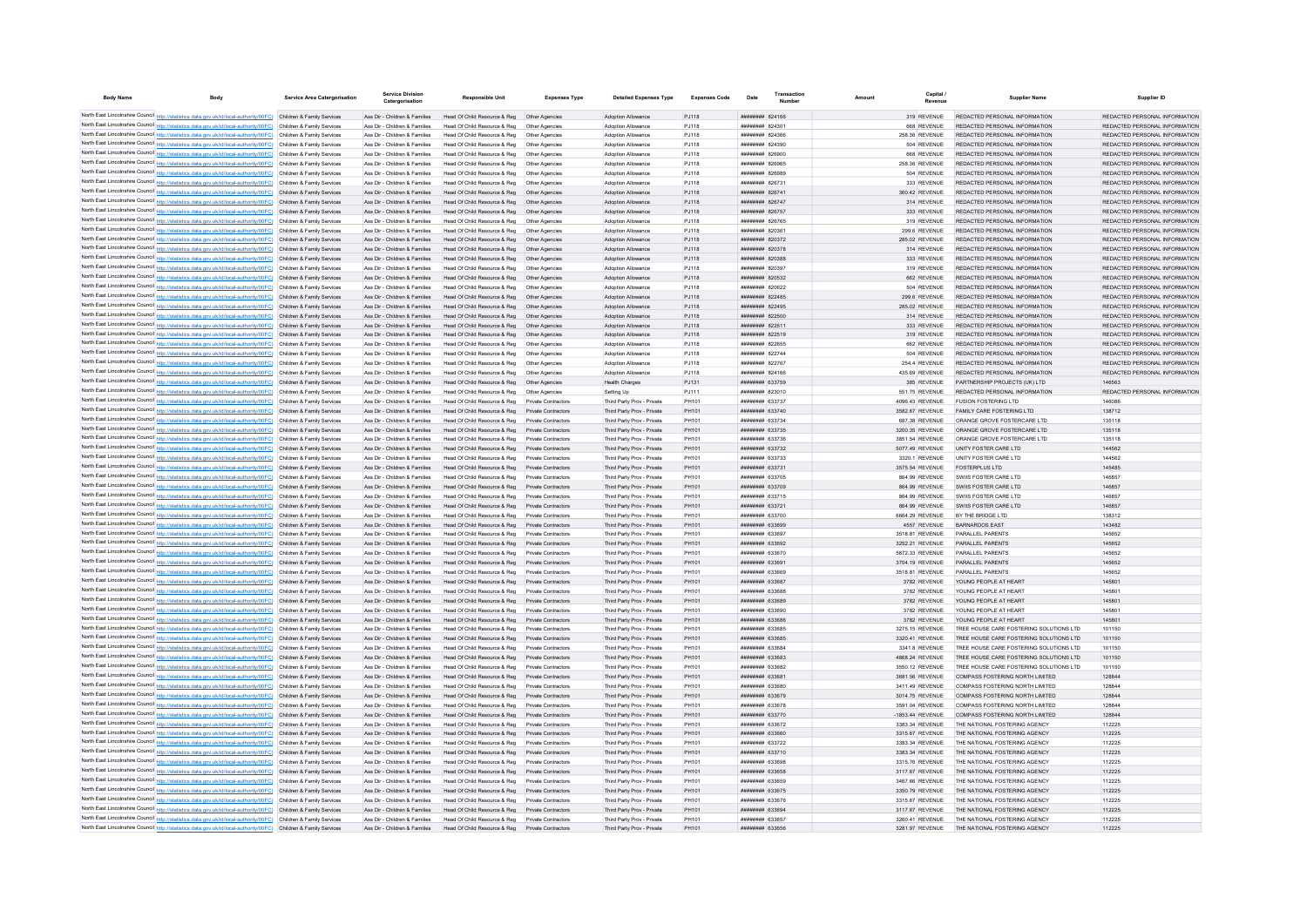| <b>Body Name</b>                            | <b>Body</b>                                                                                                                                                                                                                            | <b>Service Area Catergorisation</b>                      | Service Divisio<br>Catergorisation                             | <b>Responsible Unit</b>                                       | <b>Expenses Type</b>                              | <b>Detailed Expenses Type</b>                            | <b>Expenses Code</b> | Date                                             | Number | Amount |                                     | <b>Supplier Name</b>                                               | Supplier ID                                                    |
|---------------------------------------------|----------------------------------------------------------------------------------------------------------------------------------------------------------------------------------------------------------------------------------------|----------------------------------------------------------|----------------------------------------------------------------|---------------------------------------------------------------|---------------------------------------------------|----------------------------------------------------------|----------------------|--------------------------------------------------|--------|--------|-------------------------------------|--------------------------------------------------------------------|----------------------------------------------------------------|
|                                             |                                                                                                                                                                                                                                        |                                                          |                                                                |                                                               |                                                   |                                                          |                      |                                                  |        |        |                                     |                                                                    |                                                                |
|                                             | North East Lincolnshire Council http://statistics.data.gov.uk/id/local-authority/00FC) Children & Family Services<br>North East Lincolnshire Council http://statistics.data.gov.uk/id/local-authority/00FC) Children & Family Services |                                                          | Ass Dir - Children & Families<br>Ass Dir - Children & Families | Head Of Child Resource & Reg<br>Head Of Child Resource & Reg  | Other Agencies<br>Other Agencies                  | Adoption Allowance<br>Adoption Allowance                 | PJ118<br>PJ118       | ######## 824166<br>######## 824301               |        |        | 319 REVENUE<br>668 REVENUE          | REDACTED PERSONAL INFORMATION<br>REDACTED PERSONAL INFORMATION     | REDACTED PERSONAL INFORMATION<br>REDACTED PERSONAL INFORMATION |
|                                             | North East Lincolnshire Council http://statistics.data.gov.uk/id/local-authority/00FC) Children & Family Services                                                                                                                      |                                                          | Ass Dir - Children & Families                                  | Head Of Child Resource & Reg                                  | Other Agencies                                    | Adoption Allowance                                       | PJ118                | ######## 824366                                  |        |        | 258.36 REVENUE                      | REDACTED PERSONAL INFORMATION                                      | REDACTED PERSONAL INFORMATION                                  |
|                                             | North East Lincolnshire Council http://statistics.data.gov.uk/id/local-authority/00FC) Children & Family Services                                                                                                                      |                                                          | Ass Dir - Children & Families                                  | Head Of Child Resource & Reg                                  | Other Agencies                                    | Adoption Allowance                                       | <b>PJ118</b>         | <b>ппинини 824390</b>                            |        |        | 504 REVENUE                         | REDACTED PERSONAL INFORMATION                                      | REDACTED PERSONAL INFORMATION                                  |
|                                             | North East Lincolnshire Council http://statistics.data.gov.uk/id/local-authority/00FC) Children & Family Services                                                                                                                      |                                                          | Ass Dir - Children & Families                                  | Head Of Child Resource & Reg                                  | Other Agencies                                    | Adoption Allowance                                       | PJ118                | ######## 826900                                  |        |        | 668 REVENUE                         | REDACTED PERSONAL INFORMATION                                      | REDACTED PERSONAL INFORMATION                                  |
|                                             | North East Lincolnshire Council http://statistics.data.gov.uk/id/local-authority/00FC) Children & Family Services                                                                                                                      |                                                          | Ass Dir - Children & Families                                  | Head Of Child Resource & Reg                                  | Other Agencies                                    | Adoption Allowance                                       | PJ118                | ######## 826965                                  |        |        | 258.36 REVENUE                      | REDACTED PERSONAL INFORMATION                                      | REDACTED PERSONAL INFORMATION                                  |
|                                             | North East Lincolnshire Council http://statistics.data.gov.uk/id/local-authority/00FC) Children & Family Services                                                                                                                      |                                                          | Ass Dir - Children & Families                                  | Head Of Child Resource & Reg                                  | Other Agencies                                    | Adoption Allowance                                       | PJ118                | ######## 826989                                  |        |        | 504 REVENUE                         | REDACTED PERSONAL INFORMATION                                      | REDACTED PERSONAL INFORMATION                                  |
|                                             | North East Lincolnshire Council http://statistics.data.gov.uk/id/local-authority/00FC) Children & Family Services                                                                                                                      |                                                          | Ass Dir - Children & Families                                  | Head Of Child Resource & Reg                                  | Other Agencies                                    | <b>Adoption Allowance</b>                                | PJ118                | ######## 826731                                  |        |        | 333 REVENUE                         | REDACTED PERSONAL INFORMATION                                      | REDACTED PERSONAL INFORMATION                                  |
|                                             | North East Lincolnshire Council http://statistics.data.gov.uk/id/local-authority/00FC) Children & Family Services<br>North East Lincolnshire Council http://statistics.data.gov.uk/id/local-authority/00FC) Children & Family Services |                                                          | Ass Dir - Children & Families<br>Ass Dir - Children & Families | Head Of Child Resource & Reg<br>Head Of Child Resource & Reg  | Other Agencie<br>Other Agencies                   | <b>Adoption Allowance</b><br>Adoption Allowance          | PJ118<br>PJ118       | ######## 826741<br>######## 826747               |        |        | 360.42 REVENUE<br>314 REVENUE       | REDACTED PERSONAL INFORMATION<br>REDACTED PERSONAL INFORMATION     | REDACTED PERSONAL INFORMATION<br>REDACTED PERSONAL INFORMATION |
|                                             | North East Lincolnshire Council http://statistics.data.gov.uk/id/local-authority/00FC) Children & Family Services                                                                                                                      |                                                          | Ass Dir - Children & Families                                  | Head Of Child Resource & Reg                                  | Other Agencies                                    | Adoption Allowance                                       | P.1118               | <b><i>BREEBBBB</i></b> 826757                    |        |        | 333 REVENUE                         | REDACTED PERSONAL INFORMATION                                      | REDACTED PERSONAL INFORMATION                                  |
|                                             | North East Lincolnshire Council http://statistics.data.gov.uk/id/local-authority/00FC) Children & Family Services                                                                                                                      |                                                          | Ass Dir - Children & Families                                  | Head Of Child Resource & Reg                                  | Other Agencies                                    | Adoption Allowance                                       | P.1118               | <b>ппинини 826765</b>                            |        |        | 319 REVENUE                         | REDACTED PERSONAL INFORMATION                                      | REDACTED PERSONAL INFORMATION                                  |
|                                             | North East Lincolnshire Council http://statistics.data.gov.uk/id/local-authority/00FC) Children & Family Services                                                                                                                      |                                                          | Ass Dir - Children & Families                                  | Head Of Child Resource & Reg                                  | Other Anencies                                    | <b>Adoption Allowance</b>                                | PJ118                | <b>ппинини 820361</b>                            |        |        | 299.6 REVENUE                       | REDACTED PERSONAL INFORMATION                                      | REDACTED PERSONAL INFORMATION                                  |
|                                             | North East Lincolnshire Council http://statistics.data.gov.uk/id/local-authority/00FC)                                                                                                                                                 | Children & Family Services                               | Ass Dir - Children & Families                                  | Head Of Child Resource & Reg                                  | Other Agencies                                    | <b>Adoption Allowance</b>                                | PJ118                | ######## 820372                                  |        |        | 285.02 REVENUE                      | REDACTED PERSONAL INFORMATION                                      | REDACTED PERSONAL INFORMATION                                  |
|                                             | North East Lincolnshire Council http://statistics.data.gov.uk/id/local-authority/00FC)                                                                                                                                                 | Children & Family Services                               | Ass Dir - Children & Families                                  | Head Of Child Resource & Reg                                  | Other Agencie                                     | Adoption Allowance                                       | PJ118                | ######## 820378                                  |        |        | 314 REVENUE                         | REDACTED PERSONAL INFORMATION                                      | REDACTED PERSONAL INFORMATION                                  |
|                                             | North East Lincolnshire Council http://statistics.data.gov.uk/id/local-authority/00FC)                                                                                                                                                 | Children & Family Services                               | Ass Dir - Children & Families                                  | Head Of Child Resource & Reg                                  | Other Agencie                                     | Adoption Allowance                                       | PJ118                | нниннин 820388                                   |        |        | 333 REVENUE                         | REDACTED PERSONAL INFORMATION                                      | REDACTED PERSONAL INFORMATION                                  |
|                                             | North East Lincolnshire Council http://statistics.data.gov.uk/id/local-authority/00FC)                                                                                                                                                 | Children & Family Services                               | Ass Dir - Children & Families                                  | Head Of Child Resource & Reg                                  | Other Agencies                                    | <b>Adoption Allowance</b>                                | P.1118               | ######## 820397<br>######## 820532               |        |        | 319 REVENUE<br>662 REVENUE          | REDACTED PERSONAL INFORMATION<br>REDACTED PERSONAL INFORMATION     | REDACTED PERSONAL INFORMATION<br>REDACTED PERSONAL INFORMATION |
|                                             | North East Lincolnshire Council http://statistics.data.gov.uk/id/local-authority/00FC) Children & Family Services<br>North East Lincolnshire Council http://statistics.data.gov.uk/id/local-authority/00FC) Children & Family Services |                                                          | Ass Dir - Children & Families<br>Ass Dir - Children & Families | Head Of Child Resource & Reg<br>Head Of Child Resource & Reg. | Other Agencies<br>Other Agencies                  | Adoption Allowance<br><b>Adoption Allowance</b>          | PJ118<br>PJ118       | ####### 820622                                   |        |        | 504 REVENUE                         | REDACTED PERSONAL INFORMATION                                      | REDACTED PERSONAL INFORMATION                                  |
|                                             | North East Lincolnshire Council http://statistics.data.gov.uk/id/local-authority/00FC) Children & Family Services                                                                                                                      |                                                          | Ass Dir - Children & Families                                  | Head Of Child Resource & Reg                                  | Other Agencies                                    | Adoption Allowance                                       | PJ118                | ######## 822485                                  |        |        | 299.6 REVENUE                       | REDACTED PERSONAL INFORMATION                                      | REDACTED PERSONAL INFORMATION                                  |
|                                             | North East Lincolnshire Council http://statistics.data.gov.uk/id/local-authority/00FC) Children & Family Services                                                                                                                      |                                                          | Ass Dir - Children & Families                                  | Head Of Child Resource & Reg                                  | Other Agencie                                     | Adoption Allowance                                       | PJ118                | ######## 822495                                  |        |        | 285.02 REVENUE                      | REDACTED PERSONAL INFORMATION                                      | REDACTED PERSONAL INFORMATION                                  |
|                                             | North East Lincolnshire Council http://statistics.data.gov.uk/id/local-authority/00FC) Children & Family Services                                                                                                                      |                                                          | Ass Dir - Children & Families                                  | Head Of Child Resource & Reg                                  | Other Agencie                                     | Adoption Allowance                                       | PJ118                | ######## 822500                                  |        |        | 314 REVENUE                         | REDACTED PERSONAL INFORMATION                                      | REDACTED PERSONAL INFORMATION                                  |
|                                             | North East Lincolnshire Council http://statistics.data.gov.uk/id/local-authority/00FC) Children & Family Services                                                                                                                      |                                                          | Ass Dir - Children & Families                                  | Head Of Child Resource & Reg                                  | Other Agencies                                    | Adoption Allowance                                       | PJ118                | ######## 822511                                  |        |        | 333 REVENUE                         | REDACTED PERSONAL INFORMATION                                      | REDACTED PERSONAL INFORMATION                                  |
|                                             | North East Lincolnshire Council http://statistics.data.gov.uk/id/local-authority/00FC) Children & Family Services                                                                                                                      |                                                          | Ass Dir - Children & Families                                  | Head Of Child Resource & Reg                                  | Other Agencies                                    | Adoption Allowance                                       | PJ118                | ######## 822519                                  |        |        | 319 REVENUE                         | REDACTED PERSONAL INFORMATION                                      | REDACTED PERSONAL INFORMATION                                  |
|                                             | North East Lincolnshire Council http://statistics.data.gov.uk/id/local-authority/00FC) Children & Family Services                                                                                                                      |                                                          | Ass Dir - Children & Families                                  | Head Of Child Resource & Reg                                  | Other Agencies                                    | Adoption Allowance                                       | PJ118                | ######## 822655                                  |        |        | 662 REVENUE                         | REDACTED PERSONAL INFORMATION                                      | REDACTED PERSONAL INFORMATION                                  |
|                                             | North East Lincolnshire Council http://statistics.data.gov.uk/id/local-authority/00FC) Children & Family Services                                                                                                                      |                                                          | Ass Dir - Children & Families                                  | Head Of Child Resource & Reg                                  | Other Agencies                                    | Adoption Allowance                                       | PJ118                | ######## 822744                                  |        |        | 504 REVENUE                         | REDACTED PERSONAL INFORMATION                                      | REDACTED PERSONAL INFORMATION                                  |
|                                             | North East Lincolnshire Council http://statistics.data.gov.uk/id/local-authority/00FC)                                                                                                                                                 | Children & Family Services                               | Ass Dir - Children & Families                                  | Head Of Child Resource & Reg                                  | Other Agencie                                     | <b>Adoption Allowance</b>                                | PJ118                | ######## 822767                                  |        |        | 254.4 REVENUE                       | REDACTED PERSONAL INFORMATION                                      | REDACTED PERSONAL INFORMATION                                  |
|                                             | North East Lincolnshire Council http://statistics.data.gov.uk/id/local-authority/00FC).                                                                                                                                                | Children & Family Servicer                               | Ass Dir - Children & Families                                  | Head Of Child Resource & Reg                                  | Other Agencie                                     | Adoption Allowanc                                        | PJ118                | ######## 824166                                  |        |        | 435.69 REVENUE                      | REDACTED PERSONAL INFORMATION                                      | REDACTED PERSONAL INFORMATION                                  |
|                                             | North East Lincolnshire Council http://statistics.data.gov.uk/id/local-authority/00FC) Children & Family Services                                                                                                                      |                                                          | Ass Dir - Children & Families                                  | Head Of Child Resource & Reg                                  | Other Agencies                                    | <b>Health Charges</b>                                    | PJ131                | ######## 633759                                  |        |        | 385 REVENUE                         | PARTNERSHIP PROJECTS (UK) I TD                                     | 146563<br>REDACTED PERSONAL INFORMATION                        |
|                                             | North East Lincolnshire Council http://statistics.data.gov.uk/id/local-authority/00FC) Children & Family Services<br>North East Lincolnshire Council http://statistics.data.gov.uk/id/local-authority/00FC) Children & Family Services |                                                          | Ass Dir - Children & Families<br>Ass Dir - Children & Families | Head Of Child Resource & Reg<br>Head Of Child Resource & Reg. | Other Agencies<br>Private Contractors             | Setting Up                                               | P.1111<br>PH101      | ######## 823010<br><b><i>BREEBHHH</i></b> 633737 |        |        | 551 75 REVENUE<br>4096 43 REVENUE   | REDACTED PERSONAL INFORMATION<br>FUSION FOSTERING LTD              | 146086                                                         |
|                                             | North East Lincolnshire Council http://statistics.data.gov.uk/id/local-authority/00FC) Children & Family Services                                                                                                                      |                                                          | Ass Dir - Children & Families                                  | Head Of Child Resource & Reg                                  | Private Contractors                               | Third Party Prov - Private<br>Third Party Prov - Private | PH101                | ######## 633740                                  |        |        | 3582.67 REVENUE                     | FAMILY CARE FOSTERING LTD                                          | 138712                                                         |
|                                             | North East Lincolnshire Council http://statistics.data.gov.uk/id/local-authority/00FC) Children & Family Services                                                                                                                      |                                                          | Ass Dir - Children & Families                                  | Head Of Child Resource & Reg                                  | Private Contractors                               | Third Party Prov - Private                               | PH101                | ######## 633734                                  |        |        | 687.38 REVENUE                      | ORANGE GROVE FOSTERCARE LTD                                        | 135118                                                         |
|                                             | North East Lincolnshire Council http://statistics.data.gov.uk/id/local-authority/00FC) Children & Family Services                                                                                                                      |                                                          | Ass Dir - Children & Families                                  | Head Of Child Resource & Reg                                  | Private Contractors                               | Third Party Prov - Private                               | PH101                | ######## 633735                                  |        |        | 3200.35 REVENUE                     | ORANGE GROVE FOSTERCARE LTD                                        | 135118                                                         |
|                                             | North East Lincolnshire Council http://statistics.data.gov.uk/id/local-authority/00FC) Children & Family Services                                                                                                                      |                                                          | Ass Dir - Children & Families                                  | Head Of Child Resource & Reg                                  | Private Contractors                               | Third Party Prov - Private                               | PH101                | ######## 633736                                  |        |        | 3851.54 REVENUE                     | ORANGE GROVE FOSTERCARE LTD                                        | 135118                                                         |
|                                             | North East Lincolnshire Council http://statistics.data.gov.uk/id/local-authority/00FC) Children & Family Services                                                                                                                      |                                                          | Ass Dir - Children & Families                                  | Head Of Child Resource & Reg                                  | Private Contractors                               | Third Party Prov - Private                               | PH101                | ######## 633732                                  |        |        | 5077.49 REVENUE                     | UNITY FOSTER CARE LTD                                              | 144562                                                         |
|                                             | North East Lincolnshire Council http://statistics.data.gov.uk/id/local-authority/00FC) Children & Family Services                                                                                                                      |                                                          | Ass Dir - Children & Families                                  | Head Of Child Resource & Reg                                  | Private Contractors                               | Third Party Prov - Private                               | PH101                | <b>HHHHHHH 633733</b>                            |        |        | 3320.1 REVENUE                      | UNITY FOSTER CARE LTD                                              | 144562                                                         |
|                                             | North East Lincolnshire Council http://statistics.data.gov.uk/id/local-authority/00FC) Children & Family Services                                                                                                                      |                                                          | Ass Dir - Children & Families                                  | Head Of Child Resource & Reg                                  | Private Contractors                               | Third Party Prov - Private                               | PH101                | ######## 633731                                  |        |        | 3575.54 REVENUE                     | <b>FOSTERPLUS LTD</b>                                              | 145485                                                         |
|                                             | North East Lincolnshire Council http://statistics.data.gov.uk/id/local-authority/00FC) Children & Family Services                                                                                                                      |                                                          | Ass Dir - Children & Families                                  | Head Of Child Resource & Reg                                  | Private Contractors                               | Third Party Prov - Private                               | PH101                | ######## 633705                                  |        |        | 864.99 REVENUE                      | SWIIS FOSTER CARE LTD                                              | 146857                                                         |
| North East Lincolnshire Council http://stat | tics.data.gov.uk/id/local-authority/00FC) Children & Family Services                                                                                                                                                                   |                                                          | Ass Dir - Children & Families                                  | Head Of Child Resource & Reg                                  | Private Contractors                               | Third Party Prov - Private                               | PH101                | ######## 633709                                  |        |        | 864.99 REVENUE                      | SWIIS FOSTER CARE LTD                                              | 146857                                                         |
|                                             | North East Lincolnshire Council http://statistics.data.gov.uk/id/local-authority/00FC)<br>North East Lincolnshire Council http://statistics.data.gov.uk/id/local-authority/00FC)                                                       | Children & Family Services<br>Children & Family Services | Ass Dir - Children & Families<br>Ass Dir - Children & Families | Head Of Child Resource & Reg<br>Head Of Child Resource & Reg  | Private Contractors<br>Private Contractors        | Third Party Prov - Private<br>Third Party Prov - Private | PH101<br>PH101       | ######## 633715<br>######## 633721               |        |        | 864.99 REVENUE<br>864.99 REVENUE    | SWIIS FOSTER CARE LTD<br>SWIIS FOSTER CARE LTD                     | 146857<br>146857                                               |
|                                             | North East Lincolnshire Council http://statistics.data.gov.uk/id/local-authority/00FC) Children & Family Services                                                                                                                      |                                                          | Ass Dir - Children & Families                                  | Head Of Child Resource & Reg                                  | Private Contractors                               | Third Party Prov - Private                               | PH101                | ######## 633700                                  |        |        | 6664.29 REVENUE                     | BY THE BRIDGE I TD                                                 | 138312                                                         |
|                                             | North East Lincolnshire Council http://statistics.data.gov.uk/id/local-authority/00FC) Children & Family Services                                                                                                                      |                                                          | Ass Dir - Children & Families                                  | Head Of Child Resource & Reg.                                 | Private Contractors                               | Third Party Prov - Private                               | PH101                | ппинини 633699                                   |        |        | 4557 REVENUE                        | BARNARDOS FAST                                                     | 143482                                                         |
|                                             | North East Lincolnshire Council http://statistics.data.gov.uk/id/local-authority/00FC)                                                                                                                                                 | Children & Family Services                               | Ass Dir - Children & Families                                  | Head Of Child Resource & Reg.                                 | Private Contractors                               | Third Party Prov - Private                               | PH101                | ниннини 633697                                   |        |        | 3518.81 REVENUE                     | PARALLEL PARENTS                                                   | 145652                                                         |
|                                             | North East Lincolnshire Council http://statistics.data.gov.uk/id/local-authority/00FC) Children & Family Services                                                                                                                      |                                                          | Ass Dir - Children & Families                                  | Head Of Child Resource & Reg                                  | Private Contractors                               | Third Party Prov - Private                               | PH101                | <b>ппинини 633692</b>                            |        |        | 3252.21 REVENUE                     | PARALLEL PARENTS                                                   | 145652                                                         |
|                                             | North East Lincolnshire Council http://statistics.data.gov.uk/id/local-authority/00FC) Children & Family Services                                                                                                                      |                                                          | Ass Dir - Children & Families                                  | Head Of Child Resource & Reg                                  | Private Contractors                               | Third Party Prov - Private                               | PH101                | ######## 633670                                  |        |        | 5872.33 REVENUE                     | PARALLEL PARENTS                                                   | 145652                                                         |
|                                             | North East Lincolnshire Council http://statistics.data.gov.uk/id/local-authority/00FC) Children & Family Services                                                                                                                      |                                                          | Ass Dir - Children & Families                                  | Head Of Child Resource & Reg                                  | Private Contractors                               | Third Party Prov - Private                               | PH101                | ######## 633691                                  |        |        | 3704.19 REVENUE                     | PARALLEL PARENTS                                                   | 145652                                                         |
|                                             | North East Lincolnshire Council http://statistics.data.gov.uk/id/local-authority/00FC) Children & Family Services                                                                                                                      |                                                          | Ass Dir - Children & Families                                  | Head Of Child Resource & Reg                                  | Private Contractors                               | Third Party Prov - Private                               | PH101                | ######## 633669                                  |        |        | 3518 81 REVENUE                     | PARALLEL PARENTS                                                   | 145652                                                         |
|                                             | North East Lincolnshire Council http://statistics.data.gov.uk/id/local-authority/00FC) Children & Family Services                                                                                                                      |                                                          | Ass Dir - Children & Families                                  | Head Of Child Resource & Reg                                  | Private Contractors                               | Third Party Prov - Private                               | PH101                | <i>ппинини</i> 633687                            |        |        | 3782 REVENUE                        | YOUNG PEOPLE AT HEART                                              | 145801                                                         |
|                                             | North East Lincolnshire Council http://statistics.data.gov.uk/id/local-authority/00FC) Children & Family Services<br>North East Lincolnshire Council http://statistics.data.gov.uk/id/local-authority/00FC)                            | Children & Family Services                               | Ass Dir - Children & Families<br>Ass Dir - Children & Families | Head Of Child Resource & Reg<br>Head Of Child Resource & Reg  | <b>Private Contractors</b><br>Private Contractors | Third Party Prov - Private                               | PH101<br>PH101       | ######## 633688<br>######## 633689               |        |        | 3782 REVENUE                        | YOUNG PEOPLE AT HEART<br>YOUNG PEOPLE AT HEART                     | 145801<br>145801                                               |
|                                             | North East Lincolnshire Council http://statistics.data.gov.uk/id/local-authority/00FC) Children & Family Services                                                                                                                      |                                                          | Ass Dir - Children & Families                                  | Head Of Child Resource & Reg                                  | Private Contractors                               | Third Party Prov - Private<br>Third Party Prov - Private | PH101                | ######## 633690                                  |        |        | 3782 REVENUE<br>3782 REVENUE        | YOUNG PEOPLE AT HEART                                              | 145801                                                         |
|                                             | North East Lincolnshire Council http://statistics.data.gov.uk/id/local-authority/00FC)                                                                                                                                                 | Children & Family Services                               | Ass Dir - Children & Families                                  | Head Of Child Resource & Reg                                  | Private Contractors                               | Third Party Prov - Private                               | PH101                | ######## 633686                                  |        |        | 3782 REVENUE                        | YOUNG PEOPLE AT HEART                                              | 145801                                                         |
|                                             | North East Lincolnshire Council http://statistics.data.gov.uk/id/local-authority/00FC) Children & Family Services                                                                                                                      |                                                          | Ass Dir - Children & Families                                  | Head Of Child Resource & Reg                                  | Private Contractors                               | Third Party Prov - Private                               | PH101                | ниннини 633685                                   |        |        | 3275.15 REVENUE                     | TREE HOUSE CARE FOSTERING SOLUTIONS LTD                            | 101150                                                         |
|                                             | North East Lincolnshire Council http://statistics.data.gov.uk/id/local-authority/00FC) Children & Family Services                                                                                                                      |                                                          | Ass Dir - Children & Families                                  | Head Of Child Resource & Reg                                  | Private Contractors                               | Third Party Prov - Private                               | PH101                | <b>ппинини 633685</b>                            |        |        | 3320.41 REVENUE                     | TREE HOUSE CARE FOSTERING SOLUTIONS LTD                            | 101150                                                         |
|                                             | North East Lincolnshire Council http://statistics.data.gov.uk/id/local-authority/00FC) Children & Family Services                                                                                                                      |                                                          | Ass Dir - Children & Families                                  | Head Of Child Resource & Reg                                  | Private Contractors                               | Third Party Prov - Private                               | PH101                | ######## 633684                                  |        |        | 3341.8 REVENUE                      | TREE HOUSE CARE FOSTERING SOLUTIONS LTD                            | 101150                                                         |
|                                             | North East Lincolnshire Council http://statistics.data.gov.uk/id/local-authority/00FC) Children & Family Services                                                                                                                      |                                                          | Ass Dir - Children & Families                                  | Head Of Child Resource & Reg                                  | Private Contractors                               | Third Party Prov - Private                               | PH101                | ниннини 633683                                   |        |        | 4868.24 REVENUE                     | TREE HOUSE CARE FOSTERING SOLUTIONS LTD                            | 101150                                                         |
|                                             | North East Lincolnshire Council http://statistics.data.gov.uk/id/local-authority/00FC) Children & Family Services                                                                                                                      |                                                          | Ass Dir - Children & Families                                  | Head Of Child Resource & Reg                                  | Private Contractors                               | Third Party Prov - Private                               | PH101                | ниннини 633682                                   |        |        | 3550.12 REVENUE                     | TREE HOUSE CARE FOSTERING SOLUTIONS LTD                            | 101150                                                         |
|                                             | North East Lincolnshire Council http://statistics.data.gov.uk/id/local-authority/00FC) Children & Family Services                                                                                                                      |                                                          | Ass Dir - Children & Families                                  | Head Of Child Resource & Reg                                  | Private Contractors                               | Third Party Prov - Private                               | PH101                | ######## 633681                                  |        |        | 3681.56 REVENUE                     | COMPASS FOSTERING NORTH LIMITED                                    | 128844                                                         |
|                                             | North East Lincolnshire Council http://statistics.data.gov.uk/id/local-authority/00FC) Children & Family Services                                                                                                                      |                                                          | Ass Dir - Children & Families                                  | Head Of Child Resource & Reg                                  | Private Contractors                               | Third Party Prov - Private                               | PH101                | ######## 633680                                  |        |        | 3411.49 REVENUE                     | COMPASS FOSTERING NORTH LIMITED                                    | 128844                                                         |
|                                             | North East Lincolnshire Council http://statistics.data.gov.uk/id/local-authority/00FC) Children & Family Services                                                                                                                      |                                                          | Ass Dir - Children & Families                                  | Head Of Child Resource & Reg                                  | Private Contractors                               | Third Party Prov - Private                               | PH101                | ######## 633679                                  |        |        | 3014.75 REVENUE                     | COMPASS FOSTERING NORTH LIMITED                                    | 128844                                                         |
|                                             | North East Lincolnshire Council http://statistics.data.gov.uk/id/local-authority/00FC) Children & Family Services<br>North East Lincolnshire Council http://statistics.data.gov.uk/id/local-authority/00FC) Children & Family Services |                                                          | Ass Dir - Children & Families<br>Ass Dir - Children & Families | Head Of Child Resource & Reg<br>Head Of Child Resource & Reg  | Private Contractors<br>Private Contractors        | Third Party Prov - Private<br>Third Party Prov - Private | PH101<br>PH101       | <b>######## 633678</b><br>######## 633770        |        |        | 3591.04 REVENUE<br>-1853.44 REVENUE | COMPASS FOSTERING NORTH LIMITED<br>COMPASS FOSTERING NORTH LIMITED | 128844<br>128844                                               |
|                                             | North East Lincolnshire Council http://statistics.data.gov.uk/id/local-authority/00FC) Children & Family Services                                                                                                                      |                                                          | Ass Dir - Children & Families                                  | Head Of Child Resource & Reg                                  | Private Contractors                               | Third Party Prov - Private                               | PH101                | ######## 633672                                  |        |        | 3383.34 REVENUE                     | THE NATIONAL FOSTERING AGENCY                                      | 112225                                                         |
|                                             | North East Lincolnshire Council http://statistics.data.gov.uk/id/local-authority/00FC)                                                                                                                                                 | Children & Family Services                               | Ass Dir - Children & Families                                  | Head Of Child Resource & Reg                                  | Private Contractors                               | Third Party Prov - Private                               | PH101                | ######## 633660                                  |        |        | 3315.67 REVENUE                     | THE NATIONAL FOSTERING AGENCY                                      | 112225                                                         |
|                                             | North East Lincolnshire Council http://statistics.data.gov.uk/id/local-authority/00FC)                                                                                                                                                 | Children & Family Services                               | Ass Dir - Children & Families                                  | Head Of Child Resource & Reg                                  | Private Contractors                               | Third Party Prov - Private                               | PH101                | ######## 633722                                  |        |        | 3383.34 REVENUE                     | THE NATIONAL FOSTERING AGENCY                                      | 112225                                                         |
|                                             | North East Lincolnshire Council http://statistics.data.gov.uk/id/local-authority/00FC).                                                                                                                                                | Children & Family Services                               | Ass Dir - Children & Families                                  | Head Of Child Resource & Reg                                  | Private Contractors                               | Third Party Prov - Private                               | PH101                | ######## 633710                                  |        |        | 3383.34 REVENUE                     | THE NATIONAL FOSTERING AGENCY                                      | 112225                                                         |
|                                             | North East Lincolnshire Council http://statistics.data.gov.uk/id/local-authority/00FC)                                                                                                                                                 | Children & Family Services                               | Ass Dir - Children & Families                                  | Head Of Child Resource & Reg.                                 | Private Contractors                               | Third Party Prov - Private                               | PH101                | ниннини 633698                                   |        |        | 3315.76 REVENUE                     | THE NATIONAL FOSTERING AGENCY                                      | 112225                                                         |
|                                             | North East Lincolnshire Council http://statistics.data.gov.uk/id/local-authority/00FC)                                                                                                                                                 | Children & Family Services                               | Ass Dir - Children & Families                                  | Head Of Child Resource & Reg                                  | Private Contractors                               | Third Party Prov - Private                               | PH101                | ######## 633658                                  |        |        | 3117.67 REVENUE                     | THE NATIONAL FOSTERING AGENCY                                      | 112225                                                         |
|                                             | North East Lincolnshire Council http://statistics.data.gov.uk/id/local-authority/00FC) Children & Family Services                                                                                                                      |                                                          | Ass Dir - Children & Families                                  | Head Of Child Resource & Reg                                  | Private Contractors                               | Third Party Prov - Private                               | PH101                | ######## 633659                                  |        |        | 3467.66 REVENUE                     | THE NATIONAL FOSTERING AGENCY                                      | 112225                                                         |
|                                             | North East Lincolnshire Council http://statistics.data.gov.uk/id/local-authority/00FC) Children & Family Services                                                                                                                      |                                                          | Ass Dir - Children & Families                                  | Head Of Child Resource & Reg                                  | Private Contractors                               | Third Party Prov - Private                               | PH101                | ######## 633675                                  |        |        | 3350.79 REVENUE                     | THE NATIONAL FOSTERING AGENCY                                      | 112225                                                         |
|                                             | North East Lincolnshire Council http://statistics.data.gov.uk/id/local-authority/00FC) Children & Family Services                                                                                                                      |                                                          | Ass Dir - Children & Families                                  | Head Of Child Resource & Reg                                  | Private Contractors                               | Third Party Prov - Private                               | PH101                | ######## 633676                                  |        |        | 3315.67 REVENUE                     | THE NATIONAL FOSTERING AGENCY                                      | 112225                                                         |
|                                             | North East Lincolnshire Council http://statistics.data.gov.uk/id/local-authority/00FC) Children & Family Services                                                                                                                      |                                                          | Ass Dir - Children & Families                                  | Head Of Child Resource & Reg Private Contractors              |                                                   | Third Party Prov - Private                               | PH101                | ######## 633694                                  |        |        | 3117.67 REVENUE                     | THE NATIONAL FOSTERING AGENCY                                      | 112225                                                         |
|                                             | North East Lincolnshire Council http://statistics.data.gov.uk/id/local-authority/00FC) Children & Family Services<br>North East Lincolnshire Council http://statistics.data.gov.uk/id/local-authority/00FC)                            | Children & Family Services                               | Ass Dir - Children & Families<br>Ass Dir - Children & Families | Head Of Child Resource & Reg<br>Head Of Child Resource & Reg  | Private Contractors<br>Private Contractors        | Third Party Prov - Private<br>Third Party Prov - Private | PH101<br>PH101       | <b>HHHHHHH</b> 633657<br>######## 633656         |        |        | 3260 41 REVENUE<br>3281 97 REVENUE  | THE NATIONAL FOSTERING AGENCY<br>THE NATIONAL FOSTERING AGENCY     | 112225<br>112225                                               |
|                                             |                                                                                                                                                                                                                                        |                                                          |                                                                |                                                               |                                                   |                                                          |                      |                                                  |        |        |                                     |                                                                    |                                                                |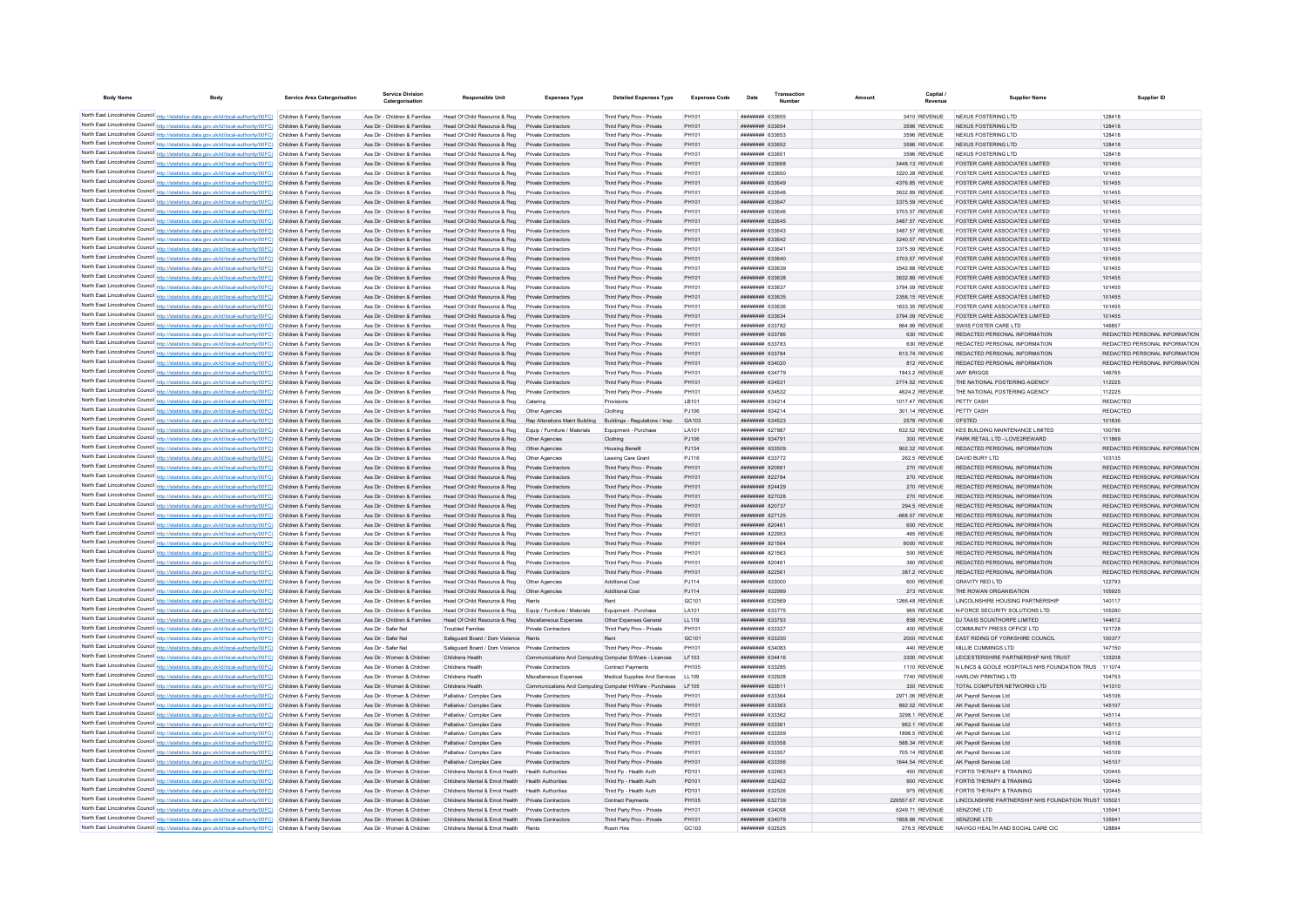| <b>Body Name</b>                                                                                                                                                                                                                       | <b>Body</b> | <b>Service Area Catergorisation</b>                      | <b>Service Division</b><br>Catergorisation                     | <b>Responsible Unit</b>                                                                    | <b>Expenses Type</b>                                     | <b>Detailed Expenses Type</b>                            | <b>Expenses Code</b> | Date                                             | Transaction | Amount | Capital<br>Revenue                 | <b>Supplier Name</b>                                             | Supplier ID                                                    |
|----------------------------------------------------------------------------------------------------------------------------------------------------------------------------------------------------------------------------------------|-------------|----------------------------------------------------------|----------------------------------------------------------------|--------------------------------------------------------------------------------------------|----------------------------------------------------------|----------------------------------------------------------|----------------------|--------------------------------------------------|-------------|--------|------------------------------------|------------------------------------------------------------------|----------------------------------------------------------------|
| North East Lincolnshire Council http://statistics.data.gov.uk/id/local-authority/00FC) Children & Family Services                                                                                                                      |             |                                                          | Ass Dir - Children & Families                                  | Head Of Child Resource & Reg                                                               | Private Contractors                                      | Third Party Prov - Private                               | PH101                | <b>HHHHHHH 633655</b>                            |             |        | 3410 REVENUE                       | NEXUS FOSTERING LTD                                              | 128418                                                         |
| North East Lincolnshire Council http://statistics.data.gov.uk/id/local-authority/00FC) Children & Family Services                                                                                                                      |             |                                                          | Ass Dir - Children & Families                                  | Head Of Child Resource & Reg                                                               | Private Contractors                                      | Third Party Prov - Private                               | PH101                | ######## 633654                                  |             |        | 3596 REVENUE                       | <b>NEXUS FOSTERING LTD</b>                                       | 128418                                                         |
| North East Lincolnshire Council http://statistics.data.gov.uk/id/local-authority/00FC) Children & Family Services                                                                                                                      |             |                                                          | Ass Dir - Children & Families                                  | Head Of Child Resource & Reg                                                               | Private Contractors                                      | Third Party Prov - Private                               | PH101                | ######## 633653                                  |             |        | 3596 REVENUE                       | <b>NEXUS FOSTERING LTD</b>                                       | 128418                                                         |
| North East Lincolnshire Council http://statistics.data.gov.uk/id/local-authority/00FC) Children & Family Services                                                                                                                      |             |                                                          | Ass Dir - Children & Families                                  | Head Of Child Resource & Reg                                                               | Private Contractors                                      | Third Party Prov - Private                               | PH101                | ######## 633652                                  |             |        | 3596 REVENUE                       | NEXUS FOSTERING LTD                                              | 128418                                                         |
| North East Lincolnshire Council http://statistics.data.gov.uk/id/local-authority/00FC) Children & Family Services                                                                                                                      |             |                                                          | Ass Dir - Children & Families                                  | Head Of Child Resource & Reg.                                                              | Private Contractors                                      | Third Party Prov - Private                               | PH101                | ######## 633651                                  |             |        | 3596 REVENUE                       | NEXUS FOSTERING LTD.                                             | 128418                                                         |
| North East Lincolnshire Council http://statistics.data.gov.uk/id/local-authority/00FC) Children & Family Services                                                                                                                      |             |                                                          | Ass Dir - Children & Families                                  | Head Of Child Resource & Reg.                                                              | Private Contractors                                      | Third Party Prov - Private                               | PH101                | ######## 633668                                  |             |        | 3448.13 REVENUE                    | FOSTER CARE ASSOCIATES LIMITED                                   | 101455                                                         |
| North East Lincolnshire Council http://statistics.data.gov.uk/id/local-authority/00FC) Children & Family Services                                                                                                                      |             |                                                          | Ass Dir - Children & Families                                  | Head Of Child Resource & Reg                                                               | Private Contractors                                      | Third Party Prov - Private                               | PH101                | <b>ппинини 633650</b>                            |             |        | 3220.28 REVENUE                    | FOSTER CARE ASSOCIATES LIMITED                                   | 101455                                                         |
| North East Lincolnshire Council http://statistics.data.gov.uk/id/local-authority/00FC) Children & Family Services                                                                                                                      |             |                                                          | Ass Dir - Children & Families                                  | Head Of Child Resource & Reg                                                               | Private Contractors                                      | Third Party Prov - Private                               | PH101                | ######## 633649                                  |             |        | 4376.85 REVENUE                    | <b>FOSTER CARE ASSOCIATES LIMITED</b>                            | 101455                                                         |
| North East Lincolnshire Council http://statistics.data.gov.uk/id/local-authority/00FC) Children & Family Services                                                                                                                      |             |                                                          | Ass Dir - Children & Families                                  | Head Of Child Resource & Reg                                                               | Private Contractors                                      | Third Party Prov - Private                               | PH101                | ######## 633648                                  |             |        | 3632.89 REVENUE                    | FOSTER CARE ASSOCIATES LIMITED                                   | 101455                                                         |
| North East Lincolnshire Council http://statistics.data.gov.uk/id/local-authority/00FC) Children & Family Services                                                                                                                      |             |                                                          | Ass Dir - Children & Families                                  | Head Of Child Resource & Reg                                                               | Private Contractors                                      | Third Party Prov - Private                               | PH101                | ######## 633647                                  |             |        | 3375.59 REVENUE                    | FOSTER CARE ASSOCIATES LIMITED                                   | 101455                                                         |
| North East Lincolnshire Council http://statistics.data.gov.uk/id/local-authority/00FC) Children & Family Services                                                                                                                      |             |                                                          | Ass Dir - Children & Families<br>Ass Dir - Children & Families | Head Of Child Resource & Reg<br>Head Of Child Resource & Reg                               | Private Contractors                                      | Third Party Prov - Private<br>Third Party Prov - Private | PH101<br>PH101       | ппинини 633646                                   |             |        | 3703.57 REVENUE<br>3487.57 REVENUE | FOSTER CARE ASSOCIATES LIMITED<br>FOSTER CARE ASSOCIATES LIMITED | 101455<br>101455                                               |
| North East Lincolnshire Council http://statistics.data.gov.uk/id/local-authority/00FC) Children & Family Services<br>North East Lincolnshire Council http://statistics.data.gov.uk/id/local-authority/00FC) Children & Family Services |             |                                                          | Ass Dir - Children & Families                                  | Head Of Child Resource & Reg                                                               | <b>Private Contractors</b><br>Private Contractors        | Third Party Prov - Private                               | PH101                | ######## 633645<br>######## 633643               |             |        | 3487.57 REVENUE                    | FOSTER CARE ASSOCIATES LIMITED                                   | 101455                                                         |
| North East Lincolnshire Council http://statistics.data.gov.uk/id/local-authority/00FC)                                                                                                                                                 |             | Children & Family Services                               | Ass Dir - Children & Families                                  | Head Of Child Resource & Reg                                                               | Private Contractors                                      | Third Party Prov - Private                               | PH101                | ######## 633642                                  |             |        | 3240.57 REVENUE                    | FOSTER CARE ASSOCIATES LIMITED                                   | 101455                                                         |
| North East Lincolnshire Council http://statistics.data.gov.uk/id/local-authority/00FC)                                                                                                                                                 |             | Children & Family Services                               | Ass Dir - Children & Families                                  | Head Of Child Resource & Reg                                                               | Private Contractors                                      | Third Party Prov - Private                               | PH101                | ######## 633641                                  |             |        | 3375.59 REVENUE                    | <b>FOSTER CARE ASSOCIATES LIMITED</b>                            | 101455                                                         |
| North East Lincolnshire Council http://statistics.data.gov.uk/id/local-authority/00FC)                                                                                                                                                 |             | Children & Family Services                               | Ass Dir - Children & Families                                  | Head Of Child Resource & Reg                                                               |                                                          | Third Party Prov - Private                               | PH101                | ######## 633640                                  |             |        | 3703.57 REVENUE                    | <b>FOSTER CARE ASSOCIATES LIMITED</b>                            | 101455                                                         |
| North East Lincolnshire Council http://statistics.data.gov.uk/id/local-authority/00FC) Children & Family Services                                                                                                                      |             |                                                          | Ass Dir - Children & Families                                  | Head Of Child Resource & Reg                                                               | Private Contractors                                      | Third Party Prov - Private                               | PH101                | ниннини 633639                                   |             |        | 3542.68 REVENUE                    | FOSTER CARE ASSOCIATES LIMITED                                   | 101455                                                         |
| North East Lincolnshire Council http://statistics.data.gov.uk/id/local-authority/00FC) Children & Family Services                                                                                                                      |             |                                                          | Ass Dir - Children & Families                                  | Head Of Child Resource & Reg                                                               | Private Contractors                                      | Third Party Prov - Private                               | PH101                | ######## 633638                                  |             |        | 3632.89 REVENUE                    | FOSTER CARE ASSOCIATES LIMITED                                   | 101455                                                         |
| North East Lincolnshire Council http://statistics.data.gov.uk/id/local-authority/00FC) Children & Family Services                                                                                                                      |             |                                                          | Ass Dir - Children & Families                                  | Head Of Child Resource & Reg                                                               | Private Contractors                                      | Third Party Prov - Private                               | PH101                | ######## 633637                                  |             |        | 3794.09 REVENUE                    | FOSTER CARE ASSOCIATES LIMITED                                   | 101455                                                         |
| North East Lincolnshire Council http://statistics.data.gov.uk/id/local-authority/00FC)                                                                                                                                                 |             | Children & Family Services                               | Ass Dir - Children & Families                                  | Head Of Child Resource & Reg                                                               | Private Contractors                                      | Third Party Prov - Private                               | PH101                | ######## 633635                                  |             |        | 2358.15 REVENUE                    | <b>FOSTER CARE ASSOCIATES LIMITED</b>                            | 101455                                                         |
| North East Lincolnshire Council http://statistics.data.gov.uk/id/local-authority/00FC) Children & Family Services                                                                                                                      |             |                                                          | Ass Dir - Children & Families                                  | Head Of Child Resource & Reg                                                               | Private Contractors                                      | Third Party Prov - Private                               | PH101                | ######## 633636                                  |             |        | 1633.35 REVENUE                    | <b>FOSTER CARE ASSOCIATES LIMITED</b>                            | 101455                                                         |
| North East Lincolnshire Council http://statistics.data.gov.uk/id/local-authority/00FC) Children & Family Services                                                                                                                      |             |                                                          | Ass Dir - Children & Families                                  | Head Of Child Resource & Reg                                                               | Private Contractors                                      | Third Party Prov - Private                               | PH101                | ######## 633634                                  |             |        | 3794.09 REVENUE                    | FOSTER CARE ASSOCIATES LIMITED                                   | 101455                                                         |
| North East Lincolnshire Council http://statistics.data.gov.uk/id/local-authority/00FC) Children & Family Services                                                                                                                      |             |                                                          | Ass Dir - Children & Families                                  | Head Of Child Resource & Reg                                                               | Private Contractors                                      | Third Party Prov - Private                               | PH101                | ######## 633782                                  |             |        | 864.99 REVENUE                     | SWIIS FOSTER CARE LTD                                            | 146857                                                         |
| North East Lincolnshire Council http://statistics.data.gov.uk/id/local-authority/00FC) Children & Family Services                                                                                                                      |             |                                                          | Ass Dir - Children & Families                                  | Head Of Child Resource & Reg                                                               | Private Contractors                                      | Third Party Prov - Private                               | PH101                | ######## 633786                                  |             |        | 630 REVENUE                        | REDACTED PERSONAL INFORMATION                                    | REDACTED PERSONAL INFORMATION                                  |
| North East Lincolnshire Council http://statistics.data.gov.uk/id/local-authority/00FC) Children & Family Services                                                                                                                      |             |                                                          | Ass Dir - Children & Families                                  | Head Of Child Resource & Reg                                                               | Private Contractors                                      | Third Party Prov - Private                               | PH101                | ######## 633783                                  |             |        | 630 REVENUE                        | REDACTED PERSONAL INFORMATION                                    | REDACTED PERSONAL INFORMATION                                  |
| North East Lincolnshire Council http://statistics.data.gov.uk/id/local-authority/00FC)                                                                                                                                                 |             | Children & Family Services                               | Ass Dir - Children & Families                                  | Head Of Child Resource & Reg                                                               | Private Contractors                                      | Third Party Prov - Private                               | PH101                | ######## 633784                                  |             |        | 613.74 REVENUE                     | REDACTED PERSONAL INFORMATION                                    | REDACTED PERSONAL INFORMATION                                  |
| North East Lincolnshire Council http://statistics.data.gov.uk/id/local-authority/00FC)<br>North East Lincolnshire Council http://statistics.data.gov.uk/id/local-authority/00FC).                                                      |             | Children & Family Services<br>Children & Family Services | Ass Dir - Children & Families<br>Ass Dir - Children & Families | Head Of Child Resource & Reg<br>Head Of Child Resource & Reg                               | Private Contractors                                      | Third Party Prov - Private<br>Third Party Prov - Private | PH101<br>PH101       | ######## 634020<br>######## 634779               |             |        | 812 REVENUE<br>1843.2 REVENUE      | REDACTED PERSONAL INFORMATION<br>AMY BRIGGS                      | REDACTED PERSONAL INFORMATION<br>146765                        |
| North East Lincolnshire Council http://statistics.data.gov.uk/id/local-authority/00FC) Children & Family Services                                                                                                                      |             |                                                          | Ass Dir - Children & Families                                  | Head Of Child Resource & Reg                                                               | Private Contractors                                      | Third Party Prov - Private                               | PH101                | ######## 634531                                  |             |        | 2774.52 REVENUE                    | THE NATIONAL FOSTERING AGENCY                                    | 112225                                                         |
| North East Lincolnshire Council http://statistics.data.gov.uk/id/local-authority/00FC) Children & Family Services                                                                                                                      |             |                                                          | Ass Dir - Children & Families                                  | Head Of Child Resource & Reg.                                                              | Private Contractors                                      | Third Party Prov - Private                               | PH101                | <b><i>BREEBHAH</i></b> 634532                    |             |        | 4624.2 REVENUE                     | THE NATIONAL FOSTERING AGENCY                                    | 112225                                                         |
| North East Lincolnshire Council http://statistics.data.gov.uk/id/local-authority/00FC) Children & Family Services                                                                                                                      |             |                                                          | Ass Dir - Children & Families                                  | Head Of Child Resource & Reg                                                               | Catering                                                 | Provisions                                               | I R101               | <b>ппинини</b> 634214                            |             |        | 1017 47 REVENUE                    | PFTTY CASH                                                       | <b>REDACTED</b>                                                |
| North East Lincolnshire Council http://statistics.data.gov.uk/id/local-authority/00FC) Children & Family Services                                                                                                                      |             |                                                          | Ass Dir - Children & Families                                  | Head Of Child Resource & Reg                                                               | Other Agencies                                           | Clothing                                                 | PJ106                | <b>иннинний</b> 634214                           |             |        | 301.14 REVENUE                     | PETTY CASH                                                       | <b>REDACTED</b>                                                |
| North East Lincolnshire Council http://statistics.data.gov.uk/id/local-authority/00FC) Children & Family Services                                                                                                                      |             |                                                          | Ass Dir - Children & Families                                  | Head Of Child Resource & Reg Rep Alterations Maint Building                                |                                                          | Buildings - Regulations / Insp                           | GA103                | ######## 634523                                  |             |        | 2578 REVENUE                       | OFSTED                                                           | 101836                                                         |
| North East Lincolnshire Council http://statistics.data.gov.uk/id/local-authority/00FC) Children & Family Services                                                                                                                      |             |                                                          | Ass Dir - Children & Families                                  | Head Of Child Resource & Reg Equip / Furniture / Materials                                 |                                                          | Equipment - Purchase                                     | LA101                | ######## 627887                                  |             |        | 632.52 REVENUE                     | KES BUILDING MAINTENANCE LIMITED                                 | 100786                                                         |
| North East Lincolnshire Council http://statistics.data.gov.uk/id/local-authority/00FC) Children & Family Services                                                                                                                      |             |                                                          | Ass Dir - Children & Families                                  | Head Of Child Resource & Reg                                                               | Other Agencies                                           | Clothing                                                 | PJ106                | ######## 634791                                  |             |        | 300 REVENUE                        | PARK RETAIL LTD - LOVE2REWARD                                    | 111869                                                         |
| North East Lincolnshire Council http://statistics.data.gov.uk/id/local-authority/00FC) Children & Family Services                                                                                                                      |             |                                                          | Ass Dir - Children & Families                                  | Head Of Child Resource & Reg                                                               | Other Agencies                                           | <b>Housing Benefit</b>                                   | P.1134               | ######## 633509                                  |             |        | 902.32 REVENUE                     | REDACTED PERSONAL INFORMATION                                    | REDACTED PERSONAL INFORMATION                                  |
| North East Lincolnshire Council http://statistics.data.gov.uk/id/local-authority/00FC) Children & Family Services                                                                                                                      |             |                                                          | Ass Dir - Children & Families                                  | Head Of Child Resource & Reg                                                               | Other Agencies                                           | Leaving Care Grant                                       | P.1116               | <b><i>BREEBBBB</i></b> 633772                    |             |        | 262 5 REVENUE                      | DAVID BURY LTD                                                   | 103135                                                         |
| North East Lincolnshire Council http://statistics.data.gov.uk/id/local-authority/00FC) Children & Family Services                                                                                                                      |             |                                                          | Ass Dir - Children & Families                                  | Head Of Child Resource & Reg                                                               | Private Contractors                                      | Third Party Prov - Private                               | PH101                | ######## 820661                                  |             |        | 270 REVENUE                        | REDACTED PERSONAL INFORMATION                                    | REDACTED PERSONAL INFORMATION                                  |
| North East Lincolnshire Council http://statistics.data.gov.uk/id/local-authority/00FC)                                                                                                                                                 |             | Children & Family Services                               | Ass Dir - Children & Families                                  | Head Of Child Resource & Reg                                                               |                                                          | Third Party Prov - Private                               | PH101                | ######## 822784                                  |             |        | 270 REVENUE                        | REDACTED PERSONAL INFORMATION                                    | REDACTED PERSONAL INFORMATION                                  |
| North East Lincolnshire Council http://statistics.data.gov.uk/id/local-authority/00FC).<br>North East Lincolnshire Council http://statistics.data.gov.uk/id/local-authority/00FC)                                                      |             | Children & Family Services                               | Ass Dir - Children & Families                                  | Head Of Child Resource & Reg                                                               | Private Contractors                                      | Third Party Prov - Private                               | PH101                | ######## 824429                                  |             |        | 270 REVENUE                        | REDACTED PERSONAL INFORMATION                                    | REDACTED PERSONAL INFORMATION                                  |
| North East Lincolnshire Council http://statistics.data.gov.uk/id/local-authority/00FC)                                                                                                                                                 |             | Children & Family Services<br>Children & Family Services | Ass Dir - Children & Families<br>Ass Dir - Children & Families | Head Of Child Resource & Reg<br>Head Of Child Resource & Reg                               | Private Contractors<br>Private Contractors               | Third Party Prov - Private<br>Third Party Prov - Private | PH101<br>PH101       | ######## 827028<br><b><i>BREEBBBB</i></b> 820737 |             |        | 270 REVENUE<br>294.5 REVENUE       | REDACTED PERSONAL INFORMATION<br>REDACTED PERSONAL INFORMATION   | REDACTED PERSONAL INFORMATION<br>REDACTED PERSONAL INFORMATION |
| North East Lincolnshire Council http://statistics.data.gov.uk/id/local-authority/00FC) Children & Family Services                                                                                                                      |             |                                                          | Ass Dir - Children & Families                                  | Head Of Child Resource & Reg.                                                              | Private Contractors                                      | Third Party Prov - Private                               | PH101                | <b>HHHHHHH 827125</b>                            |             |        | -668 57 REVENUE                    | REDACTED PERSONAL INFORMATION                                    | REDACTED PERSONAL INFORMATION                                  |
| North East Lincolnshire Council http://statistics.data.gov.uk/id/local-authority/00FC) Children & Family Services                                                                                                                      |             |                                                          | Ass Dir - Children & Families                                  | Head Of Child Resource & Reg                                                               | Private Contractors                                      | Third Party Prov - Private                               | PH101                | ######## 820461                                  |             |        | 600 REVENUE                        | REDACTED PERSONAL INFORMATION                                    | REDACTED PERSONAL INFORMATION                                  |
| North East Lincolnshire Council http://statistics.data.gov.uk/id/local-authority/00FC) Children & Family Services                                                                                                                      |             |                                                          | Ass Dir - Children & Families                                  | Head Of Child Resource & Reg                                                               | Private Contractors                                      | Third Party Prov - Private                               | PH101                | ######## 822953                                  |             |        | 465 REVENUE                        | REDACTED PERSONAL INFORMATION                                    | REDACTED PERSONAL INFORMATION                                  |
| North East Lincolnshire Council http://statistics.data.gov.uk/id/local-authority/00FC) Children & Family Services                                                                                                                      |             |                                                          | Ass Dir - Children & Families                                  | Head Of Child Resource & Reg                                                               | Private Contractors                                      | Third Party Prov - Private                               | PH101                | ######## 821564                                  |             |        | 6000 REVENUE                       | REDACTED PERSONAL INFORMATION                                    | REDACTED PERSONAL INFORMATION                                  |
| North East Lincolnshire Council http://statistics.data.gov.uk/id/local-authority/00FC) Children & Family Services                                                                                                                      |             |                                                          | Ass Dir - Children & Families                                  | Head Of Child Resource & Reg                                                               | Private Contractors                                      | Third Party Prov - Private                               | PH101                | ######## 821563                                  |             |        | 500 REVENUE                        | REDACTED PERSONAL INFORMATION                                    | REDACTED PERSONAL INFORMATION                                  |
| North East Lincolnshire Council http://statistics.data.gov.uk/id/local-authority/00FC) Children & Family Services                                                                                                                      |             |                                                          | Ass Dir - Children & Families                                  | Head Of Child Resource & Reg                                                               | Private Contractors                                      | Third Party Prov - Private                               | PH101                | <b>ПЕНИНИН 820461</b>                            |             |        | 360 REVENUE                        | REDACTED PERSONAL INFORMATION                                    | REDACTED PERSONAL INFORMATION                                  |
| North East Lincolnshire Council http://statistics.data.gov.uk/id/local-authority/00FC) Children & Family Services                                                                                                                      |             |                                                          | Ass Dir - Children & Families                                  | Head Of Child Resource & Reg                                                               | Private Contractors                                      | Third Party Prov - Private                               | PH101                | ######## 822561                                  |             |        | 387.2 REVENUE                      | REDACTED PERSONAL INFORMATION                                    | REDACTED PERSONAL INFORMATION                                  |
| North East Lincolnshire Council http://statistics.data.gov.uk/id/local-authority/00FC) Children & Family Services                                                                                                                      |             |                                                          | Ass Dir - Children & Families                                  | Head Of Child Resource & Reg                                                               | Other Agencies                                           | <b>Additional Cost</b>                                   | PJ114                | ######## 633000                                  |             |        | 600 REVENUE                        | <b>GRAVITY RED LTD</b>                                           | 122793                                                         |
| North East Lincolnshire Council http://statistics.data.gov.uk/id/local-authority/00FC)                                                                                                                                                 |             | Children & Family Services                               | Ass Dir - Children & Families                                  | Head Of Child Resource & Reg                                                               | Other Agencies                                           | <b>Additional Cost</b>                                   | PJ114                | ######## 632999                                  |             |        | 273 REVENUE                        | THE ROWAN ORGANISATION                                           | 105925                                                         |
| North East Lincolnshire Council http://statistics.data.gov.uk/id/local-authority/00FC)                                                                                                                                                 |             | Children & Family Services                               | Ass Dir - Children & Families                                  | Head Of Child Resource & Reg                                                               | Rent                                                     |                                                          | GC101                | ######## 632569                                  |             |        | 1266.48 REVENUE                    | LINCOLNSHIRE HOUSING PARTNERSHIP                                 | 140117                                                         |
| North East Lincolnshire Council http://statistics.data.gov.uk/id/local-authority/00FC)                                                                                                                                                 |             | Children & Family Services                               | Ass Dir - Children & Families                                  | Head Of Child Resource & Reg                                                               | Equip / Furniture / Materials                            | Equipment - Purchas                                      | LA101                | ######## 633775                                  |             |        | 965 REVENUE                        | N-FORCE SECURITY SOLUTIONS LTD                                   | 105280                                                         |
| North East Lincolnshire Council http://statistics.data.gov.uk/id/local-authority/00FC) Children & Family Services                                                                                                                      |             |                                                          | Ass Dir - Children & Families                                  | Head Of Child Resource & Reg                                                               | Miscellaneous Expenses                                   | Other Expenses General                                   | LL119                | ######## 633793                                  |             |        | 858 REVENUE                        | DJ TAXIS SCUNTHORPE LIMITED                                      | 144612                                                         |
| North East Lincolnshire Council http://statistics.data.gov.uk/id/local-authority/00FC) Children & Family Services                                                                                                                      |             |                                                          | Ass Dir - Safer Nel                                            | <b>Troubled Families</b>                                                                   | Private Contractors                                      | Third Party Prov - Private                               | PH101                | ######## 633327                                  |             |        | 400 REVENUE                        | COMMUNITY PRESS OFFICE LTD                                       | 101728                                                         |
| North East Lincolnshire Council http://statistics.data.gov.uk/id/local-authority/00FC) Children & Family Services<br>North East Lincolnshire Council http://statistics.data.gov.uk/id/local-authority/00FC) Children & Family Services |             |                                                          | Ass Dir - Safer Nel<br>Ass Dir - Safer Nel                     | Safeguard Board / Dom Violence Rents<br>Safeguard Board / Dom Violence Private Contractors |                                                          | Rent<br>Third Party Prov - Private                       | GC101<br>PH101       | ######## 633230<br>######## 634083               |             |        | 2000 REVENUE<br>440 REVENUE        | EAST RIDING OF YORKSHIRE COUNCIL<br>MILLIE CUMMINGS LTD          | 100377<br>147150                                               |
| North East Lincolnshire Council http://statistics.data.gov.uk/id/local-authority/00FC) Children & Family Services                                                                                                                      |             |                                                          | Ass Dir - Women & Children                                     | Childrens Health                                                                           | Communications And Computing Computer S/Ware - Licences  |                                                          | LF103                | ######## 634416                                  |             |        | 3300 REVENUE                       | LEICESTERSHIRE PARTNERSHIP NHS TRUST                             | 133208                                                         |
| North East Lincolnshire Council http://statistics.data.gov.uk/id/local-authority/00FC) Children & Family Services                                                                                                                      |             |                                                          | Ass Dir - Women & Children                                     | Childrens Health                                                                           | Private Contractors                                      | Contract Payments                                        | PH105                | ######## 633285                                  |             |        | 1110 REVENUE                       | N LINCS & GOOLE HOSPITALS NHS FOUNDATION TRUS 111074             |                                                                |
| North East Lincolnshire Council http://statistics.data.gov.uk/id/local-authority/00FC) Children & Family Services                                                                                                                      |             |                                                          | Ass Dir - Women & Children                                     | Childrens Health                                                                           | Miscellaneous Expenses                                   | Medical Supplies And Services                            | LL109                | ######## 632928                                  |             |        | 7740 REVENUE                       | HARLOW PRINTING LTD                                              | 104753                                                         |
| North East Lincolnshire Council http://statistics.data.gov.uk/id/local-authority/00FC) Children & Family Services                                                                                                                      |             |                                                          | Ass Dir - Women & Children                                     | Childrens Health                                                                           | Communications And Computing Computer H/Ware - Purchases |                                                          | LF105                | ######## 633511                                  |             |        | 330 REVENUE                        | TOTAL COMPUTER NETWORKS LTD                                      | 141310                                                         |
| North East Lincolnshire Council http://statistics.data.gov.uk/id/local-authority/00FC) Children & Family Services                                                                                                                      |             |                                                          | Ass Dir - Women & Children                                     | Palliative / Complex Care                                                                  | Private Contractors                                      | Third Party Prov - Private                               | PH101                | ######## 633364                                  |             |        | 2971.06 REVENUE                    | AK Pavroll Services Ltd                                          | 145106                                                         |
| North East Lincolnshire Council http://statistics.data.gov.uk/id/local-authority/00FC) Children & Family Services                                                                                                                      |             |                                                          | Ass Dir - Women & Children                                     | Palliative / Complex Care                                                                  | Private Contractors                                      | Third Party Prov - Private                               | PH101                | ######## 633363                                  |             |        | 892.02 REVENUE                     | AK Payroll Services Ltd                                          | 145107                                                         |
| North East Lincolnshire Council http://statistics.data.gov.uk/id/local-authority/00FC)                                                                                                                                                 |             | Children & Family Services                               | Ass Dir - Women & Children                                     | Palliative / Complex Care                                                                  | Private Contractor                                       | Third Party Prov - Private                               | PH101                | ######## 633362                                  |             |        | 3298.1 REVENUE                     | AK Payroll Services Ltd                                          | 145114                                                         |
| North East Lincolnshire Council http://statistics.data.gov.uk/id/local-authority/00FC).                                                                                                                                                |             | Children & Family Services                               | Ass Dir - Women & Children                                     | Palliative / Complex Care                                                                  | Private Contractors                                      | Third Party Prov - Private                               | PH101                | ######## 633361                                  |             |        | 962.1 REVENUE                      | AK Payroll Services Ltd                                          | 145113                                                         |
| North East Lincolnshire Council http://statistics.data.gov.uk/id/local-authority/00FC)                                                                                                                                                 |             | Children & Family Services                               | Ass Dir - Women & Children                                     | Palliative / Complex Care                                                                  | Private Contractors                                      | Third Party Prov - Private                               | PH101                | <b>HHHHHHH 633359</b>                            |             |        | 1896.5 REVENUE                     | AK Payroll Services Ltd.                                         | 145112                                                         |
| North East Lincolnshire Council http://statistics.data.gov.uk/id/local-authority/00FC)                                                                                                                                                 |             | Children & Family Services                               | Ass Dir - Women & Children                                     | Palliative / Complex Care                                                                  | Private Contractors                                      | Third Party Prov - Private                               | PH101                | <i>ппиннин</i> 633358                            |             |        | 588.34 REVENUE                     | AK Payroll Services Ltd.                                         | 145108                                                         |
| North East Lincolnshire Council http://statistics.data.gov.uk/id/local-authority/00FC) Children & Family Services                                                                                                                      |             |                                                          | Ass Dir - Women & Children                                     | Palliative / Complex Care                                                                  | Private Contractors                                      | Third Party Prov - Private                               | PH101                | ######## 633357                                  |             |        | 705 14 REVENUE                     | AK Payroll Services Ltd.                                         | 145109                                                         |
| North East Lincolnshire Council http://statistics.data.gov.uk/id/local-authority/00FC) Children & Family Services                                                                                                                      |             |                                                          | Ass Dir - Women & Children                                     | Palliative / Complex Care                                                                  | Private Contractors                                      | Third Party Prov - Private                               | PH101                | ######## 633356                                  |             |        | 1644.54 REVENUE                    | AK Pavroll Services Ltd                                          | 145107                                                         |
| North East Lincolnshire Council http://statistics.data.gov.uk/id/local-authority/00FC) Children & Family Services                                                                                                                      |             |                                                          | Ass Dir - Women & Children                                     | Childrens Mental & Emot Health                                                             | <b>Health Authorities</b>                                | Third Pp - Health Auth                                   | PD101                | ######## 632663                                  |             |        | 450 REVENUE                        | FORTIS THERAPY & TRAINING                                        | 120445                                                         |
| North East Lincolnshire Council http://statistics.data.gov.uk/id/local-authority/00FC) Children & Family Services                                                                                                                      |             |                                                          | Ass Dir - Women & Children<br>Ass Dir - Women & Children       | Childrens Mental & Emot Health Health Authorities<br>Childrens Mental & Frnnt Health       | <b>Health Authorities</b>                                | Third Po - Health Auth<br>Third Pp - Health Auth         | PD101                | ######## 632422<br><b>ппинини 632526</b>         |             |        | 900 REVENUE                        | FORTIS THERAPY & TRAINING<br>FORTIS THERAPY & TRAINING           | 120445<br>120445                                               |
| North East Lincolnshire Council http://statistics.data.gov.uk/id/local-authority/00FC) Children & Family Services<br>North East Lincolnshire Council http://statistics.data.gov.uk/id/local-authority/00FC) Children & Family Services |             |                                                          | Ass Dir - Women & Children                                     | Childrens Mental & Emot Health Private Contractors                                         |                                                          | Contract Payments                                        | PD101<br>PH105       | ######## 632739                                  |             |        | 975 REVENUE<br>226557.67 REVENUE   | LINCOLNSHIRE PARTNERSHIP NHS FOUNDATION TRUST 105021             |                                                                |
| North East Lincolnshire Council http://statistics.data.gov.uk/id/local-authority/00FC) Children & Family Services                                                                                                                      |             |                                                          | Ass Dir - Women & Children                                     | Childrens Mental & Emot Health Private Contractors                                         |                                                          | Third Party Prov - Private                               | PH101                | ######## 634098                                  |             |        | 6249 71 REVENUE                    | XENZONE LTD                                                      | 135941                                                         |
| North East Lincolnshire Council http://statistics.data.gov.uk/id/local-authority/00FC) Children & Family Services                                                                                                                      |             |                                                          | Ass Dir - Women & Children                                     | Childrens Mental & Emot Health Private Contractors                                         |                                                          | Third Party Prov - Private                               | PH101                | ######## 634079                                  |             |        | 1858.66 REVENUE                    | XENZONE LTD                                                      | 135941                                                         |
| North East Lincolnshire Council http://statistics.data.gov.uk/id/local-authority/00FC) Children & Family Services                                                                                                                      |             |                                                          | Ass Dir - Women & Children                                     |                                                                                            |                                                          | Room Hire                                                | GC103                | ######## 632525                                  |             |        | 276.5 REVENUE                      | NAVIGO HEALTH AND SOCIAL CARE CIC                                | 128894                                                         |
|                                                                                                                                                                                                                                        |             |                                                          |                                                                |                                                                                            |                                                          |                                                          |                      |                                                  |             |        |                                    |                                                                  |                                                                |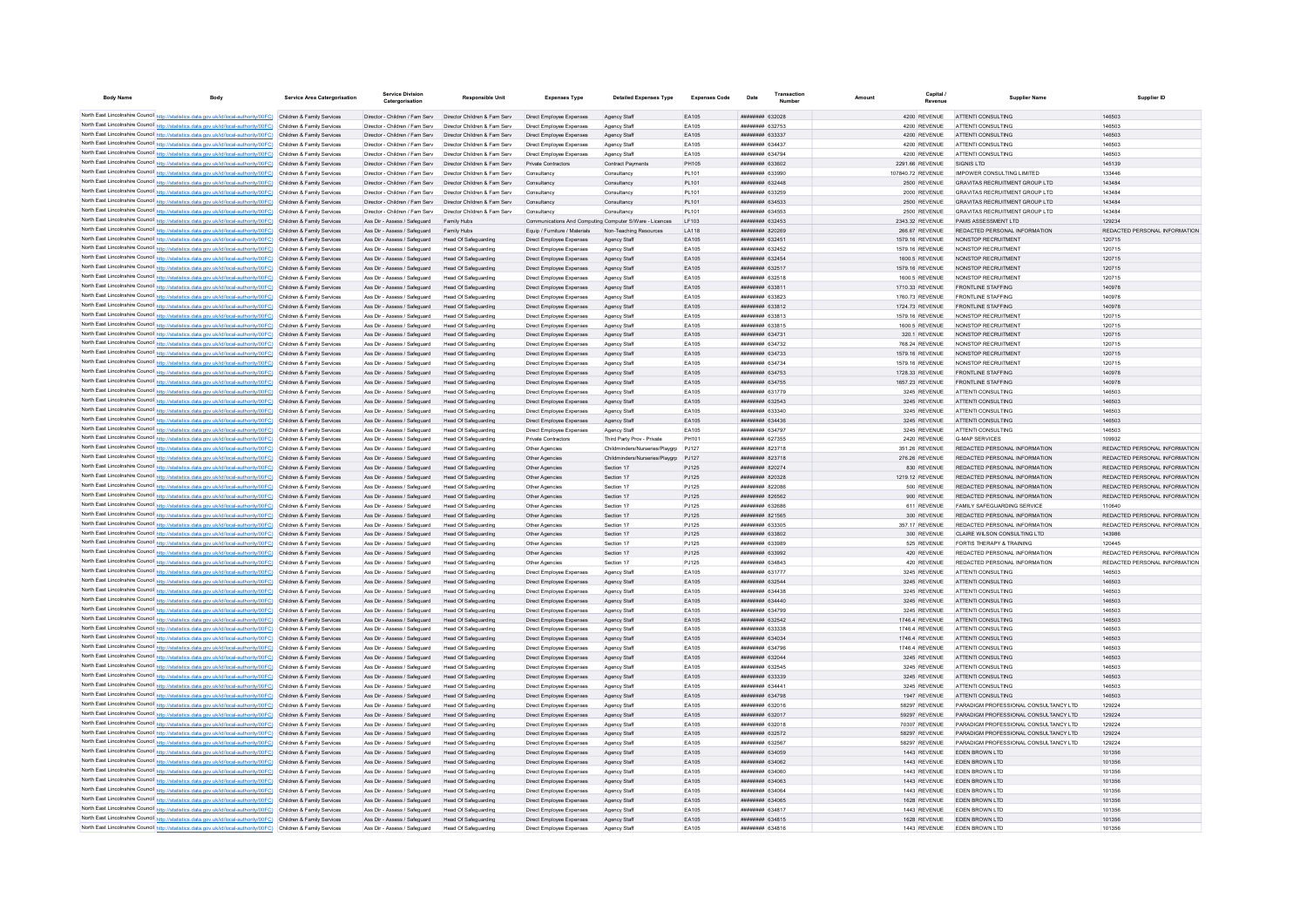| <b>Body Name</b>                         | <b>Body</b>                                                                                                                                                                                                                            | Service Area Catergorisation | Service Division<br>Catergorisation                              | <b>Responsible Unit</b>                                      | <b>Expenses Type</b>                                 | <b>Detailed Expenses Type</b>                           | <b>Expenses Code</b> | Date                                            | Number | Amount |                                   | <b>Supplier Name</b>                                      | Supplier ID                             |
|------------------------------------------|----------------------------------------------------------------------------------------------------------------------------------------------------------------------------------------------------------------------------------------|------------------------------|------------------------------------------------------------------|--------------------------------------------------------------|------------------------------------------------------|---------------------------------------------------------|----------------------|-------------------------------------------------|--------|--------|-----------------------------------|-----------------------------------------------------------|-----------------------------------------|
|                                          |                                                                                                                                                                                                                                        |                              |                                                                  |                                                              |                                                      |                                                         |                      |                                                 |        |        |                                   |                                                           |                                         |
|                                          | North East Lincolnshire Council http://statistics.data.gov.uk/id/local-authority/00FC) Children & Family Services<br>North East Lincolnshire Council http://statistics.data.gov.uk/id/local-authority/00FC) Children & Family Services |                              | Director - Children / Fam Serv<br>Director - Children / Fam Serv | Director Children & Fam Serv<br>Director Children & Fam Serv | Direct Employee Expenses<br>Direct Employee Expenses | Agency Staff<br>Agency Staff                            | EA105<br>EA105       | ######## 632028<br><b><i>HHHHHHH 632753</i></b> |        |        | 4200 REVENUE<br>4200 REVENUE      | <b>ATTENTI CONSULTING</b><br>ATTENTI CONSULTING           | 146503<br>146503                        |
|                                          | North East Lincolnshire Council http://statistics.data.gov.uk/id/local-authority/00FC) Children & Family Services                                                                                                                      |                              | Director - Children / Fam Serv                                   | Director Children & Fam Serv                                 | Direct Employee Expenses                             | Agency Staff                                            | EA105                | ######## 633337                                 |        |        | 4200 REVENUE                      | ATTENTI CONSULTING                                        | 146503                                  |
|                                          | North East Lincolnshire Council http://statistics.data.gov.uk/id/local-authority/00FC) Children & Family Services                                                                                                                      |                              | Director - Children / Fam Serv                                   | Director Children & Fam Serv                                 | Direct Employee Expenses                             | Agency Staff                                            | FA105                | <b><i>BREEBHAR 634437</i></b>                   |        |        | 4200 REVENUE                      | ATTENTI CONSULTING                                        | 146503                                  |
|                                          | North East Lincolnshire Council http://statistics.data.gov.uk/id/local-authority/00FC) Children & Family Services                                                                                                                      |                              | Director - Children / Fam Serv                                   | Director Children & Fam Serv                                 | Direct Employee Expenses                             | Agency Staff                                            | EA105                | <b>ининнин</b> 634794                           |        |        | 4200 REVENUE                      | ATTENTI CONSULTING                                        | 146503                                  |
|                                          | North East Lincolnshire Council http://statistics.data.gov.uk/id/local-authority/00FC) Children & Family Services                                                                                                                      |                              | Director - Children / Fam Serv  Director Children & Fam Serv     |                                                              | Private Contractors                                  | Contract Payment                                        | PH105                | ######## 633602                                 |        |        | 2291.66 REVENUE                   | SIGNIS I TD                                               | 145139                                  |
|                                          | North East Lincolnshire Council http://statistics.data.gov.uk/id/local-authority/00FC) Children & Family Services                                                                                                                      |                              | Director - Children / Fam Serv                                   | Director Children & Fam Serv                                 | Consultancy                                          | Consultancy                                             | <b>PL101</b>         | ######## 633990                                 |        |        | 107840.72 REVENUE                 | <b>IMPOWER CONSULTING LIMITED</b>                         | 133446                                  |
|                                          | North East Lincolnshire Council http://statistics.data.gov.uk/id/local-authority/00FC) Children & Family Services                                                                                                                      |                              | Director - Children / Fam Serv                                   | Director Children & Fam Serv                                 | Consultancy                                          | Consultancy                                             | PL101                | ######## 632448                                 |        |        | 2500 REVENUE                      | <b>GRAVITAS RECRUITMENT GROUP LTD</b>                     | 143484                                  |
|                                          | North East Lincolnshire Council http://statistics.data.gov.uk/id/local-authority/00FC) Children & Family Services                                                                                                                      |                              | Director - Children / Fam Serv                                   | Director Children & Fam Serv                                 | Consultancy                                          | Consultancy                                             | PL101                | ######## 633259                                 |        |        | 2000 REVENUE                      | <b>GRAVITAS RECRUITMENT GROUP LTD</b>                     | 143484                                  |
|                                          | North East Lincolnshire Council http://statistics.data.gov.uk/id/local-authority/00FC) Children & Family Services                                                                                                                      |                              | Director - Children / Fam Serv                                   | Director Children & Fam Serv                                 | Consultancy                                          | Consultancy                                             | PI 101               | <b><i>BREERER 634533</i></b>                    |        |        | 2500 REVENUE                      | GRAVITAS RECRUITMENT GROUP LTD                            | 143484                                  |
|                                          | North East Lincolnshire Council http://statistics.data.gov.uk/id/local-authority/00FC) Children & Family Services                                                                                                                      |                              | Director - Children / Fam Serv                                   | Director Children & Fam Serv                                 | Consultancy                                          | Consultancy                                             | <b>PL101</b>         | ######## 634553                                 |        |        | 2500 REVENUE                      | <b>GRAVITAS RECRUITMENT GROUP LTD</b>                     | 143484                                  |
|                                          | North East Lincolnshire Council http://statistics.data.gov.uk/id/local-authority/00FC) Children & Family Services                                                                                                                      |                              | Ass Dir - Assess / Safeguard                                     | Family Hubs                                                  |                                                      | Communications And Computing Computer S/Ware - Licences | LF103                | ######## 632453                                 |        |        | 2343.32 REVENUE                   | PAMS ASSESSMENT LTD                                       | 129234                                  |
|                                          | North East Lincolnshire Council http://statistics.data.gov.uk/id/local-authority/00FC) Children & Family Services                                                                                                                      |                              | Ass Dir - Assess / Safeguard                                     | Family Hubs                                                  | Equip / Furniture / Materials                        | Non-Teaching Resources                                  | LA118                | ####### 820269                                  |        |        | 266.67 REVENUE                    | REDACTED PERSONAL INFORMATION                             | REDACTED PERSONAL INFORMATION           |
|                                          | North East Lincolnshire Council http://statistics.data.gov.uk/id/local-authority/00FC)                                                                                                                                                 | Children & Family Services   | Ass Dir - Assess / Safeguard                                     | Head Of Safeguarding                                         | Direct Employee Expenses                             | Agency Staff                                            | EA105                | ######## 632451<br><b>ппинини 632452</b>        |        |        | 1579.16 REVENUE                   | NONSTOP RECRUITMENT<br>NONSTOP RECRUITMENT                | 120715<br>120715                        |
|                                          | North East Lincolnshire Council http://statistics.data.gov.uk/id/local-authority/00FC) Children & Family Services<br>North East Lincolnshire Council http://statistics.data.gov.uk/id/local-authority/00FC)                            | Children & Family Services   | Ass Dir - Assess / Safeguard<br>Ass Dir - Assess / Safeguard     | Head Of Safeguarding<br>Head Of Safeguarding                 | Direct Employee Expenses<br>Direct Employee Expenses | Agency Staff                                            | EA105<br>EA105       | <b>ппинини 632454</b>                           |        |        | 1579.16 REVENUE<br>1600.5 REVENUE | NONSTOP RECRUITMENT                                       | 120715                                  |
|                                          | North East Lincolnshire Council http://statistics.data.gov.uk/id/local-authority/00FC) Children & Family Services                                                                                                                      |                              | Ass Dir - Assess / Safeguard                                     | Head Of Safeguarding                                         | Direct Employee Expenses                             | Agency Staff<br>Agency Staff                            | EA105                | ######## 632517                                 |        |        | 1579.16 REVENUE                   | NONSTOP RECRUITMENT                                       | 120715                                  |
|                                          | North East Lincolnshire Council http://statistics.data.gov.uk/id/local-authority/00FC)                                                                                                                                                 | Children & Family Services   | Ass Dir - Assess / Safeguard                                     | Head Of Safeguarding                                         | Direct Employee Expenses                             | Agency Staf                                             | EA105                | ######## 632518                                 |        |        | 1600.5 REVENUE                    | NONSTOP RECRUITMENT                                       | 120715                                  |
|                                          | North East Lincolnshire Council http://statistics.data.gov.uk/id/local-authority/00FC) Children & Family Services                                                                                                                      |                              | Ass Dir - Assess / Safeguard                                     | Head Of Safeguarding                                         | Direct Employee Expenses                             | Agency Staff                                            | EA105                | ######## 63381                                  |        |        | 1710.33 REVENUE                   | <b>FRONTLINE STAFFING</b>                                 | 140978                                  |
|                                          | North East Lincolnshire Council http://statistics.data.gov.uk/id/local-authority/00FC) Children & Family Services                                                                                                                      |                              | Ass Dir - Assess / Safeguard                                     | <b>Head Of Safeguarding</b>                                  | Direct Employee Expenses                             | Agency Staf                                             | EA105                | ######## 633823                                 |        |        | 1760.73 REVENUE                   | <b>FRONTLINE STAFFING</b>                                 | 140978                                  |
|                                          | North East Lincolnshire Council http://statistics.data.gov.uk/id/local-authority/00FC) Children & Family Services                                                                                                                      |                              | Ass Dir - Assess / Safeguard                                     | <b>Head Of Safeguarding</b>                                  | Direct Employee Expenses                             | Agency Staff                                            | EA105                | ######## 633812                                 |        |        | 1724.73 REVENUE                   | <b>FRONTLINE STAFFING</b>                                 | 140978                                  |
|                                          | North East Lincolnshire Council http://statistics.data.gov.uk/id/local-authority/00FC) Children & Family Services                                                                                                                      |                              | Ass Dir - Assess / Safeguard                                     | Head Of Safeguarding                                         | Direct Employee Expenses                             | Agency Staff                                            | EA105                | ######## 633813                                 |        |        | 1579.16 REVENUE                   | NONSTOP RECRUITMENT                                       | 120715                                  |
|                                          | North East Lincolnshire Council http://statistics.data.gov.uk/id/local-authority/00FC) Children & Family Services                                                                                                                      |                              | Ass Dir - Assess / Safeguard                                     | Head Of Safeguarding                                         | Direct Employee Expenses                             | Agency Staf                                             | EA105                | ######## 633815                                 |        |        | 1600.5 REVENUE                    | NONSTOP RECRUITMENT                                       | 120715                                  |
|                                          | North East Lincolnshire Council http://statistics.data.gov.uk/id/local-authority/00FC)                                                                                                                                                 | Children & Family Services   | Ass Dir - Assess / Safeguard                                     | Head Of Safeguarding                                         | Direct Employee Expenses                             | Agency Staff                                            | EA105                | ######## 634731                                 |        |        | 320.1 REVENUE                     | NONSTOP RECRUITMENT                                       | 120715                                  |
| North East Lincolnshire Council http://s | tics.data.gov.uk/id/local-authority/00FC)                                                                                                                                                                                              | Children & Family Services   | Ass Dir - Assess / Safeguard                                     | <b>Head Of Safeguarding</b>                                  | Direct Employee Expenses                             | Agency Staf                                             | EA105                | ######## 634732                                 |        |        | 768.24 REVENUE                    | NONSTOP RECRUITMENT                                       | 120715                                  |
|                                          | North East Lincolnshire Council http://statistics.data.gov.uk/id/local-authority/00FC)                                                                                                                                                 | Children & Family Services   | Ass Dir - Assess / Safeguard                                     | <b>Head Of Safeguarding</b>                                  | Direct Employee Expenses                             | Agency Staff                                            | EA105                | ######## 634733                                 |        |        | 1579.16 REVENUE                   | NONSTOP RECRUITMENT                                       | 120715                                  |
|                                          | North East Lincolnshire Council http://statistics.data.gov.uk/id/local-authority/00FC) Children & Family Services                                                                                                                      |                              | Ass Dir - Assess / Safeguard                                     | <b>Head Of Safeguarding</b>                                  | Direct Employee Expenses                             | Agency Staff                                            | EA105                | <b><i>BRENHHHH 634734</i></b>                   |        |        | 1579.16 REVENUE                   | NONSTOP RECRUITMENT                                       | 120715                                  |
|                                          | North East Lincolnshire Council http://statistics.data.gov.uk/id/local-authority/00FC) Children & Family Services                                                                                                                      |                              | Ass Dir - Assess / Safeguard                                     | Head Of Safeguarding                                         | Direct Employee Expenses                             | Agency Staff                                            | EA105                | <b><i>HHHHHHH 634753</i></b>                    |        |        | 1728.33 REVENUE                   | <b>ERONTLINE STAFFING</b>                                 | 140978                                  |
|                                          | North East Lincolnshire Council http://statistics.data.gov.uk/id/local-authority/00FC) Children & Family Services                                                                                                                      |                              | Ass Dir - Assess / Safeguard                                     | Head Of Safeguarding                                         | Direct Employee Expenses                             | Agency Staff                                            | FA105                | <b><i><u>BRHHHHHH</u></i></b> 634755            |        |        | 1657 23 REVENUE                   | <b>FRONTI INF STAFFING</b>                                | 140978                                  |
|                                          | North East Lincolnshire Council http://statistics.data.gov.uk/id/local-authority/00FC) Children & Family Services                                                                                                                      |                              | Ass Dir - Assess / Safeguard                                     | Head Of Safeguarding                                         | Direct Employee Expenses                             | Agency Staff                                            | EA105                | <b>иннинний</b> 631779<br><b>иннинни 632543</b> |        |        | 3245 REVENUE                      | ATTENTI CONSULTING<br>ATTENTI CONSULTING                  | 146503<br>146503                        |
|                                          | North East Lincolnshire Council http://statistics.data.gov.uk/id/local-authority/00FC) Children & Family Services<br>North East Lincolnshire Council http://statistics.data.gov.uk/id/local-authority/00FC) Children & Family Services |                              | Ass Dir - Assess / Safeguard<br>Ass Dir - Assess / Safeguard     | Head Of Safeguarding<br>Head Of Safeguarding                 | Direct Employee Expenses<br>Direct Employee Expenses | Agency Staff<br>Agency Staf                             | EA105<br>EA105       | ######## 633340                                 |        |        | 3245 REVENUE<br>3245 REVENUE      | ATTENTI CONSULTING                                        | 146503                                  |
|                                          | North East Lincolnshire Council http://statistics.data.gov.uk/id/local-authority/00FC) Children & Family Services                                                                                                                      |                              | Ass Dir - Assess / Safeguard                                     | <b>Head Of Safeguarding</b>                                  | Direct Employee Expenses                             | Agency Staff                                            | EA105                | ######## 634436                                 |        |        | 3245 REVENUE                      | ATTENTI CONSULTING                                        | 146503                                  |
|                                          | North East Lincolnshire Council http://statistics.data.gov.uk/id/local-authority/00FC) Children & Family Services                                                                                                                      |                              | Ass Dir - Assess / Safeguard                                     | Head Of Safeguarding                                         | Direct Employee Expenses                             | Agency Staff                                            | EA105                | <b>ппинини 634797</b>                           |        |        | 3245 REVENUE                      | ATTENTI CONSULTING                                        | 146503                                  |
|                                          | North East Lincolnshire Council http://statistics.data.gov.uk/id/local-authority/00FC) Children & Family Services                                                                                                                      |                              | Ass Dir - Assess / Saferward                                     | Head Of Safeguarding                                         | Private Contractors                                  | Third Party Prov - Private                              | PH101                | ######## 627355                                 |        |        | 2420 REVENUE                      | G-MAP SERVICES                                            | 109932                                  |
|                                          | North East Lincolnshire Council http://statistics.data.gov.uk/id/local-authority/00FC) Children & Family Services                                                                                                                      |                              | Ass Dir - Assess / Safeguard                                     | Head Of Safeguarding                                         | Other Agencies                                       | Childminders/Nurseries/Playarp                          | P.1127               | <b>ппинини 823718</b>                           |        |        | 351.26 REVENUE                    | REDACTED PERSONAL INFORMATION                             | REDACTED PERSONAL INFORMATION           |
|                                          | North East Lincolnshire Council http://statistics.data.gov.uk/id/local-authority/00FC) Children & Family Services                                                                                                                      |                              | Ass Dir - Assess / Safeguard                                     | Head Of Safeguarding                                         | Other Agencies                                       | Childminders/Nurseries/Playarp                          | P.1127               | <b>ппинини 823718</b>                           |        |        | 276.26 REVENUE                    | REDACTED PERSONAL INFORMATION                             | REDACTED PERSONAL INFORMATION           |
|                                          | North East Lincolnshire Council http://statistics.data.gov.uk/id/local-authority/00FC)                                                                                                                                                 | Children & Family Services   | Ass Dir - Assess / Safeguard                                     | Head Of Safeguarding                                         | Other Agencies                                       | Section 17                                              | PJ125                | ######## 820274                                 |        |        | 830 REVENUE                       | REDACTED PERSONAL INFORMATION                             | REDACTED PERSONAL INFORMATION           |
|                                          | North East Lincolnshire Council http://statistics.data.gov.uk/id/local-authority/00FC)                                                                                                                                                 | Children & Family Services   | Ass Dir - Assess / Safeguard                                     | Head Of Safeguarding                                         | Other Agencies                                       | Section 17                                              | PJ125                | ######## 820328                                 |        |        | 1219.12 REVENUE                   | REDACTED PERSONAL INFORMATION                             | REDACTED PERSONAL INFORMATION           |
|                                          | North East Lincolnshire Council http://statistics.data.gov.uk/id/local-authority/00FC) Children & Family Services                                                                                                                      |                              | Ass Dir - Assess / Safeguard                                     | Head Of Safeguarding                                         | Other Agencie                                        | Section 17                                              | PJ125                | нининни возове                                  |        |        | 500 REVENUE                       | REDACTED PERSONAL INFORMATION                             | REDACTED PERSONAL INFORMATION           |
|                                          | North East Lincolnshire Council http://statistics.data.gov.uk/id/local-authority/00FC)                                                                                                                                                 | Children & Family Services   | Ass Dir - Assess / Safeguard                                     | Head Of Safeguarding                                         | Other Agencies                                       | Section 17                                              | PJ125                | <b><i>BREEZEEE</i></b> 826562                   |        |        | 900 REVENUE                       | REDACTED PERSONAL INFORMATION                             | REDACTED PERSONAL INFORMATION           |
|                                          | North East Lincolnshire Council http://statistics.data.gov.uk/id/local-authority/00FC) Children & Family Services                                                                                                                      |                              | Ass Dir - Assess / Safeguard                                     | Head Of Safeguarding                                         | Other Agencies                                       | Section 17                                              | PJ125                | ниннини 632686                                  |        |        | 611 REVENUE                       | FAMILY SAFEGUARDING SERVICE                               | 110640                                  |
|                                          | North East Lincolnshire Council http://statistics.data.gov.uk/id/local-authority/00FC) Children & Family Services                                                                                                                      |                              | Ass Dir - Assess / Safeguard                                     | Head Of Safeguarding                                         | Other Agencies                                       | Section 17                                              | PJ125                | ######## 821565                                 |        |        | 300 REVENUE                       | REDACTED PERSONAL INFORMATION                             | REDACTED PERSONAL INFORMATION           |
|                                          | North East Lincolnshire Council http://statistics.data.gov.uk/id/local-authority/00FC) Children & Family Services                                                                                                                      |                              | Ass Dir - Assess / Safeguard                                     | Head Of Safeguarding                                         | Other Agencies                                       | Section 17                                              | PJ125                | ######## 633305                                 |        |        | 357.17 REVENUE                    | REDACTED PERSONAL INFORMATION                             | REDACTED PERSONAL INFORMATION           |
|                                          | North East Lincolnshire Council http://statistics.data.gov.uk/id/local-authority/00FC) Children & Family Services                                                                                                                      |                              | Ass Dir - Assess / Safeguard                                     | <b>Head Of Safeguarding</b>                                  | Other Agencies                                       | Section 17                                              | PJ125                | ######## 633802<br>######## 633989              |        |        | 300 REVENUE                       | CLAIRE WILSON CONSULTING LTD<br>FORTIS THERAPY & TRAINING | 143986                                  |
|                                          | North East Lincolnshire Council http://statistics.data.gov.uk/id/local-authority/00FC) Children & Family Services<br>North East Lincolnshire Council http://statistics.data.gov.uk/id/local-authority/00FC) Children & Family Services |                              | Ass Dir - Assess / Safeguard<br>Ass Dir - Assess / Safeguard     | <b>Head Of Safeguarding</b><br>Head Of Safeguarding          | Other Agencies<br>Other Agencies                     | Section 17<br>Section 17                                | PJ125<br>PJ125       | <b>ппинини 633992</b>                           |        |        | 525 REVENUE<br>420 REVENUE        | REDACTED PERSONAL INFORMATION                             | 120445<br>REDACTED PERSONAL INFORMATION |
|                                          | North East Lincolnshire Council http://statistics.data.gov.uk/id/local-authority/00FC) Children & Family Services                                                                                                                      |                              | Ass Dir - Assess / Safeguard                                     | Head Of Safeguarding                                         | Other Agencies                                       | Section 17                                              | PJ125                | ######## 634843                                 |        |        | 420 REVENUE                       | REDACTED PERSONAL INFORMATION                             | REDACTED PERSONAL INFORMATION           |
|                                          | North East Lincolnshire Council http://statistics.data.gov.uk/id/local-authority/00FC) Children & Family Services                                                                                                                      |                              | Ass Dir - Assess / Safeguard                                     | Head Of Safeguarding                                         | Direct Employee Expenses                             | Agency Staf                                             | EA105                | ####### 631777                                  |        |        | 3245 REVENUE                      | ATTENTI CONSULTING                                        | 146503                                  |
|                                          | North East Lincolnshire Council http://statistics.data.gov.uk/id/local-authority/00FC)                                                                                                                                                 | Children & Family Services   | Ass Dir - Assess / Safeguard                                     | Head Of Safeguarding                                         | Direct Employee Expenses                             | Agency Staff                                            | EA105                | ######## 632544                                 |        |        | 3245 REVENUE                      | ATTENTI CONSULTING                                        | 146503                                  |
|                                          | North East Lincolnshire Council http://statistics.data.gov.uk/id/local-authority/00FC)                                                                                                                                                 | Children & Family Services   | Ass Dir - Assess / Safeguard                                     | <b>Head Of Safeguarding</b>                                  | Direct Employee Expenses                             | Agency Staff                                            | EA105                | ######## 634438                                 |        |        | 3245 REVENUE                      | ATTENTI CONSULTING                                        | 146503                                  |
|                                          | North East Lincolnshire Council http://statistics.data.gov.uk/id/local-authority/00FC) Children & Family Services                                                                                                                      |                              | Ass Dir - Assess / Safeguard                                     | <b>Head Of Safeguarding</b>                                  | Direct Employee Expenses                             | Agency Staff                                            | EA105                | <b>плиннин</b> 634440                           |        |        | 3245 REVENUE                      | ATTENTI CONSULTING                                        | 146503                                  |
|                                          | North East Lincolnshire Council http://statistics.data.gov.uk/id/local-authority/00FC) Children & Family Services                                                                                                                      |                              | Ass Dir - Assess / Safeguard                                     | Head Of Safeguarding                                         | Direct Employee Expenses                             | Agency Staff                                            | EA105                | <b>HHHHHHH 634799</b>                           |        |        | 3245 REVENUE                      | ATTENTI CONSULTING                                        | 146503                                  |
|                                          | North East Lincolnshire Council http://statistics.data.gov.uk/id/local-authority/00FC) Children & Family Services                                                                                                                      |                              | Ass Dir - Assess / Safeguard                                     | Head Of Safeguarding                                         | Direct Employee Expenses                             | Agency Staff                                            | EA105                | ######## 632542                                 |        |        | 1746.4 REVENUE                    | ATTENTI CONSULTING                                        | 146503                                  |
|                                          | North East Lincolnshire Council http://statistics.data.gov.uk/id/local-authority/00FC) Children & Family Services                                                                                                                      |                              | Ass Dir - Assess / Safeguard                                     | Head Of Safeguarding                                         | Direct Employee Expenses                             | Agency Staff                                            | EA105                | ######## 633338                                 |        |        | 1746.4 REVENUE                    | ATTENTI CONSULTING                                        | 146503                                  |
|                                          | North East Lincolnshire Council http://statistics.data.gov.uk/id/local-authority/00FC) Children & Family Services                                                                                                                      |                              | Ass Dir - Assess / Safeguard                                     | Head Of Safeguarding                                         | Direct Employee Expenses                             | Agency Staff                                            | EA105                | ######## 634034                                 |        |        | <b>1746.4 REVENUE</b>             | ATTENTI CONSULTING                                        | 146503                                  |
|                                          | North East Lincolnshire Council http://statistics.data.gov.uk/id/local-authority/00FC) Children & Family Services                                                                                                                      |                              | Ass Dir - Assess / Safeguard                                     | Head Of Safeguarding                                         | Direct Employee Expenses                             | Agency Staf                                             | EA105                | ######## 634796                                 |        |        | 1746.4 REVENUE                    | ATTENTI CONSULTING                                        | 146503                                  |
|                                          | North East Lincolnshire Council http://statistics.data.gov.uk/id/local-authority/00FC) Children & Family Services                                                                                                                      |                              | Ass Dir - Assess / Safeguard                                     | <b>Head Of Safeguarding</b>                                  | Direct Employee Expenses                             | Agency Staff                                            | EA105                | ######## 632044                                 |        |        | 3245 REVENUE                      | ATTENTI CONSULTING                                        | 146503                                  |
|                                          | North East Lincolnshire Council http://statistics.data.gov.uk/id/local-authority/00FC) Children & Family Services                                                                                                                      |                              | Ass Dir - Assess / Safeguard                                     | <b>Head Of Safeguarding</b>                                  | Direct Employee Expenses                             | Agency Staf                                             | EA105                | <b>ппинини 632545</b>                           |        |        | 3245 REVENUE                      | ATTENTI CONSULTING                                        | 146503                                  |
|                                          | North East Lincolnshire Council http://statistics.data.gov.uk/id/local-authority/00FC) Children & Family Services                                                                                                                      |                              | Ass Dir - Assess / Safeguard                                     | Head Of Safeguarding                                         | Direct Employee Expenses                             | Agency Staff                                            | EA105<br>EA105       | ######## 633339<br>####### 634441               |        |        | 3245 REVENUE                      | ATTENTI CONSULTING<br>ATTENTI CONSULTING                  | 146503<br>146503                        |
|                                          | North East Lincolnshire Council http://statistics.data.gov.uk/id/local-authority/00FC) Children & Family Services<br>North East Lincolnshire Council http://statistics.data.gov.uk/id/local-authority/00FC) Children & Family Services |                              | Ass Dir - Assess / Safeguard                                     | Head Of Safeguarding<br>Head Of Safeguarding                 | Direct Employee Expenses                             | Agency Staf                                             | EA105                | ######## 634798                                 |        |        | 3245 REVENUE<br>1947 REVENUE      | ATTENTI CONSULTING                                        | 146503                                  |
|                                          | North East Lincolnshire Council http://statistics.data.gov.uk/id/local-authority/00FC)                                                                                                                                                 | Children & Family Services   | Ass Dir - Assess / Safeguard<br>Ass Dir - Assess / Safeguard     | <b>Head Of Safeguarding</b>                                  | Direct Employee Expenses<br>Direct Employee Expenses | Agency Staff<br>Agency Staf                             | EA105                | ######## 63201                                  |        |        | 58297 REVENUE                     | PARADIGM PROFESSIONAL CONSULTANCY LTD                     | 129224                                  |
|                                          | North East Lincolnshire Council http://statistics.data.gov.uk/id/local-authority/00FC)                                                                                                                                                 | Children & Family Services   | Ass Dir - Assess / Safeguard                                     | Head Of Safeguarding                                         | Direct Employee Expenses                             | Agency Staff                                            | EA105                | <b>ппинини 632017</b>                           |        |        | 59297 REVENUE                     | PARADIGM PROFESSIONAL CONSULTANCY LTD.                    | 129224                                  |
|                                          | North East Lincolnshire Council http://statistics.data.gov.uk/id/local-authority/00FC) Children & Family Services                                                                                                                      |                              | Ass Dir - Assess / Safeguard                                     | Head Of Safeguarding                                         | Direct Employee Expenses                             | Agency Staff                                            | EA105                | <b>ппинини 632018</b>                           |        |        | 70307 REVENUE                     | PARADIGM PROFESSIONAL CONSULTANCY LTD.                    | 129224                                  |
|                                          | North East Lincolnshire Council http://statistics.data.gov.uk/id/local-authority/00FC) Children & Family Services                                                                                                                      |                              | Ass Dir - Assess / Safeguard                                     | Head Of Safeguarding                                         | Direct Employee Expenses                             | Agency Staff                                            | FA105                | ######## 632572                                 |        |        | 58297 REVENUE                     | PARADIGM PROFESSIONAL CONSULTANCY LTD.                    | 129224                                  |
|                                          | North East Lincolnshire Council http://statistics.data.gov.uk/id/local-authority/00FC) Children & Family Services                                                                                                                      |                              | Ass Dir - Assess / Safeguard                                     | Head Of Safeguarding                                         | Direct Employee Expenses                             | Agency Staff                                            | FA105                | <b>иннинни</b> 632567                           |        |        | 58297 REVENUE                     | PARADIGM PROFESSIONAL CONSULTANCY LTD                     | 129224                                  |
|                                          | North East Lincolnshire Council http://statistics.data.gov.uk/id/local-authority/00FC) Children & Family Services                                                                                                                      |                              | Ass Dir - Assess / Safeguard                                     | Head Of Safeguarding                                         | Direct Employee Expenses                             | Agency Staff                                            | EA105                | ######## 634059                                 |        |        | 1443 REVENUE                      | FDFN BROWN LTD                                            | 101356                                  |
|                                          | North East Lincolnshire Council http://statistics.data.gov.uk/id/local-authority/00FC) Children & Family Services                                                                                                                      |                              | Ass Dir - Assess / Safeguard                                     | Head Of Safeguarding                                         | Direct Employee Expenses                             | Agency Staf                                             | EA105                | ######## 634062                                 |        |        | 1443 REVENUE                      | EDEN BROWN LTD                                            | 101356                                  |
|                                          | North East Lincolnshire Council http://statistics.data.gov.uk/id/local-authority/00FC) Children & Family Services                                                                                                                      |                              | Ass Dir - Assess / Safeguard                                     | <b>Head Of Safeguarding</b>                                  | Direct Employee Expenses                             | Agency Staff                                            | EA105                | <b>BRANCH BRANCHER</b>                          |        |        | 1443 REVENUE                      | <b>FDEN BROWN LTD</b>                                     | 101356                                  |
|                                          | North East Lincolnshire Council http://statistics.data.gov.uk/id/local-authority/00FC) Children & Family Services                                                                                                                      |                              | Ass Dir - Assess / Safeguard                                     | Head Of Safeguarding                                         | Direct Employee Expenses                             | Agency Staff                                            | EA105                | ######## 634063                                 |        |        | 1443 REVENUE                      | <b>FDEN BROWN LTD</b>                                     | 101356                                  |
|                                          | North East Lincolnshire Council http://statistics.data.gov.uk/id/local-authority/00FC) Children & Family Services                                                                                                                      |                              | Ass Dir - Assess / Saferward                                     | Head Of Safeguarding                                         | Direct Employee Expenses                             | Agency Staf                                             | FA105                | <b>ппининия</b> 634064                          |        |        | 1443 REVENUE                      | <b>FDEN BROWN LTD</b>                                     | 101356                                  |
|                                          | North East Lincolnshire Council http://statistics.data.gov.uk/id/local-authority/00FC)                                                                                                                                                 | Children & Family Services   | Ass Dir - Assess / Safeguard                                     | Head Of Safeguarding                                         | Direct Employee Expenses                             | Agency Staff                                            | EA105                | ######## 634065                                 |        |        | 1628 REVENUE                      | EDEN BROWN LTD                                            | 101356                                  |
|                                          | North East Lincolnshire Council http://statistics.data.gov.uk/id/local-authority/00FC) Children & Family Services                                                                                                                      |                              | Ass Dir - Assess / Safeguard                                     | Head Of Safeguarding                                         | Direct Employee Expenses                             | Agency Staf                                             | EA105                | <b>ппининни</b> 634817                          |        |        | 1443 REVENUE                      | <b>FDEN BROWN LTD</b>                                     | 101356                                  |
|                                          | North East Lincolnshire Council http://statistics.data.gov.uk/id/local-authority/00FC) Children & Family Services                                                                                                                      |                              | Ass Dir - Assess / Safeguard                                     | Head Of Safeguarding                                         | Direct Employee Expenses                             | Agency Staff                                            | EA105                | ######## 634815                                 |        |        | 1628 REVENUE                      | EDEN BROWN LTD                                            | 101356                                  |
|                                          | North East Lincolnshire Council http://statistics.data.gov.uk/id/local-authority/00FC) Children & Family Services                                                                                                                      |                              | Ass Dir - Assess / Safeguard                                     | <b>Head Of Safeguardin</b>                                   | Direct Employee Expenses                             | Agency Staff                                            | EA105                | <b><i>HHHHHHH 634816</i></b>                    |        |        | 1443 REVENUE                      | <b>FDEN BROWN LTD</b>                                     | 101356                                  |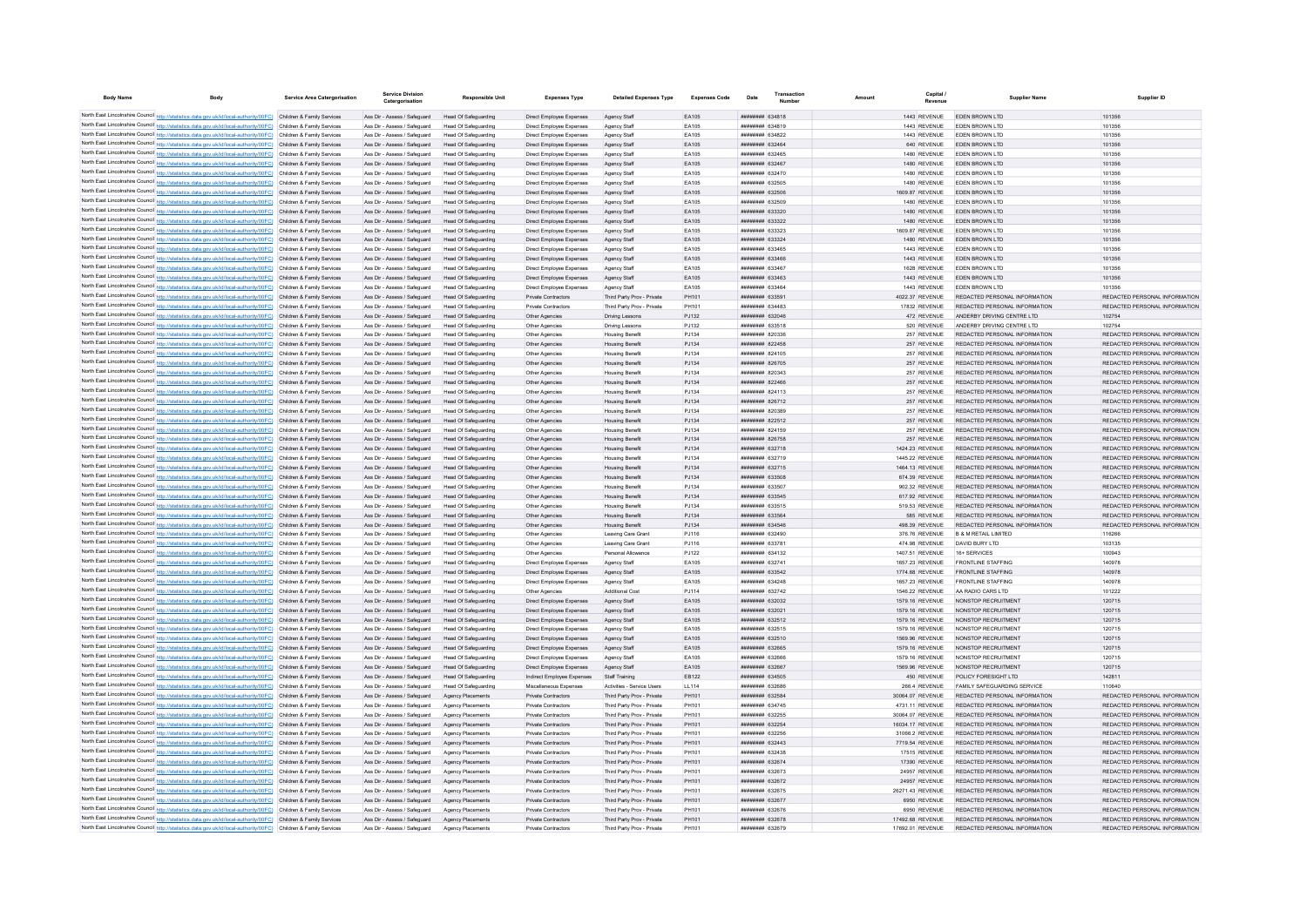| <b>Body Name</b>                                                                       | <b>Body</b>                                                                                                                                                                                                                            | <b>Service Area Catergorisation</b> | <b>Service Division</b><br>Catergorisation                   | <b>Responsible Unit</b>                                    | <b>Expenses Type</b>                                 | <b>Detailed Expenses Type</b>                            | <b>Expenses Code</b> | Date                                             | Transaction | Amount                             | Capital                      | <b>Supplier Name</b>                                           | Supplier ID                                                    |
|----------------------------------------------------------------------------------------|----------------------------------------------------------------------------------------------------------------------------------------------------------------------------------------------------------------------------------------|-------------------------------------|--------------------------------------------------------------|------------------------------------------------------------|------------------------------------------------------|----------------------------------------------------------|----------------------|--------------------------------------------------|-------------|------------------------------------|------------------------------|----------------------------------------------------------------|----------------------------------------------------------------|
|                                                                                        | North East Lincolnshire Council http://statistics.data.gov.uk/id/local-authority/00FC) Children & Family Services                                                                                                                      |                                     | Ass Dir - Assess / Safeguard                                 | Head Of Safeguarding                                       | Direct Employee Expenses                             | Agency Staff                                             | FA105                | <i>вваннин</i> 634818                            |             |                                    | 1443 REVENUE                 | FDFN BROWN LTD                                                 | 101356                                                         |
|                                                                                        | North East Lincolnshire Council http://statistics.data.gov.uk/id/local-authority/00FC) Children & Family Services                                                                                                                      |                                     | Ass Dir - Assess / Safeguard                                 | Head Of Safeguarding                                       | Direct Employee Expenses                             | Agency Staff                                             | EA105                | <b>ппининин</b> 634819                           |             |                                    | 1443 REVENUE                 | EDEN BROWN LTD                                                 | 101356                                                         |
|                                                                                        | North East Lincolnshire Council http://statistics.data.gov.uk/id/local-authority/00FC) Children & Family Services                                                                                                                      |                                     | Ass Dir - Assess / Safeguard                                 | Head Of Safeguarding                                       | Direct Employee Expenses                             | Agency Staf                                              | EA105                | ######## 634822                                  |             |                                    | 1443 REVENUE                 | EDEN BROWN LTD                                                 | 101356                                                         |
|                                                                                        | North East Lincolnshire Council http://statistics.data.gov.uk/id/local-authority/00FC) Children & Family Services                                                                                                                      |                                     | Ass Dir - Assess / Safeguard                                 | <b>Head Of Safeguarding</b>                                | Direct Employee Expenses                             | Agency Staff                                             | EA105                | <b>ппинини 632464</b>                            |             |                                    | 640 REVENUE                  | <b>FDEN BROWN LTD</b>                                          | 101356                                                         |
|                                                                                        | North East Lincolnshire Council http://statistics.data.gov.uk/id/local-authority/00FC) Children & Family Services                                                                                                                      |                                     | Ass Dir - Assess / Saferward                                 | Head Of Safeguarding                                       | Direct Employee Expenses                             | Agency Staff                                             | FA105                | <b>ппининия</b> 632465                           |             |                                    | 1480 REVENUE                 | <b>FDEN BROWN LTD</b>                                          | 101356                                                         |
|                                                                                        | North East Lincolnshire Council http://statistics.data.gov.uk/id/local-authority/00FC) Children & Family Services                                                                                                                      |                                     | Ass Dir - Assess / Safeguard                                 | Head Of Safeguarding                                       | Direct Employee Expenses                             | Agency Staff                                             | EA105                | <b>ппининия</b> 632467                           |             |                                    | 1480 REVENUE                 | <b>FDEN BROWN LTD</b>                                          | 101356                                                         |
|                                                                                        | North East Lincolnshire Council http://statistics.data.gov.uk/id/local-authority/00FC) Children & Family Services                                                                                                                      |                                     | Ass Dir - Assess / Safeguard                                 | Head Of Safeguarding                                       | Direct Employee Expenses                             | Agency Staff                                             | EA105                | <b>ппинини 632470</b>                            |             |                                    | 1480 REVENUE                 | <b>FDEN BROWN LTD</b>                                          | 101356                                                         |
|                                                                                        | North East Lincolnshire Council http://statistics.data.gov.uk/id/local-authority/00FC) Children & Family Services                                                                                                                      |                                     | Ass Dir - Assess / Safeguard                                 | Head Of Safeguarding                                       | Direct Employee Expenses                             | Agency Staff                                             | EA105                | ######## 632505                                  |             |                                    | 1480 REVENUE                 | EDEN BROWN LTD                                                 | 101356                                                         |
|                                                                                        | North East Lincolnshire Council http://statistics.data.gov.uk/id/local-authority/00FC) Children & Family Services                                                                                                                      |                                     | Ass Dir - Assess / Safeguard                                 | Head Of Safeguarding                                       | Direct Employee Expenses                             | Agency Staf                                              | EA105                | ######## 632506                                  |             | 1609.87 REVENUE                    |                              | EDEN BROWN LTD                                                 | 101356                                                         |
|                                                                                        | North East Lincolnshire Council http://statistics.data.gov.uk/id/local-authority/00FC) Children & Family Services<br>North East Lincolnshire Council http://statistics.data.gov.uk/id/local-authority/00FC) Children & Family Services |                                     | Ass Dir - Assess / Safeguard<br>Ass Dir - Assess / Safeguard | Head Of Safeguarding<br>Head Of Safeguarding               | Direct Employee Expenses                             | Agency Staf                                              | EA105<br>FA105       | ######## 632509<br><b>ппиннин</b> 633320         |             |                                    | 1480 REVENUE<br>1480 REVENUE | EDEN BROWN LTD<br><b>FDEN BROWN LTD</b>                        | 101356<br>101356                                               |
|                                                                                        | North East Lincolnshire Council http://statistics.data.gov.uk/id/local-authority/00FC) Children & Family Services                                                                                                                      |                                     | Ass Dir - Assess / Safeguard                                 | Head Of Safeguarding                                       | Direct Employee Expenses<br>Direct Employee Expenses | Agency Staff<br>Agency Staff                             | EA105                | ######## 633322                                  |             |                                    | 1480 REVENUE                 | EDEN BROWN LTD                                                 | 101356                                                         |
|                                                                                        | North East Lincolnshire Council http://statistics.data.gov.uk/id/local-authority/00FC) Children & Family Services                                                                                                                      |                                     | Ass Dir - Assess / Safeguard                                 | Head Of Safeguarding                                       | Direct Employee Expenses                             | Agency Staf                                              | EA105                | ######## 633323                                  |             | 1609.87 REVENUE                    |                              | <b>FDEN BROWN LTD</b>                                          | 101356                                                         |
| North East Lincolnshire Council http://statistics.data.gov.uk/id/local-authority/00FC) |                                                                                                                                                                                                                                        | Children & Family Services          | Ass Dir - Assess / Safeguard                                 | Head Of Safeguarding                                       | Direct Employee Expenses                             | Agency Staff                                             | EA105                | ######## 633324                                  |             | 1480 REVENUE                       |                              | EDEN BROWN LTD                                                 | 101356                                                         |
| North East Lincolnshire Council http://statistics.data.gov.uk/id/local-authority/00FC) |                                                                                                                                                                                                                                        | Children & Family Services          | Ass Dir - Assess / Safeguard                                 | Head Of Safeguarding                                       | Direct Employee Expenses                             | Agency Staff                                             | EA105                | <b>ппинини 633465</b>                            |             |                                    | 1443 REVENUE                 | EDEN BROWN LTD                                                 | 101356                                                         |
|                                                                                        | North East Lincolnshire Council http://statistics.data.gov.uk/id/local-authority/00FC)                                                                                                                                                 | Children & Family Services          | Ass Dir - Assess / Safeguard                                 | Head Of Safeguarding                                       | Direct Employee Expenses                             | Agency Staff                                             | EA105                | ######## 633466                                  |             | 1443 REVENUE                       |                              | <b>EDEN BROWN LTD</b>                                          | 101356                                                         |
|                                                                                        | North East Lincolnshire Council http://statistics.data.gov.uk/id/local-authority/00FC) Children & Family Services                                                                                                                      |                                     | Ass Dir - Assess / Saferward                                 | Head Of Safeguarding                                       | Direct Employee Expenses                             | Agency Staff                                             | FA105                | <b>ппининия</b> 633467                           |             |                                    | 1628 REVENUE                 | FDEN BROWN LTD                                                 | 101356                                                         |
|                                                                                        | North East Lincolnshire Council http://statistics.data.gov.uk/id/local-authority/00FC)                                                                                                                                                 | Children & Family Services          | Ass Dir - Assess / Safeguard                                 | Head Of Safeguarding                                       | Direct Employee Expenses                             | Agency Staff                                             | EA105                | ######## 633463                                  |             |                                    | 1443 REVENUE                 | EDEN BROWN LTD                                                 | 101356                                                         |
|                                                                                        | North East Lincolnshire Council http://statistics.data.gov.uk/id/local-authority/00FC) Children & Family Services                                                                                                                      |                                     | Ass Dir - Assess / Safeguard                                 | Head Of Safeguarding                                       | Direct Employee Expenses                             | Agency Staff                                             | EA105                | ниннини 633464                                   |             | 1443 REVENUE                       |                              | FDEN BROWN LTD                                                 | 101356                                                         |
| North East Lincolnshire Council http://statistics.data.gov.uk/id/local-authority/00FC) |                                                                                                                                                                                                                                        | Children & Family Services          | Ass Dir - Assess / Safeguard                                 | Head Of Safeguarding                                       | Private Contractors                                  | Third Party Prov - Private                               | PH101<br>PH101       | ######## 633591<br>####### 634483                |             | 4022.37 REVENUE                    |                              | REDACTED PERSONAL INFORMATION<br>REDACTED PERSONAL INFORMATION | REDACTED PERSONAL INFORMATION                                  |
|                                                                                        | North East Lincolnshire Council http://statistics.data.gov.uk/id/local-authority/00FC) Children & Family Services<br>North East Lincolnshire Council http://statistics.data.gov.uk/id/local-authority/00FC) Children & Family Services |                                     | Ass Dir - Assess / Safeguard<br>Ass Dir - Assess / Safeguard | <b>Head Of Safeguarding</b>                                | Private Contractors                                  | Third Party Prov - Private                               | PJ132                | ######## 632046                                  |             | 17832 REVENUE                      | 472 REVENUE                  | ANDERBY DRIVING CENTRE LTD                                     | REDACTED PERSONAL INFORMATION<br>102754                        |
|                                                                                        | North East Lincolnshire Council http://statistics.data.gov.uk/id/local-authority/00FC) Children & Family Services                                                                                                                      |                                     | Ass Dir - Assess / Safeguard                                 | <b>Head Of Safeguarding</b><br>Head Of Safeguarding        | Other Agencies<br>Other Agencies                     | Driving Lesson<br><b>Driving Lessons</b>                 | PJ132                | ######## 633518                                  |             |                                    | 520 REVENUE                  | ANDERRY DRIVING CENTRE I TD                                    | 102754                                                         |
|                                                                                        | North East Lincolnshire Council http://statistics.data.gov.uk/id/local-authority/00FC) Children & Family Services                                                                                                                      |                                     | Ass Dir - Assess / Safeguard                                 | Head Of Safeguarding                                       | Other Agencies                                       | <b>Housing Benefi</b>                                    | PJ134                | ######## 820336                                  |             |                                    | 257 REVENUE                  | REDACTED PERSONAL INFORMATION                                  | REDACTED PERSONAL INFORMATION                                  |
|                                                                                        | North East Lincolnshire Council http://statistics.data.gov.uk/id/local-authority/00FC) Children & Family Services                                                                                                                      |                                     | Ass Dir - Assess / Safeguard                                 | Head Of Safeguarding                                       | Other Agencies                                       | <b>Housing Benefit</b>                                   | PJ134                | ######## 822458                                  |             |                                    | 257 REVENUE                  | REDACTED PERSONAL INFORMATION                                  | REDACTED PERSONAL INFORMATION                                  |
| North East Lincolnshire Council http://statistics.data.gov.uk/id/local-authority/00FC) |                                                                                                                                                                                                                                        | Children & Family Services          | Ass Dir - Assess / Safeguard                                 | Head Of Safeguarding                                       | Other Agencies                                       | <b>Housing Benefi</b>                                    | PJ134                | ####### 824105                                   |             |                                    | 257 REVENUE                  | REDACTED PERSONAL INFORMATION                                  | REDACTED PERSONAL INFORMATION                                  |
| North East Lincolnshire Council http://statistics.data.gov.uk/id/local-authority/00FC) |                                                                                                                                                                                                                                        | Children & Family Services          | Ass Dir - Assess / Safeguard                                 | Head Of Safeguarding                                       | Other Agencies                                       | <b>Housing Benefit</b>                                   | PJ134                | ######## 826705                                  |             |                                    | 257 REVENUE                  | REDACTED PERSONAL INFORMATION                                  | REDACTED PERSONAL INFORMATION                                  |
|                                                                                        | North East Lincolnshire Council http://statistics.data.gov.uk/id/local-authority/00FC).                                                                                                                                                | Children & Family Services          | Ass Dir - Assess / Safeguard                                 | Head Of Safeguarding                                       | Other Agencie                                        | <b>Housing Benefit</b>                                   | PJ134                | ####### 820343                                   |             |                                    | 257 REVENUE                  | REDACTED PERSONAL INFORMATION                                  | REDACTED PERSONAL INFORMATION                                  |
|                                                                                        | North East Lincolnshire Council http://statistics.data.gov.uk/id/local-authority/00FC) Children & Family Services                                                                                                                      |                                     | Ass Dir - Assess / Safeguard                                 | Head Of Safeguarding                                       | Other Agencies                                       | <b>Housing Benefit</b>                                   | PJ134                | ниннини 822466                                   |             |                                    | 257 REVENUE                  | REDACTED PERSONAL INFORMATION                                  | REDACTED PERSONAL INFORMATION                                  |
|                                                                                        | North East Lincolnshire Council http://statistics.data.gov.uk/id/local-authority/00FC) Children & Family Services                                                                                                                      |                                     | Ass Dir - Assess / Safeguard                                 | Head Of Safeguarding                                       | Other Agencies                                       | <b>Housing Benefit</b>                                   | PJ134                | ######## 824113                                  |             |                                    | 257 REVENUE                  | REDACTED PERSONAL INFORMATION                                  | REDACTED PERSONAL INFORMATION                                  |
|                                                                                        | North East Lincolnshire Council http://statistics.data.gov.uk/id/local-authority/00FC) Children & Family Services                                                                                                                      |                                     | Ass Dir - Assess / Safeguard                                 | Head Of Safeguarding                                       | Other Agencies                                       | <b>Housing Benefit</b>                                   | PJ134                | ######## 826712                                  |             |                                    | 257 REVENUE                  | REDACTED PERSONAL INFORMATION                                  | REDACTED PERSONAL INFORMATION                                  |
|                                                                                        | North East Lincolnshire Council http://statistics.data.gov.uk/id/local-authority/00FC) Children & Family Services                                                                                                                      |                                     | Ass Dir - Assess / Safeguard                                 | Head Of Safeguarding                                       | Other Agencies                                       | <b>Housing Benefit</b>                                   | PJ134                | ######## 820389                                  |             |                                    | 257 REVENUE                  | REDACTED PERSONAL INFORMATION                                  | REDACTED PERSONAL INFORMATION                                  |
|                                                                                        | North East Lincolnshire Council http://statistics.data.gov.uk/id/local-authority/00FC) Children & Family Services<br>North East Lincolnshire Council http://statistics.data.gov.uk/id/local-authority/00FC) Children & Family Services |                                     | Ass Dir - Assess / Safeguard<br>Ass Dir - Assess / Safeguard | <b>Head Of Safeguarding</b><br><b>Head Of Safeguarding</b> | Other Agencies<br>Other Agencies                     | <b>Housing Benefit</b><br><b>Housing Benefit</b>         | PJ134<br>PJ134       | ######## 822512<br>######## 824159               |             |                                    | 257 REVENUE<br>257 REVENUE   | REDACTED PERSONAL INFORMATION<br>REDACTED PERSONAL INFORMATION | REDACTED PERSONAL INFORMATION<br>REDACTED PERSONAL INFORMATION |
|                                                                                        | North East Lincolnshire Council http://statistics.data.gov.uk/id/local-authority/00FC) Children & Family Services                                                                                                                      |                                     | Ass Dir - Assess / Safeguard                                 | <b>Head Of Safeguarding</b>                                | Other Agencies                                       | <b>Housing Benefit</b>                                   | PJ134                | ######## 826758                                  |             |                                    | 257 REVENUE                  | REDACTED PERSONAL INFORMATION                                  | REDACTED PERSONAL INFORMATION                                  |
|                                                                                        | North East Lincolnshire Council http://statistics.data.gov.uk/id/local-authority/00FC) Children & Family Services                                                                                                                      |                                     | Ass Dir - Assess / Safeguard                                 | Head Of Safeguarding                                       | Other Agencies                                       | <b>Housing Benefit</b>                                   | PJ134                | ######## 632718                                  |             | 1424.23 REVENUE                    |                              | REDACTED PERSONAL INFORMATION                                  | REDACTED PERSONAL INFORMATION                                  |
|                                                                                        | North East Lincolnshire Council http://statistics.data.gov.uk/id/local-authority/00FC) Children & Family Services                                                                                                                      |                                     | Ass Dir - Assess / Safeguard                                 | Head Of Safeguarding                                       | Other Agencies                                       | <b>Housing Benefit</b>                                   | PJ134                | ######## 632719                                  |             | 1445.22 REVENUE                    |                              | REDACTED PERSONAL INFORMATION                                  | REDACTED PERSONAL INFORMATION                                  |
|                                                                                        | North East Lincolnshire Council http://statistics.data.gov.uk/id/local-authority/00FC) Children & Family Services                                                                                                                      |                                     | Ass Dir - Assess / Safeguard                                 | Head Of Safeguarding                                       | Other Agencies                                       | <b>Housing Benefit</b>                                   | PJ134                | ######## 632715                                  |             | 1464.13 REVENUE                    |                              | REDACTED PERSONAL INFORMATION                                  | REDACTED PERSONAL INFORMATION                                  |
|                                                                                        | North East Lincolnshire Council http://statistics.data.gov.uk/id/local-authority/00FC)                                                                                                                                                 | Children & Family Services          | Ass Dir - Assess / Safeguard                                 | Head Of Safeguarding                                       | Other Agencies                                       | <b>Housing Benefit</b>                                   | PJ134                | ######## 633508                                  |             | 674.39 REVENUE                     |                              | REDACTED PERSONAL INFORMATION                                  | REDACTED PERSONAL INFORMATION                                  |
|                                                                                        | North East Lincolnshire Council http://statistics.data.gov.uk/id/local-authority/00FC).                                                                                                                                                | Children & Family Services          | Ass Dir - Assess / Safeguard                                 | Head Of Safeguarding                                       | Other Agencie                                        | <b>Housing Benefit</b>                                   | PJ134                | ######## 633507                                  |             | 902.32 REVENUE                     |                              | REDACTED PERSONAL INFORMATION                                  | REDACTED PERSONAL INFORMATION                                  |
|                                                                                        | North East Lincolnshire Council http://statistics.data.gov.uk/id/local-authority/00FC) Children & Family Services                                                                                                                      |                                     | Ass Dir - Assess / Safeguard                                 | Head Of Safeguarding                                       | Other Agencies                                       | <b>Housing Benefit</b>                                   | PJ134                | ######## 633545                                  |             | 617.92 REVENUE                     |                              | REDACTED PERSONAL INFORMATION                                  | REDACTED PERSONAL INFORMATION                                  |
|                                                                                        | North East Lincolnshire Council http://statistics.data.gov.uk/id/local-authority/00FC) Children & Family Services                                                                                                                      |                                     | Ass Dir - Assess / Safeguard                                 | Head Of Safeguarding                                       | Other Agencies                                       | <b>Housing Benefit</b>                                   | PJ134                | ######## 633515                                  |             | 519.53 REVENUE                     |                              | REDACTED PERSONAL INFORMATION                                  | REDACTED PERSONAL INFORMATION                                  |
|                                                                                        | North East Lincolnshire Council http://statistics.data.gov.uk/id/local-authority/00FC) Children & Family Services                                                                                                                      |                                     | Ass Dir - Assess / Safeguard                                 | Head Of Safeguarding                                       | Other Agencies<br>Other Agencies                     | <b>Housing Benefit</b>                                   | PJ134                | ######## 633564<br>######## 634546               |             |                                    | 585 REVENUE                  | REDACTED PERSONAL INFORMATION<br>REDACTED PERSONAL INFORMATION | REDACTED PERSONAL INFORMATION                                  |
| North East Lincolnshire Council http://statistics.data.gov.uk/id/local-authority/00FC) | North East Lincolnshire Council http://statistics.data.gov.uk/id/local-authority/00FC) Children & Family Services                                                                                                                      | Children & Family Services          | Ass Dir - Assess / Safeguard<br>Ass Dir - Assess / Safeguard | <b>Head Of Safeguarding</b><br><b>Head Of Safeguarding</b> | Other Agencies                                       | <b>Housing Benefit</b><br>Leaving Care Grant             | PJ134<br>PJ116       | ######## 632490                                  |             | 498.39 REVENUE<br>376.76 REVENUE   |                              | <b>B &amp; M RETAIL LIMITED</b>                                | REDACTED PERSONAL INFORMATION<br>116266                        |
|                                                                                        | North East Lincolnshire Council http://statistics.data.gov.uk/id/local-authority/00FC) Children & Family Services                                                                                                                      |                                     | Ass Dir - Assess / Safeguard                                 | <b>Head Of Safeguarding</b>                                | Other Agencies                                       | Leaving Care Grant                                       | PJ116                | ######## 633781                                  |             | 474.98 REVENUE                     |                              | DAVID BURY LTD                                                 | 103135                                                         |
|                                                                                        | North East Lincolnshire Council http://statistics.data.gov.uk/id/local-authority/00FC) Children & Family Services                                                                                                                      |                                     | Ass Dir - Assess / Safeguard                                 | Head Of Safeguarding                                       | Other Agencies                                       | Personal Allowance                                       | PJ122                | ######## 634132                                  |             | 1407.51 REVENUE                    |                              | 16+ SERVICES                                                   | 100943                                                         |
|                                                                                        | North East Lincolnshire Council http://statistics.data.gov.uk/id/local-authority/00FC) Children & Family Services                                                                                                                      |                                     | Ass Dir - Assess / Safeguard                                 | Head Of Safeguarding                                       | Direct Employee Expenses                             | Agency Staff                                             | EA105                | ######## 632741                                  |             | 1657.23 REVENUE                    |                              | <b>FRONTLINE STAFFING</b>                                      | 140978                                                         |
|                                                                                        | North East Lincolnshire Council http://statistics.data.gov.uk/id/local-authority/00FC) Children & Family Services                                                                                                                      |                                     | Ass Dir - Assess / Safeguard                                 | Head Of Safeguarding                                       | Direct Employee Expenses                             | Agency Staff                                             | EA105                | ######## 633542                                  |             | 1774.68 REVENUE                    |                              | <b>FRONTLINE STAFFING</b>                                      | 140978                                                         |
|                                                                                        | North East Lincolnshire Council http://statistics.data.gov.uk/id/local-authority/00FC)                                                                                                                                                 | Children & Family Services          | Ass Dir - Assess / Safeguard                                 | Head Of Safeguarding                                       | Direct Employee Expenses                             | Agency Staff                                             | EA105                | ######## 634248                                  |             | 1657.23 REVENUE                    |                              | <b>FRONTLINE STAFFING</b>                                      | 140978                                                         |
| North East Lincolnshire Council http://statistics.data.gov.uk/id/local-authority/00FC) |                                                                                                                                                                                                                                        | Children & Family Servicer          | Ass Dir - Assess / Safeguard                                 | <b>Head Of Safeguarding</b>                                | Other Agencies                                       | Additional Cos                                           | PJ114                | ######## 632742                                  |             | 1546.22 REVENUE                    |                              | AA RADIO CARS LTD                                              | 101222                                                         |
| North East Lincolnshire Council http://statistics.data.gov.uk/id/local-authority/00FC) |                                                                                                                                                                                                                                        | Children & Family Services          | Ass Dir - Assess / Safeguard                                 | <b>Head Of Safeguarding</b>                                | Direct Employee Expenses                             | Agency Staff                                             | EA105                | HHHHHHH 632032                                   |             | 1579.16 REVENUE                    |                              | NONSTOP RECRUITMENT                                            | 120715                                                         |
|                                                                                        | North East Lincolnshire Council http://statistics.data.gov.uk/id/local-authority/00FC) Children & Family Services                                                                                                                      |                                     | Ass Dir - Assess / Safeguard                                 | Head Of Safeguarding                                       | Direct Employee Expenses                             | Agency Staff                                             | EA105                | <b><i>HHHHHHH 632021</i></b>                     |             | 1579.16 REVENUE                    |                              | NONSTOP RECRUITMENT                                            | 120715                                                         |
|                                                                                        | North East Lincolnshire Council http://statistics.data.gov.uk/id/local-authority/00FC) Children & Family Services<br>North East Lincolnshire Council http://statistics.data.gov.uk/id/local-authority/00FC) Children & Family Services |                                     | Ass Dir - Assess / Safeguard<br>Ass Dir - Assess / Safeguard | Head Of Safeguarding<br><b>Head Of Safeguarding</b>        | Direct Employee Expenses<br>Direct Employee Expenses | Agency Staff<br>Agency Staff                             | FA105<br>EA105       | <b>ПЕНИННЫЙ</b> 632512<br><b>иннинний</b> 632515 |             | 1579 16 REVENUE<br>1579.16 REVENUE |                              | NONSTOP RECRUITMENT<br>NONSTOP RECRUITMENT                     | 120715<br>120715                                               |
|                                                                                        | North East Lincolnshire Council http://statistics.data.gov.uk/id/local-authority/00FC) Children & Family Services                                                                                                                      |                                     | Ass Dir - Assess / Safeguard                                 | <b>Head Of Safeguarding</b>                                | Direct Employee Expenses                             | Agency Staff                                             | EA105                | ######## 632510                                  |             | 1569.96 REVENUE                    |                              | NONSTOP RECRUITMENT                                            | 120715                                                         |
|                                                                                        | North East Lincolnshire Council http://statistics.data.gov.uk/id/local-authority/00FC) Children & Family Services                                                                                                                      |                                     | Ass Dir - Assess / Safeguard                                 | <b>Head Of Safeguarding</b>                                | Direct Employee Expenses                             | Agency Staf                                              | EA105                | ######## 632665                                  |             | 1579.16 REVENUE                    |                              | NONSTOP RECRUITMENT                                            | 120715                                                         |
|                                                                                        | North East Lincolnshire Council http://statistics.data.gov.uk/id/local-authority/00FC) Children & Family Services                                                                                                                      |                                     | Ass Dir - Assess / Safeguard                                 | <b>Head Of Safeguarding</b>                                | Direct Employee Expenses                             | Agency Staff                                             | EA105                | <b>иннинин</b> 632666                            |             | 1579.16 REVENUE                    |                              | NONSTOP RECRUITMENT                                            | 120715                                                         |
|                                                                                        | North East Lincolnshire Council http://statistics.data.gov.uk/id/local-authority/00FC) Children & Family Services                                                                                                                      |                                     | Ass Dir - Assess / Safeguard                                 | Head Of Safeguarding                                       | Direct Employee Expenses                             | Agency Staff                                             | EA105                | <b>ппинини 632667</b>                            |             | 1569.96 REVENUE                    |                              | NONSTOP RECRUITMENT                                            | 120715                                                         |
|                                                                                        | North East Lincolnshire Council http://statistics.data.gov.uk/id/local-authority/00FC) Children & Family Services                                                                                                                      |                                     | Ass Dir - Assess / Safeguard                                 | Head Of Safeguarding                                       | Indirect Employee Expenses                           | Staff Training                                           | FR122                | ######## 634505                                  |             |                                    | 450 REVENUE                  | POLICY FORESIGHT LTD.                                          | 142811                                                         |
|                                                                                        | North East Lincolnshire Council http://statistics.data.gov.uk/id/local-authority/00FC) Children & Family Services                                                                                                                      |                                     | Ass Dir - Assess / Safeguard                                 | Head Of Safeguarding                                       | Miscellaneous Expenses                               | Activities - Service Users                               | 11114                | нининни 632686                                   |             | 266.4 REVENUE                      |                              | FAMILY SAFEGUARDING SERVICE                                    | 110640                                                         |
|                                                                                        | North East Lincolnshire Council http://statistics.data.gov.uk/id/local-authority/00FC) Children & Family Services                                                                                                                      |                                     | Ass Dir - Assess / Safeguard                                 | Anency Placements                                          | Private Contractors                                  | Third Party Prov - Private                               | PH101                | ниннини 632584                                   |             | 30064.07 REVENUE                   |                              | REDACTED PERSONAL INFORMATION                                  | REDACTED PERSONAL INFORMATION                                  |
|                                                                                        | North East Lincolnshire Council http://statistics.data.gov.uk/id/local-authority/00FC)                                                                                                                                                 | Children & Family Services          | Ass Dir - Assess / Safeguard                                 | Agency Placements                                          | Private Contractors                                  | Third Party Prov - Private                               | PH101                | ######## 634745                                  |             | 4731.11 REVENUE                    |                              | REDACTED PERSONAL INFORMATION                                  | REDACTED PERSONAL INFORMATION                                  |
|                                                                                        | North East Lincolnshire Council http://statistics.data.gov.uk/id/local-authority/00FC)                                                                                                                                                 | Children & Family Services          | Ass Dir - Assess / Safeguard                                 | Agency Placements                                          | Private Contractors                                  | Third Party Prov - Private                               | PH101                | <b>ппинини 632255</b>                            |             | 30064.07 REVENUE                   |                              | REDACTED PERSONAL INFORMATION                                  | REDACTED PERSONAL INFORMATION                                  |
|                                                                                        | North East Lincolnshire Council http://statistics.data.gov.uk/id/local-authority/00FC).                                                                                                                                                | Children & Family Services          | Ass Dir - Assess / Safeguard                                 | Agency Placements                                          | Private Contractors                                  | Third Party Prov - Private                               | PH101                | <b>ппинини 632254</b>                            |             | 16034.17 REVENUE                   |                              | REDACTED PERSONAL INFORMATION<br>REDACTED PERSONAL INFORMATION | REDACTED PERSONAL INFORMATION<br>REDACTED PERSONAL INFORMATION |
|                                                                                        | North East Lincolnshire Council http://statistics.data.gov.uk/id/local-authority/00FC) Children & Family Services<br>North East Lincolnshire Council http://statistics.data.gov.uk/id/local-authority/00FC) Children & Family Services |                                     | Ass Dir - Assess / Saferward<br>Ass Dir - Assess / Safeguard | <b>Anency Placements</b><br>Agency Placements              | Private Contractors<br>Private Contractors           | Third Party Prov - Private<br>Third Party Prov - Private | PH101<br>PH101       | <b>ппининия</b> 632256<br>######## 632443        |             | 31066.2 REVENUE<br>7719.54 REVENUE |                              | REDACTED PERSONAL INFORMATION                                  | REDACTED PERSONAL INFORMATION                                  |
|                                                                                        | North East Lincolnshire Council http://statistics.data.gov.uk/id/local-authority/00FC) Children & Family Services                                                                                                                      |                                     | Ass Dir - Assess / Safeguard                                 | Agency Placements                                          | Private Contractors                                  | Third Party Prov - Private                               | PH101                | <b>иннинни 632438</b>                            |             | 17515 REVENUE                      |                              | REDACTED PERSONAL INFORMATION                                  | REDACTED PERSONAL INFORMATION                                  |
|                                                                                        | North East Lincolnshire Council http://statistics.data.gov.uk/id/local-authority/00FC) Children & Family Services                                                                                                                      |                                     | Ass Dir - Assess / Safeguard                                 | Agency Placements                                          | Private Contractors                                  | Third Party Prov - Private                               | PH101                | ######## 632674                                  |             | 17390 REVENUE                      |                              | REDACTED PERSONAL INFORMATION                                  | REDACTED PERSONAL INFORMATION                                  |
|                                                                                        | North East Lincolnshire Council http://statistics.data.gov.uk/id/local-authority/00FC) Children & Family Services                                                                                                                      |                                     | Ass Dir - Assess / Safeguard                                 | <b>Agency Placements</b>                                   | Private Contractors                                  | Third Party Prov - Private                               | PH101                | ######## 632673                                  |             | 24957 REVENUE                      |                              | REDACTED PERSONAL INFORMATION                                  | REDACTED PERSONAL INFORMATION                                  |
|                                                                                        | North East Lincolnshire Council http://statistics.data.gov.uk/id/local-authority/00FC) Children & Family Services                                                                                                                      |                                     | Ass Dir - Assess / Safeguard                                 | Agency Placements                                          | Private Contractors                                  | Third Party Prov - Private                               | PH101                | ######## 632672                                  |             | 24957 REVENUE                      |                              | REDACTED PERSONAL INFORMATION                                  | REDACTED PERSONAL INFORMATION                                  |
|                                                                                        | North East Lincolnshire Council http://statistics.data.gov.uk/id/local-authority/00FC) Children & Family Services                                                                                                                      |                                     | Ass Dir - Assess / Safeguard                                 | Agency Placements                                          | Private Contractors                                  | Third Party Prov - Private                               | PH101                | <b>HANNAHA 632675</b>                            |             | 26271 43 REVENUE                   |                              | REDACTED PERSONAL INFORMATION                                  | REDACTED PERSONAL INFORMATION                                  |
|                                                                                        | North East Lincolnshire Council http://statistics.data.gov.uk/id/local-authority/00FC) Children & Family Services                                                                                                                      |                                     | Ass Dir - Assess / Safeguard                                 | Agency Placements                                          | <b>Private Contractors</b>                           | Third Party Prov - Private                               | PH101                | ######## 632677                                  |             | 6950 REVENUE                       |                              | REDACTED PERSONAL INFORMATION                                  | REDACTED PERSONAL INFORMATION                                  |
|                                                                                        | North East Lincolnshire Council http://statistics.data.gov.uk/id/local-authority/00FC) Children & Family Services                                                                                                                      |                                     | Ass Dir - Assess / Safeguard                                 | Agency Placements                                          | <b>Private Contractors</b>                           | Third Party Prov - Private                               | PH101                | <b>ПЕНИНИЯ</b> 632676                            |             |                                    | 6950 REVENUE                 | REDACTED PERSONAL INFORMATION                                  | REDACTED PERSONAL INFORMATION                                  |
|                                                                                        | North East Lincolnshire Council http://statistics.data.gov.uk/id/local-authority/00FC) Children & Family Services                                                                                                                      |                                     | Ass Dir - Assess / Safeguard                                 | Agency Placements                                          | Private Contractors                                  | Third Party Prov - Private                               | PH101                | ######## 632678                                  |             | 17492.68 REVENUE                   |                              | REDACTED PERSONAL INFORMATION                                  | REDACTED PERSONAL INFORMATION                                  |
|                                                                                        | North East Lincolnshire Council http://statistics.data.gov.uk/id/local-authority/00FC) Children & Family Services                                                                                                                      |                                     | Ass Dir - Assess / Safeguard                                 | Agency Placements                                          | Private Contractors                                  | Third Party Prov - Private                               | <b>PH101</b>         | <b>ппинини 632679</b>                            |             | 17692.01 REVENUE                   |                              | REDACTED PERSONAL INFORMATION                                  | REDACTED PERSONAL INFORMATION                                  |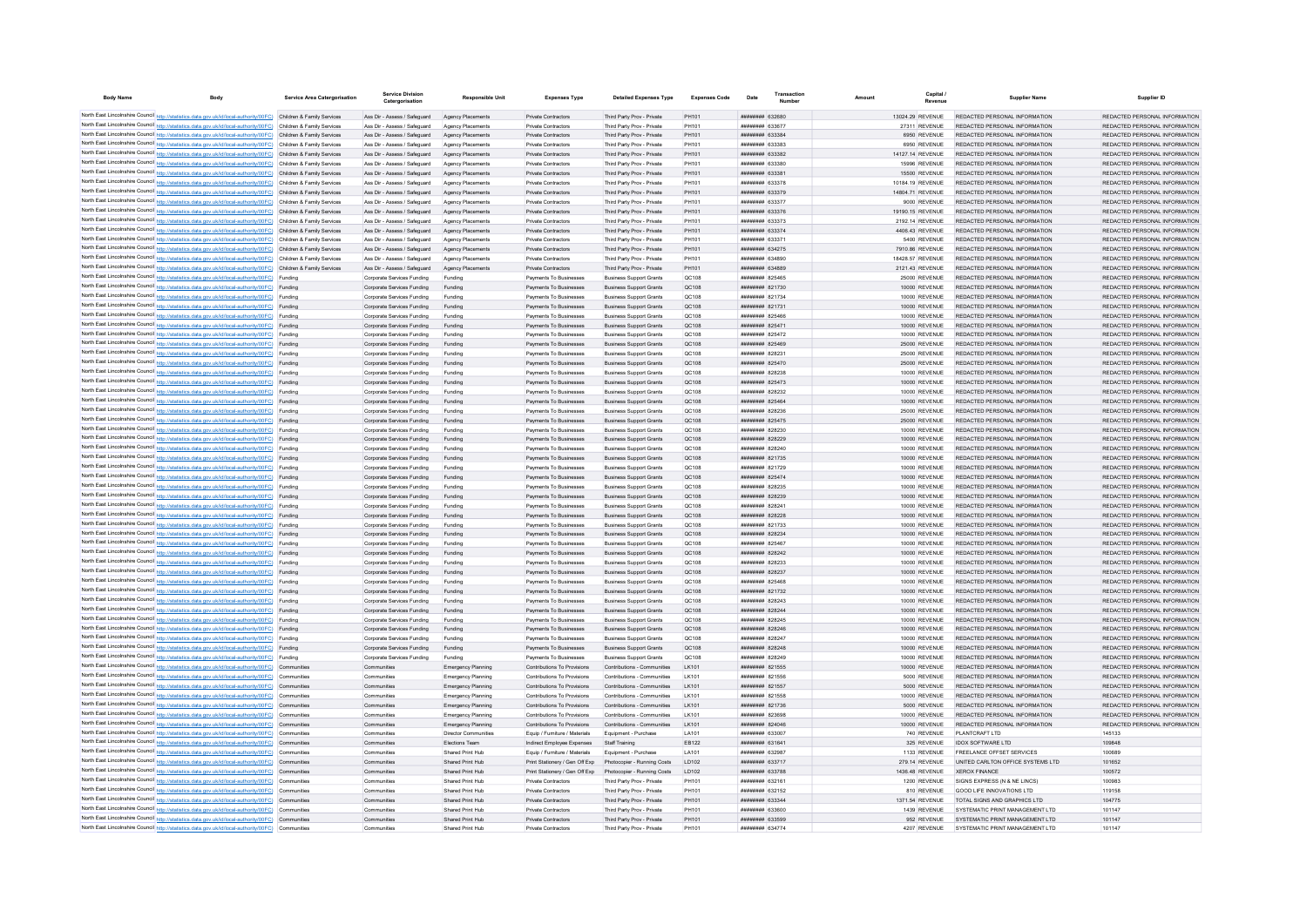| <b>Body Name</b> | <b>Body</b>                                                                                                                                                                                                                            | Service Area Catergorisation | <b>Service Division</b><br>Catergorisation                   | <b>Responsible Unit</b>                | <b>Expenses Type</b>                                             | <b>Detailed Expenses Type</b>                                    | <b>Expenses Code</b> | Date                                     | Transaction            | Amount | Capital                           | <b>Supplier Name</b>                                           | Supplier ID                                                    |
|------------------|----------------------------------------------------------------------------------------------------------------------------------------------------------------------------------------------------------------------------------------|------------------------------|--------------------------------------------------------------|----------------------------------------|------------------------------------------------------------------|------------------------------------------------------------------|----------------------|------------------------------------------|------------------------|--------|-----------------------------------|----------------------------------------------------------------|----------------------------------------------------------------|
|                  | North East Lincolnshire Council http://statistics.data.gov.uk/id/local-authority/00FC) Children & Family Services                                                                                                                      |                              | Ass Dir - Assess / Safeguard                                 | Agency Placements                      | Private Contractors                                              | Third Party Prov - Private                                       | PH101                |                                          | ######## 632680        |        | 13024 29 REVENUE                  | REDACTED PERSONAL INFORMATION                                  | REDACTED PERSONAL INFORMATION                                  |
|                  | North East Lincolnshire Council http://statistics.data.gov.uk/id/local-authority/00FC) Children & Family Services                                                                                                                      |                              | Ass Dir - Assess / Safeguard                                 | Agency Placements                      | Private Contractor                                               | Third Party Prov - Private                                       | PH101                | <b>ппинини 63367</b>                     |                        |        | 27311 REVENUE                     | REDACTED PERSONAL INFORMATION                                  | REDACTED PERSONAL INFORMATION                                  |
|                  | North East Lincolnshire Council http://statistics.data.gov.uk/id/local-authority/00FC) Children & Family Services                                                                                                                      |                              | Ass Dir - Assess / Safeguard                                 | Agency Placements                      | Private Contractors                                              | Third Party Prov - Private                                       | PH101                |                                          | ######## 633384        |        | 6950 REVENUE                      | REDACTED PERSONAL INFORMATION                                  | REDACTED PERSONAL INFORMATION                                  |
|                  | North East Lincolnshire Council http://statistics.data.gov.uk/id/local-authority/00FC) Children & Family Services                                                                                                                      |                              | Ass Dir - Assess / Safeguard                                 | Agency Placements                      | Private Contractors                                              | Third Party Prov - Private                                       | PH101                | ниннини 633383                           |                        |        | 6950 REVENUE                      | REDACTED PERSONAL INFORMATION                                  | REDACTED PERSONAL INFORMATION                                  |
|                  | North East Lincolnshire Council http://statistics.data.gov.uk/id/local-authority/00FC) Children & Family Services                                                                                                                      |                              | Ass Dir - Assess / Saferward                                 | Agency Placements                      | Private Contractors                                              | Third Party Prov - Private                                       | PH101                |                                          | <i>ппининия</i> 633382 |        | 14127.14 REVENUE                  | REDACTED PERSONAL INFORMATION                                  | REDACTED PERSONAL INFORMATION                                  |
|                  | North East Lincolnshire Council http://statistics.data.gov.uk/id/local-authority/00FC) Children & Family Services                                                                                                                      |                              | Ass Dir - Assess / Saferward                                 | Anency Placements                      | Private Contractors                                              | Third Party Prov - Private                                       | PH101                |                                          | <b>####### 633380</b>  |        | 15996 REVENUE                     | REDACTED PERSONAL INFORMATION                                  | REDACTED PERSONAL INFORMATION                                  |
|                  | North East Lincolnshire Council http://statistics.data.gov.uk/id/local-authority/00FC) Children & Family Services                                                                                                                      |                              | Ass Dir - Assess / Safeguard                                 | Agency Placements                      | Private Contractors                                              | Third Party Prov - Private                                       | PH101                |                                          | ######## 633381        |        | 15500 REVENUE                     | REDACTED PERSONAL INFORMATION                                  | REDACTED PERSONAL INFORMATION                                  |
|                  | North East Lincolnshire Council http://statistics.data.gov.uk/id/local-authority/00FC) Children & Family Services<br>North East Lincolnshire Council http://statistics.data.gov.uk/id/local-authority/00FC) Children & Family Services |                              | Ass Dir - Assess / Safeguard                                 | Agency Placements                      | Private Contractors                                              | Third Party Prov - Private                                       | PH101                | ######## 633378                          |                        |        | 10184.19 REVENUE                  | REDACTED PERSONAL INFORMATION                                  | REDACTED PERSONAL INFORMATION                                  |
|                  | North East Lincolnshire Council http://statistics.data.gov.uk/id/local-authority/00FC) Children & Family Services                                                                                                                      |                              | Ass Dir - Assess / Safeguard<br>Ass Dir - Assess / Safeguard | Agency Placements<br>Agency Placements | Private Contractors<br>Private Contractors                       | Third Party Prov - Private<br>Third Party Prov - Private         | PH101<br>PH101       | ######## 633379<br>######## 633377       |                        |        | 14804.71 REVENUE<br>9000 REVENUE  | REDACTED PERSONAL INFORMATION<br>REDACTED PERSONAL INFORMATION | REDACTED PERSONAL INFORMATION<br>REDACTED PERSONAL INFORMATION |
|                  | North East Lincolnshire Council http://statistics.data.gov.uk/id/local-authority/00FC) Children & Family Services                                                                                                                      |                              | Ass Dir - Assess / Safeguard                                 | Anency Placements                      | Private Contractors                                              | Third Party Prov - Private                                       | PH101                | <b>ппининия</b> 633376                   |                        |        | 19190.15 REVENUE                  | REDACTED PERSONAL INFORMATION                                  | REDACTED PERSONAL INFORMATION                                  |
|                  | North East Lincolnshire Council http://statistics.data.gov.uk/id/local-authority/00FC) Children & Family Services                                                                                                                      |                              | Ass Dir - Assess / Safeguard                                 | Agency Placements                      | Private Contractors                                              | Third Party Prov - Private                                       | PH101                | ######## 633373                          |                        |        | 2192.14 REVENUE                   | REDACTED PERSONAL INFORMATION                                  | REDACTED PERSONAL INFORMATION                                  |
|                  | North East Lincolnshire Council http://statistics.data.gov.uk/id/local-authority/00FC) Children & Family Services                                                                                                                      |                              | Ass Dir - Assess / Safeguard                                 | Agency Placements                      | Private Contractors                                              | Third Party Prov - Private                                       | PH101                | ######## 633374                          |                        |        | 4406.43 REVENUE                   | REDACTED PERSONAL INFORMATION                                  | REDACTED PERSONAL INFORMATION                                  |
|                  | North East Lincolnshire Council http://statistics.data.gov.uk/id/local-authority/00FC) Children & Family Services                                                                                                                      |                              | Ass Dir - Assess / Safeguard                                 | Agency Placements                      | Private Contractors                                              | Third Party Prov - Private                                       | PH101                | ######## 63337                           |                        |        | 5400 REVENUE                      | REDACTED PERSONAL INFORMATION                                  | REDACTED PERSONAL INFORMATION                                  |
|                  | North East Lincolnshire Council http://statistics.data.gov.uk/id/local-authority/00FC) Children & Family Services                                                                                                                      |                              | Ass Dir - Assess / Safeguard                                 | Agency Placements                      | Private Contractors                                              | Third Party Prov - Private                                       | PH101                | ######## 634275                          |                        |        | 7910.86 REVENUE                   | REDACTED PERSONAL INFORMATION                                  | REDACTED PERSONAL INFORMATION                                  |
|                  | North East Lincolnshire Council http://statistics.data.gov.uk/id/local-authority/00FC) Children & Family Services                                                                                                                      |                              | Ass Dir - Assess / Safeguard                                 | Agency Placements                      | Private Contractors                                              | Third Party Prov - Private                                       | PH101                | ######## 634890                          |                        |        | 18428.57 REVENUE                  | REDACTED PERSONAL INFORMATION                                  | REDACTED PERSONAL INFORMATION                                  |
|                  | North East Lincolnshire Council http://statistics.data.gov.uk/id/local-authority/00FC) Children & Family Services                                                                                                                      |                              | Ass Dir - Assess / Saferward                                 | Anency Placements                      | Private Contractors                                              | Third Party Prov - Private                                       | PH101                | ниннини 634889                           |                        |        | 2121.43 REVENUE                   | REDACTED PERSONAL INFORMATION                                  | REDACTED PERSONAL INFORMATION                                  |
|                  | North East Lincolnshire Council http://statistics.data.gov.uk/id/local-authority/00FC) Funding                                                                                                                                         |                              | Corporate Services Funding                                   | Funding                                | Payments To Businesses                                           | <b>Business Support Grants</b>                                   | QC108                | <b><i>BREEZER R25465</i></b>             |                        |        | 25000 REVENUE                     | REDACTED PERSONAL INFORMATION                                  | REDACTED PERSONAL INFORMATION                                  |
|                  | North East Lincolnshire Council http://statistics.data.gov.uk/id/local-authority/00FC) Funding                                                                                                                                         |                              | Corporate Services Funding<br>Corporate Services Funding     | Funding                                | Payments To Businesses<br>Payments To Businesses                 | <b>Business Support Grants</b><br><b>Business Support Grants</b> | QC108<br>QC108       | ######## 821734                          | ######## 821730        |        | 10000 REVENUE<br>10000 REVENUE    | REDACTED PERSONAL INFORMATION<br>REDACTED PERSONAL INFORMATION | REDACTED PERSONAL INFORMATION<br>REDACTED PERSONAL INFORMATION |
|                  | North East Lincolnshire Council http://statistics.data.gov.uk/id/local-authority/00FC) Funding<br>North East Lincolnshire Council http://statistics.data.gov.uk/id/local-authority/00FC) Funding                                       |                              | Corporate Services Funding                                   | Funding<br>Funding                     | Payments To Businesses                                           | <b>Business Support Grants</b>                                   | QC108                | ######## 821731                          |                        |        | 10000 REVENUE                     | REDACTED PERSONAL INFORMATION                                  | REDACTED PERSONAL INFORMATION                                  |
|                  | North East Lincolnshire Council http://statistics.data.gov.uk/id/local-authority/00FC) Funding                                                                                                                                         |                              | Corporate Services Funding                                   | Funding                                | Payments To Businesses                                           | <b>Business Support Grants</b>                                   | QC108                | ######## 825466                          |                        |        | 10000 REVENUE                     | REDACTED PERSONAL INFORMATION                                  | REDACTED PERSONAL INFORMATION                                  |
|                  | North East Lincolnshire Council http://statistics.data.gov.uk/id/local-authority/00FC) Funding                                                                                                                                         |                              | Corporate Services Funding                                   | Funding                                | Payments To Businesses                                           | <b>Business Support Grants</b>                                   | QC108                | <b>ПЕНИНИН 825471</b>                    |                        |        | 10000 REVENUE                     | REDACTED PERSONAL INFORMATION                                  | REDACTED PERSONAL INFORMATION                                  |
|                  | North East Lincolnshire Council http://statistics.data.gov.uk/id/local-authority/00FC) Funding                                                                                                                                         |                              | Corporate Services Funding                                   | Funding                                | Payments To Businesses                                           | <b>Business Support Grants</b>                                   | OC108                | ######## 825472                          |                        |        | 10000 REVENUE                     | REDACTED PERSONAL INFORMATION                                  | REDACTED PERSONAL INFORMATION                                  |
|                  | North East Lincolnshire Council http://statistics.data.gov.uk/id/local-authority/00FC) Funding                                                                                                                                         |                              | Corporate Services Funding                                   | Funding                                | Payments To Businesses                                           | <b>Business Support Grants</b>                                   | QC108                | ######## 825469                          |                        |        | 25000 REVENUE                     | REDACTED PERSONAL INFORMATION                                  | REDACTED PERSONAL INFORMATION                                  |
|                  | North East Lincolnshire Council http://statistics.data.gov.uk/id/local-authority/00FC) Funding                                                                                                                                         |                              | Corporate Services Funding                                   | Funding                                | Payments To Businesse                                            | <b>Business Support Grants</b>                                   | QC108                | ####### 82823                            |                        |        | 25000 REVENUE                     | REDACTED PERSONAL INFORMATION                                  | REDACTED PERSONAL INFORMATION                                  |
|                  | North East Lincolnshire Council http://statistics.data.gov.uk/id/local-authority/00FC) Funding                                                                                                                                         |                              | Corporate Services Funding                                   | Funding                                | Payments To Businesses                                           | <b>Business Support Grants</b>                                   | QC108                |                                          | ######## 825470        |        | 25000 REVENUE                     | REDACTED PERSONAL INFORMATION                                  | REDACTED PERSONAL INFORMATION                                  |
|                  | North East Lincolnshire Council http://statistics.data.gov.uk/id/local-authority/00FC) Funding                                                                                                                                         |                              | Corporate Services Funding                                   | Funding                                | Payments To Businesses                                           | <b>Business Support Grants</b>                                   | QC108                | ####### 828238                           |                        |        | 10000 REVENUE                     | REDACTED PERSONAL INFORMATION                                  | REDACTED PERSONAL INFORMATION                                  |
|                  | North East Lincolnshire Council http://statistics.data.gov.uk/id/local-authority/00FC) Funding                                                                                                                                         |                              | Corporate Services Funding                                   | Funding                                | Payments To Businesses                                           | <b>Business Support Grants</b>                                   | OC108                | <b>ппинини 825473</b>                    |                        |        | 10000 REVENUE                     | REDACTED PERSONAL INFORMATION                                  | REDACTED PERSONAL INFORMATION                                  |
|                  | North East Lincolnshire Council http://statistics.data.gov.uk/id/local-authority/00FC) Funding                                                                                                                                         |                              | Corporate Services Funding                                   | Funding                                | Payments To Businesses                                           | <b>Business Support Grants</b>                                   | QC108                | ######## 828232                          |                        |        | 10000 REVENUE                     | REDACTED PERSONAL INFORMATION                                  | REDACTED PERSONAL INFORMATION                                  |
|                  | North East Lincolnshire Council http://statistics.data.gov.uk/id/local-authority/00FC) Funding                                                                                                                                         |                              | Corporate Services Funding                                   | Funding                                | Payments To Businesses                                           | <b>Business Support Grants</b>                                   | QC108                | ######## 825464                          |                        |        | 10000 REVENUE                     | REDACTED PERSONAL INFORMATION                                  | REDACTED PERSONAL INFORMATION                                  |
|                  | North East Lincolnshire Council http://statistics.data.gov.uk/id/local-authority/00FC) Funding<br>North East Lincolnshire Council http://statistics.data.gov.uk/id/local-authority/00FC) Funding                                       |                              | Corporate Services Funding                                   | Funding                                | Payments To Businesses                                           | <b>Business Support Grants</b>                                   | QC108<br>QC108       | ######## 828236                          |                        |        | 25000 REVENUE                     | REDACTED PERSONAL INFORMATION                                  | REDACTED PERSONAL INFORMATION<br>REDACTED PERSONAL INFORMATION |
|                  | North East Lincolnshire Council http://statistics.data.gov.uk/id/local-authority/00FC) Funding                                                                                                                                         |                              | Corporate Services Funding<br>Corporate Services Funding     | Funding<br>Funding                     | Payments To Businesses<br>Payments To Businesses                 | <b>Business Support Grants</b><br><b>Business Support Grants</b> | QC108                | ######## 825475                          | ####### 828230         |        | 25000 REVENUE<br>10000 REVENUE    | REDACTED PERSONAL INFORMATION<br>REDACTED PERSONAL INFORMATION | REDACTED PERSONAL INFORMATION                                  |
|                  | North East Lincolnshire Council http://statistics.data.gov.uk/id/local-authority/00FC) Funding                                                                                                                                         |                              | Corporate Services Funding                                   | Funding                                | Payments To Businesses                                           | <b>Business Support Grants</b>                                   | OC108                | ######## 828229                          |                        |        | 10000 REVENUE                     | REDACTED PERSONAL INFORMATION                                  | REDACTED PERSONAL INFORMATION                                  |
|                  | North East Lincolnshire Council http://statistics.data.gov.uk/id/local-authority/00FC) Funding                                                                                                                                         |                              | Corporate Services Funding                                   | Funding                                | Payments To Businesses                                           | <b>Business Support Grants</b>                                   | <b>QC108</b>         | ######## 828240                          |                        |        | 10000 REVENUE                     | REDACTED PERSONAL INFORMATION                                  | REDACTED PERSONAL INFORMATION                                  |
|                  | North East Lincolnshire Council http://statistics.data.gov.uk/id/local-authority/00FC) Funding                                                                                                                                         |                              | Corporate Services Funding                                   | Funding                                | Payments To Businesses                                           | <b>Business Support Grants</b>                                   | OC108                | ######## 821735                          |                        |        | 10000 REVENUE                     | REDACTED PERSONAL INFORMATION                                  | REDACTED PERSONAL INFORMATION                                  |
|                  | North East Lincolnshire Council http://statistics.data.gov.uk/id/local-authority/00FC) Funding                                                                                                                                         |                              | Corporate Services Funding                                   | Funding                                | Payments To Businesses                                           | <b>Business Support Grants</b>                                   | QC108                |                                          | ####### 821729         |        | 10000 REVENUE                     | REDACTED PERSONAL INFORMATION                                  | REDACTED PERSONAL INFORMATION                                  |
|                  | North East Lincolnshire Council http://statistics.data.gov.uk/id/local-authority/00FC) Funding                                                                                                                                         |                              | Corporate Services Funding                                   |                                        | Payments To Businesses                                           | <b>Business Support Grants</b>                                   | QC108                | ######## 825474                          |                        |        | 10000 REVENUE                     | REDACTED PERSONAL INFORMATION                                  | REDACTED PERSONAL INFORMATION                                  |
|                  | North East Lincolnshire Council http://statistics.data.gov.uk/id/local-authority/00FC) Funding                                                                                                                                         |                              | Corporate Services Funding                                   |                                        | Payments To Businesses                                           | <b>Business Support Grants</b>                                   | QC108                | ######## 82823                           |                        |        | 10000 REVENUE                     | REDACTED PERSONAL INFORMATION                                  | REDACTED PERSONAL INFORMATION                                  |
|                  | North East Lincolnshire Council http://statistics.data.gov.uk/id/local-authority/00FC) Funding                                                                                                                                         |                              | Corporate Services Funding                                   | Funding                                | Payments To Businesses                                           | <b>Business Support Grants</b>                                   | QC108                | <b>ппинини 828239</b>                    |                        |        | 10000 REVENUE                     | REDACTED PERSONAL INFORMATION                                  | REDACTED PERSONAL INFORMATION                                  |
|                  | North East Lincolnshire Council http://statistics.data.gov.uk/id/local-authority/00FC) Funding                                                                                                                                         |                              | Corporate Services Funding                                   | Funding                                | Payments To Businesses                                           | <b>Business Support Grants</b>                                   | QC108                | ####### 82824                            |                        |        | 10000 REVENUE                     | REDACTED PERSONAL INFORMATION                                  | REDACTED PERSONAL INFORMATION                                  |
|                  | North East Lincolnshire Council http://statistics.data.gov.uk/id/local-authority/00FC) Funding                                                                                                                                         |                              | Corporate Services Funding                                   | Funding                                | Payments To Businesses                                           | <b>Business Support Grants</b>                                   | QC108                | ######## 828228                          |                        |        | 10000 REVENUE                     | REDACTED PERSONAL INFORMATION                                  | REDACTED PERSONAL INFORMATION                                  |
|                  | North East Lincolnshire Council http://statistics.data.gov.uk/id/local-authority/00FC) Funding                                                                                                                                         |                              | Corporate Services Funding                                   | Funding                                | Payments To Businesses                                           | <b>Business Support Grants</b>                                   | QC108                | ######## 821733                          |                        |        | 10000 REVENUE                     | REDACTED PERSONAL INFORMATION                                  | REDACTED PERSONAL INFORMATION                                  |
|                  | North East Lincolnshire Council http://statistics.data.gov.uk/id/local-authority/00FC) Funding<br>North East Lincolnshire Council http://statistics.data.gov.uk/id/local-authority/00FC) Funding                                       |                              | Corporate Services Funding<br>Corporate Services Funding     | Funding<br>Funding                     | Payments To Businesses<br>Payments To Businesses                 | <b>Business Support Grants</b><br><b>Business Support Grants</b> | QC108<br>QC108       | ######## 828234<br>######## 825467       |                        |        | 10000 REVENUE<br>10000 REVENUE    | REDACTED PERSONAL INFORMATION<br>REDACTED PERSONAL INFORMATION | REDACTED PERSONAL INFORMATION<br>REDACTED PERSONAL INFORMATION |
|                  | North East Lincolnshire Council http://statistics.data.gov.uk/id/local-authority/00FC) Funding                                                                                                                                         |                              | Corporate Services Funding                                   | Funding                                | Payments To Businesses                                           | <b>Business Support Grants</b>                                   | QC108                | ######## 828242                          |                        |        | 10000 REVENUE                     | REDACTED PERSONAL INFORMATION                                  | REDACTED PERSONAL INFORMATION                                  |
|                  | North East Lincolnshire Council http://statistics.data.gov.uk/id/local-authority/00FC) Funding                                                                                                                                         |                              | Corporate Services Funding                                   | Funding                                | Payments To Businesses                                           | <b>Business Support Grants</b>                                   | QC108                | ######## 828233                          |                        |        | 10000 REVENUE                     | REDACTED PERSONAL INFORMATION                                  | REDACTED PERSONAL INFORMATION                                  |
|                  | North East Lincolnshire Council http://statistics.data.gov.uk/id/local-authority/00FC) Funding                                                                                                                                         |                              | Corporate Services Funding                                   | Funding                                | Payments To Businesses                                           | <b>Business Support Grants</b>                                   | QC108                | ######## 828237                          |                        |        | 10000 REVENUE                     | REDACTED PERSONAL INFORMATION                                  | REDACTED PERSONAL INFORMATION                                  |
|                  | North East Lincolnshire Council http://statistics.data.gov.uk/id/local-authority/00FC) Funding                                                                                                                                         |                              | Corporate Services Funding                                   | Funding                                | Payments To Businesses                                           | <b>Business Support Grants</b>                                   | QC108                | ######## 825468                          |                        |        | 10000 REVENUE                     | REDACTED PERSONAL INFORMATION                                  | REDACTED PERSONAL INFORMATION                                  |
|                  | North East Lincolnshire Council http://statistics.data.gov.uk/id/local-authority/00FC) Funding                                                                                                                                         |                              | Corporate Services Funding                                   | Funding                                | Payments To Businesses                                           | <b>Business Support Grants</b>                                   | QC108                |                                          | ######## 821732        |        | 10000 REVENUE                     | REDACTED PERSONAL INFORMATION                                  | REDACTED PERSONAL INFORMATION                                  |
|                  | North East Lincolnshire Council http://statistics.data.gov.uk/id/local-authority/00FC) Funding                                                                                                                                         |                              | Corporate Services Funding                                   | Funding                                | Payments To Businesses                                           | <b>Business Support Grants</b>                                   | QC108                | ######## 828243                          |                        |        | 10000 REVENUE                     | REDACTED PERSONAL INFORMATION                                  | REDACTED PERSONAL INFORMATION                                  |
|                  | North East Lincolnshire Council http://statistics.data.gov.uk/id/local-authority/00FC) Funding                                                                                                                                         |                              | Corporate Services Funding                                   | Funding                                | Payments To Businesses                                           | <b>Business Support Grants</b>                                   | QC108                | ниннини воволл                           |                        |        | 10000 REVENUE                     | REDACTED PERSONAL INFORMATION                                  | REDACTED PERSONAL INFORMATION                                  |
|                  | North East Lincolnshire Council http://statistics.data.gov.uk/id/local-authority/00FC) Funding                                                                                                                                         |                              | Comorate Services Funding                                    | Funding                                | Payments To Businesses                                           | <b>Business Support Grants</b>                                   | OC108                |                                          | <b>ппинини 828245</b>  |        | 10000 REVENUE                     | REDACTED PERSONAL INFORMATION                                  | REDACTED PERSONAL INFORMATION                                  |
|                  | North East Lincolnshire Council http://statistics.data.gov.uk/id/local-authority/00FC) Funding                                                                                                                                         |                              | Corporate Services Funding                                   | Funding                                | Payments To Businesses                                           | <b>Business Support Grants</b>                                   | OC108                |                                          | <b>ининнин</b> 828246  |        | 10000 REVENUE                     | REDACTED PERSONAL INFORMATION                                  | REDACTED PERSONAL INFORMATION                                  |
|                  | North East Lincolnshire Council http://statistics.data.gov.uk/id/local-authority/00FC) Funding<br>North East Lincolnshire Council http://statistics.data.gov.uk/id/local-authority/00FC) Funding                                       |                              | Corporate Services Funding<br>Corporate Services Funding     | Funding<br>Funding                     | Payments To Businesses<br>Payments To Businesses                 | <b>Business Support Grants</b><br><b>Business Support Grants</b> | OC108<br>QC108       | <b>ининнин</b> 828247<br>######## 828248 |                        |        | 10000 REVENUE<br>10000 REVENUE    | REDACTED PERSONAL INFORMATION<br>REDACTED PERSONAL INFORMATION | REDACTED PERSONAL INFORMATION<br>REDACTED PERSONAL INFORMATION |
|                  | North East Lincolnshire Council http://statistics.data.gov.uk/id/local-authority/00FC) Funding                                                                                                                                         |                              | Corporate Services Funding                                   | Funding                                | Payments To Businesses                                           | <b>Business Support Grants</b>                                   | OC:108               |                                          | ниннини 828249         |        | 10000 REVENUE                     | REDACTED PERSONAL INFORMATION                                  | REDACTED PERSONAL INFORMATION                                  |
|                  | North East Lincolnshire Council http://statistics.data.gov.uk/id/local-authority/00FC) Communities                                                                                                                                     |                              | Communities                                                  | <b>Emergency Planning</b>              | Contributions To Provisions                                      | Contributions - Communities                                      | I K101               | ######## 821555                          |                        |        | 10000 REVENUE                     | REDACTED PERSONAL INFORMATION                                  | REDACTED PERSONAL INFORMATION                                  |
|                  | North East Lincolnshire Council http://statistics.data.gov.uk/id/local-authority/00FC) Communities                                                                                                                                     |                              | Communities                                                  | <b>Emergency Planning</b>              | Contributions To Provisions                                      | Contributions - Communities                                      | I K101               | <b>HHHHHHH 821556</b>                    |                        |        | 5000 REVENUE                      | REDACTED PERSONAL INFORMATION                                  | REDACTED PERSONAL INFORMATION                                  |
|                  | North East Lincolnshire Council http://statistics.data.gov.uk/id/local-authority/00FC) Communities                                                                                                                                     |                              | Communities                                                  | Emergency Planning                     | Contributions To Provisions                                      | Contributions - Communities                                      | I K101               | <b>HHHHHHH 821557</b>                    |                        |        | 5000 REVENUE                      | REDACTED PERSONAL INFORMATION                                  | REDACTED PERSONAL INFORMATION                                  |
|                  | North East Lincolnshire Council http://statistics.data.gov.uk/id/local-authority/00FC) Communities                                                                                                                                     |                              | Communities                                                  | Emergency Planning                     | Contributions To Provisions                                      | Contributions - Communities                                      | I K101               | <b>ининнин</b> 821558                    |                        |        | 10000 REVENUE                     | REDACTED PERSONAL INFORMATION                                  | REDACTED PERSONAL INFORMATION                                  |
|                  | North East Lincolnshire Council http://statistics.data.gov.uk/id/local-authority/00FC) Communities                                                                                                                                     |                              | Communities                                                  | Emergency Planning                     | Contributions To Provisions                                      | Contributions - Communities                                      | <b>LK101</b>         | ######## 821736                          |                        |        | 5000 REVENUE                      | REDACTED PERSONAL INFORMATION                                  | REDACTED PERSONAL INFORMATION                                  |
|                  | North East Lincolnshire Council http://statistics.data.gov.uk/id/local-authority/00FC) Communities                                                                                                                                     |                              | Communities                                                  | <b>Emergency Planning</b>              | Contributions To Provisions                                      | Contributions - Communities                                      | I K101               | ниннини 823698                           |                        |        | 10000 REVENUE                     | REDACTED PERSONAL INFORMATION                                  | REDACTED PERSONAL INFORMATION                                  |
|                  | North East Lincolnshire Council http://statistics.data.gov.uk/id/local-authority/00FC) Communities                                                                                                                                     |                              | Communities                                                  | Emergency Planning                     | Contributions To Provisions                                      | Contributions - Communities                                      | LK101                | ниннини 824046                           |                        |        | 10000 REVENUE                     | REDACTED PERSONAL INFORMATION                                  | REDACTED PERSONAL INFORMATION                                  |
|                  | North East Lincolnshire Council http://statistics.data.gov.uk/id/local-authority/00FC) Communities                                                                                                                                     |                              | Communities                                                  | Director Communities                   | Foujo / Furniture / Materials                                    | Foujoment - Purchase                                             | I A101               | ######## 633007                          |                        |        | 740 REVENUE                       | PLANTCRAFT I TD                                                | 145133                                                         |
|                  | North East Lincolnshire Council http://statistics.data.gov.uk/id/local-authority/00FC) Communities                                                                                                                                     |                              | Communities                                                  | Elections Team                         | Indirect Employee Expenses                                       | Staff Training                                                   | EB122                |                                          | ######## 631641        |        | 325 REVENUE                       | IDOX SOFTWARE LTD                                              | 109848                                                         |
|                  | North East Lincolnshire Council http://statistics.data.gov.uk/id/local-authority/00FC) Communities                                                                                                                                     |                              | Communities                                                  | Shared Print Hub                       | Equip / Furniture / Materials                                    | Equipment - Purchase                                             | LA101                | <b>иннинни</b> 632983                    |                        |        | 1133 REVENUE                      | FREELANCE OFFSET SERVICES.                                     | 100689                                                         |
|                  | North East Lincolnshire Council http://statistics.data.gov.uk/id/local-authority/00FC) Communities<br>North East Lincolnshire Council http://statistics.data.gov.uk/id/local-authority/00FC) Communities                               |                              | Communities<br>Communitie                                    | Shared Print Hub<br>Shared Print Hub   | Print Stationery / Gen Off Exp<br>Print Stationery / Gen Off Exp | Photocopier - Running Costs<br>Photocopier - Running Costs       | LD102<br>LD102       | ######## 633717<br>######## 633788       |                        |        | 279.14 REVENUE<br>1436.48 REVENUE | UNITED CARLTON OFFICE SYSTEMS LTD<br><b>XEROX FINANCE</b>      | 101652<br>100572                                               |
|                  | North East Lincolnshire Council http://statistics.data.gov.uk/id/local-authority/00FC) Communities                                                                                                                                     |                              | Communitie                                                   | Shared Print Hub                       | Private Contractors                                              | Third Party Prov - Private                                       | PH101                | ######## 632161                          |                        |        | 1200 REVENUE                      | SIGNS EXPRESS (N & NE LINCS)                                   | 100983                                                         |
|                  | North East Lincolnshire Council http://statistics.data.gov.uk/id/local-authority/00FC) Communities                                                                                                                                     |                              | Communities                                                  | Shared Print Hub                       | Private Contractors                                              | Third Party Prov - Private                                       | PH101                | ######## 632152                          |                        |        | 810 REVENUE                       | GOOD LIFE INNOVATIONS LTD                                      | 119158                                                         |
|                  | North East Lincolnshire Council http://statistics.data.gov.uk/id/local-authority/00FC) Communities                                                                                                                                     |                              | Communities                                                  | Shared Print Hub                       | Private Contractors                                              | Third Party Prov - Private                                       | PH101                | ######## 633344                          |                        |        | 1371.54 REVENUE                   | TOTAL SIGNS AND GRAPHICS LTD                                   | 104775                                                         |
|                  | North East Lincolnshire Council http://statistics.data.gov.uk/id/local-authority/00FC) Communities                                                                                                                                     |                              | Communities                                                  | Shared Print Hub                       | Private Contractors                                              | Third Party Prov - Private                                       | PH101                | ######## 633600                          |                        |        | 1439 REVENUE                      | SYSTEMATIC PRINT MANAGEMENT I TD                               | 101147                                                         |
|                  | North East Lincolnshire Council http://statistics.data.gov.uk/id/local-authority/00FC) Communities                                                                                                                                     |                              | Communities                                                  | Shared Print Hub                       | Private Contractors                                              | Third Party Prov - Private                                       | PH101                |                                          | ######## 633599        |        | 952 REVENUE                       | SYSTEMATIC PRINT MANAGEMENT LTD                                | 101147                                                         |
|                  | North East Lincolnshire Council http://statistics.data.gov.uk/id/local-authority/00FC) Communities                                                                                                                                     |                              | Communities                                                  | Shared Print Hub                       | Private Contractors                                              | Third Party Prov - Private                                       | <b>PH101</b>         | <b><i>BRENHHHH 634774</i></b>            |                        |        | 4207 REVENUE                      | SYSTEMATIC PRINT MANAGEMENT I TD                               | 101147                                                         |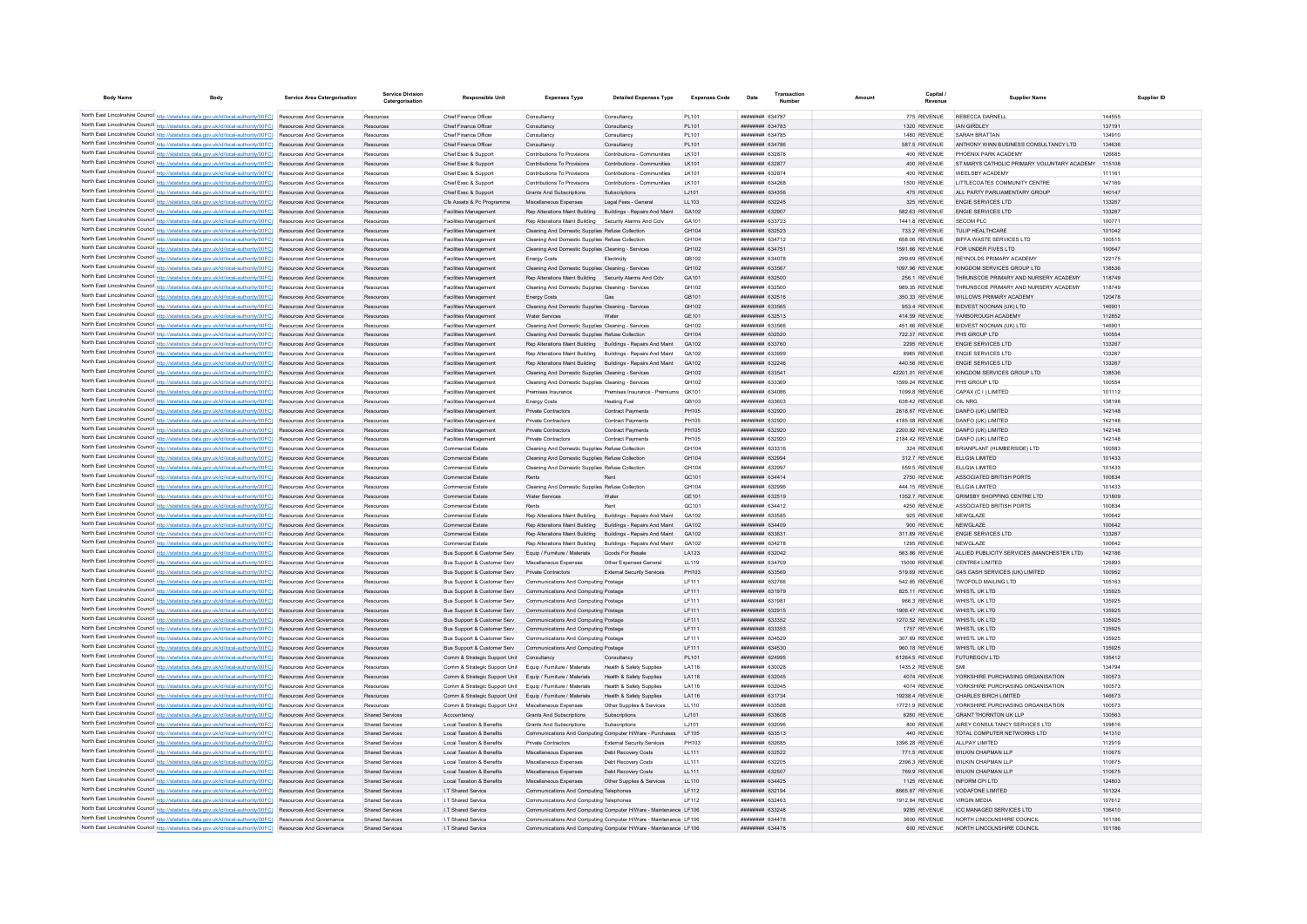| <b>Body Name</b>                           | Body                                                                                                                                                                                                                               | <b>Service Area Catergorisation</b> | Service Divisio<br>Catergorisation               | <b>Responsible Unit</b>                                                                                                    | <b>Expenses Type</b>                                                                                                         | <b>Detailed Expenses Type</b>                                                                                                        | <b>Expenses Code</b> | Date                                                   | Amoun                             | <b>Supplier Name</b>                                     | Supplier ID      |
|--------------------------------------------|------------------------------------------------------------------------------------------------------------------------------------------------------------------------------------------------------------------------------------|-------------------------------------|--------------------------------------------------|----------------------------------------------------------------------------------------------------------------------------|------------------------------------------------------------------------------------------------------------------------------|--------------------------------------------------------------------------------------------------------------------------------------|----------------------|--------------------------------------------------------|-----------------------------------|----------------------------------------------------------|------------------|
|                                            |                                                                                                                                                                                                                                    |                                     |                                                  |                                                                                                                            |                                                                                                                              |                                                                                                                                      |                      |                                                        |                                   |                                                          |                  |
|                                            | North East Lincolnshire Council http://statistics.data.gov.uk/id/local-authority/00FC) Resources And Governance<br>North East Lincolnshire Council http://statistics.data.gov.uk/id/local-authority/00FC) Resources And Governance |                                     | Resources                                        | Chief Finance Office<br>Chief Finance Officer                                                                              | Consultancy<br>Consultancy                                                                                                   | Consultancy<br>Consultancy                                                                                                           | PL101<br>PL101       | <b><i>BREEBHHH 634787</i></b><br><b>ппинини 634783</b> | 775 REVENUE<br>1320 REVENUE       | REBECCA DARNEL<br><b>JAN GIRDLEY</b>                     | 144555<br>137191 |
|                                            | North East Lincolnshire Council http://statistics.data.gov.uk/id/local-authority/00FC) Resources And Governance                                                                                                                    |                                     | Resources                                        | Chief Finance Office                                                                                                       | Consultancy                                                                                                                  | Consultancy                                                                                                                          | PL101                | <b>######## 634785</b>                                 | 1480 REVENUE                      | SARAH BRATTAN                                            | 134910           |
|                                            | North East Lincolnshire Council http://statistics.data.gov.uk/id/local-authority/00FC) Resources And Governance                                                                                                                    |                                     | Resources                                        | Chief Finance Officer                                                                                                      | Consultancy                                                                                                                  | Consultancy                                                                                                                          | PI 101               | <b>ПЕННИНИЯ</b> 634786                                 | 587 5 REVENUE                     | ANTHONY WINN BUSINESS CONSULTANCY LTD                    | 134636           |
|                                            | North East Lincolnshire Council http://statistics.data.gov.uk/id/local-authority/00FC) Resources And Governance                                                                                                                    |                                     | Resources                                        | Chief Exec & Support                                                                                                       | Contributions To Provisions                                                                                                  | Contributions - Communities                                                                                                          | I K101               | ######## 632876                                        | 400 REVENUE                       | PHOENIX PARK ACADEMY                                     | 126685           |
|                                            | North East Lincolnshire Council http://statistics.data.gov.uk/id/local-authority/00FC) Resources And Governance                                                                                                                    |                                     | Resources                                        | Chief Exec & Support                                                                                                       | Contributions To Provisions                                                                                                  | Contributions - Communities                                                                                                          | I K101               | ######## 632877                                        | 400 REVENUE                       | ST MARYS CATHOLIC PRIMARY VOLUNTARY ACADEMY              | 115108           |
|                                            | North East Lincolnshire Council http://statistics.data.gov.uk/id/local-authority/00FC) Resources And Governance                                                                                                                    |                                     | Resources                                        | Chief Exec & Support                                                                                                       | Contributions To Provisions                                                                                                  | Contributions - Communities                                                                                                          | LK101                | ####### 632874                                         | 400 REVENUE                       | WEELSBY ACADEMY                                          | 111161           |
|                                            | North East Lincolnshire Council http://statistics.data.gov.uk/id/local-authority/00FC) Resources And Governance                                                                                                                    |                                     | Resources                                        | Chief Exec & Support                                                                                                       | Contributions To Provisions                                                                                                  | Contributions - Communities                                                                                                          | LK101                | ######## 634268                                        | 1500 REVENUE                      | LITTLECOATES COMMUNITY CENTRE                            | 147169           |
|                                            | North East Lincolnshire Council http://statistics.data.gov.uk/id/local-authority/00FC) Resources And Governance                                                                                                                    |                                     | Resources                                        | Chief Exec & Support                                                                                                       | Grants And Subscriptions                                                                                                     | Subscriptions                                                                                                                        | LJ101                | ######## 634356                                        | 475 REVENUE                       | ALL PARTY PARLIAMENTARY GROUP                            | 140147           |
|                                            | North East Lincolnshire Council http://statistics.data.gov.uk/id/local-authority/00FC) Resources And Governance                                                                                                                    |                                     | Resources                                        | Cfs Assets & Pc Programme                                                                                                  | Miscellaneous Expenses                                                                                                       | Legal Fees - General                                                                                                                 | 11103                | <b>ПЕНИНИНИ</b> 632245                                 | 325 REVENUE                       | <b>ENGIE SERVICES LTD</b>                                | 133267           |
|                                            | North East Lincolnshire Council http://statistics.data.gov.uk/id/local-authority/00FC) Resources And Governance                                                                                                                    |                                     | Resources                                        | <b>Facilities Management</b>                                                                                               | Rep Alterations Maint Building Buildings - Repairs And Maint                                                                 |                                                                                                                                      | GA102                | ######## 632907                                        | 582.63 REVENUE                    | <b>ENGIE SERVICES LTD</b>                                | 133267           |
|                                            | North East Lincolnshire Council http://statistics.data.gov.uk/id/local-authority/00FC) Resources And Governance                                                                                                                    |                                     | Resources                                        | Facilities Management                                                                                                      | Rep Alterations Maint Building                                                                                               | Security Alarms And Cctv                                                                                                             | GA101                |                                                        | 1441.8 REVENUE                    | <b>SECOM PLC</b>                                         | 10077            |
|                                            | North East Lincolnshire Council http://statistics.data.gov.uk/id/local-authority/00FC) Resources And Governance                                                                                                                    |                                     | Resources                                        | <b>Facilities Management</b>                                                                                               | Cleaning And Domestic Supplies Refuse Collection                                                                             |                                                                                                                                      | GH104                | ######## 632523                                        | 733.2 REVENUE                     | TULIP HEALTHCARE                                         | 101042           |
|                                            | North East Lincolnshire Council http://statistics.data.gov.uk/id/local-authority/00FC) Resources And Governance                                                                                                                    |                                     | Resources                                        | Facilities Management                                                                                                      | Cleaning And Domestic Supplies Refuse Collection                                                                             |                                                                                                                                      | GH104<br>GH102       | ####### 634712<br><b>ппининин</b> 634751               | 658.06 REVENUE                    | BIFFA WASTE SERVICES LTD<br>FOR UNDER FIVES LTD.         | 100515<br>100647 |
|                                            | North East Lincolnshire Council http://statistics.data.gov.uk/id/local-authority/00FC) Resources And Governance<br>North East Lincolnshire Council http://statistics.data.gov.uk/id/local-authority/00FC) Resources And Governance |                                     | Resources<br>Resources                           | Facilities Management<br><b>Facilities Management</b>                                                                      | Cleaning And Domestic Supplies Cleaning - Services<br>Energy Costs                                                           | Flectricity                                                                                                                          | GR102                | <b>ппининин</b> 634078                                 | 1591.66 REVENUE<br>299.69 REVENUE | REYNOLDS PRIMARY ACADEMY                                 | 122175           |
|                                            | North East Lincolnshire Council http://statistics.data.gov.uk/id/local-authority/00FC) Resources And Governance                                                                                                                    |                                     | Resources                                        | <b>Facilities Management</b>                                                                                               | Cleaning And Domestic Supplies Cleaning - Services                                                                           |                                                                                                                                      | GH102                | ######## 633567                                        | 1097.96 REVENUE                   | KINGDOM SERVICES GROUP LTD                               | 138536           |
|                                            | North East Lincolnshire Council http://statistics.data.gov.uk/id/local-authority/00FC) Resources And Governance                                                                                                                    |                                     | Resources                                        | Facilities Management                                                                                                      | Rep Alterations Maint Building Security Alarms And Cctv                                                                      |                                                                                                                                      | GA101                | ######## 632500                                        | 256.1 REVENUE                     | THRUNSCOE PRIMARY AND NURSERY ACADEMY                    | 118749           |
|                                            | North East Lincolnshire Council http://statistics.data.gov.uk/id/local-authority/00FC) Resources And Governance                                                                                                                    |                                     | Resources                                        | <b>Facilities Management</b>                                                                                               | Cleaning And Domestic Supplies Cleaning - Services                                                                           |                                                                                                                                      | GH102                | ######## 632500                                        | 989.35 REVENUE                    | THRUNSCOE PRIMARY AND NURSERY ACADEMY                    | 118749           |
|                                            | North East Lincolnshire Council http://statistics.data.gov.uk/id/local-authority/00FC) Resources And Governance                                                                                                                    |                                     | Resources                                        | Facilities Management                                                                                                      | <b>Energy Costs</b>                                                                                                          | Gas                                                                                                                                  | GB101                | ######## 632516                                        | 350.33 REVENUE                    | WILLOWS PRIMARY ACADEMY                                  | 120478           |
|                                            | North East Lincolnshire Council http://statistics.data.gov.uk/id/local-authority/00FC) Resources And Governance                                                                                                                    |                                     | Resources                                        | Facilities Management                                                                                                      | Cleaning And Domestic Supplies Cleaning - Services                                                                           |                                                                                                                                      | GH102                | ######## 633565                                        | 953.4 REVENUE                     | BIDVEST NOONAN (UK) LTD                                  | 146901           |
|                                            | North East Lincolnshire Council http://statistics.data.gov.uk/id/local-authority/00FC) Resources And Governance                                                                                                                    |                                     | Resources                                        | Facilities Management                                                                                                      | Water Services                                                                                                               | Water                                                                                                                                | GF101                | <b>ПЕНИНИЯ</b> 632513                                  | 414.59 REVENUE                    | YARBOROUGH ACADEMY                                       | 112852           |
|                                            | North East Lincolnshire Council http://statistics.data.gov.uk/id/local-authority/00FC) Resources And Governance                                                                                                                    |                                     | Resources                                        | Facilities Management                                                                                                      | Cleaning And Domestic Supplies Cleaning - Services                                                                           |                                                                                                                                      | GH102                | ####### 633566                                         | 451.66 REVENUE                    | <b>BIDVEST NOONAN (UK) LTD</b>                           | 146901           |
|                                            | North East Lincolnshire Council http://statistics.data.gov.uk/id/local-authority/00FC) Resources And Governance                                                                                                                    |                                     | Resources                                        | Facilities Management                                                                                                      | Cleaning And Domestic Supplies Refuse Collection                                                                             |                                                                                                                                      | GH104                | ######## 632520                                        | 722.37 REVENUE                    | PHS GROUP LTD                                            | 100554           |
| North East Lincolnshire Council http://sta | tics.data.gov.uk/id/local-authority/00FC)                                                                                                                                                                                          | Resources And Governance            | Resources                                        | Facilities Management                                                                                                      | Rep Alterations Maint Building Buildings - Repairs And Maint                                                                 |                                                                                                                                      | GA102                | ######## 633760                                        | 2295 REVENUE                      | <b>ENGIE SERVICES LTD</b>                                | 133267           |
|                                            | North East Lincolnshire Council http://statistics.data.gov.uk/id/local-authority/00FC) Resources And Governance                                                                                                                    |                                     | Resources                                        | Facilities Managemen                                                                                                       | Rep Alterations Maint Building Buildings - Repairs And Maint                                                                 |                                                                                                                                      | GA102                | ######## 633999                                        | 8985 REVENUE                      | <b>ENGIE SERVICES LTD</b>                                | 133267           |
|                                            | North East Lincolnshire Council http://statistics.data.gov.uk/id/local-authority/00FC) Resources And Governance                                                                                                                    |                                     | Resources                                        | Facilities Management                                                                                                      | Rep Alterations Maint Building Buildings - Repairs And Maint                                                                 |                                                                                                                                      | G4102                | <b>ПЕНИНИН 632246</b>                                  | 440 56 REVENUE                    | ENGIE SERVICES LTD                                       | 133267           |
|                                            | North East Lincolnshire Council http://statistics.data.gov.uk/id/local-authority/00FC) Resources And Governance                                                                                                                    |                                     | Resources                                        | <b>Facilities Management</b>                                                                                               | Cleaning And Domestic Supplies Cleaning - Services                                                                           |                                                                                                                                      | GH102                | ######## 633541                                        | 42201.01 REVENUE                  | KINGDOM SERVICES GROUP LTD                               | 138536           |
|                                            | North East Lincolnshire Council http://statistics.data.gov.uk/id/local-authority/00FC) Resources And Governance                                                                                                                    |                                     | Resources                                        | <b>Facilities Management</b>                                                                                               | Cleaning And Domestic Supplies Cleaning - Services<br>Premises Insurance                                                     |                                                                                                                                      | GH102                | <b>COSSES BREEZERED</b>                                | 1599.24 REVENUE                   | PHS GROUP I TD                                           | 100554           |
|                                            | North East Lincolnshire Council http://statistics.data.gov.uk/id/local-authority/00FC) Resources And Governance<br>North East Lincolnshire Council http://statistics.data.gov.uk/id/local-authority/00FC) Resources And Governance |                                     | Resources                                        | Facilities Management<br><b>Facilities Management</b>                                                                      |                                                                                                                              | Premises Insurance - Premiums GK101<br><b>Heating Fuel</b>                                                                           | GB103                | ######## 634086<br>######## 633603                     | 1099.8 REVENUE                    | CAPAX (C I ) LIMITED<br>OIL NRG                          | 101112           |
|                                            | North East Lincolnshire Council http://statistics.data.gov.uk/id/local-authority/00FC) Resources And Governance                                                                                                                    |                                     | Resources<br>Resources                           | <b>Facilities Management</b>                                                                                               | <b>Energy Costs</b><br>Private Contractors                                                                                   | Contract Payments                                                                                                                    | PH105                | ######## 632920                                        | 638.42 REVENUE<br>2618.67 REVENUE | DANFO (UK) LIMITED                                       | 138198<br>142148 |
|                                            | North East Lincolnshire Council http://statistics.data.gov.uk/id/local-authority/00FC) Resources And Governance                                                                                                                    |                                     | Resources                                        | Facilities Management                                                                                                      | Private Contractors                                                                                                          | <b>Contract Payments</b>                                                                                                             | <b>PH105</b>         | <b>плинини 632920</b>                                  | 4185.08 REVENUE                   | DANFO (UK) LIMITED                                       | 142148           |
|                                            | North East Lincolnshire Council http://statistics.data.gov.uk/id/local-authority/00FC) Resources And Governance                                                                                                                    |                                     | Resources                                        | Facilities Management                                                                                                      | Private Contractors                                                                                                          | <b>Contract Payments</b>                                                                                                             | PH105                | <b>плинини 632920</b>                                  | 2200.92 REVENUE                   | DANFO (UK) LIMITED                                       | 142148           |
|                                            | North East Lincolnshire Council http://statistics.data.gov.uk/id/local-authority/00FC) Resources And Governance                                                                                                                    |                                     | Resources                                        | <b>Facilities Management</b>                                                                                               | Private Contractors                                                                                                          | Contract Payments                                                                                                                    | PH105                | <b>ппининия</b> 632920                                 | 2184 42 REVENUE                   | DANEO (UK) LIMITED                                       | 142148           |
|                                            | North East Lincolnshire Council http://statistics.data.gov.uk/id/local-authority/00FC) Resources And Governance                                                                                                                    |                                     | Resources                                        | <b>Commercial Estate</b>                                                                                                   | Cleaning And Domestic Supplies Refuse Collection                                                                             |                                                                                                                                      | GH104                | 833316 HERMAN                                          | 324 REVENUE                       | BRIANPLANT (HUMBERSIDE) LTD                              | 100583           |
|                                            | North East Lincolnshire Council http://statistics.data.gov.uk/id/local-authority/00FC) Resources And Governance                                                                                                                    |                                     | Resources                                        | <b>Commercial Estate</b>                                                                                                   | Cleaning And Domestic Supplies Refuse Collection                                                                             |                                                                                                                                      | GH104                | <b>ппининин</b> 632994                                 | 312.7 REVENUE                     | FLI GIA LIMITED                                          | 101433           |
|                                            | North East Lincolnshire Council http://statistics.data.gov.uk/id/local-authority/00FC)                                                                                                                                             | Resources And Governance            | Resources                                        | <b>Commercial Estate</b>                                                                                                   | Cleaning And Domestic Supplies Refuse Collection                                                                             |                                                                                                                                      | GH104                | ######## 632997                                        | 559.5 REVENUE                     | ELLGIA LIMITED                                           | 101433           |
|                                            | North East Lincolnshire Council http://statistics.data.gov.uk/id/local-authority/00FC) Resources And Governance                                                                                                                    |                                     | Resources                                        | <b>Commercial Estate</b>                                                                                                   | Rents                                                                                                                        | <b>Rent</b>                                                                                                                          | GC101                | ######## 634414                                        | 2750 REVENUE                      | ASSOCIATED BRITISH PORTS                                 | 100834           |
|                                            | North East Lincolnshire Council http://statistics.data.gov.uk/id/local-authority/00FC) Resources And Governance                                                                                                                    |                                     | Resources                                        | <b>Commercial Estate</b>                                                                                                   | Cleaning And Domestic Supplies Refuse Collection                                                                             |                                                                                                                                      | GH104                | <b>HHHHHHH</b> 632996                                  | 444.15 REVENUE                    | ELLGIA LIMITED                                           | 101433           |
|                                            | North East Lincolnshire Council http://statistics.data.gov.uk/id/local-authority/00FC) Resources And Governance                                                                                                                    |                                     | Resources                                        | Commercial Estate                                                                                                          | Water Services                                                                                                               | Water                                                                                                                                | GF101                | ######## 632519                                        | 1352 7 REVENUE                    | GRIMSBY SHOPPING CENTRE LTD                              | 131809           |
|                                            | North East Lincolnshire Council http://statistics.data.gov.uk/id/local-authority/00FC) Resources And Governance                                                                                                                    |                                     | Resources                                        | Commercial Estate                                                                                                          | Rents                                                                                                                        | Rent                                                                                                                                 | GC101                | ####### 634412                                         | 4250 REVENUE                      | ASSOCIATED BRITISH PORTS                                 | 100834           |
|                                            | North East Lincolnshire Council http://statistics.data.gov.uk/id/local-authority/00FC) Resources And Governance                                                                                                                    |                                     | Resources                                        | <b>Commercial Estate</b>                                                                                                   | Rep Alterations Maint Building Buildings - Repairs And Maint                                                                 |                                                                                                                                      | GA102                | ######## 633585                                        | 925 REVENUE                       | NFWGI AZE                                                | 100642           |
|                                            | North East Lincolnshire Council http://statistics.data.gov.uk/id/local-authority/00FC) Resources And Governance<br>North East Lincolnshire Council http://statistics.data.gov.uk/id/local-authority/00FC) Resources And Governance |                                     | Resources<br>Resources                           | <b>Commercial Estate</b><br><b>Commercial Estate</b>                                                                       | Rep Alterations Maint Building Buildings - Repairs And Maint<br>Rep Alterations Maint Building Buildings - Repairs And Maint |                                                                                                                                      | GA102<br>GA102       | ######## 634409<br>######## 633631                     | 900 REVENUE<br>311.89 REVENUE     | NEWGLAZE<br><b>ENGIE SERVICES LTD</b>                    | 100642<br>133267 |
|                                            | North East Lincolnshire Council http://statistics.data.gov.uk/id/local-authority/00FC) Resources And Governance                                                                                                                    |                                     | Resources                                        | <b>Commercial Estate</b>                                                                                                   | Rep Alterations Maint Building Buildings - Repairs And Maint                                                                 |                                                                                                                                      | GA102                | ######## 634278                                        | 1295 REVENUE                      | NEWGLAZE                                                 | 100642           |
|                                            | North East Lincolnshire Council http://statistics.data.gov.uk/id/local-authority/00FC) Resources And Governance                                                                                                                    |                                     | Resources                                        | Bus Support & Customer Serv                                                                                                | Equip / Furniture / Materials                                                                                                | Goods For Resale                                                                                                                     | I A123               | <b>НЕННИНИЯ</b> 632042                                 | 563.86 REVENUE                    | ALLIED PUBLICITY SERVICES (MANCHESTER LTD)               | 142186           |
|                                            | North East Lincolnshire Council http://statistics.data.gov.uk/id/local-authority/00FC) Resources And Governance                                                                                                                    |                                     | Resources                                        | Bus Support & Customer Serv                                                                                                | Miscellaneous Expenses                                                                                                       | Other Expenses General                                                                                                               | LL119                | ####### 634709                                         | 15000 REVENUE                     | CENTRE4 LIMITED                                          | 126893           |
|                                            | North East Lincolnshire Council http://statistics.data.gov.uk/id/local-authority/00FC)                                                                                                                                             | Resources And Governance            | Resources                                        | Bus Support & Customer Serv                                                                                                | Private Contractors                                                                                                          | External Security Services                                                                                                           | PH103                | ######## 633569                                        | 519.69 REVENUE                    | <b>G4S CASH SERVICES (UK) LIMITED</b>                    | 100952           |
|                                            | North East Lincolnshire Council http://statistics.data.gov.uk/id/local-authority/00FC)                                                                                                                                             | Resources And Governance            | Resources                                        | Bus Support & Customer Serv                                                                                                | Communications And Computing Postage                                                                                         |                                                                                                                                      | LF111                | ######## 632766                                        | 542.85 REVENUE                    | <b>TWOFOLD MAILING LTD</b>                               | 105163           |
|                                            | North East Lincolnshire Council http://statistics.data.gov.uk/id/local-authority/00FC) Resources And Governance                                                                                                                    |                                     | Resources                                        | Bus Support & Customer Serv                                                                                                | Communications And Computing Postage                                                                                         |                                                                                                                                      | LF111                | ######## 631979                                        | 825.11 REVENUE                    | WHISTL UK LTD                                            | 135925           |
|                                            | North East Lincolnshire Council http://statistics.data.gov.uk/id/local-authority/00FC) Resources And Governance                                                                                                                    |                                     | Resources                                        | Bus Support & Customer Serv                                                                                                | Communications And Computing Postage                                                                                         |                                                                                                                                      | LF111                | ######## 631981                                        | 966.3 REVENUE                     | WHISTI UK ITD                                            | 135925           |
|                                            | North East Lincolnshire Council http://statistics.data.gov.uk/id/local-authority/00FC) Resources And Governance                                                                                                                    |                                     | Resources                                        | Bus Support & Customer Serv                                                                                                | Communications And Computing Postage                                                                                         |                                                                                                                                      | LF111                | ######## 632915                                        | 1906.47 REVENUE                   | WHISTLUK LTD                                             | 135925           |
|                                            | North East Lincolnshire Council http://statistics.data.gov.uk/id/local-authority/00FC) Resources And Governance                                                                                                                    |                                     | Resources                                        | Bus Support & Customer Serv                                                                                                | Communications And Computing Postage                                                                                         |                                                                                                                                      | LF111                | ######## 633352                                        | 1270.52 REVENUE                   | WHISTL UK LTD                                            | 135925           |
|                                            | North East Lincolnshire Council http://statistics.data.gov.uk/id/local-authority/00FC) Resources And Governance                                                                                                                    |                                     | Resources                                        | Bus Support & Customer Serv Communications And Computing Postage                                                           |                                                                                                                              |                                                                                                                                      | LF111                | ######## 633353                                        | 1757 REVENUE                      | WHISTL UK LTD                                            | 135925           |
|                                            | North East Lincolnshire Council http://statistics.data.gov.uk/id/local-authority/00FC) Resources And Governance                                                                                                                    |                                     | Resources                                        | Bus Support & Customer Serv                                                                                                | Communications And Computing Postage                                                                                         |                                                                                                                                      | LF111                | ####### 634529                                         | 307.69 REVENUE                    | WHISTL UK LTD                                            | 135925           |
|                                            | North East Lincolnshire Council http://statistics.data.gov.uk/id/local-authority/00FC) Resources And Governance                                                                                                                    |                                     | Resources                                        | Bus Support & Customer Serv                                                                                                | Communications And Computing Postage                                                                                         |                                                                                                                                      | LF111                | ######## 634530                                        | 960.18 REVENUE                    | WHISTL UK LTD                                            | 135925           |
|                                            | North East Lincolnshire Council http://statistics.data.gov.uk/id/local-authority/00FC) Resources And Governance                                                                                                                    |                                     | Resources                                        | Comm & Strategic Support Unit Consultancy                                                                                  |                                                                                                                              | Consultancy                                                                                                                          | PL101                | ######## 624995<br><b>пининний</b> 630028              | 61264.5 REVENUE                   | <b>FUTUREGOV LTD</b>                                     | 135412           |
|                                            | North East Lincolnshire Council http://statistics.data.gov.uk/id/local-authority/00FC) Resources And Governance<br>North East Lincolnshire Council http://statistics.data.gov.uk/id/local-authority/00FC) Resources And Governance |                                     | Resources<br>Resources                           | Comm & Strategic Support Unit Equip / Furniture / Materials<br>Comm & Strategic Support Unit Equip / Furniture / Materials |                                                                                                                              | Health & Safety Supplies<br>Health & Safety Supplies                                                                                 | LA116<br>LA116       | ######## 632045                                        | 1435.2 REVENUE<br>4074 REVENUE    | SMI<br>YORKSHIRE PURCHASING ORGANISATION                 | 134794<br>100573 |
|                                            | North East Lincolnshire Council http://statistics.data.gov.uk/id/local-authority/00FC) Resources And Governance                                                                                                                    |                                     | Resources                                        | Comm & Strategic Support Unit Equip / Furniture / Materials                                                                |                                                                                                                              | <b>Health &amp; Safety Supplies</b>                                                                                                  | LA116                | ####### 632045                                         | 4074 REVENUE                      | YORKSHIRE PURCHASING ORGANISATION                        | 100573           |
|                                            | North East Lincolnshire Council http://statistics.data.gov.uk/id/local-authority/00FC) Resources And Governance                                                                                                                    |                                     | Resources                                        | Comm & Strategic Support Unit Equip / Furniture / Materials                                                                |                                                                                                                              | Health & Safety Supplies                                                                                                             | LA116                | ######## 631734                                        | 19238.4 REVENUE                   | CHARLES BIRCH LIMITED                                    | 146673           |
|                                            | North East Lincolnshire Council http://statistics.data.gov.uk/id/local-authority/00FC) Resources And Governance                                                                                                                    |                                     | Resources                                        | Comm & Strategic Support Unit                                                                                              | Miscellaneous Expenses                                                                                                       | Other Supplies & Services                                                                                                            | LL110                | ####### 633588                                         | 17721.9 REVENUE                   | YORKSHIRE PURCHASING ORGANISATION                        | 100573           |
|                                            | North East Lincolnshire Council http://statistics.data.gov.uk/id/local-authority/00FC) Resources And Governance                                                                                                                    |                                     | <b>Shared Services</b>                           | Accountancy                                                                                                                | Grants And Subscriptions                                                                                                     | Subscriptions                                                                                                                        | 1.1101               | <b>плинини 633608</b>                                  | 6260 REVENUE                      | <b>GRANT THORNTON UK LLP</b>                             | 130563           |
|                                            | North East Lincolnshire Council http://statistics.data.gov.uk/id/local-authority/00FC) Resources And Governance                                                                                                                    |                                     | <b>Shared Services</b>                           | Local Taxation & Benefits                                                                                                  | Grants And Subscriptions                                                                                                     | Subscriptions                                                                                                                        | 1.1101               | <b>пининни 632096</b>                                  | 800 REVENUE                       | AIREY CONSULTANCY SERVICES LTD                           | 100816           |
|                                            | North East Lincolnshire Council http://statistics.data.gov.uk/id/local-authority/00FC) Resources And Governance                                                                                                                    |                                     | Shared Services                                  | Local Taxation & Benefits                                                                                                  | Communications And Computing Computer H/Ware - Purchases                                                                     |                                                                                                                                      | IF105                | <i>ппинини</i> 633513                                  | 440 REVENUE                       | TOTAL COMPUTER NETWORKS LTD                              | 141310           |
|                                            | North East Lincolnshire Council http://statistics.data.gov.uk/id/local-authority/00FC) Resources And Governance                                                                                                                    |                                     | Shared Services                                  | Local Taxation & Benefits                                                                                                  | Private Contractors                                                                                                          | <b>External Security Services</b>                                                                                                    | PH103                | ######## 632685                                        | 3396.28 REVENUE                   | ALL PAY LIMITED                                          | 112919           |
|                                            | North East Lincolnshire Council http://statistics.data.gov.uk/id/local-authority/00FC) Resources And Governance                                                                                                                    |                                     | Shared Services                                  | <b>Local Taxation &amp; Benefits</b>                                                                                       | Miscellaneous Expenses                                                                                                       | Debt Recovery Costs                                                                                                                  | LL111                | <b>ининнин</b> 632522                                  | 771.5 REVENUE                     | WILKIN CHAPMAN I LE                                      | 110675           |
|                                            | North East Lincolnshire Council http://statistics.data.gov.uk/id/local-authority/00FC) Resources And Governance                                                                                                                    |                                     | <b>Shared Services</b>                           | <b>Local Taxation &amp; Benefits</b>                                                                                       | Miscellaneous Expenses                                                                                                       | Debt Recovery Costs                                                                                                                  | LL111                | ######## 632205                                        | 2396.3 REVENUE                    | WILKIN CHAPMAN LLF                                       | 110675           |
|                                            | North East Lincolnshire Council http://statistics.data.gov.uk/id/local-authority/00FC) Resources And Governance                                                                                                                    |                                     | <b>Shared Services</b>                           | <b>Local Taxation &amp; Benefits</b>                                                                                       | Miscellaneous Expenses                                                                                                       | Debt Recovery Costs                                                                                                                  | LL111                | <b>НЕНИНИЯ 632507</b>                                  | 769.9 REVENUE                     | WILKIN CHAPMAN I I P                                     | 110675           |
|                                            | North East Lincolnshire Council http://statistics.data.gov.uk/id/local-authority/00FC) Resources And Governance                                                                                                                    |                                     | <b>Shared Services</b>                           | <b>Local Taxation &amp; Benefits</b>                                                                                       | Miscellaneous Expenses                                                                                                       | Other Supplies & Services                                                                                                            | LL110                | <b>ппининин</b> 634425                                 | 1125 REVENUE                      | INFORM CPI LTD                                           | 124803           |
|                                            | North East Lincolnshire Council http://statistics.data.gov.uk/id/local-authority/00FC) Resources And Governance                                                                                                                    |                                     | Shared Services                                  | <b>IT Shared Service</b>                                                                                                   | Communications And Computing Telephones                                                                                      |                                                                                                                                      | IF112                | <b>ПЕНИНИНИ</b> 632194                                 | 8665 87 REVENUE                   | VODAEONE LIMITED                                         | 101324           |
|                                            | North East Lincolnshire Council http://statistics.data.gov.uk/id/local-authority/00FC) Resources And Governance                                                                                                                    |                                     | <b>Shared Services</b>                           | I.T Shared Service                                                                                                         | Communications And Computing Telephones                                                                                      |                                                                                                                                      | IF112                | <b>######## 632463</b>                                 | 1912.84 REVENUE                   | <b>VIRGIN MEDIA</b>                                      | 107612           |
|                                            | North East Lincolnshire Council http://statistics.data.gov.uk/id/local-authority/00FC) Resources And Governance                                                                                                                    |                                     | <b>Shared Services</b>                           | I.T Shared Service                                                                                                         |                                                                                                                              | Communications And Computing Computer H/Ware - Maintenance LF106                                                                     |                      | ниннини 633248                                         | 9285 REVENUE                      | <b>ICC MANAGED SERVICES LTD</b>                          | 136410           |
|                                            | North East Lincolnshire Council http://statistics.data.gov.uk/id/local-authority/00FC) Resources And Governance<br>North East Lincolnshire Council http://statistics.data.gov.uk/id/local-authority/00FC) Resources And Governance |                                     | <b>Shared Services</b><br><b>Shared Servicer</b> | I.T Shared Service<br><b>IT Shared Service</b>                                                                             |                                                                                                                              | Communications And Computing Computer H/Ware - Maintenance LF106<br>Communications And Computing Computer H/Ware - Maintenance LF106 |                      | ######## 634478<br><b>ПЕНИНИН 634478</b>               | 3600 REVENUE<br>600 REVENUE       | NORTH LINCOLNSHIRE COUNCI<br>NORTH LINCOLNSHIRE COLINCIL | 101186<br>101186 |
|                                            |                                                                                                                                                                                                                                    |                                     |                                                  |                                                                                                                            |                                                                                                                              |                                                                                                                                      |                      |                                                        |                                   |                                                          |                  |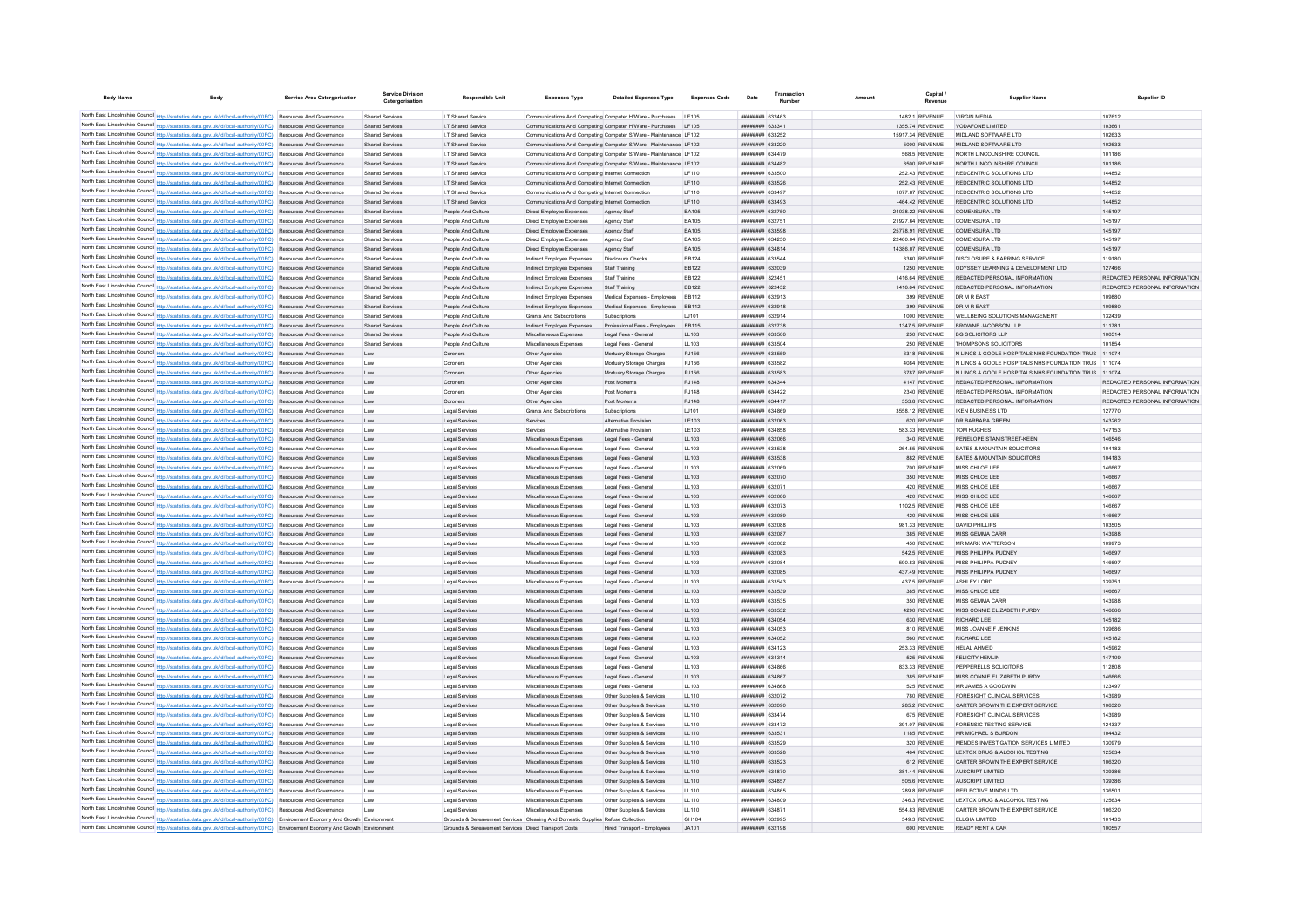| <b>Body Name</b>                                                                                                                                                                                                                   | <b>Body</b> | <b>Service Area Catergorisation</b>                  | <b>Service Division</b><br>Catergorisation       | <b>Responsible Unit</b>                                                                           | <b>Expenses Type</b>                                                                                 | <b>Detailed Expenses Type</b>                                     | <b>Expenses Code</b> | Date                                     | Transaction<br>Number | Amount | Capital                            | <b>Supplier Name</b>                                                                  | Supplier ID                             |
|------------------------------------------------------------------------------------------------------------------------------------------------------------------------------------------------------------------------------------|-------------|------------------------------------------------------|--------------------------------------------------|---------------------------------------------------------------------------------------------------|------------------------------------------------------------------------------------------------------|-------------------------------------------------------------------|----------------------|------------------------------------------|-----------------------|--------|------------------------------------|---------------------------------------------------------------------------------------|-----------------------------------------|
| North East Lincolnshire Council http://statistics.data.gov.uk/id/local-authority/00FC) Resources And Governance                                                                                                                    |             |                                                      | <b>Shared Services</b>                           | I.T Shared Service                                                                                |                                                                                                      | Communications And Computing Computer H/Ware - Purchases          | I F105               | <b>ппинини 632463</b>                    |                       |        | 1482.1 REVENUE                     | <b>VIRGIN MEDIA</b>                                                                   | 107612                                  |
| North East Lincolnshire Council http://statistics.data.gov.uk/id/local-authority/00FC)                                                                                                                                             |             | Resources And Governance                             | <b>Shared Services</b>                           | I.T Shared Service                                                                                | Communications And Computing Computer H/Ware - Purchases                                             |                                                                   |                      | ######## 633341                          |                       |        | 1355.74 REVENUE                    | <b>VODAFONE LIMITED</b>                                                               | 10366                                   |
| North East Lincolnshire Council http://statistics.data.gov.uk/id/local-authority/00FC) Resources And Governance                                                                                                                    |             |                                                      | <b>Shared Services</b>                           | I.T Shared Service                                                                                |                                                                                                      | Communications And Computing Computer S/Ware - Maintenance LF102  |                      | ######## 633252                          |                       |        | 15917.34 REVENUE                   | MIDLAND SOFTWARE LTD                                                                  | 102633                                  |
| North East Lincolnshire Council http://statistics.data.gov.uk/id/local-authority/00FC) Resources And Governance                                                                                                                    |             |                                                      | <b>Shared Services</b>                           | I.T Shared Service                                                                                |                                                                                                      | Communications And Computing Computer S/Ware - Maintenance LF102  |                      | ######## 633220                          |                       |        | 5000 REVENUE                       | MIDI AND SOFTWARE LTD.                                                                | 102633                                  |
| North East Lincolnshire Council http://statistics.data.gov.uk/id/local-authority/00FC) Resources And Governance                                                                                                                    |             |                                                      | Shared Services                                  | <b>IT Shared Service</b>                                                                          |                                                                                                      | Communications And Computing Computer S/Ware - Maintenance   E102 |                      | <b>HHHHHHH 634479</b>                    |                       |        | 568.5 REVENUE                      | NORTH LINCOLNSHIRE COUNCIL                                                            | 101186                                  |
| North East Lincolnshire Council http://statistics.data.gov.uk/id/local-authority/00FC) Resources And Governance                                                                                                                    |             |                                                      | Shared Services                                  | <b>IT Shared Service</b>                                                                          |                                                                                                      | Communications And Computing Computer S/Ware - Maintenance   E102 |                      | <b>ппининия</b> 634482                   |                       |        | 3500 REVENUE                       | NORTH LINCOLNSHIRE COUNCIL                                                            | 101186                                  |
| North East Lincolnshire Council http://statistics.data.gov.uk/id/local-authority/00FC) Resources And Governance                                                                                                                    |             |                                                      | <b>Shared Services</b>                           | I.T Shared Service                                                                                | Communications And Computing Internet Connection                                                     |                                                                   | LF110                | ######## 633500                          |                       |        | 252.43 REVENUE                     | REDCENTRIC SOLUTIONS LTD                                                              | 144852                                  |
| North East Lincolnshire Council http://statistics.data.gov.uk/id/local-authority/00FC) Resources And Governance                                                                                                                    |             |                                                      | Shared Services                                  | I.T Shared Service                                                                                | Communications And Computing Internet Connection                                                     |                                                                   | LF110                | ######## 633526                          |                       |        | 252.43 REVENUE                     | REDCENTRIC SOLUTIONS LTD                                                              | 144852                                  |
| North East Lincolnshire Council http://statistics.data.gov.uk/id/local-authority/00FC) Resources And Governance<br>North East Lincolnshire Council http://statistics.data.gov.uk/id/local-authority/00FC) Resources And Governance |             |                                                      | Shared Services<br><b>Shared Services</b>        | I.T Shared Service<br>I.T Shared Service                                                          | Communications And Computing Internet Connection<br>Communications And Computing Internet Connection |                                                                   | LF110<br>LF110       | ######## 633497<br>######## 633493       |                       |        | 1077.87 REVENUE<br>-464.42 REVENUE | REDCENTRIC SOLUTIONS LTD<br>REDCENTRIC SOLUTIONS LTD                                  | 144852<br>144852                        |
| North East Lincolnshire Council http://statistics.data.gov.uk/id/local-authority/00FC) Resources And Governance                                                                                                                    |             |                                                      | Shared Services                                  | People And Culture                                                                                | Direct Employee Expenses                                                                             | Agency Staff                                                      | EA105                | ######## 632750                          |                       |        | 24038.22 REVENUE                   | COMENSURA LTD                                                                         | 145197                                  |
| North East Lincolnshire Council http://statistics.data.gov.uk/id/local-authority/00FC) Resources And Governance                                                                                                                    |             |                                                      | <b>Shared Services</b>                           | People And Culture                                                                                | Direct Employee Expenses                                                                             | Agency Staf                                                       | EA105                | ######## 632751                          |                       |        | 21927.64 REVENUE                   | <b>COMENSURA LTD</b>                                                                  | 145197                                  |
| North East Lincolnshire Council http://statistics.data.gov.uk/id/local-authority/00FC) Resources And Governance                                                                                                                    |             |                                                      | <b>Shared Services</b>                           | People And Culture                                                                                | Direct Employee Expenses                                                                             | Agency Staff                                                      | EA105                | ######## 633598                          |                       |        | 25778.91 REVENUE                   | COMENSURA LTD                                                                         | 145197                                  |
| North East Lincolnshire Council http://statistics.data.gov.uk/id/local-authority/00FC)                                                                                                                                             |             | Resources And Governance                             | <b>Shared Services</b>                           | People And Culture                                                                                | Direct Employee Expenses                                                                             | Agency Staff                                                      | EA105                | ######## 634250                          |                       |        | 22460.04 REVENUE                   | <b>COMENSURA LTD</b>                                                                  | 145197                                  |
| North East Lincolnshire Council http://statistics.data.gov.uk/id/local-authority/00FC)                                                                                                                                             |             | Resources And Governance                             | <b>Shared Services</b>                           | People And Culture                                                                                | Direct Employee Expenses                                                                             | Agency Staff                                                      | EA105                | ######## 634814                          |                       |        | 14386.07 REVENUE                   | <b>COMENSURA LTD</b>                                                                  | 145197                                  |
| North East Lincolnshire Council http://statistics.data.gov.uk/id/local-authority/00FC)                                                                                                                                             |             | Resources And Governance                             | <b>Shared Services</b>                           | People And Culture                                                                                | Indirect Employee Expense                                                                            | <b>Disclosure Checks</b>                                          | EB124                | ######## 633544                          |                       |        | 3360 REVENUE                       | DISCLOSURE & BARRING SERVICE                                                          | 119180                                  |
| North East Lincolnshire Council http://statistics.data.gov.uk/id/local-authority/00FC)<br>North East Lincolnshire Council http://statistics.data.gov.uk/id/local-authority/00FC)                                                   |             | <b>Resources And Governance</b>                      | Shared Services                                  | People And Culture<br>People And Culture                                                          | Indirect Employee Expenses                                                                           | Staff Training<br>Staff Training                                  | EB122<br>EB122       | ######## 632039<br>####### 822451        |                       |        | 1250 REVENUE<br>1416.64 REVENUE    | ODYSSEY LEARNING & DEVELOPMENT LTD<br>REDACTED PERSONAL INFORMATION                   | 127466<br>REDACTED PERSONAL INFORMATION |
| North East Lincolnshire Council http://statistics.data.gov.uk/id/local-authority/00FC)                                                                                                                                             |             | Resources And Governance<br>Resources And Governance | <b>Shared Services</b><br><b>Shared Services</b> | People And Culture                                                                                | Indirect Employee Expenses<br>Indirect Employee Expenses                                             | Staff Training                                                    | EB122                | ######## 822452                          |                       |        | 1416.64 REVENUE                    | REDACTED PERSONAL INFORMATION                                                         | REDACTED PERSONAL INFORMATION           |
| North East Lincolnshire Council http://statistics.data.gov.uk/id/local-authority/00FC)                                                                                                                                             |             | Resources And Governance                             | Shared Services                                  | People And Culture                                                                                | Indirect Employee Expenses                                                                           | Medical Expenses - Employees                                      | EB112                | ####### 632913                           |                       |        | 399 REVENUE                        | <b>DRMREAST</b>                                                                       | 109880                                  |
| North East Lincolnshire Council http://statistics.data.gov.uk/id/local-authority/00FC)                                                                                                                                             |             | Resources And Governance                             | <b>Shared Services</b>                           | People And Culture                                                                                | Indirect Employee Expenses                                                                           | Medical Expenses - Employees                                      | EB112                | ######## 632918                          |                       |        | 399 REVENUE                        | <b>DRMREAST</b>                                                                       | 109880                                  |
| North East Lincolnshire Council http://statistics.data.gov.uk/id/local-authority/00FC) Resources And Governance                                                                                                                    |             |                                                      | <b>Shared Services</b>                           | People And Culture                                                                                | <b>Grants And Subscriptions</b>                                                                      | Subscriptions                                                     | LJ101                | ######## 632914                          |                       |        | 1000 REVENUE                       | WELLBEING SOLUTIONS MANAGEMENT                                                        | 132439                                  |
| North East Lincolnshire Council http://statistics.data.gov.uk/id/local-authority/00FC) Resources And Governance                                                                                                                    |             |                                                      | Shared Services                                  | People And Culture                                                                                | Indirect Employee Expenses                                                                           | Professional Fees - Employees                                     | EB115                | <b>ппинини 632738</b>                    |                       |        | <b>1347.5 REVENUE</b>              | BROWNE JACOBSON LLP                                                                   | 111781                                  |
| North East Lincolnshire Council http://statistics.data.gov.uk/id/local-authority/00FC) Resources And Governance                                                                                                                    |             |                                                      | <b>Shared Services</b>                           | People And Culture                                                                                | Miscellaneous Expenses                                                                               | Legal Fees - General                                              | LL103                | ######## 633506                          |                       |        | 250 REVENUE                        | <b>BG SOLICITORS LLP</b>                                                              | 100514                                  |
| North East Lincolnshire Council http://statistics.data.gov.uk/id/local-authority/00FC) Resources And Governance                                                                                                                    |             |                                                      | <b>Shared Services</b>                           | People And Culture                                                                                | Miscellaneous Expenses                                                                               | Legal Fees - General                                              | LL103                | ######## 633504                          |                       |        | 250 REVENUE                        | <b>THOMPSONS SOLICITORS</b>                                                           | 101854                                  |
| North East Lincolnshire Council http://statistics.data.gov.uk/id/local-authority/00FC)                                                                                                                                             |             | Resources And Governance                             | Law                                              | Coroners                                                                                          | Other Agencies                                                                                       | Mortuary Storage Charges                                          | PJ156                | ######## 633559                          |                       |        | 6318 REVENUE                       | N LINCS & GOOLE HOSPITALS NHS FOUNDATION TRUS 111074                                  |                                         |
| North East Lincolnshire Council http://statistics.data.gov.uk/id/local-authority/00FC)<br>North East Lincolnshire Council http://statistics.data.gov.uk/id/local-authority/00FC).                                                  |             | Resources And Governance                             | Law                                              | Coroner                                                                                           | Other Agencie                                                                                        | Mortuary Storage Charges                                          | PJ156                | ######## 633582                          |                       |        | 4084 REVENUE                       | N LINCS & GOOLE HOSPITALS NHS FOUNDATION TRUS 111074                                  |                                         |
| North East Lincolnshire Council http://statistics.data.gov.uk/id/local-authority/00FC) Resources And Governance                                                                                                                    |             | Resources And Governance                             | Law<br>Law                                       | Coroners<br>Compen                                                                                | Other Agencie<br>Other Agencies                                                                      | Mortuary Storage Charges<br>Post Mortems                          | PJ156<br>PJ148       | ######## 633583<br><b>ппинини 634344</b> |                       |        | 6787 REVENUE<br>4147 REVENUE       | N LINCS & GOOLE HOSPITALS NHS FOUNDATION TRUS 111074<br>REDACTED PERSONAL INFORMATION | REDACTED PERSONAL INFORMATION           |
| North East Lincolnshire Council http://statistics.data.gov.uk/id/local-authority/00FC) Resources And Governance                                                                                                                    |             |                                                      | Law                                              | Coroners                                                                                          | Other Agencies                                                                                       | Post Mortems                                                      | PJ148                | ######## 634422                          |                       |        | 2340 REVENUE                       | REDACTED PERSONAL INFORMATION                                                         | REDACTED PERSONAL INFORMATION           |
| North East Lincolnshire Council http://statistics.data.gov.uk/id/local-authority/00FC) Resources And Governance                                                                                                                    |             |                                                      | Law                                              | Coroners                                                                                          | Other Agencies                                                                                       | Post Mortems                                                      | PJ148                | ######## 634417                          |                       |        | 553.8 REVENUE                      | REDACTED PERSONAL INFORMATION                                                         | REDACTED PERSONAL INFORMATION           |
| North East Lincolnshire Council http://statistics.data.gov.uk/id/local-authority/00FC) Resources And Governance                                                                                                                    |             |                                                      | Law                                              | Legal Services                                                                                    | Grants And Subscriptions                                                                             | Subscriptions                                                     | LJ101                | ######## 634869                          |                       |        | 3558.12 REVENUE                    | <b>IKEN BUSINESS LTD</b>                                                              | 127770                                  |
| North East Lincolnshire Council http://statistics.data.gov.uk/id/local-authority/00FC) Resources And Governance                                                                                                                    |             |                                                      | Law                                              | Legal Service                                                                                     | Services                                                                                             | Alternative Provision                                             | LE103                | ######## 632063                          |                       |        | 620 REVENUE                        | DR BARBARA GREEN                                                                      | 143262                                  |
| North East Lincolnshire Council http://statistics.data.gov.uk/id/local-authority/00FC) Resources And Governance                                                                                                                    |             |                                                      | Law                                              | Legal Service                                                                                     | Services                                                                                             | Alternative Provision                                             | LE103                | ######## 634858                          |                       |        | 583.33 REVENUE                     | <b>TOM HUGHES</b>                                                                     | 147153                                  |
| North East Lincolnshire Council http://statistics.data.gov.uk/id/local-authority/00FC) Resources And Governance                                                                                                                    |             |                                                      | Law                                              | Legal Services                                                                                    | Miscellaneous Expenses                                                                               | Legal Fees - General                                              | LL103                | ######## 632066                          |                       |        | 340 REVENUE                        | PENELOPE STANISTREET-KEEN                                                             | 146546                                  |
| North East Lincolnshire Council http://statistics.data.gov.uk/id/local-authority/00FC) Resources And Governance                                                                                                                    |             |                                                      | Law                                              | Legal Services                                                                                    | Miscellaneous Expenses                                                                               | Legal Fees - General                                              | LL103                | ######## 633538                          |                       |        | 264.55 REVENUE                     | BATES & MOUNTAIN SOLICITORS                                                           | 104183                                  |
| North East Lincolnshire Council http://statistics.data.gov.uk/id/local-authority/00FC) Resources And Governance<br>North East Lincolnshire Council http://statistics.data.gov.uk/id/local-authority/00FC) Resources And Governance |             |                                                      | Law<br>Law                                       | Legal Services<br>Legal Services                                                                  | Miscellaneous Expenses<br>Miscellaneous Expenses                                                     | Legal Fees - General<br>Legal Fees - General                      | LL103<br>LL103       | ######## 633538<br>######## 632069       |                       |        | 882 REVENUE<br>700 REVENUE         | BATES & MOUNTAIN SOLICITORS<br>MISS CHLOE LEE                                         | 104183<br>146667                        |
| North East Lincolnshire Council http://statistics.data.gov.uk/id/local-authority/00FC)                                                                                                                                             |             | Resources And Governance                             | Law                                              | Legal Services                                                                                    | Miscellaneous Expenses                                                                               | Legal Fees - General                                              | LL103                | ######## 632070                          |                       |        | 350 REVENUE                        | MISS CHLOE LEE                                                                        | 146667                                  |
| North East Lincolnshire Council http://statistics.data.gov.uk/id/local-authority/00FC).                                                                                                                                            |             | Resources And Governance                             | Law                                              | Legal Services                                                                                    | Miscellaneous Expenses                                                                               | Legal Fees - General                                              | LL103                | ######## 63207                           |                       |        | 420 REVENUE                        | MISS CHLOE LEE                                                                        | 146667                                  |
| North East Lincolnshire Council http://statistics.data.gov.uk/id/local-authority/00FC)                                                                                                                                             |             | Resources And Governance                             | Law                                              | Legal Services                                                                                    | Miscellaneous Expenses                                                                               | Legal Fees - General                                              | LL103                | <b>НЕННИНИ 632086</b>                    |                       |        | 420 REVENUE                        | MISS CHLOE LEE                                                                        | 146667                                  |
| North East Lincolnshire Council http://statistics.data.gov.uk/id/local-authority/00FC) Resources And Governance                                                                                                                    |             |                                                      | Law                                              | Legal Services                                                                                    | Miscellaneous Expenses                                                                               | Legal Fees - General                                              | LL103                | ######## 632073                          |                       |        | 1102.5 REVENUE                     | MISS CHLOE LEE                                                                        | 146667                                  |
| North East Lincolnshire Council http://statistics.data.gov.uk/id/local-authority/00FC) Resources And Governance                                                                                                                    |             |                                                      | Law                                              | Legal Services                                                                                    | Miscellaneous Expenses                                                                               | Legal Fees - General                                              | LL103                | ######## 632089                          |                       |        | 420 REVENUE                        | MISS CHLOE LEE                                                                        | 146667                                  |
| North East Lincolnshire Council http://statistics.data.gov.uk/id/local-authority/00FC)                                                                                                                                             |             | Resources And Governance                             | Law                                              | Legal Services                                                                                    | Miscellaneous Expenses                                                                               | Legal Fees - General                                              | LL103                | ######## 632088                          |                       |        | 981.33 REVENUE                     | DAVID PHILLIPS                                                                        | 103505                                  |
| North East Lincolnshire Council http://statistics.data.gov.uk/id/local-authority/00FC)                                                                                                                                             |             | Resources And Governance                             | Law                                              | Legal Services                                                                                    | Miscellaneous Expenses                                                                               | Legal Fees - General                                              | LL103                | ######## 632087                          |                       |        | 385 REVENUE                        | MISS GEMMA CARR                                                                       | 143988                                  |
| North East Lincolnshire Council http://statistics.data.gov.uk/id/local-authority/00FC) Resources And Governance<br>North East Lincolnshire Council http://statistics.data.gov.uk/id/local-authority/00FC) Resources And Governance |             |                                                      | Law<br>Law                                       | Legal Services<br>Legal Services                                                                  | Miscellaneous Expenses<br>Miscellaneous Expenses                                                     | Legal Fees - General<br>Legal Fees - General                      | LL103<br>LL103       | ######## 632082<br>######## 632083       |                       |        | 450 REVENUE<br>542.5 REVENUE       | MR MARK WATTERSON<br><b>MISS PHILIPPA PUDNEY</b>                                      | 109973<br>146697                        |
| North East Lincolnshire Council http://statistics.data.gov.uk/id/local-authority/00FC) Resources And Governance                                                                                                                    |             |                                                      | Law                                              | Legal Services                                                                                    | Miscellaneous Expenses                                                                               | Legal Fees - General                                              | LL103                | ######## 632084                          |                       |        | 590.83 REVENUE                     | <b>MISS PHILIPPA PUDNEY</b>                                                           | 146697                                  |
| North East Lincolnshire Council http://statistics.data.gov.uk/id/local-authority/00FC)                                                                                                                                             |             | Resources And Governance                             | Law                                              | Legal Services                                                                                    | Miscellaneous Expenses                                                                               | Legal Fees - General                                              | LL103                | ######## 632085                          |                       |        | 437.49 REVENUE                     | MISS PHILIPPA PUDNEY                                                                  | 146697                                  |
| North East Lincolnshire Council http://statistics.data.gov.uk/id/local-authority/00FC)                                                                                                                                             |             | Resources And Governance                             | Law                                              | Legal Service                                                                                     | Miscellaneous Expenses                                                                               | Legal Fees - General                                              | LL 103               | ######## 633543                          |                       |        | 437.5 REVENUE                      | ASHLEY LORD                                                                           | 139751                                  |
| North East Lincolnshire Council http://statistics.data.gov.uk/id/local-authority/00FC)                                                                                                                                             |             | Resources And Governance                             | Law                                              | Legal Services                                                                                    | Miscellaneous Expenses                                                                               | Legal Fees - General                                              | LL103                | ######## 633539                          |                       |        | 385 REVENUE                        | MISS CHLOE LEE                                                                        | 146667                                  |
| North East Lincolnshire Council http://statistics.data.gov.uk/id/local-authority/00FC)                                                                                                                                             |             | Resources And Governance                             | Law                                              | Legal Services                                                                                    | Miscellaneous Expenses                                                                               | Legal Fees - General                                              | LL103                | ######## 633535                          |                       |        | 350 REVENUE                        | MISS GEMMA CARR                                                                       | 143088                                  |
| North East Lincolnshire Council http://statistics.data.gov.uk/id/local-authority/00FC) Resources And Governance                                                                                                                    |             |                                                      | Law                                              | Legal Service                                                                                     | Miscellaneous Expenses                                                                               | Legal Fees - General                                              | LL103                | ######## 633532                          |                       |        | 4290 REVENUE                       | MISS CONNIE ELIZABETH PURDY                                                           | 146666                                  |
| North East Lincolnshire Council http://statistics.data.gov.uk/id/local-authority/00FC) Resources And Governance<br>North East Lincolnshire Council http://statistics.data.gov.uk/id/local-authority/00FC) Resources And Governance |             |                                                      | <b>Law</b><br>Law                                | Legal Services<br>Legal Services                                                                  | Miscellaneous Expenses<br>Miscellaneous Expenses                                                     | Legal Fees - General<br>Legal Fees - General                      | 11103<br>LL103       | ######## 634054<br><b>иннинни 634053</b> |                       |        | 630 REVENUE<br>810 REVENUE         | RICHARD LEE<br>MISS JOANNE F JENKINS                                                  | 145182<br>139686                        |
| North East Lincolnshire Council http://statistics.data.gov.uk/id/local-authority/00FC) Resources And Governance                                                                                                                    |             |                                                      | <b>Law</b>                                       | Legal Services                                                                                    | Miscellaneous Expenses                                                                               | Legal Fees - General                                              | LL103                | <b>ппиннин</b> 634052                    |                       |        | 560 REVENUE                        | <b>RICHARD LEE</b>                                                                    | 145182                                  |
| North East Lincolnshire Council http://statistics.data.gov.uk/id/local-authority/00FC) Resources And Governance                                                                                                                    |             |                                                      | Law                                              | Legal Services                                                                                    | Miscellaneous Expenses                                                                               | Legal Fees - General                                              | LL103                | ######## 634123                          |                       |        | 253.33 REVENUE                     | HELAL AHMED                                                                           | 145962                                  |
| North East Lincolnshire Council http://statistics.data.gov.uk/id/local-authority/00FC) Resources And Governance                                                                                                                    |             |                                                      | Law                                              | Legal Services                                                                                    | Miscellaneous Expenses                                                                               | Legal Fees - General                                              | LL103                | ######## 634314                          |                       |        | 525 REVENUE                        | <b>FELICITY HEMLIN</b>                                                                | 147109                                  |
| North East Lincolnshire Council http://statistics.data.gov.uk/id/local-authority/00FC) Resources And Governance                                                                                                                    |             |                                                      | Law                                              | Legal Services                                                                                    | Miscellaneous Expenses                                                                               | Legal Fees - General                                              | LL103                | ######## 634866                          |                       |        | 833.33 REVENUE                     | PEPPERELLS SOLICITORS                                                                 | 112808                                  |
| North East Lincolnshire Council http://statistics.data.gov.uk/id/local-authority/00FC) Resources And Governance                                                                                                                    |             |                                                      | Law                                              | Legal Services                                                                                    | Miscellaneous Expenses                                                                               | Legal Fees - General                                              | 11 103               | <b>ппиннин</b> 634867                    |                       |        | 385 REVENUE                        | MISS CONNIE ELIZABETH PURDY                                                           | 146666                                  |
| North East Lincolnshire Council http://statistics.data.gov.uk/id/local-authority/00FC) Resources And Governance                                                                                                                    |             |                                                      | Law                                              | Legal Services                                                                                    | Miscellaneous Expenses                                                                               | Legal Fees - General                                              | 11 103               | ######## 634868                          |                       |        | 525 REVENUE                        | MR JAMES A GOODWIN                                                                    | 123497                                  |
| North East Lincolnshire Council http://statistics.data.gov.uk/id/local-authority/00FC) Resources And Governance                                                                                                                    |             |                                                      | Law                                              | <b>Legal Services</b>                                                                             | Miscellaneous Expenses                                                                               | Other Supplies & Services                                         | 11 110               | <b>ппинини 632072</b>                    |                       |        | 780 REVENUE                        | <b>FORESIGHT CLINICAL SERVICES</b>                                                    | 143989                                  |
| North East Lincolnshire Council http://statistics.data.gov.uk/id/local-authority/00FC)<br>North East Lincolnshire Council http://statistics.data.gov.uk/id/local-authority/00FC)                                                   |             | Resources And Governance<br>Resources And Governance | Law                                              | Legal Services                                                                                    | Miscellaneous Expenses                                                                               | Other Supplies & Services                                         | LL110<br>LL110       | ######## 632090<br><b>ппинини 633474</b> |                       |        | 285.2 REVENUE                      | CARTER BROWN THE EXPERT SERVICE<br><b>FORESIGHT CLINICAL SERVICES</b>                 | 106320<br>143989                        |
| North East Lincolnshire Council http://statistics.data.gov.uk/id/local-authority/00FC).                                                                                                                                            |             | Resources And Governance                             | Law<br>Law                                       | Legal Service<br>Legal Services                                                                   | Miscellaneous Expenses<br>Miscellaneous Expenses                                                     | Other Supplies & Services<br>Other Supplies & Services            | LL110                | ######## 633472                          |                       |        | 675 REVENUE<br>391.07 REVENUE      | FORENSIC TESTING SERVICE                                                              | 124337                                  |
| North East Lincolnshire Council http://statistics.data.gov.uk/id/local-authority/00FC)                                                                                                                                             |             | <b>Resources And Governance</b>                      | Law                                              | Legal Services                                                                                    | Miscellaneous Expenses                                                                               | Other Supplies & Services                                         | 11 110               | ######## 633531                          |                       |        | 1185 REVENUE                       | MR MICHAEL S BURDON                                                                   | 104432                                  |
| North East Lincolnshire Council http://statistics.data.gov.uk/id/local-authority/00FC) Resources And Governance                                                                                                                    |             |                                                      | Law                                              | Legal Services                                                                                    | Miscellaneous Expenses                                                                               | Other Supplies & Services                                         | LL110                | ######## 633529                          |                       |        | 320 REVENUE                        | MENDES INVESTIGATION SERVICES LIMITED                                                 | 130979                                  |
| North East Lincolnshire Council http://statistics.data.gov.uk/id/local-authority/00FC) Resources And Governance                                                                                                                    |             |                                                      | Law                                              | Legal Services                                                                                    | Miscellaneous Expenses                                                                               | Other Supplies & Services                                         | LL110                | ######## 633528                          |                       |        | 464 REVENUE                        | LEXTOX DRUG & ALCOHOL TESTING                                                         | 125634                                  |
| North East Lincolnshire Council http://statistics.data.gov.uk/id/local-authority/00FC)                                                                                                                                             |             | Resources And Governance                             | Law                                              | Legal Services                                                                                    | Miscellaneous Expenses                                                                               | Other Supplies & Services                                         | LL110                | ######## 633523                          |                       |        | 612 REVENUE                        | CARTER BROWN THE EXPERT SERVICE                                                       | 106320                                  |
| North East Lincolnshire Council http://statistics.data.gov.uk/id/local-authority/00FC)                                                                                                                                             |             | Resources And Governance                             | Law                                              | Legal Services                                                                                    | Miscellaneous Expenses                                                                               | Other Supplies & Services                                         | LL110                | ######## 634870                          |                       |        | 381.44 REVENUE                     | AUSCRIPT LIMITED                                                                      | 139386                                  |
| North East Lincolnshire Council http://statistics.data.gov.uk/id/local-authority/00FC) Resources And Governance                                                                                                                    |             |                                                      | Law                                              | Legal Service                                                                                     | Miscellaneous Expenses                                                                               | Other Supplies & Services                                         | LL110                | ######## 634857                          |                       |        | 505.6 REVENUE                      | AUSCRIPT LIMITED                                                                      | 139386                                  |
| North East Lincolnshire Council http://statistics.data.gov.uk/id/local-authority/00FC) Resources And Governance                                                                                                                    |             |                                                      | Law                                              | Legal Services                                                                                    | Miscellaneous Expenses                                                                               | Other Supplies & Services                                         | 11110                | ######## 634865                          |                       |        | 289.8 REVENUE                      | REFLECTIVE MINDS LTD                                                                  | 136501                                  |
| North East Lincolnshire Council http://statistics.data.gov.uk/id/local-authority/00FC) Resources And Governance<br>North East Lincolnshire Council http://statistics.data.gov.uk/id/local-authority/00FC) Resources And Governance |             |                                                      | Law                                              | Legal Services                                                                                    | Miscellaneous Expenses<br>Miscellaneous Expenses                                                     | Other Supplies & Services<br>Other Supplies & Services            | LL110<br>LL110       | ######## 634809<br>######## 634871       |                       |        | 346.3 REVENUE<br>554.83 REVENUE    | LEXTOX DRUG & ALCOHOL TESTING<br>CARTER BROWN THE EXPERT SERVICE                      | 125634<br>106320                        |
| North East Lincolnshire Council http://statistics.data.gov.uk/id/local-authority/00FC) Environment Economy And Growth Environment                                                                                                  |             |                                                      | Law                                              | Legal Services<br>Grounds & Bereavement Services Cleaning And Domestic Supplies Refuse Collection |                                                                                                      |                                                                   | GH104                | ######## 632995                          |                       |        | 549.3 REVENUE                      | ELLGIA LIMITED                                                                        | 101433                                  |
| North East Lincolnshire Council http://statistics.data.gov.uk/id/local-authority/00FC) Environment Economy And Growth Environmen                                                                                                   |             |                                                      |                                                  | Grounds & Bereavement Services Direct Transport Costs                                             |                                                                                                      | Hired Transport - Employ                                          | JA101                | ######## 632198                          |                       |        | 600 REVENUE                        | <b>READY RENT A CAR</b>                                                               | 100557                                  |
|                                                                                                                                                                                                                                    |             |                                                      |                                                  |                                                                                                   |                                                                                                      |                                                                   |                      |                                          |                       |        |                                    |                                                                                       |                                         |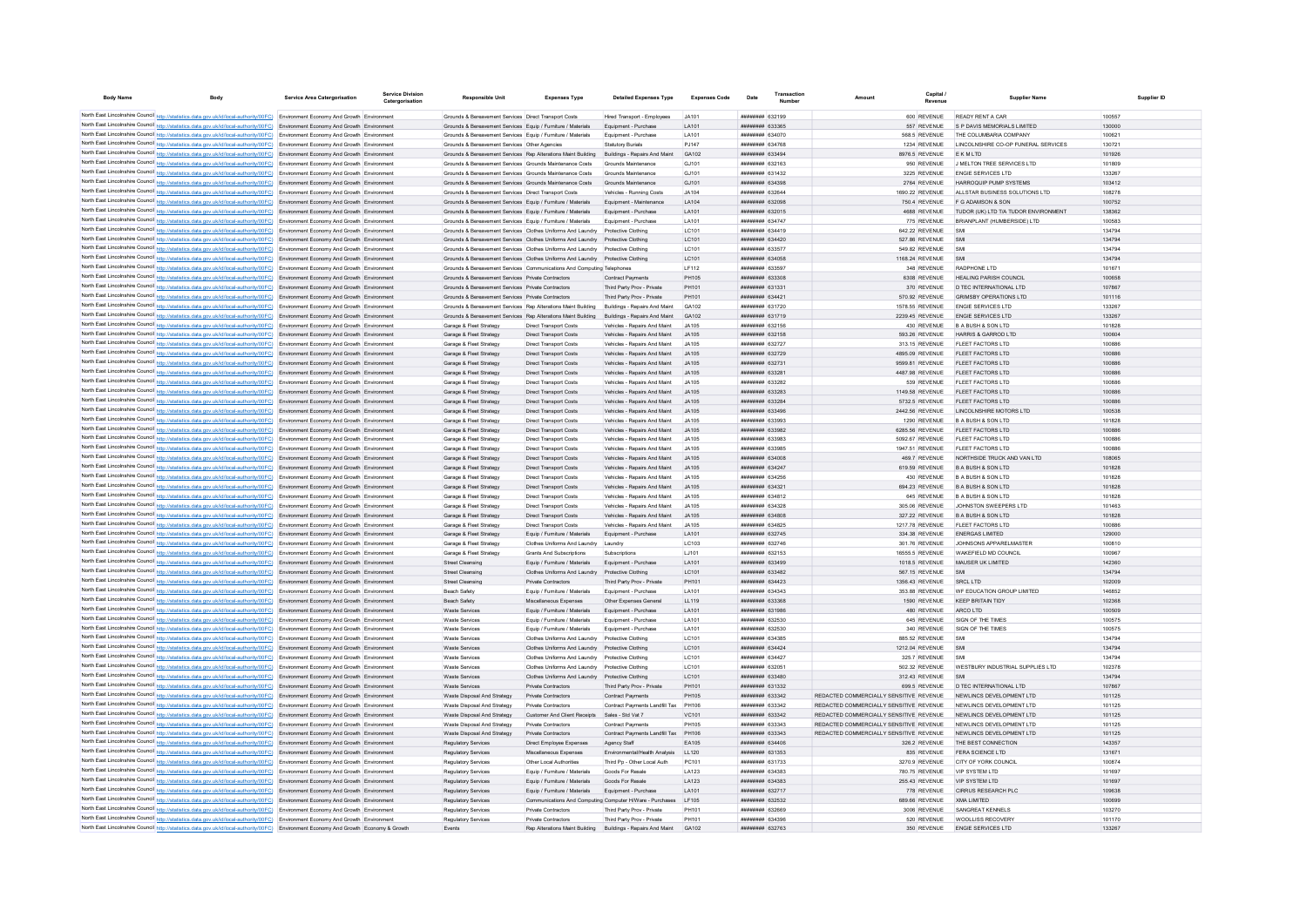| <b>Body Name</b> | <b>Body</b>                                                                                                                                                                                                                                                                 | <b>Service Area Catergorisation</b>        | <b>Service Division</b><br>Catergorisation | <b>Responsible Unit</b>                                                                                               | <b>Expenses Type</b>                                                              | <b>Detailed Expenses Type</b>                                | <b>Expenses Code</b>  | Date | Transaction                               | Amoun                                                                              | Capital                           | <b>Supplier Name</b>                                       | Supplier ID      |
|------------------|-----------------------------------------------------------------------------------------------------------------------------------------------------------------------------------------------------------------------------------------------------------------------------|--------------------------------------------|--------------------------------------------|-----------------------------------------------------------------------------------------------------------------------|-----------------------------------------------------------------------------------|--------------------------------------------------------------|-----------------------|------|-------------------------------------------|------------------------------------------------------------------------------------|-----------------------------------|------------------------------------------------------------|------------------|
|                  | North East Lincolnshire Council http://statistics.data.gov.uk/id/local-authority/00FC) Environment Economy And Growth Environment                                                                                                                                           |                                            |                                            | Grounds & Bereavement Services Direct Transport Costs                                                                 |                                                                                   | Hired Transport - Employees                                  | .14101                |      | ######## 632199                           |                                                                                    | 600 REVENUE                       | READY RENT A CAR                                           | 100557           |
|                  | North East Lincolnshire Council http://statistics.data.gov.uk/id/local-authority/00FC) Environment Economy And Growth Environment                                                                                                                                           |                                            |                                            | Grounds & Bereavement Services Equip / Furniture / Materials                                                          |                                                                                   | Equipment - Purchase                                         | LA101                 |      | ######## 633365                           |                                                                                    | 557 REVENUE                       | S P DAVIS MEMORIALS LIMITED                                | 130000           |
|                  | North East Lincolnshire Council http://statistics.data.gov.uk/id/local-authority/00FC) Environment Economy And Growth Environment                                                                                                                                           |                                            |                                            | Grounds & Bereavement Services Equip / Furniture / Materials                                                          |                                                                                   | Equipment - Purchas                                          | LA101                 |      | ######## 634070                           |                                                                                    | 568.5 REVENUE                     | THE COLUMBARIA COMPANY                                     | 100621           |
|                  | North East Lincolnshire Council http://statistics.data.gov.uk/id/local-authority/00FC) Environment Economy And Growth Environment                                                                                                                                           |                                            |                                            | Grounds & Bereavement Services Other Agencies                                                                         |                                                                                   | <b>Statutory Burials</b>                                     | PJ147                 |      | <b>ппининин</b> 634768                    |                                                                                    | 1234 REVENUE                      | LINCOLNSHIRE CO-OP FUNERAL SERVICES                        | 130721           |
|                  | North East Lincolnshire Council http://statistics.data.gov.uk/id/local-authority/00FC) Environment Economy And Growth Environment                                                                                                                                           |                                            |                                            | Grounds & Bereavement Services Rep Alterations Maint Building Buildings - Repairs And Maint                           |                                                                                   |                                                              | GA102                 |      | ппининин 633494                           |                                                                                    | 8976 5 REVENUE                    | <b>FKMITD</b>                                              | 101926           |
|                  | North East Lincolnshire Council http://statistics.data.gov.uk/id/local-authority/00FC) Environment Economy And Growth Environment                                                                                                                                           |                                            |                                            | Grounds & Bereavement Services Grounds Maintenance Costs                                                              |                                                                                   | Grounds Maintenance                                          | G.1101                |      | <b>BRANCH BANNER</b>                      |                                                                                    | 950 REVENUE                       | J MELTON TREE SERVICES LTD                                 | 101809           |
|                  | North East Lincolnshire Council http://statistics.data.gov.uk/id/local-authority/00FC) Environment Economy And Growth Environment                                                                                                                                           |                                            |                                            | Grounds & Bereavement Services Grounds Maintenance Costs                                                              |                                                                                   | Grounds Maintenance                                          | G.1101                |      | ######## 631432                           |                                                                                    | 3225 REVENUE                      | <b>ENGIE SERVICES LTD</b>                                  | 133267           |
|                  | North East Lincolnshire Council http://statistics.data.gov.uk/id/local-authority/00FC) Environment Economy And Growth Environment                                                                                                                                           |                                            |                                            | Grounds & Bereavement Services Grounds Maintenance Costs                                                              |                                                                                   | Grounds Maintenance                                          | GJ101                 |      | ######## 634398                           |                                                                                    | 2764 REVENUE                      | HARROQUIP PUMP SYSTEMS                                     | 103412           |
|                  | North East Lincolnshire Council http://statistics.data.gov.uk/id/local-authority/00FC) Environment Economy And Growth Environment<br>North East Lincolnshire Council http://statistics.data.gov.uk/id/local-authority/00FC) Environment Economy And Growth Environment      |                                            |                                            | Grounds & Bereavement Services Direct Transport Costs<br>Grounds & Bereavement Services Equip / Furniture / Materials |                                                                                   | Vehicles - Running Costs<br>Equipment - Maintenance          | JA104<br>LA104        |      | ######## 632644<br>######## 632098        |                                                                                    | 1690.22 REVENUE<br>750.4 REVENUE  | ALLSTAR BUSINESS SOLUTIONS LTD<br>F G ADAMSON & SON        | 108278<br>100752 |
|                  | North East Lincolnshire Council http://statistics.data.gov.uk/id/local-authority/00FC) Environment Economy And Growth Environment                                                                                                                                           |                                            |                                            | Grounds & Bereavement Services Equip / Furniture / Materials                                                          |                                                                                   | Equipment - Purchase                                         | <b>IA101</b>          |      | ######## 632015                           |                                                                                    | 4688 REVENUE                      | TUDOR (UK) LTD T/A TUDOR ENVIRONMENT                       | 138362           |
|                  | North East Lincolnshire Council http://statistics.data.gov.uk/id/local-authority/00FC) Environment Economy And Growth Environment                                                                                                                                           |                                            |                                            | Grounds & Bereavement Services Equip / Furniture / Materials                                                          |                                                                                   | Equipment - Purchase                                         | <b>IA101</b>          |      | ######## 634747                           |                                                                                    | 775 REVENUE                       | BRIANPLANT (HUMBERSIDE) LTD                                | 100583           |
|                  | North East Lincolnshire Council http://statistics.data.gov.uk/id/local-authority/00FC) Environment Economy And Growth Environment                                                                                                                                           |                                            |                                            | Grounds & Bereavement Services Clothes Uniforms And Laundry Protective Clothing                                       |                                                                                   |                                                              | LC101                 |      | ######## 634419                           |                                                                                    | 642.22 REVENUE                    | SMI                                                        | 134794           |
|                  | North East Lincolnshire Council http://statistics.data.gov.uk/id/local-authority/00FC)                                                                                                                                                                                      | Environment Economy And Growth Environment |                                            | Grounds & Bereavement Services Clothes Uniforms And Laundry                                                           |                                                                                   | Protective Clothing                                          | LC101                 |      | ####### 634420                            |                                                                                    | 527.86 REVENUE                    |                                                            | 134794           |
|                  | North East Lincolnshire Council http://statistics.data.gov.uk/id/local-authority/00FC) Environment Economy And Growth Environment                                                                                                                                           |                                            |                                            | Grounds & Bereavement Services Clothes Uniforms And Laundry                                                           |                                                                                   | Protective Clothing                                          | LC101                 |      | <b>ппининин</b> 633577                    |                                                                                    | 549.82 REVENUE                    | SMI                                                        | 134794           |
|                  | North East Lincolnshire Council http://statistics.data.gov.uk/id/local-authority/00FC)                                                                                                                                                                                      | Environment Economy And Growth Environment |                                            | Grounds & Bereavement Services Clothes Uniforms And Laundry                                                           |                                                                                   | Protective Clothing                                          | LC101                 |      | ######## 634058                           |                                                                                    | 1168.24 REVENUE                   | SMI                                                        | 134794           |
|                  | North East Lincolnshire Council http://statistics.data.gov.uk/id/local-authority/00FC) Environment Economy And Growth Environment                                                                                                                                           |                                            |                                            | Grounds & Bereavement Services Communications And Computing Telephones                                                |                                                                                   |                                                              | IF112                 |      | <b>######## 633597</b><br>######## 633308 |                                                                                    | 348 REVENUE<br>6308 REVENUE       | RADPHONE I TD<br>HEALING PARISH COUNCIL                    | 101671<br>100658 |
|                  | North East Lincolnshire Council http://statistics.data.gov.uk/id/local-authority/00FC) Environment Economy And Growth Environment<br>North East Lincolnshire Council http://statistics.data.gov.uk/id/local-authority/00FC) Environment Economy And Growth Environment      |                                            |                                            | Grounds & Bereavement Services Private Contractors<br>Grounds & Bereavement Services Private Contractors              |                                                                                   | <b>Contract Payments</b><br>Third Party Prov - Private       | PH105<br>PH101        |      | ######## 631331                           |                                                                                    | 370 REVENUE                       | D TEC INTERNATIONAL LTD                                    | 107867           |
|                  | North East Lincolnshire Council http://statistics.data.gov.uk/id/local-authority/00FC)                                                                                                                                                                                      | Environment Economy And Growth Environment |                                            | Grounds & Bereavement Services Private Contractors                                                                    |                                                                                   | Third Party Prov - Private                                   | PH101                 |      | ######## 634421                           |                                                                                    | 570.92 REVENUE                    | <b>GRIMSBY OPERATIONS LTD</b>                              | 101116           |
|                  | North East Lincolnshire Council http://statistics.data.gov.uk/id/local-authority/00FC) Environment Economy And Growth Environment                                                                                                                                           |                                            |                                            | Grounds & Bereavement Services Rep Alterations Maint Building                                                         |                                                                                   | Buildings - Repairs And Maint                                | GA102                 |      | ######## 631720                           |                                                                                    | 1578.55 REVENUE                   | ENGIE SERVICES LTD                                         | 133267           |
|                  | North East Lincolnshire Council http://statistics.data.gov.uk/id/local-authority/00FC) Environment Economy And Growth Environment                                                                                                                                           |                                            |                                            | Grounds & Bereavement Services Rep Alterations Maint Building                                                         |                                                                                   | Buildings - Repairs And Maint                                | GA102                 |      | ######## 631719                           |                                                                                    | 2239.45 REVENUE                   | <b>ENGIE SERVICES LTD</b>                                  | 133267           |
|                  | North East Lincolnshire Council http://statistics.data.gov.uk/id/local-authority/00FC) Environment Economy And Growth Environment                                                                                                                                           |                                            |                                            | Garage & Fleet Strategy                                                                                               | <b>Direct Transport Costs</b>                                                     | Vehicles - Repairs And Maint                                 | .14105                |      | <b>ппинини 632156</b>                     |                                                                                    | 430 REVENUE                       | B A BUSH & SON LTD                                         | 101828           |
|                  | North East Lincolnshire Council http://statistics.data.gov.uk/id/local-authority/00FC) Environment Economy And Growth Environment                                                                                                                                           |                                            |                                            | Garage & Fleet Strategy                                                                                               | <b>Direct Transport Costs</b>                                                     | Vehicles - Repairs And Maint                                 | .14105                |      | ######## 632158                           |                                                                                    | 593.26 REVENUE                    | HARRIS & GARROD LTD                                        | 100604           |
|                  | North East Lincolnshire Council http://statistics.data.gov.uk/id/local-authority/00FC) Environment Economy And Growth Environment                                                                                                                                           |                                            |                                            | Garage & Fleet Strategy                                                                                               | <b>Direct Transport Costs</b>                                                     | Vehicles - Repairs And Maint                                 | .14105                |      | ######## 632727                           |                                                                                    | 313.15 REVENUE                    | <b>FLEET FACTORS LTD</b>                                   | 100886           |
|                  | North East Lincolnshire Council http://statistics.data.gov.uk/id/local-authority/00FC)                                                                                                                                                                                      | Environment Economy And Growth Environment |                                            | Garage & Fleet Strategy                                                                                               | Direct Transport Costs                                                            | Vehicles - Repairs And Maint                                 | JA105                 |      | ######## 632729                           |                                                                                    | 4895.09 REVENUE                   | FLEET FACTORS LTD                                          | 100886           |
|                  | North East Lincolnshire Council http://statistics.data.gov.uk/id/local-authority/00FC) Environment Economy And Growth Environment<br>North East Lincolnshire Council http://statistics.data.gov.uk/id/local-authority/00FC) Environment Economy And Growth Environment      |                                            |                                            | Garage & Fleet Strategy                                                                                               | <b>Direct Transport Costs</b>                                                     | Vehicles - Repairs And Maint                                 | JA105                 |      | ######## 632731                           |                                                                                    | 9599.81 REVENUE                   | FLEET FACTORS LTD                                          | 100886           |
|                  | North East Lincolnshire Council http://statistics.data.gov.uk/id/local-authority/00FC) Environment Economy And Growth Environment                                                                                                                                           |                                            |                                            | Garage & Fleet Strategy<br>Garage & Fleet Strategy                                                                    | <b>Direct Transport Costs</b><br>Direct Transport Costs                           | Vehicles - Repairs And Maint<br>Vehicles - Renairs And Maint | JA105<br>.14105       |      | ######## 633281<br><b>ппинини 633282</b>  |                                                                                    | 4487.98 REVENUE<br>539 REVENUE    | <b>FLEET FACTORS LTD</b><br>FLEET FACTORS LTD              | 100886<br>100886 |
|                  | North East Lincolnshire Council http://statistics.data.gov.uk/id/local-authority/00FC) Environment Economy And Growth Environment                                                                                                                                           |                                            |                                            | Garage & Fleet Strategy                                                                                               | <b>Direct Transport Costs</b>                                                     | Vehicles - Repairs And Maint                                 | .14105                |      | ######## 633283                           |                                                                                    | 1149.58 REVENUE                   | <b>FLEET FACTORS LTD</b>                                   | 100886           |
|                  | North East Lincolnshire Council http://statistics.data.gov.uk/id/local-authority/00FC) Environment Economy And Growth Environment                                                                                                                                           |                                            |                                            | Garage & Fleet Strategy                                                                                               | <b>Direct Transport Costs</b>                                                     | Vehicles - Repairs And Maint                                 | .14105                |      | ######## 633284                           |                                                                                    | 5732.5 REVENUE                    | <b>FLEET FACTORS LTD</b>                                   | 100886           |
|                  | North East Lincolnshire Council http://statistics.data.gov.uk/id/local-authority/00FC) Environment Economy And Growth Environment                                                                                                                                           |                                            |                                            | Garage & Fleet Strategy                                                                                               | Direct Transport Costs                                                            | Vehicles - Repairs And Maint                                 | JA105                 |      | ######## 633496                           |                                                                                    | 2442.56 REVENUE                   | LINCOLNSHIRE MOTORS LTD                                    | 100538           |
|                  | North East Lincolnshire Council http://statistics.data.gov.uk/id/local-authority/00FC) Environment Economy And Growth Environment                                                                                                                                           |                                            |                                            | Garage & Fleet Strategy                                                                                               | Direct Transport Costs                                                            | Vehicles - Repairs And Maint                                 | JA105                 |      | ######## 633993                           |                                                                                    | 1290 REVENUE                      | <b>B A BUSH &amp; SON LTD</b>                              | 101828           |
|                  | North East Lincolnshire Council http://statistics.data.gov.uk/id/local-authority/00FC) Environment Economy And Growth Environment                                                                                                                                           |                                            |                                            | Garage & Fleet Strategy                                                                                               | Direct Transport Costs                                                            | Vehicles - Repairs And Maint                                 | JA105                 |      | ######## 633982                           |                                                                                    | 6285.56 REVENUE                   | FLEET FACTORS LTD                                          | 100886           |
|                  | North East Lincolnshire Council http://statistics.data.gov.uk/id/local-authority/00FC) Environment Economy And Growth Environment                                                                                                                                           |                                            |                                            | Garage & Fleet Strategy                                                                                               | Direct Transport Costs                                                            | Vehicles - Repairs And Maint                                 | JA105                 |      | <b>пининни</b> 633983                     |                                                                                    | 5092.67 REVENUE                   | FLEET FACTORS LTD                                          | 100886           |
|                  | North East Lincolnshire Council http://statistics.data.gov.uk/id/local-authority/00FC) Environment Economy And Growth Environment                                                                                                                                           |                                            |                                            | Garage & Fleet Strategy                                                                                               | <b>Direct Transport Costs</b>                                                     | Vehicles - Repairs And Maint                                 | .14105                |      | ######## 633985                           |                                                                                    | 1947.51 REVENUE                   | FLEET FACTORS LTD                                          | 100886           |
|                  | North East Lincolnshire Council http://statistics.data.gov.uk/id/local-authority/00FC) Environment Economy And Growth Environment<br>North East Lincolnshire Council http://statistics.data.gov.uk/id/local-authority/00FC) Environment Economy And Growth Environment      |                                            |                                            | Garage & Fleet Strategy                                                                                               | <b>Direct Transport Costs</b>                                                     | Vehicles - Repairs And Maint                                 | .14105<br>JA105       |      | ######## 634008<br>######## 634247        |                                                                                    | 469.7 REVENUE<br>619.59 REVENUE   | NORTHSIDE TRUCK AND VAN LTD<br><b>BABUSH &amp; SON LTD</b> | 108065<br>101828 |
|                  | North East Lincolnshire Council http://statistics.data.gov.uk/id/local-authority/00FC) Environment Economy And Growth Environment                                                                                                                                           |                                            |                                            | Garage & Fleet Strategy<br>Garage & Fleet Strategy                                                                    | <b>Direct Transport Costs</b><br>Direct Transport Costs                           | Vehicles - Repairs And Maint<br>Vehicles - Repairs And Main  | JA105                 |      | ######## 634256                           |                                                                                    | 430 REVENUE                       | <b>BABUSH &amp; SON LTD</b>                                | 101828           |
|                  | North East Lincolnshire Council http://statistics.data.gov.uk/id/local-authority/00FC).                                                                                                                                                                                     | Environment Economy And Growth Environment |                                            | Garage & Fleet Strategy                                                                                               | Direct Transport Costs                                                            | Vehicles - Repairs And Maint                                 | JA105                 |      | ######## 634321                           |                                                                                    | 694.23 REVENUE                    | <b>B A BUSH &amp; SON LTD</b>                              | 101828           |
|                  | North East Lincolnshire Council http://statistics.data.gov.uk/id/local-authority/00FC) Environment Economy And Growth Environment                                                                                                                                           |                                            |                                            | Garage & Fleet Strategy                                                                                               | <b>Direct Transport Costs</b>                                                     | Vehicles - Repairs And Maint                                 | .14105                |      | <b>ПЕНИНИН 634812</b>                     |                                                                                    | 645 REVENUE                       | B A BUSH & SON LTD                                         | 101828           |
|                  | North East Lincolnshire Council http://statistics.data.gov.uk/id/local-authority/00FC) Environment Economy And Growth Environment                                                                                                                                           |                                            |                                            | Garage & Fleet Strategy                                                                                               | <b>Direct Transport Costs</b>                                                     | Vehicles - Repairs And Maint                                 | JA105                 |      | ######## 634328                           |                                                                                    | 305.06 REVENUE                    | JOHNSTON SWEEPERS LTD                                      | 101463           |
|                  | North East Lincolnshire Council http://statistics.data.gov.uk/id/local-authority/00FC) Environment Economy And Growth Environment                                                                                                                                           |                                            |                                            | Garage & Fleet Strategy                                                                                               | <b>Direct Transport Costs</b>                                                     | Vehicles - Repairs And Maint                                 | JA105                 |      | ######## 634808                           |                                                                                    | 327.22 REVENUE                    | <b>B A BUSH &amp; SON LTD</b>                              | 101828           |
|                  | North East Lincolnshire Council http://statistics.data.gov.uk/id/local-authority/00FC) Environment Economy And Growth Environment                                                                                                                                           |                                            |                                            | Garage & Fleet Strategy                                                                                               | <b>Direct Transport Costs</b>                                                     | Vehicles - Repairs And Maint                                 | JA105                 |      | ######## 634825                           |                                                                                    | 1217.78 REVENUE                   | FLEET FACTORS LTD                                          | 100886           |
|                  | North East Lincolnshire Council http://statistics.data.gov.uk/id/local-authority/00FC)                                                                                                                                                                                      | Environment Economy And Growth Environment |                                            | Garage & Fleet Strategy                                                                                               | Equip / Furniture / Materials                                                     | Equipment - Purchase                                         | LA101                 |      | ######## 632745                           |                                                                                    | 334.38 REVENUE                    | <b>ENERGAS LIMITED</b>                                     | 129000           |
|                  | North East Lincolnshire Council http://statistics.data.gov.uk/id/local-authority/00FC) Environment Economy And Growth Environment<br>North East Lincolnshire Council http://statistics.data.gov.uk/id/local-authority/00FC) Environment Economy And Growth Environment      |                                            |                                            | Garage & Fleet Strategy<br>Garage & Fleet Strategy                                                                    | Clothes Uniforms And Laundry Laundry<br><b>Grants And Subscriptions</b>           | Subscriptions                                                | LC103<br>LJ101        |      | ######## 632746<br>######## 632153        |                                                                                    | 301.76 REVENUE<br>16555.5 REVENUE | JOHNSONS APPARELMASTER<br>WAKEFIELD MD COUNCIL             | 100810<br>100967 |
|                  | North East Lincolnshire Council http://statistics.data.gov.uk/id/local-authority/00FC) Environment Economy And Growth Environment                                                                                                                                           |                                            |                                            | <b>Street Cleansing</b>                                                                                               | Equip / Furniture / Materials                                                     | Equipment - Purchase                                         | LA101                 |      | ######## 633499                           |                                                                                    | 1018.5 REVENUE                    | MAUSER UK LIMITED                                          | 142360           |
|                  | North East Lincolnshire Council http://statistics.data.gov.uk/id/local-authority/00FC) Environment Economy And Growth Environment                                                                                                                                           |                                            |                                            | Street Cleansing                                                                                                      | Clothes Uniforms And Laundry                                                      | Protective Clothing                                          | LC101                 |      | ######## 633482                           |                                                                                    | 567.15 REVENUE                    |                                                            | 134794           |
|                  | North East Lincolnshire Council http://statistics.data.gov.uk/id/local-authority/00FC) Environment Economy And Growth Environment                                                                                                                                           |                                            |                                            | Street Cleansing                                                                                                      | Private Contractors                                                               | Third Party Prov - Private                                   | PH101                 |      | ######## 634423                           |                                                                                    | 1356.43 REVENUE                   | <b>SRCL LTD</b>                                            | 102009           |
|                  | North East Lincolnshire Council http://statistics.data.gov.uk/id/local-authority/00FC) Environment Economy And Growth Environment                                                                                                                                           |                                            |                                            | Beach Safety                                                                                                          | Equip / Furniture / Materials                                                     | Equipment - Purchas                                          | LA101                 |      | ######## 634343                           |                                                                                    | 353.88 REVENUE                    | WF EDUCATION GROUP LIMITED                                 | 146852           |
|                  | North East Lincolnshire Council http://statistics.data.gov.uk/id/local-authority/00FC) Environment Economy And Growth Environment                                                                                                                                           |                                            |                                            | Beach Safety                                                                                                          | Miscellaneous Expenses                                                            | Other Expenses General                                       | LL119                 |      | ######## 633368                           |                                                                                    | 1590 REVENUE                      | <b>KEEP BRITAIN TIDY</b>                                   | 102368           |
|                  | North East Lincolnshire Council http://statistics.data.gov.uk/id/local-authority/00FC) Environment Economy And Growth Environment                                                                                                                                           |                                            |                                            | Waste Services                                                                                                        | Equip / Furniture / Materials                                                     | Equipment - Purchase                                         | LA101                 |      | ######## 631986                           |                                                                                    | 480 REVENUE                       | ARCO LTD                                                   | 100509           |
|                  | North East Lincolnshire Council http://statistics.data.gov.uk/id/local-authority/00FC) Environment Economy And Growth Environment                                                                                                                                           |                                            |                                            | Waste Services                                                                                                        | Foujo / Furniture / Materials                                                     | Foujoment - Purchase                                         | <b>LA101</b>          |      | ######## 632530                           |                                                                                    | 645 REVENUE                       | SIGN OF THE TIMES                                          | 100575           |
|                  | North East Lincolnshire Council http://statistics.data.gov.uk/id/local-authority/00FC) Environment Economy And Growth Environment                                                                                                                                           |                                            |                                            | Waste Services                                                                                                        | Equip / Furniture / Materials<br>Clothes Uniforms And Laundry Protective Clothing | Equipment - Purchase                                         | <b>LA101</b><br>LC101 |      | ######## 632530<br><b>ппинини 634385</b>  |                                                                                    | 340 REVENUE                       | SIGN OF THE TIMES<br>SM                                    | 100575<br>134794 |
|                  | North East Lincolnshire Council http://statistics.data.gov.uk/id/local-authority/00FC) Environment Economy And Growth Environment<br>North East Lincolnshire Council http://statistics.data.gov.uk/id/local-authority/00FC) Environment Economy And Growth Environment      |                                            |                                            | <b>Waste Services</b><br><b>Waste Services</b>                                                                        | Clothes Uniforms And Laundry Protective Clothing                                  |                                                              | LC101                 |      | ######## 634424                           |                                                                                    | 885.52 REVENUE<br>1212.04 REVENUE | SMI                                                        | 134794           |
|                  | North East Lincolnshire Council http://statistics.data.gov.uk/id/local-authority/00FC) Environment Economy And Growth Environment                                                                                                                                           |                                            |                                            | <b>Waste Services</b>                                                                                                 | Clothes Uniforms And Laundry Protective Clothing                                  |                                                              | LC101                 |      | <b>ппинини 634427</b>                     |                                                                                    | 325.7 REVENUE                     | SMI                                                        | 134794           |
|                  | North East Lincolnshire Council http://statistics.data.gov.uk/id/local-authority/00FC) Environment Economy And Growth Environment                                                                                                                                           |                                            |                                            | <b>Waste Services</b>                                                                                                 | Clothes Uniforms And Laundry Protective Clothing                                  |                                                              | LC101                 |      | ######## 632051                           |                                                                                    | 502.32 REVENUE                    | WESTBURY INDUSTRIAL SUPPLIES LTD                           | 102378           |
|                  | North East Lincolnshire Council http://statistics.data.gov.uk/id/local-authority/00FC) Environment Economy And Growth Environment                                                                                                                                           |                                            |                                            | Waste Services                                                                                                        | Clothes Uniforms And Laundry Protective Clothing                                  |                                                              | IC101                 |      | ######## 633480                           |                                                                                    | 312 43 REVENUE                    |                                                            | 134794           |
|                  | North East Lincolnshire Council http://statistics.data.gov.uk/id/local-authority/00FC) Environment Economy And Growth Environment                                                                                                                                           |                                            |                                            | Waste Services                                                                                                        | Private Contractors                                                               | Third Party Prov - Private                                   | PH101                 |      | ######## 631332                           |                                                                                    | 699.5 REVENUE                     | D TEC INTERNATIONAL LTD                                    | 107867           |
|                  | North East Lincolnshire Council http://statistics.data.gov.uk/id/local-authority/00FC) Environment Economy And Growth Environment                                                                                                                                           |                                            |                                            | Waste Disposal And Strategy                                                                                           | Private Contractors                                                               | <b>Contract Payments</b>                                     | <b>PH105</b>          |      | ######## 633342                           | REDACTED COMMERCIALLY SENSITIVE REVENUE                                            |                                   | NEWLINGS DEVELOPMENT LTD                                   | 101125           |
|                  | North East Lincolnshire Council http://statistics.data.gov.uk/id/local-authority/00FC)                                                                                                                                                                                      | Environment Economy And Growth Environmen  |                                            | Waste Disposal And Strategy                                                                                           | Private Contractors                                                               | Contract Payments Landfill Tax                               | PH106                 |      |                                           | REDACTED COMMERCIALLY SENSITIVE REVENUE                                            |                                   | NEWLINCS DEVELOPMENT LTD                                   | 101125           |
|                  | North East Lincolnshire Council http://statistics.data.gov.uk/id/local-authority/00FC)                                                                                                                                                                                      | Environment Economy And Growth Environment |                                            | Waste Disposal And Strategy                                                                                           | Customer And Client Receipts                                                      | Sales - Std Vat 7                                            | VC101                 |      | ######## 633342<br><b>ппинини 633343</b>  | REDACTED COMMERCIALLY SENSITIVE REVENUE                                            |                                   | NEWLINCS DEVELOPMENT LTD<br>NEWLINGS DEVELOPMENT LTD       | 101125           |
|                  | North East Lincolnshire Council http://statistics.data.gov.uk/id/local-authority/00FC) Environment Economy And Growth Environment<br>North East Lincolnshire Council http://statistics.data.gov.uk/id/local-authority/00FC) Environment Economy And Growth Environment      |                                            |                                            | Waste Disposal And Strategy<br>Waste Disposal And Strategy                                                            | Private Contractors<br>Private Contractors                                        | <b>Contract Payments</b><br>Contract Payments Landfill Tax   | PH105<br>PH106        |      | <b>HUNHHHH 633343</b>                     | REDACTED COMMERCIALLY SENSITIVE REVENUE<br>REDACTED COMMERCIALLY SENSITIVE REVENUE |                                   | NEWLINGS DEVELOPMENT LTD                                   | 101125<br>101125 |
|                  | North East Lincolnshire Council http://statistics.data.gov.uk/id/local-authority/00FC) Environment Economy And Growth Environment                                                                                                                                           |                                            |                                            | Regulatory Services                                                                                                   | Direct Employee Expenses                                                          | Agency Staff                                                 | FA105                 |      | ####### 634406                            |                                                                                    | 326.2 REVENUE                     | THE BEST CONNECTION                                        | 143357           |
|                  | North East Lincolnshire Council http://statistics.data.gov.uk/id/local-authority/00FC) Environment Economy And Growth Environment                                                                                                                                           |                                            |                                            | Regulatory Services                                                                                                   | Miscellaneous Expenses                                                            | Environmental/Health Analysis                                | LL120                 |      | ####### 631353                            |                                                                                    | 835 REVENUE                       | FERA SCIENCE LTD                                           | 131671           |
|                  | North East Lincolnshire Council http://statistics.data.gov.uk/id/local-authority/00FC Environment Economy And Growth Environment                                                                                                                                            |                                            |                                            | Regulatory Services                                                                                                   | Other Local Authorities                                                           | Third Pp - Other Local Auth                                  | PC101                 |      | ######## 631733                           |                                                                                    | 3270.9 REVENUE                    | CITY OF YORK COUNCIL                                       | 100874           |
|                  | North East Lincolnshire Council http://statistics.data.gov.uk/id/local-authority/00FC) Environment Economy And Growth Environment                                                                                                                                           |                                            |                                            | <b>Regulatory Services</b>                                                                                            | Equip / Furniture / Materials                                                     | Goods For Resale                                             | LA123                 |      | ######## 634383                           |                                                                                    | 780.75 REVENUE                    | VIP SYSTEM I TD                                            | 101697           |
|                  | North East Lincolnshire Council http://statistics.data.gov.uk/id/local-authority/00FC) Environment Economy And Growth Environment                                                                                                                                           |                                            |                                            | <b>Regulatory Services</b>                                                                                            | Equip / Furniture / Materials                                                     | Goods For Resale                                             | LA123                 |      | ######## 634383                           |                                                                                    | 255.43 REVENUE                    | <b>VIP SYSTEM LTD</b>                                      | 101697           |
|                  | North East Lincolnshire Council http://statistics.data.gov.uk/id/local-authority/00FC) Environment Economy And Growth Environment                                                                                                                                           |                                            |                                            | Regulatory Services                                                                                                   | Equip / Furniture / Materials                                                     | Equipment - Purchase                                         | <b>IA101</b>          |      | <b>ПЕННИНИИ</b> 632717                    |                                                                                    | 778 REVENUE                       | CIRRUS RESEARCH PLC.                                       | 109638           |
|                  | North East Lincolnshire Council http://statistics.data.gov.uk/id/local-authority/00FC) Environment Economy And Growth Environment                                                                                                                                           |                                            |                                            | <b>Regulatory Services</b>                                                                                            | Communications And Computing Computer H/Ware - Purchases                          |                                                              | LF105                 |      | ######## 632532                           |                                                                                    | 689.66 REVENUE                    | <b>XMA I IMITED</b>                                        | 100699           |
|                  | North East Lincolnshire Council http://statistics.data.gov.uk/id/local-authority/00FC) Environment Economy And Growth Environment                                                                                                                                           |                                            |                                            | <b>Regulatory Services</b><br>Regulatory Services                                                                     | <b>Private Contractors</b><br>Private Contractors                                 | Third Party Prov - Private<br>Third Party Prov - Private     | PH101<br>PH101        |      | ######## 632669<br>####### 63439          |                                                                                    | 3006 REVENUE<br>520 REVENUE       | SANGREAT KENNELS<br>WOOLLISS RECOVERY                      | 103270<br>101170 |
|                  | North East Lincolnshire Council http://statistics.data.gov.uk/id/local-authority/00FC) Environment Economy And Growth Environment<br>North East Lincolnshire Council http://statistics.data.gov.uk/id/local-authority/00FC) Environment Economy And Growth Economy & Growth |                                            |                                            | Events                                                                                                                | Rep Alterations Maint Building                                                    | Buildings - Repairs And Maint                                | G4102                 |      | <b>ппинини 632763</b>                     |                                                                                    | 350 REVENUE                       | <b>ENGIE SERVICES LTD</b>                                  | 133267           |
|                  |                                                                                                                                                                                                                                                                             |                                            |                                            |                                                                                                                       |                                                                                   |                                                              |                       |      |                                           |                                                                                    |                                   |                                                            |                  |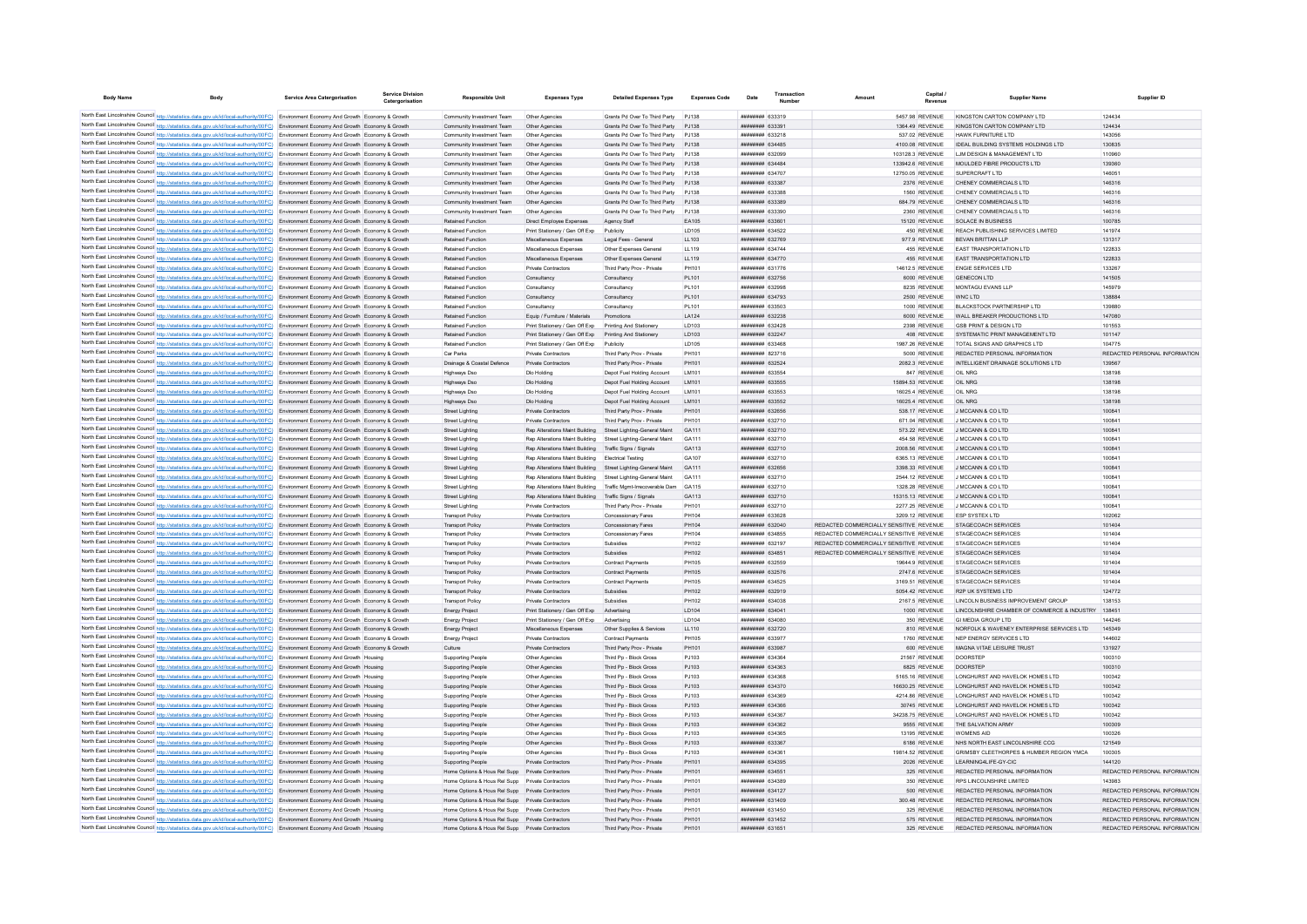| <b>Body Name</b> | <b>Body</b>                                                                                                                                                                                                                                                                      | <b>Service Area Catergorisation</b> | <b>Service Division</b><br>Catergorisation | <b>Responsible Unit</b>                                                                              | <b>Expenses Type</b>                                  | <b>Detailed Expenses Type</b>                                  | <b>Expenses Code</b>  | Date                               | Transaction | Amount                                  | Capital                             | <b>Supplier Name</b>                                               | Supplier ID                             |
|------------------|----------------------------------------------------------------------------------------------------------------------------------------------------------------------------------------------------------------------------------------------------------------------------------|-------------------------------------|--------------------------------------------|------------------------------------------------------------------------------------------------------|-------------------------------------------------------|----------------------------------------------------------------|-----------------------|------------------------------------|-------------|-----------------------------------------|-------------------------------------|--------------------------------------------------------------------|-----------------------------------------|
|                  | North East Lincolnshire Council http://statistics.data.gov.uk/id/local-authority/00FC) Environment Economy And Growth Economy & Growth                                                                                                                                           |                                     |                                            | Community Investment Team                                                                            | Other Agencies                                        | Grants Pd Over To Third Party PJ138                            |                       | <b>иннинни</b> 633319              |             |                                         | 5457 98 REVENUE                     | KINGSTON CARTON COMPANY I TD                                       | 124434                                  |
|                  | North East Lincolnshire Council http://statistics.data.gov.uk/id/local-authority/00FC) Environment Economy And Growth Economy & Growth                                                                                                                                           |                                     |                                            | Community Investment Team                                                                            | Other Agencies                                        | Grants Pd Over To Third Party                                  | P.1138                | ######## 633391                    |             |                                         | 1364.49 REVENUE                     | KINGSTON CARTON COMPANY LTD                                        | 124434                                  |
|                  | North East Lincolnshire Council http://statistics.data.gov.uk/id/local-authority/00FC) Environment Economy And Growth Economy & Growth                                                                                                                                           |                                     |                                            | Community Investment Team                                                                            | Other Agencie                                         | Grants Pd Over To Third Party                                  | P.1138                | ######## 633218                    |             |                                         | 537.02 REVENUE                      | HAWK FURNITURE LTD                                                 | 143056                                  |
|                  | North East Lincolnshire Council http://statistics.data.gov.uk/id/local-authority/00FC) Environment Economy And Growth Economy & Growth                                                                                                                                           |                                     |                                            | Community Investment Team                                                                            | Other Agencies                                        | Grants Pd Over To Third Party                                  | P.1138                | <b>ппининин</b> 634485             |             |                                         | 4100.08 REVENUE                     | IDEAL BUILDING SYSTEMS HOLDINGS LTD                                | 130835                                  |
|                  | North East Lincolnshire Council http://statistics.data.gov.uk/id/local-authority/00FC) Environment Economy And Growth Economy & Growth                                                                                                                                           |                                     |                                            | Community Investment Team                                                                            | Other Anencies                                        | Grants Pd Over To Third Party                                  | P.1138                | ######## 632099                    |             |                                         | 103128.3 REVENUE                    | <b>I JM DESIGN &amp; MANAGEMENT I TD</b>                           | 110960                                  |
|                  | North East Lincolnshire Council http://statistics.data.gov.uk/id/local-authority/00FC) Environment Economy And Growth Economy & Growth                                                                                                                                           |                                     |                                            | Community Investment Team                                                                            | Other Agencies                                        | Grants Pd Over To Third Party P.1138                           |                       | <b>ппинини 634484</b>              |             |                                         | 133942 6 REVENUE                    | MOULDED FIBRE PRODUCTS LTD.                                        | 139360                                  |
|                  | North East Lincolnshire Council http://statistics.data.gov.uk/id/local-authority/00FC) Environment Economy And Growth Economy & Growth                                                                                                                                           |                                     |                                            | Community Investment Team                                                                            | Other Anencies                                        | Grants Pd Over To Third Party PJ138                            |                       | <b>иннинни</b> 634707              |             |                                         | 12750.05 REVENUE                    | SUPERCRAFT I TD                                                    | 146051                                  |
|                  | North East Lincolnshire Council http://statistics.data.gov.uk/id/local-authority/00FC) Environment Economy And Growth Economy & Growth                                                                                                                                           |                                     |                                            | Community Investment Team                                                                            | Other Agencies                                        | Grants Pd Over To Third Party PJ138                            |                       | ######## 633387                    |             |                                         | 2376 REVENUE                        | CHENEY COMMERCIALS LTD                                             | 146316                                  |
|                  | North East Lincolnshire Council http://statistics.data.gov.uk/id/local-authority/00FC) Environment Economy And Growth Economy & Growth                                                                                                                                           |                                     |                                            | Community Investment Team                                                                            | Other Agencies                                        | Grants Pd Over To Third Party                                  | PJ138                 | ######## 633388                    |             |                                         | 1560 REVENUE                        | CHENEY COMMERCIALS LTD                                             | 146316                                  |
|                  | North East Lincolnshire Council http://statistics.data.gov.uk/id/local-authority/00FC) Environment Economy And Growth Economy & Growth<br>North East Lincolnshire Council http://statistics.data.gov.uk/id/local-authority/00FC) Environment Economy And Growth Economy & Growth |                                     |                                            | Community Investment Team<br>Community Investment Team                                               | Other Agencies<br>Other Anencies                      | Grants Pd Over To Third Party<br>Grants Pd Over To Third Party | PJ138<br>P.1138       | ######## 633389<br>ниннини 633390  |             |                                         | 684.79 REVENUE<br>2360 REVENUE      | CHENEY COMMERCIALS LTD<br>CHENEY COMMERCIALS LTD                   | 146316<br>146316                        |
|                  | North East Lincolnshire Council http://statistics.data.gov.uk/id/local-authority/00FC) Environment Economy And Growth Economy & Growth                                                                                                                                           |                                     |                                            | <b>Retained Function</b>                                                                             | Direct Employee Expenses                              | Agency Staff                                                   | FA105                 | ######## 633601                    |             |                                         | 15120 REVENUE                       | <b>SOLACE IN BUSINESS</b>                                          | 100785                                  |
|                  | North East Lincolnshire Council http://statistics.data.gov.uk/id/local-authority/00FC) Environment Economy And Growth Economy & Growth                                                                                                                                           |                                     |                                            | Retained Function                                                                                    | Print Stationery / Gen Off Exp                        | Publicity                                                      | <b>LD105</b>          | <b>ппинини 634522</b>              |             |                                         | 450 REVENUE                         | REACH PUBLISHING SERVICES LIMITED                                  | 141974                                  |
|                  | North East Lincolnshire Council http://statistics.data.gov.uk/id/local-authority/00FC) Environment Economy And Growth Economy & Growth                                                                                                                                           |                                     |                                            | <b>Retained Function</b>                                                                             | Miscellaneous Expenses                                | Legal Fees - General                                           | LL103                 | ######## 632769                    |             |                                         | 977.9 REVENUE                       | BEVAN BRITTAN LLP                                                  | 131317                                  |
|                  | North East Lincolnshire Council http://statistics.data.gov.uk/id/local-authority/00FC) Environment Economy And Growth Economy & Growth                                                                                                                                           |                                     |                                            | <b>Retained Function</b>                                                                             | Miscellaneous Expenses                                | Other Expenses General                                         | LL119                 | <b>ппининн</b> 634744              |             |                                         | 455 REVENUE                         | <b>FAST TRANSPORTATION LTD</b>                                     | 122833                                  |
|                  | North East Lincolnshire Council http://statistics.data.gov.uk/id/local-authority/00FC) Environment Economy And Growth Economy & Growth                                                                                                                                           |                                     |                                            | Retained Function                                                                                    | Miscellaneous Expenses                                | Other Expenses General                                         | LL119                 | ######## 634770                    |             |                                         | 455 REVENUE                         | <b>FAST TRANSPORTATION LTD</b>                                     | 122833                                  |
|                  | North East Lincolnshire Council http://statistics.data.gov.uk/id/local-authority/00FC) Environment Economy And Growth Economy & Growth                                                                                                                                           |                                     |                                            | <b>Retained Function</b>                                                                             | Private Contractors                                   | Third Party Prov - Private                                     | PH101                 | <b><i>BREERERE 631776</i></b>      |             |                                         | 14612 5 REVENUE                     | <b>ENGIE SERVICES LTD</b>                                          | 133267                                  |
|                  | North East Lincolnshire Council http://statistics.data.gov.uk/id/local-authority/00FC) Environment Economy And Growth Economy & Growth                                                                                                                                           |                                     |                                            | <b>Retained Function</b>                                                                             | Consultancy                                           | Consultancy                                                    | PL101                 | ######## 632756                    |             |                                         | 6000 REVENUE                        | GENECON LTD                                                        | 141505                                  |
|                  | North East Lincolnshire Council http://statistics.data.gov.uk/id/local-authority/00FC) Environment Economy And Growth Economy & Growth                                                                                                                                           |                                     |                                            | <b>Retained Function</b>                                                                             | Consultancy                                           | Consultancy                                                    | PL101                 | нининни 632998                     |             |                                         | 8235 REVENUE                        | MONTAGU EVANS LLP                                                  | 145979                                  |
|                  | North East Lincolnshire Council http://statistics.data.gov.uk/id/local-authority/00FC) Environment Economy And Growth Economy & Growth<br>North East Lincolnshire Council http://statistics.data.gov.uk/id/local-authority/00FC) Environment Economy And Growth Economy & Growth |                                     |                                            | Retained Function<br><b>Retained Function</b>                                                        | Consultancy<br>Consultancy                            | Consultancy<br>Consultancy                                     | PL101<br>PL101        | ######## 634793<br>######## 633503 |             |                                         | 2500 REVENUE<br>1000 REVENUE        | WNC LTD<br>BLACKSTOCK PARTNERSHIP I TD                             | 138884<br>130880                        |
|                  | North East Lincolnshire Council http://statistics.data.gov.uk/id/local-authority/00FC) Environment Economy And Growth Economy & Growth                                                                                                                                           |                                     |                                            | Retained Function                                                                                    | Equip / Furniture / Materials                         | Promotions                                                     | LA124                 | ######## 632238                    |             |                                         | 6000 REVENUE                        | WALL BREAKER PRODUCTIONS LTD                                       | 147080                                  |
|                  | North East Lincolnshire Council http://statistics.data.gov.uk/id/local-authority/00FC) Environment Economy And Growth Economy & Growth                                                                                                                                           |                                     |                                            | <b>Retained Function</b>                                                                             | Print Stationery / Gen Off Exn                        | Printing And Stationery                                        | <b>ID103</b>          | ниннини 632428                     |             |                                         | 2398 REVENUE                        | GSB PRINT & DESIGN LTD                                             | 101553                                  |
|                  | North East Lincolnshire Council http://statistics.data.gov.uk/id/local-authority/00FC) Environment Economy And Growth Economy & Growth                                                                                                                                           |                                     |                                            | Retained Function                                                                                    | Print Stationery / Gen Off Exp                        | Printing And Stationery                                        | LD103                 | ######## 632247                    |             |                                         | 408 REVENUE                         | SYSTEMATIC PRINT MANAGEMENT LTD                                    | 101147                                  |
|                  | North East Lincolnshire Council http://statistics.data.gov.uk/id/local-authority/00FC) Environment Economy And Growth Economy & Growth                                                                                                                                           |                                     |                                            | Retained Function                                                                                    | Print Stationery / Gen Off Exp                        | Publicity                                                      | <b>LD105</b>          | ######## 633468                    |             |                                         | 1987.26 REVENUE                     | TOTAL SIGNS AND GRAPHICS LTD                                       | 104775                                  |
|                  | North East Lincolnshire Council http://statistics.data.gov.uk/id/local-authority/00FC) Environment Economy And Growth Economy & Growth                                                                                                                                           |                                     |                                            | Car Parks                                                                                            | Private Contractors                                   | Third Party Prov - Private                                     | PH101                 | ######## 823716                    |             |                                         | 5000 REVENUE                        | REDACTED PERSONAL INFORMATION                                      | REDACTED PERSONAL INFORMATION           |
|                  | North East Lincolnshire Council http://statistics.data.gov.uk/id/local-authority/00FC) Environment Economy And Growth Economy & Growth                                                                                                                                           |                                     |                                            | Drainage & Coastal Defence                                                                           | Private Contractors                                   | Third Party Prov - Private                                     | PH101                 | <b>ппинини 632524</b>              |             |                                         | 2082.3 REVENUE                      | INTELLIGENT DRAINAGE SOLUTIONS LTD                                 | 139567                                  |
|                  | North East Lincolnshire Council http://statistics.data.gov.uk/id/local-authority/00FC) Environment Economy And Growth Economy & Growth                                                                                                                                           |                                     |                                            | Highways Ds                                                                                          | Dlo Holding                                           | Depot Fuel Holding Account                                     | LM101                 | ######## 633554                    |             |                                         | 847 REVENUE                         | OIL NRG                                                            | 138198                                  |
|                  | North East Lincolnshire Council http://statistics.data.gov.uk/id/local-authority/00FC) Environment Economy And Growth Economy & Growth                                                                                                                                           |                                     |                                            | Highways Dso                                                                                         | Dio Holding                                           | Depot Fuel Holding Account                                     | IM101                 | ######## 633555                    |             |                                         | 15894 53 REVENUE                    | OIL NRG                                                            | 138198                                  |
|                  | North East Lincolnshire Council http://statistics.data.gov.uk/id/local-authority/00FC) Environment Economy And Growth Economy & Growth                                                                                                                                           |                                     |                                            | Highways Dso                                                                                         | Dlo Holding                                           | Depot Fuel Holding Account                                     | LM101<br><b>IM101</b> | ######## 633552<br>######## 633552 |             |                                         | 16025.4 REVENUE                     | OIL NRG<br>OIL NRG                                                 | 138198<br>138198                        |
|                  | North East Lincolnshire Council http://statistics.data.gov.uk/id/local-authority/00FC) Environment Economy And Growth Economy & Growth<br>North East Lincolnshire Council http://statistics.data.gov.uk/id/local-authority/00FC) Environment Economy And Growth Economy & Growth |                                     |                                            | Highways Dso<br>Street Lighting                                                                      | Dio Holding<br>Private Contractors                    | Depot Fuel Holding Account<br>Third Party Prov - Private       | PH101                 | ######## 632656                    |             |                                         | 16025.4 REVENUE<br>538.17 REVENUE   | J MCCANN & CO LTD                                                  | 100841                                  |
|                  | North East Lincolnshire Council http://statistics.data.gov.uk/id/local-authority/00FC) Environment Economy And Growth Economy & Growth                                                                                                                                           |                                     |                                            | <b>Street Lighting</b>                                                                               | Private Contractors                                   | Third Party Prov - Private                                     | PH101                 | ######## 632710                    |             |                                         | 671.04 REVENUE                      | J MCCANN & CO LTD                                                  | 100841                                  |
|                  | North East Lincolnshire Council http://statistics.data.gov.uk/id/local-authority/00FC) Environment Economy And Growth Economy & Growth                                                                                                                                           |                                     |                                            | Street Lighting                                                                                      | Rep Alterations Maint Building                        | Street Lighting-General Maint                                  | GA111                 | ######## 632710                    |             |                                         | 573.22 REVENUE                      | J MCCANN & CO LTD                                                  | 100841                                  |
|                  | North East Lincolnshire Council http://statistics.data.gov.uk/id/local-authority/00FC) Environment Economy And Growth Economy & Growth                                                                                                                                           |                                     |                                            | <b>Street Lighting</b>                                                                               | Ren Alterations Maint Building                        | Street Lighting-General Maint                                  | GA111                 | ######## 632710                    |             |                                         | 454.58 REVENUE                      | J MCCANN & CO LTD                                                  | 100841                                  |
|                  | North East Lincolnshire Council http://statistics.data.gov.uk/id/local-authority/00FC) Environment Economy And Growth Economy & Growth                                                                                                                                           |                                     |                                            | <b>Street Lighting</b>                                                                               | Rep Alterations Maint Building                        | Traffic Signs / Signals                                        | GA113                 | ######## 632710                    |             |                                         | 2008.56 REVENUE                     | J MCCANN & CO LTD                                                  | 100841                                  |
|                  | North East Lincolnshire Council http://statistics.data.gov.uk/id/local-authority/00FC) Environment Economy And Growth Economy & Growth                                                                                                                                           |                                     |                                            | <b>Street Lighting</b>                                                                               | Rep Alterations Maint Building                        | <b>Flectrical Testing</b>                                      | GA107                 | ######## 632710                    |             |                                         | 6365.13 REVENUE                     | J MCCANN & CO LTD                                                  | 100841                                  |
|                  | North East Lincolnshire Council http://statistics.data.gov.uk/id/local-authority/00FC) Environment Economy And Growth Economy & Growth                                                                                                                                           |                                     |                                            | <b>Street Lighting</b>                                                                               | Rep Alterations Maint Building                        | Street Lighting-General Maint                                  | GA111                 | ######## 632656                    |             |                                         | 3398.33 REVENUE                     | J MCCANN & CO LTD                                                  | 100841                                  |
|                  | North East Lincolnshire Council http://statistics.data.gov.uk/id/local-authority/00FC) Environment Economy And Growth Economy & Growth                                                                                                                                           |                                     |                                            | Street Lighting                                                                                      | Rep Alterations Maint Building                        | Street Lighting-General Maint                                  | GA111                 | ######## 632710                    |             |                                         | 2544.12 REVENUE                     | J MCCANN & CO LTD                                                  | 100841                                  |
|                  | North East Lincolnshire Council http://statistics.data.gov.uk/id/local-authority/00FC) Environment Economy And Growth Economy & Growth                                                                                                                                           |                                     |                                            | <b>Street Lighting</b>                                                                               | Rep Alterations Maint Building                        | Traffic Mgmt-Irrecoverable Dam                                 | GA115                 | <b>ппинини 632710</b>              |             |                                         | 1328.28 REVENUE                     | J MCCANN & CO LTD                                                  | 100841                                  |
|                  | North East Lincolnshire Council http://statistics.data.gov.uk/id/local-authority/00FC) Environment Economy And Growth Economy & Growth<br>North East Lincolnshire Council http://statistics.data.gov.uk/id/local-authority/00FC) Environment Economy And Growth Economy & Growth |                                     |                                            | Street Lighting<br><b>Street Lighting</b>                                                            | Ren Alterations Maint Building<br>Private Contractors | Traffic Signs / Signals<br>Third Party Prov - Private          | GA113<br>PH101        | ######## 632710<br>######## 632710 |             |                                         | 15315 13 REVENUE<br>2277.25 REVENUE | J MCCANN & CO LTD<br>J MCCANN & CO LTD                             | 100841<br>100841                        |
|                  | North East Lincolnshire Council http://statistics.data.gov.uk/id/local-authority/00FC) Environment Economy And Growth Economy & Growth                                                                                                                                           |                                     |                                            | <b>Transport Policy</b>                                                                              | Private Contractors                                   | Concessionary Fares                                            | PH104                 | ######## 633628                    |             |                                         | 3209.12 REVENUE                     | <b>ESP SYSTEX LTD</b>                                              | 102062                                  |
|                  | North East Lincolnshire Council http://statistics.data.gov.uk/id/local-authority/00FC) Environment Economy And Growth Economy & Growth                                                                                                                                           |                                     |                                            | <b>Transport Policy</b>                                                                              | Private Contractors                                   | Concessionary Fares                                            | PH104                 | ######## 632040                    |             | REDACTED COMMERCIALLY SENSITIVE REVENUE |                                     | <b>STAGECOACH SERVICES</b>                                         | 101404                                  |
|                  | North East Lincolnshire Council http://statistics.data.gov.uk/id/local-authority/00FC) Environment Economy And Growth Economy & Growth                                                                                                                                           |                                     |                                            | <b>Transport Policy</b>                                                                              | Private Contractors                                   | Concessionary Fares                                            | PH104                 | ######## 634855                    |             | REDACTED COMMERCIALLY SENSITIVE REVENUE |                                     | STAGECOACH SERVICES                                                | 101404                                  |
|                  | North East Lincolnshire Council http://statistics.data.gov.uk/id/local-authority/00FC) Environment Economy And Growth Economy & Growth                                                                                                                                           |                                     |                                            | <b>Transport Policy</b>                                                                              | Private Contractors                                   | Subsidies                                                      | PH102                 | ######## 632197                    |             | REDACTED COMMERCIALLY SENSITIVE REVENUE |                                     | STAGECOACH SERVICES                                                | 101404                                  |
|                  | North East Lincolnshire Council http://statistics.data.gov.uk/id/local-authority/00FC) Environment Economy And Growth Economy & Growth                                                                                                                                           |                                     |                                            | <b>Transport Policy</b>                                                                              | Private Contractors                                   | Subsidies                                                      | PH102                 | <b><i>BREERERH 634851</i></b>      |             | REDACTED COMMERCIALLY SENSITIVE REVENUE |                                     | STAGECOACH SERVICES                                                | 101404                                  |
|                  | North East Lincolnshire Council http://statistics.data.gov.uk/id/local-authority/00FC) Environment Economy And Growth Economy & Growth                                                                                                                                           |                                     |                                            | <b>Transport Policy</b>                                                                              | Private Contractors                                   | <b>Contract Payments</b>                                       | PH105                 | ######## 632559                    |             |                                         | 19644.9 REVENUE                     | STAGECOACH SERVICES                                                | 101404                                  |
|                  | North East Lincolnshire Council http://statistics.data.gov.uk/id/local-authority/00FC) Environment Economy And Growth Economy & Growth                                                                                                                                           |                                     |                                            | <b>Transport Policy</b>                                                                              | Private Contractors                                   | Contract Payments                                              | <b>PH105</b>          | ######## 632576                    |             |                                         | 2747.6 REVENUE                      | <b>STAGECOACH SERVICES</b>                                         | 101404                                  |
|                  | North East Lincolnshire Council http://statistics.data.gov.uk/id/local-authority/00FC) Environment Economy And Growth Economy & Growth                                                                                                                                           |                                     |                                            | <b>Transport Policy</b>                                                                              | Private Contractors                                   | Contract Payment<br>Subsidies                                  | <b>PH105</b><br>PH102 | ######## 634525<br>######## 632919 |             |                                         | 3169.51 REVENUE<br>5054.42 REVENUE  | <b>STAGECOACH SERVICES</b><br><b>R2P LIK SYSTEMS LTD</b>           | 101404                                  |
|                  | North East Lincolnshire Council http://statistics.data.gov.uk/id/local-authority/00FC) Environment Economy And Growth Economy & Growth<br>North East Lincolnshire Council http://statistics.data.gov.uk/id/local-authority/00FC) Environment Economy And Growth Economy & Growth |                                     |                                            | <b>Transport Policy</b><br><b>Transport Policy</b>                                                   | Private Contractors<br>Private Contractors            | Subsidies                                                      | PH102                 | ######## 634038                    |             |                                         | 2167 5 REVENUE                      | LINCOLN BUSINESS IMPROVEMENT GROUP                                 | 124772<br>138153                        |
|                  | North East Lincolnshire Council http://statistics.data.gov.uk/id/local-authority/00FC) Environment Economy And Growth Economy & Growth                                                                                                                                           |                                     |                                            | <b>Energy Project</b>                                                                                | Print Stationery / Gen Off Exp Advertising            |                                                                | <b>ID104</b>          | <b>ппинини 634041</b>              |             |                                         | 1000 REVENUE                        | LINCOLNSHIRE CHAMBER OF COMMERCE & INDUSTRY 138451                 |                                         |
|                  | North East Lincolnshire Council http://statistics.data.gov.uk/id/local-authority/00FC) Environment Economy And Growth Economy & Growth                                                                                                                                           |                                     |                                            | <b>Energy Project</b>                                                                                | Print Stationery / Gen Off Exp Advertising            |                                                                | LD104                 | ниннини 634080                     |             |                                         | 350 REVENUE                         | GLMEDIA GROUP LTD                                                  | 144246                                  |
|                  | North East Lincolnshire Council http://statistics.data.gov.uk/id/local-authority/00FC) Environment Economy And Growth Economy & Growth                                                                                                                                           |                                     |                                            | <b>Energy Project</b>                                                                                | Miscellaneous Expenses                                | Other Supplies & Services                                      | LL110                 | ######## 632720                    |             |                                         | 810 REVENUE                         | NORFOLK & WAVENEY ENTERPRISE SERVICES LTD                          | 145349                                  |
|                  | North East Lincolnshire Council http://statistics.data.gov.uk/id/local-authority/00FC) Environment Economy And Growth Economy & Growth                                                                                                                                           |                                     |                                            | <b>Energy Project</b>                                                                                | Private Contractors                                   | <b>Contract Payments</b>                                       | <b>PH105</b>          | ######## 633977                    |             |                                         | 1760 REVENUE                        | NEP ENERGY SERVICES LTD                                            | 144602                                  |
|                  | North East Lincolnshire Council http://statistics.data.gov.uk/id/local-authority/00FC) Environment Economy And Growth Economy & Growth                                                                                                                                           |                                     |                                            | Culture                                                                                              | Private Contractors                                   | Third Party Prov - Private                                     | PH101                 | ######## 633987                    |             |                                         | 600 REVENUE                         | MAGNA VITAE LEISURE TRUST                                          | 131927                                  |
|                  | North East Lincolnshire Council http://statistics.data.gov.uk/id/local-authority/00FC) Environment Economy And Growth Housing                                                                                                                                                    |                                     |                                            | <b>Supporting People</b>                                                                             | Other Agencies                                        | Third Po - Block Gross                                         | P.1103                | <b>ппинини 634364</b>              |             |                                         | 21567 REVENUE                       | DOORSTEE                                                           | 100310                                  |
|                  | North East Lincolnshire Council http://statistics.data.gov.uk/id/local-authority/00FC) Environment Economy And Growth Housing                                                                                                                                                    |                                     |                                            | Supporting People                                                                                    | Other Anencies                                        | Third Po - Block Gross                                         | P.1103                | ######## 634363                    |             |                                         | 6825 REVENUE                        | <b>DOORSTEP</b>                                                    | 100310                                  |
|                  | North East Lincolnshire Council http://statistics.data.gov.uk/id/local-authority/00FC) Environment Economy And Growth Housing                                                                                                                                                    |                                     |                                            | Supporting People                                                                                    | Other Agencies<br>Other Agencies                      | Third Pp - Block Gross<br>Third Pp - Block Gross               | P.1103<br>PJ103       | ######## 634368<br>######## 634370 |             |                                         | 5165.16 REVENUE<br>16630.25 REVENUE | LONGHURST AND HAVELOK HOMES LTD<br>LONGHURST AND HAVELOK HOMES LTD | 100342<br>100342                        |
|                  | North East Lincolnshire Council http://statistics.data.gov.uk/id/local-authority/00FC) Environment Economy And Growth Housing<br>North East Lincolnshire Council http://statistics.data.gov.uk/id/local-authority/00FC) Environment Economy And Growth Housing                   |                                     |                                            | <b>Supporting People</b><br>Supporting People                                                        | Other Agencies                                        | Third Pp - Block Gross                                         | PJ103                 | ######## 63436                     |             |                                         | 4214.86 REVENUE                     | LONGHURST AND HAVELOK HOMES LTD                                    | 100342                                  |
|                  | North East Lincolnshire Council http://statistics.data.gov.uk/id/local-authority/00FC) Environment Economy And Growth Housing                                                                                                                                                    |                                     |                                            | <b>Supporting People</b>                                                                             | Other Agencies                                        | Third Pp - Block Gross                                         | PJ103                 | ######## 634366                    |             |                                         | 30745 REVENUE                       | LONGHURST AND HAVELOK HOMES LTD                                    | 100342                                  |
|                  | North East Lincolnshire Council http://statistics.data.gov.uk/id/local-authority/00FC) Environment Economy And Growth Housing                                                                                                                                                    |                                     |                                            | <b>Supporting People</b>                                                                             | Other Anencies                                        | Third Pp - Block Gross                                         | P.1103                | ######## 634367                    |             |                                         | 34238.75 REVENUE                    | I ONGHURST AND HAVELOK HOMES LTD.                                  | 100342                                  |
|                  | North East Lincolnshire Council http://statistics.data.gov.uk/id/local-authority/00FC) Environment Economy And Growth Housing                                                                                                                                                    |                                     |                                            | Supporting People                                                                                    | Other Anencies                                        | Third Po - Block Gross                                         | P.1103                | <b>ппининия</b> 634362             |             |                                         | 9555 REVENUE                        | THE SAI VATION ARMY                                                | 100309                                  |
|                  | North East Lincolnshire Council http://statistics.data.gov.uk/id/local-authority/00FC) Environment Economy And Growth Housing                                                                                                                                                    |                                     |                                            | Supporting People                                                                                    | Other Agencies                                        | Third Pp - Block Gross                                         | PJ103                 | ######## 634365                    |             |                                         | 13195 REVENUE                       | WOMENS AID                                                         | 100326                                  |
|                  | North East Lincolnshire Council http://statistics.data.gov.uk/id/local-authority/00FC) Environment Economy And Growth Housing                                                                                                                                                    |                                     |                                            | <b>Supporting People</b>                                                                             | Other Agencies                                        | Third Pp - Block Gross                                         | PJ103                 | ######## 633367                    |             |                                         | 6186 REVENUE                        | NHS NORTH EAST LINCOLNSHIRE CCG                                    | 121549                                  |
|                  | North East Lincolnshire Council http://statistics.data.gov.uk/id/local-authority/00FC) Environment Economy And Growth Housing                                                                                                                                                    |                                     |                                            | Supporting People                                                                                    | Other Agencies                                        | Third Pp - Block Gross                                         | PJ103                 | ######## 63436                     |             |                                         | 19814.52 REVENUE                    | GRIMSBY CLEETHORPES & HUMBER REGION YMCA                           | 100305                                  |
|                  | North East Lincolnshire Council http://statistics.data.gov.uk/id/local-authority/00FC) Environment Economy And Growth Housing                                                                                                                                                    |                                     |                                            | <b>Supporting People</b>                                                                             | Private Contractors                                   | Third Party Prov - Private                                     | PH101                 | ######## 634395                    |             |                                         | 2026 REVENUE                        | I FARNING4LIFF-GY-CIC                                              | 144120                                  |
|                  | North East Lincolnshire Council http://statistics.data.gov.uk/id/local-authority/00FC) Environment Economy And Growth Housing                                                                                                                                                    |                                     |                                            | Home Options & Hous Rel Supp Private Contractors                                                     |                                                       | Third Party Prov - Private                                     | PH101                 | ######## 634551                    |             |                                         | 325 REVENUE                         | REDACTED PERSONAL INFORMATION                                      | REDACTED PERSONAL INFORMATION           |
|                  | North East Lincolnshire Council http://statistics.data.gov.uk/id/local-authority/00FC) Environment Economy And Growth Housing                                                                                                                                                    |                                     |                                            | Home Options & Hous Rel Supp Private Contractors                                                     |                                                       | Third Party Prov - Private                                     | PH101<br>PH101        | ппинини 634389                     |             |                                         | 350 REVENUE                         | RPS LINCOLNSHIRE LIMITED<br>REDACTED PERSONAL INFORMATION          | 143983<br>REDACTED PERSONAL INFORMATION |
|                  | North East Lincolnshire Council http://statistics.data.gov.uk/id/local-authority/00FC) Environment Economy And Growth Housing<br>North East Lincolnshire Council http://statistics.data.gov.uk/id/local-authority/00FC) Environment Economy And Growth Housing                   |                                     |                                            | Home Options & Hous Rel Supp Private Contractors<br>Home Options & Hous Rel Supp Private Contractors |                                                       | Third Party Prov - Private<br>Third Party Prov - Private       | PH101                 | ######## 634127<br>######## 631409 |             |                                         | 500 REVENUE<br>300.48 REVENUE       | REDACTED PERSONAL INFORMATION                                      | REDACTED PERSONAL INFORMATION           |
|                  | North East Lincolnshire Council http://statistics.data.gov.uk/id/local-authority/00FC) Environment Economy And Growth Housing                                                                                                                                                    |                                     |                                            | Home Options & Hous Rel Supp Private Contractors                                                     |                                                       | Third Party Prov - Private                                     | <b>PH10</b>           | ######## 631450                    |             |                                         | 325 REVENUE                         | REDACTED PERSONAL INFORMATION                                      | REDACTED PERSONAL INFORMATION           |
|                  | North East Lincolnshire Council http://statistics.data.gov.uk/id/local-authority/00FC) Environment Economy And Growth Housing                                                                                                                                                    |                                     |                                            | Home Options & Hous Rel Supp Private Contractors                                                     |                                                       | Third Party Prov - Private                                     | PH101                 | ######## 631452                    |             |                                         | 575 REVENUE                         | REDACTED PERSONAL INFORMATION                                      | REDACTED PERSONAL INFORMATION           |
|                  | North East Lincolnshire Council http://statistics.data.gov.uk/id/local-authority/00FC) Environment Economy And Growth Housing                                                                                                                                                    |                                     |                                            | Home Options & Hous Rel Supp Private Contractors                                                     |                                                       | Third Party Prov - Private                                     | PH101                 | ######## 631651                    |             |                                         | 325 REVENUE                         | REDACTED PERSONAL INFORMATION                                      | REDACTED PERSONAL INFORMATION           |
|                  |                                                                                                                                                                                                                                                                                  |                                     |                                            |                                                                                                      |                                                       |                                                                |                       |                                    |             |                                         |                                     |                                                                    |                                         |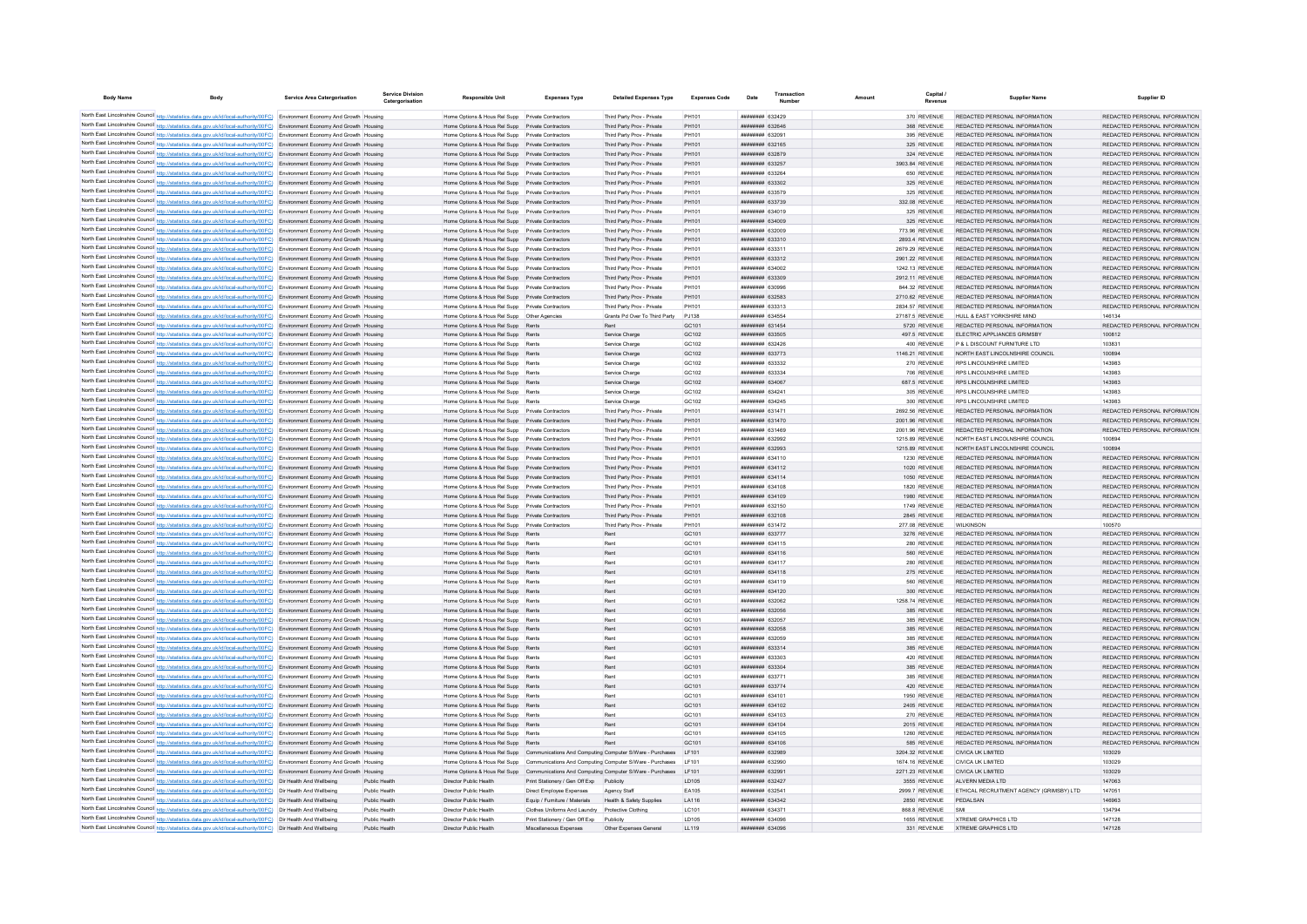| <b>Body Name</b> | Body                                                                                                                                                                                                                                                           | <b>Service Area Catergorisation</b> | <b>Service Division</b>        | <b>Responsible Unit</b>                                                                              | <b>Expenses Type</b>                                               | <b>Detailed Expenses Type</b>                            | <b>Expenses Code</b>       | Date                                                   | Transaction<br><b>Number</b> | <b>Amount</b> | Capital<br><b>Pavenue</b>      | <b>Supplier Name</b>                                           | Supplier ID                                                    |
|------------------|----------------------------------------------------------------------------------------------------------------------------------------------------------------------------------------------------------------------------------------------------------------|-------------------------------------|--------------------------------|------------------------------------------------------------------------------------------------------|--------------------------------------------------------------------|----------------------------------------------------------|----------------------------|--------------------------------------------------------|------------------------------|---------------|--------------------------------|----------------------------------------------------------------|----------------------------------------------------------------|
|                  | North East Lincolnshire Council http://statistics.data.gov.uk/id/local-authority/00FC) Environment Economy And Growth Housing                                                                                                                                  |                                     |                                | Home Options & Hous Rel Supp Private Contractors                                                     |                                                                    | Third Party Prov - Private                               | PH101                      | <b>BCACCO</b> HHHHHH                                   |                              |               | 370 REVENUE                    | REDACTED PERSONAL INFORMATION                                  | REDACTED PERSONAL INFORMATION                                  |
|                  | North East Lincolnshire Council http://statistics.data.gov.uk/id/local-authority/00FC) Environment Economy And Growth Housing                                                                                                                                  |                                     |                                | Home Options & Hous Rel Supp Private Contractors                                                     |                                                                    | Third Party Prov - Private                               | PH101                      | <b>ппинини 632646</b>                                  |                              |               | 368 REVENUE                    | REDACTED PERSONAL INFORMATION                                  | REDACTED PERSONAL INFORMATION                                  |
|                  | North East Lincolnshire Council http://statistics.data.gov.uk/id/local-authority/00FC) Environment Economy And Growth Housing                                                                                                                                  |                                     |                                | Home Options & Hous Rel Supp Private Contractors                                                     |                                                                    | Third Party Prov - Private                               | PH101                      | ######## 632091                                        |                              |               | 395 REVENUE                    | REDACTED PERSONAL INFORMATION                                  | REDACTED PERSONAL INFORMATION                                  |
|                  | North East Lincolnshire Council http://statistics.data.gov.uk/id/local-authority/00FC) Environment Economy And Growth Housing                                                                                                                                  |                                     |                                | Home Options & Hous Rel Supp Private Contractors                                                     |                                                                    | Third Party Prov - Private                               | PH101                      | ######## 632165                                        |                              |               | 325 REVENUE                    | REDACTED PERSONAL INFORMATION                                  | REDACTED PERSONAL INFORMATION                                  |
|                  | North East Lincolnshire Council http://statistics.data.gov.uk/id/local-authority/00FC) Environment Economy And Growth Housing                                                                                                                                  |                                     |                                | Home Options & Hous Rel Supp Private Contractors                                                     |                                                                    | Third Party Prov - Private                               | PH101                      | ######## 632879                                        |                              |               | 324 REVENUE                    | REDACTED PERSONAL INFORMATION                                  | REDACTED PERSONAL INFORMATION                                  |
|                  | North East Lincolnshire Council http://statistics.data.gov.uk/id/local-authority/00FC) Environment Economy And Growth Housing                                                                                                                                  |                                     |                                | Home Options & Hous Rel Supp Private Contractors                                                     |                                                                    | Third Party Prov - Private                               | PH101                      | ######## 633257                                        |                              |               | 3903.84 REVENUE                | REDACTED PERSONAL INFORMATION                                  | REDACTED PERSONAL INFORMATION                                  |
|                  | North East Lincolnshire Council http://statistics.data.gov.uk/id/local-authority/00FC) Environment Economy And Growth Housing                                                                                                                                  |                                     |                                | Home Options & Hous Rel Supp Private Contractors                                                     |                                                                    | Third Party Prov - Private                               | PH101                      | ######## 633264                                        |                              |               | 650 REVENUE                    | REDACTED PERSONAL INFORMATION                                  | REDACTED PERSONAL INFORMATION                                  |
|                  | North East Lincolnshire Council http://statistics.data.gov.uk/id/local-authority/00FC) Environment Economy And Growth Housing                                                                                                                                  |                                     |                                | Home Options & Hous Rel Supp Private Contractors                                                     |                                                                    | Third Party Prov - Private                               | PH101                      | ######## 633302                                        |                              |               | 325 REVENUE                    | REDACTED PERSONAL INFORMATION                                  | REDACTED PERSONAL INFORMATION                                  |
|                  | North East Lincolnshire Council http://statistics.data.gov.uk/id/local-authority/00FC) Environment Economy And Growth Housing                                                                                                                                  |                                     |                                | Home Options & Hous Rel Supp Private Contractors                                                     |                                                                    | Third Party Prov - Private                               | PH101                      | ######## 633579                                        |                              |               | 325 REVENUE                    | REDACTED PERSONAL INFORMATION                                  | REDACTED PERSONAL INFORMATION                                  |
|                  | North East Lincolnshire Council http://statistics.data.gov.uk/id/local-authority/00FC) Environment Economy And Growth Housing                                                                                                                                  |                                     |                                | Home Options & Hous Rel Supp Private Contractors                                                     |                                                                    | Third Party Prov - Private                               | PH101                      | ######## 633739                                        |                              |               | 332.08 REVENUE                 | REDACTED PERSONAL INFORMATION                                  | REDACTED PERSONAL INFORMATION                                  |
|                  | North East Lincolnshire Council http://statistics.data.gov.uk/id/local-authority/00FC) Environment Economy And Growth Housing                                                                                                                                  |                                     |                                | Home Options & Hous Rel Supp Private Contractors<br>Home Options & Hous Rel Supp Private Contractors |                                                                    | Third Party Prov - Private<br>Third Party Prov - Private | PH101<br>PH101             | ######## 634019<br>######## 634009                     |                              |               | 325 REVENUE<br>325 REVENUE     | REDACTED PERSONAL INFORMATION<br>REDACTED PERSONAL INFORMATION | REDACTED PERSONAL INFORMATION<br>REDACTED PERSONAL INFORMATION |
|                  | North East Lincolnshire Council http://statistics.data.gov.uk/id/local-authority/00FC) Environment Economy And Growth Housing<br>North East Lincolnshire Council http://statistics.data.gov.uk/id/local-authority/00FC) Environment Economy And Growth Housing |                                     |                                | Home Options & Hous Rel Supp Private Contractors                                                     |                                                                    | Third Party Prov - Private                               | PH101                      | <b>ллининин</b> 632009                                 |                              |               | 773.96 REVENUE                 | REDACTED PERSONAL INFORMATION                                  | REDACTED PERSONAL INFORMATION                                  |
|                  | North East Lincolnshire Council http://statistics.data.gov.uk/id/local-authority/00FC) Environment Economy And Growth Housing                                                                                                                                  |                                     |                                | Home Options & Hous Rel Supp Private Contractors                                                     |                                                                    | Third Party Prov - Private                               | PH101                      | ######## 633310                                        |                              |               | 2893 4 REVENUE                 | REDACTED PERSONAL INFORMATION                                  | REDACTED PERSONAL INFORMATION                                  |
|                  | North East Lincolnshire Council http://statistics.data.gov.uk/id/local-authority/00FC) Environment Economy And Growth Housing                                                                                                                                  |                                     |                                | Home Ontions & Hous Rel Supp Private Contractors                                                     |                                                                    | Third Party Prov - Private                               | PH101                      | <b>ппинини 633311</b>                                  |                              |               | 2679.29 REVENUE                | REDACTED PERSONAL INFORMATION                                  | REDACTED PERSONAL INFORMATION                                  |
|                  | North East Lincolnshire Council http://statistics.data.gov.uk/id/local-authority/00FC) Environment Economy And Growth Housing                                                                                                                                  |                                     |                                | Home Ontions & Hous Rel Supp Private Contractors                                                     |                                                                    | Third Party Prov - Private                               | PH101                      | <b>ппинини 633312</b>                                  |                              |               | 2901 22 REVENUE                | REDACTED PERSONAL INFORMATION                                  | REDACTED PERSONAL INFORMATION                                  |
|                  | North East Lincolnshire Council http://statistics.data.gov.uk/id/local-authority/00FC) Environment Economy And Growth Housing                                                                                                                                  |                                     |                                | Home Options & Hous Rel Supp Private Contractors                                                     |                                                                    | Third Party Prov - Private                               | PH101                      | <b>иннинни 634002</b>                                  |                              |               | 1242.13 REVENUE                | REDACTED PERSONAL INFORMATION                                  | REDACTED PERSONAL INFORMATION                                  |
|                  | North East Lincolnshire Council http://statistics.data.gov.uk/id/local-authority/00FC) Environment Economy And Growth Housing                                                                                                                                  |                                     |                                | Home Options & Hous Rel Supp Private Contractors                                                     |                                                                    | Third Party Prov - Private                               | PH101                      | ######## 633309                                        |                              |               | 2912.11 REVENUE                | REDACTED PERSONAL INFORMATION                                  | REDACTED PERSONAL INFORMATION                                  |
|                  | North East Lincolnshire Council http://statistics.data.gov.uk/id/local-authority/00FC) Environment Economy And Growth Housing                                                                                                                                  |                                     |                                | Home Options & Hous Rel Supp Private Contractors                                                     |                                                                    | Third Party Prov - Private                               | PH101                      | ######## 630996                                        |                              |               | 844.32 REVENUE                 | REDACTED PERSONAL INFORMATION                                  | REDACTED PERSONAL INFORMATION                                  |
|                  | North East Lincolnshire Council http://statistics.data.gov.uk/id/local-authority/00FC) Environment Economy And Growth Housing                                                                                                                                  |                                     |                                | Home Options & Hous Rel Supp Private Contractors                                                     |                                                                    | Third Party Prov - Private                               | PH101                      | ######## 632583                                        |                              |               | 2710.62 REVENUE                | REDACTED PERSONAL INFORMATION                                  | REDACTED PERSONAL INFORMATION                                  |
|                  | North East Lincolnshire Council http://statistics.data.gov.uk/id/local-authority/00FC) Environment Economy And Growth Housing                                                                                                                                  |                                     |                                | Home Options & Hous Rel Supp Private Contractors                                                     |                                                                    | Third Party Prov - Private                               | PH101                      | <i>ппиннин</i> 633313                                  |                              |               | 2834.57 REVENUE                | REDACTED PERSONAL INFORMATION                                  | REDACTED PERSONAL INFORMATION                                  |
|                  | North East Lincolnshire Council http://statistics.data.gov.uk/id/local-authority/00FC) Environment Economy And Growth Housing                                                                                                                                  |                                     |                                | Home Options & Hous Rel Supp Other Agencies                                                          |                                                                    | Grants Pd Over To Third Party                            | PJ138                      | ######## 634554                                        |                              |               | 27187.5 REVENUE                | HULL & FAST YORKSHIRE MIND                                     | 146134                                                         |
|                  | North East Lincolnshire Council http://statistics.data.gov.uk/id/local-authority/00FC) Environment Economy And Growth Housing                                                                                                                                  |                                     |                                | Home Options & Hous Rel Supp Rents                                                                   |                                                                    | Rent                                                     | GC <sub>101</sub>          | ######## 631454                                        |                              |               | 5720 REVENUE                   | REDACTED PERSONAL INFORMATION                                  | REDACTED PERSONAL INFORMATION                                  |
|                  | North East Lincolnshire Council http://statistics.data.gov.uk/id/local-authority/00FC) Environment Economy And Growth Housing                                                                                                                                  |                                     |                                | Home Options & Hous Rel Supp Rents                                                                   |                                                                    | Service Charge                                           | GC102                      | ######## 633505                                        |                              |               | 497.5 REVENUE                  | ELECTRIC APPLIANCES GRIMSBY                                    | 100812                                                         |
|                  | North East Lincolnshire Council http://statistics.data.gov.uk/id/local-authority/00FC) Environment Economy And Growth Housing                                                                                                                                  |                                     |                                | Home Options & Hous Rel Supp Rents                                                                   |                                                                    | Service Charge                                           | GC102                      | ######## 632426                                        |                              |               | 400 REVENUE                    | P & L DISCOUNT FURNITURE LTD                                   | 103831                                                         |
|                  | North East Lincolnshire Council http://statistics.data.gov.uk/id/local-authority/00FC) Environment Economy And Growth Housing<br>North East Lincolnshire Council http://statistics.data.gov.uk/id/local-authority/00FC) Environment Economy And Growth Housing |                                     |                                | Home Options & Hous Rel Supp Rents<br>Home Options & Hous Rel Supp Rents                             |                                                                    | Service Charge                                           | GC102<br>GC102             | ######## 633773<br><b>ппинини 633332</b>               |                              |               | 1146.21 REVENUE<br>270 REVENUE | NORTH EAST LINCOLNSHIRE COUNCIL<br>RPS LINCOLNSHIRE LIMITED    | 100894<br>143983                                               |
|                  | North East Lincolnshire Council http://statistics.data.gov.uk/id/local-authority/00FC) Environment Economy And Growth Housing                                                                                                                                  |                                     |                                | Home Options & Hous Rel Supp Rents                                                                   |                                                                    | Service Charge<br>Service Charge                         | GC102                      | <b>HHHHHHH 633334</b>                                  |                              |               | 706 REVENUE                    | RPS LINCOLNSHIRE LIMITED                                       | 143983                                                         |
|                  | North East Lincolnshire Council http://statistics.data.gov.uk/id/local-authority/00FC) Environment Economy And Growth Housing                                                                                                                                  |                                     |                                | Home Options & Hous Rel Supp Rents                                                                   |                                                                    | Service Charge                                           | GC102                      | ######## 634067                                        |                              |               | 687.5 REVENUE                  | RPS LINCOLNSHIRE LIMITED                                       | 143983                                                         |
|                  | North East Lincolnshire Council http://statistics.data.gov.uk/id/local-authority/00FC) Environment Economy And Growth Housing                                                                                                                                  |                                     |                                | Home Options & Hous Rel Supp Rents                                                                   |                                                                    | Service Charge                                           | GC102                      | ######## 634241                                        |                              |               | 305 REVENUE                    | RPS LINCOLNSHIRE LIMITED                                       | 143983                                                         |
|                  | North East Lincolnshire Council http://statistics.data.gov.uk/id/local-authority/00FC) Environment Economy And Growth Housing                                                                                                                                  |                                     |                                | Home Options & Hous Rel Supp Rents                                                                   |                                                                    | Service Charge                                           | GC102                      | ######## 634245                                        |                              |               | 300 REVENUE                    | RPS LINCOLNSHIRE LIMITED                                       | 143983                                                         |
|                  | North East Lincolnshire Council http://statistics.data.gov.uk/id/local-authority/00FC) Environment Economy And Growth Housing                                                                                                                                  |                                     |                                | Home Options & Hous Rel Supp Private Contractors                                                     |                                                                    | Third Party Prov - Private                               | PH101                      | ######## 631471                                        |                              |               | 2692.56 REVENUE                | REDACTED PERSONAL INFORMATION                                  | REDACTED PERSONAL INFORMATION                                  |
|                  | North East Lincolnshire Council http://statistics.data.gov.uk/id/local-authority/00FC) Environment Economy And Growth Housing                                                                                                                                  |                                     |                                | Home Options & Hous Rel Supp Private Contractors                                                     |                                                                    | Third Party Prov - Private                               | PH101                      | <b>HHHHHHH 631470</b>                                  |                              |               | 2001.96 REVENUE                | REDACTED PERSONAL INFORMATION                                  | REDACTED PERSONAL INFORMATION                                  |
|                  | North East Lincolnshire Council http://statistics.data.gov.uk/id/local-authority/00FC) Environment Economy And Growth Housing                                                                                                                                  |                                     |                                | Home Options & Hous Rel Supp Private Contractors                                                     |                                                                    | Third Party Prov - Private                               | PH101                      | <b>HHHHHHH 631469</b>                                  |                              |               | 2001.96 REVENUE                | REDACTED PERSONAL INFORMATION                                  | REDACTED PERSONAL INFORMATION                                  |
|                  | North East Lincolnshire Council http://statistics.data.gov.uk/id/local-authority/00FC) Environment Economy And Growth Housing                                                                                                                                  |                                     |                                | Home Options & Hous Rel Supp Private Contractors                                                     |                                                                    | Third Party Prov - Private                               | PH101                      | <b><i>BREEBBBB</i></b> 632992                          |                              |               | 1215 89 REVENUE                | NORTH FAST LINCOLNSHIRE COUNCIL                                | 100894                                                         |
|                  | North East Lincolnshire Council http://statistics.data.gov.uk/id/local-authority/00FC) Environment Economy And Growth Housing                                                                                                                                  |                                     |                                | Home Options & Hous Rel Supp Private Contractors                                                     |                                                                    | Third Party Prov - Private                               | PH101                      | <b>ппинини 632993</b>                                  |                              |               | 1215.89 REVENUE                | NORTH FAST LINCOLNSHIRE COUNCIL                                | 100894                                                         |
|                  | North East Lincolnshire Council http://statistics.data.gov.uk/id/local-authority/00FC) Environment Economy And Growth Housing                                                                                                                                  |                                     |                                | Home Options & Hous Rel Supp Private Contractors                                                     |                                                                    | Third Party Prov - Private                               | PH101                      | <b>ппинини 634110</b>                                  |                              |               | 1230 REVENUE                   | REDACTED PERSONAL INFORMATION                                  | REDACTED PERSONAL INFORMATION                                  |
|                  | North East Lincolnshire Council http://statistics.data.gov.uk/id/local-authority/00FC) Environment Economy And Growth Housing                                                                                                                                  |                                     |                                | Home Options & Hous Rel Supp Private Contractors                                                     |                                                                    | Third Party Prov - Private                               | PH101                      | ######## 634112                                        |                              |               | 1020 REVENUE                   | REDACTED PERSONAL INFORMATION                                  | REDACTED PERSONAL INFORMATION                                  |
|                  | North East Lincolnshire Council http://statistics.data.gov.uk/id/local-authority/00FC) Environment Economy And Growth Housing                                                                                                                                  |                                     |                                | Home Options & Hous Rel Supp Private Contractors                                                     |                                                                    | Third Party Prov - Private                               | PH101                      | ######## 634114                                        |                              |               | 1050 REVENUE                   | REDACTED PERSONAL INFORMATION                                  | REDACTED PERSONAL INFORMATION                                  |
|                  | North East Lincolnshire Council http://statistics.data.gov.uk/id/local-authority/00FC) Environment Economy And Growth Housing                                                                                                                                  |                                     |                                | Home Options & Hous Rel Supp Private Contractors                                                     |                                                                    | Third Party Prov - Private                               | PH101                      | <b>ппинини 634108</b>                                  |                              |               | 1820 REVENUE                   | REDACTED PERSONAL INFORMATION                                  | REDACTED PERSONAL INFORMATION                                  |
|                  | North East Lincolnshire Council http://statistics.data.gov.uk/id/local-authority/00FC) Environment Economy And Growth Housing                                                                                                                                  |                                     |                                | Home Options & Hous Rel Supp Private Contractors<br>Home Options & Hous Rel Supp Private Contractors |                                                                    | Third Party Prov - Private<br>Third Party Prov - Private | PH101                      | ######## 634109<br>######## 632150                     |                              |               | 1980 REVENUE<br>1749 REVENUE   | REDACTED PERSONAL INFORMATION<br>REDACTED PERSONAL INFORMATION | REDACTED PERSONAL INFORMATION<br>REDACTED PERSONAL INFORMATION |
|                  | North East Lincolnshire Council http://statistics.data.gov.uk/id/local-authority/00FC) Environment Economy And Growth Housing                                                                                                                                  |                                     |                                | Home Options & Hous Rel Supp Private Contractors                                                     |                                                                    |                                                          | PH101                      | ######## 632108                                        |                              |               | 2845 REVENUE                   | REDACTED PERSONAL INFORMATION                                  | REDACTED PERSONAL INFORMATION                                  |
|                  | North East Lincolnshire Council http://statistics.data.gov.uk/id/local-authority/00FC) Environment Economy And Growth Housing<br>North East Lincolnshire Council http://statistics.data.gov.uk/id/local-authority/00FC) Environment Economy And Growth Housing |                                     |                                | Home Options & Hous Rel Supp Private Contractors                                                     |                                                                    | Third Party Prov - Private<br>Third Party Prov - Private | PH101<br>PH101             | ######## 631472                                        |                              |               | 277.08 REVENUE                 | WILKINSON                                                      | 100570                                                         |
|                  | North East Lincolnshire Council http://statistics.data.gov.uk/id/local-authority/00FC) Environment Economy And Growth Housing                                                                                                                                  |                                     |                                | Home Options & Hous Rel Supp Rents                                                                   |                                                                    | Rent                                                     | GC101                      | ######## 633777                                        |                              |               | 3276 REVENUE                   | REDACTED PERSONAL INFORMATION                                  | REDACTED PERSONAL INFORMATION                                  |
|                  | North East Lincolnshire Council http://statistics.data.gov.uk/id/local-authority/00FC) Environment Economy And Growth Housing                                                                                                                                  |                                     |                                | Home Options & Hous Rel Supp Rents                                                                   |                                                                    |                                                          | GC101                      | ######## 634115                                        |                              |               | 280 REVENUE                    | REDACTED PERSONAL INFORMATION                                  | REDACTED PERSONAL INFORMATION                                  |
|                  | North East Lincolnshire Council http://statistics.data.gov.uk/id/local-authority/00FC) Environment Economy And Growth Housing                                                                                                                                  |                                     |                                | Home Options & Hous Rel Supp Rents                                                                   |                                                                    | Rent                                                     | GC101                      | ######## 634116                                        |                              |               | 560 REVENUE                    | REDACTED PERSONAL INFORMATION                                  | REDACTED PERSONAL INFORMATION                                  |
|                  | North East Lincolnshire Council http://statistics.data.gov.uk/id/local-authority/00FC) Environment Economy And Growth Housing                                                                                                                                  |                                     |                                | Home Options & Hous Rel Supp Rents                                                                   |                                                                    | Rent                                                     | GC101                      | ######## 634117                                        |                              |               | 280 REVENUE                    | REDACTED PERSONAL INFORMATION                                  | REDACTED PERSONAL INFORMATION                                  |
|                  | North East Lincolnshire Council http://statistics.data.gov.uk/id/local-authority/00FC) Environment Economy And Growth Housing                                                                                                                                  |                                     |                                | Home Options & Hous Rel Supp Rents                                                                   |                                                                    | Rent                                                     | GC101                      | ######## 634118                                        |                              |               | 275 REVENUE                    | REDACTED PERSONAL INFORMATION                                  | REDACTED PERSONAL INFORMATION                                  |
|                  | North East Lincolnshire Council http://statistics.data.gov.uk/id/local-authority/00FC) Environment Economy And Growth Housing                                                                                                                                  |                                     |                                | Home Options & Hous Rel Supp Rents                                                                   |                                                                    | Rent                                                     | GC101                      | ######## 634119                                        |                              |               | 560 REVENUE                    | REDACTED PERSONAL INFORMATION                                  | REDACTED PERSONAL INFORMATION                                  |
|                  | North East Lincolnshire Council http://statistics.data.gov.uk/id/local-authority/00FC) Environment Economy And Growth Housing                                                                                                                                  |                                     |                                | Home Options & Hous Rel Supp Rents                                                                   |                                                                    | Rent                                                     | GC101                      | ######## 634120                                        |                              |               | 300 REVENUE                    | REDACTED PERSONAL INFORMATION                                  | REDACTED PERSONAL INFORMATION                                  |
|                  | North East Lincolnshire Council http://statistics.data.gov.uk/id/local-authority/00FC) Environment Economy And Growth Housing                                                                                                                                  |                                     |                                | Home Options & Hous Rel Supp Rents                                                                   |                                                                    | Rent                                                     | GC101                      | cancea munumm                                          |                              |               | 1258 74 REVENUE                | REDACTED PERSONAL INFORMATION                                  | REDACTED PERSONAL INFORMATION                                  |
|                  | North East Lincolnshire Council http://statistics.data.gov.uk/id/local-authority/00FC) Environment Economy And Growth Housing                                                                                                                                  |                                     |                                | Home Options & Hous Rel Supp Rents                                                                   |                                                                    | Rent                                                     | GC101                      | <b>HHHHHHH 632056</b>                                  |                              |               | 385 REVENUE                    | REDACTED PERSONAL INFORMATION                                  | REDACTED PERSONAL INFORMATION                                  |
|                  | North East Lincolnshire Council http://statistics.data.gov.uk/id/local-authority/00FC) Environment Economy And Growth Housing                                                                                                                                  |                                     |                                | Home Ontions & Hous Rel Supp Rents                                                                   |                                                                    | Rent                                                     | GC101                      | <b>ппинини 632057</b>                                  |                              |               | 385 REVENUE                    | REDACTED PERSONAL INFORMATION                                  | REDACTED PERSONAL INFORMATION                                  |
|                  | North East Lincolnshire Council http://statistics.data.gov.uk/id/local-authority/00FC) Environment Economy And Growth Housing                                                                                                                                  |                                     |                                | Home Options & Hous Rel Supp Rents                                                                   |                                                                    | Rent                                                     | GC101                      | ######## 632058                                        |                              |               | 385 REVENUE                    | REDACTED PERSONAL INFORMATION                                  | REDACTED PERSONAL INFORMATION                                  |
|                  | North East Lincolnshire Council http://statistics.data.gov.uk/id/local-authority/00FC) Environment Economy And Growth Housing                                                                                                                                  |                                     |                                | Home Options & Hous Rel Supp Rents                                                                   |                                                                    | Rent                                                     | GC101                      | ######## 632059                                        |                              |               | 385 REVENUE                    | REDACTED PERSONAL INFORMATION                                  | REDACTED PERSONAL INFORMATION                                  |
|                  | North East Lincolnshire Council http://statistics.data.gov.uk/id/local-authority/00FC) Environment Economy And Growth Housing                                                                                                                                  |                                     |                                | Home Options & Hous Rel Supp Rents                                                                   |                                                                    | Rent                                                     | GC101                      | ######## 633314                                        |                              |               | 385 REVENUE                    | REDACTED PERSONAL INFORMATION                                  | REDACTED PERSONAL INFORMATION                                  |
|                  | North East Lincolnshire Council http://statistics.data.gov.uk/id/local-authority/00FC) Environment Economy And Growth Housing                                                                                                                                  |                                     |                                | Home Options & Hous Rel Supp Rents                                                                   |                                                                    | Rent                                                     | GC101                      | <b>ппинини 633303</b>                                  |                              |               | 420 REVENUE                    | REDACTED PERSONAL INFORMATION                                  | REDACTED PERSONAL INFORMATION                                  |
|                  | North East Lincolnshire Council http://statistics.data.gov.uk/id/local-authority/00FC) Environment Economy And Growth Housing<br>North East Lincolnshire Council http://statistics.data.gov.uk/id/local-authority/00FC) Environment Economy And Growth Housing |                                     |                                | Home Options & Hous Rel Supp Rents<br>Home Options & Hous Rel Supp Rents                             |                                                                    | Rent<br>Rent                                             | GC101<br>GC <sub>101</sub> | ######## 633304<br><b><i>BREEBBBB</i></b> 63377        |                              |               | 385 REVENUE<br>385 REVENUE     | REDACTED PERSONAL INFORMATION<br>REDACTED PERSONAL INFORMATION | REDACTED PERSONAL INFORMATION<br>REDACTED PERSONAL INFORMATION |
|                  | North East Lincolnshire Council http://statistics.data.gov.uk/id/local-authority/00FC) Environment Economy And Growth Housing                                                                                                                                  |                                     |                                | Home Options & Hous Rel Supp Rents                                                                   |                                                                    | Rent                                                     | GC101                      | ######## 633774                                        |                              |               | 420 REVENUE                    | REDACTED PERSONAL INFORMATION                                  | REDACTED PERSONAL INFORMATION                                  |
|                  | North East Lincolnshire Council http://statistics.data.gov.uk/id/local-authority/00FC) Environment Economy And Growth Housing                                                                                                                                  |                                     |                                | Home Options & Hous Rel Supp Rents                                                                   |                                                                    | Rent                                                     | GC101                      | ######## 634101                                        |                              |               | 1950 REVENUE                   | REDACTED PERSONAL INFORMATION                                  | REDACTED PERSONAL INFORMATION                                  |
|                  | North East Lincolnshire Council http://statistics.data.gov.uk/id/local-authority/00FC) Environment Economy And Growth Housing                                                                                                                                  |                                     |                                | Home Options & Hous Rel Supp Rents                                                                   |                                                                    | Rent                                                     | GC101                      | ######## 634102                                        |                              |               | 2405 REVENUE                   | REDACTED PERSONAL INFORMATION                                  | REDACTED PERSONAL INFORMATION                                  |
|                  | North East Lincolnshire Council http://statistics.data.gov.uk/id/local-authority/00FC) Environment Economy And Growth Housing                                                                                                                                  |                                     |                                | Home Options & Hous Rel Supp Rent                                                                    |                                                                    | Rent                                                     | GC101                      | ######## 634103                                        |                              |               | 270 REVENUE                    | REDACTED PERSONAL INFORMATION                                  | REDACTED PERSONAL INFORMATION                                  |
|                  | North East Lincolnshire Council http://statistics.data.gov.uk/id/local-authority/00FC) Environment Economy And Growth Housing                                                                                                                                  |                                     |                                | Home Options & Hous Rel Supp Rents                                                                   |                                                                    | Rent                                                     | GC101                      | ######## 634104                                        |                              |               | 2015 REVENUE                   | REDACTED PERSONAL INFORMATION                                  | REDACTED PERSONAL INFORMATION                                  |
|                  | North East Lincolnshire Council http://statistics.data.gov.uk/id/local-authority/00FC) Environment Economy And Growth Housing                                                                                                                                  |                                     |                                | Home Ontions & Hous Rel Supp Rents                                                                   |                                                                    | Rent                                                     | GC101                      | ######## 634105                                        |                              |               | 1260 REVENUE                   | REDACTED PERSONAL INFORMATION                                  | REDACTED PERSONAL INFORMATION                                  |
|                  | North East Lincolnshire Council http://statistics.data.gov.uk/id/local-authority/00FC) Environment Economy And Growth Housing                                                                                                                                  |                                     |                                | Home Options & Hous Rel Supp Rents                                                                   |                                                                    | Rent                                                     | GC101                      | ######## 634106                                        |                              |               | 585 REVENUE                    | REDACTED PERSONAL INFORMATION                                  | REDACTED PERSONAL INFORMATION                                  |
|                  | North East Lincolnshire Council http://statistics.data.gov.uk/id/local-authority/00FC) Environment Economy And Growth Housing                                                                                                                                  |                                     |                                | Home Options & Hous Rel Supp Communications And Computing Computer S/Ware - Purchases LF101          |                                                                    |                                                          |                            | ######## 632989                                        |                              |               | 3204.32 REVENUE                | <b>CIVICA UK LIMITED</b>                                       | 103029                                                         |
|                  | North East Lincolnshire Council http://statistics.data.gov.uk/id/local-authority/00FC) Environment Economy And Growth Housing                                                                                                                                  |                                     |                                | Home Options & Hous Rel Supp Communications And Computing Computer S/Ware - Purchases                |                                                                    |                                                          | LF101                      | ######## 632990                                        |                              |               | 1674.16 REVENUE                | CIVICA UK LIMITED                                              | 103029                                                         |
|                  | North East Lincolnshire Council http://statistics.data.gov.uk/id/local-authority/00FC) Environment Economy And Growth Housing                                                                                                                                  |                                     |                                | Home Options & Hous Rel Supp Communications And Computing Computer S/Ware - Purchases LF101          |                                                                    |                                                          |                            | ######## 632991                                        |                              |               | 2271.23 REVENUE                | CIVICA UK LIMITED                                              | 103029                                                         |
|                  | North East Lincolnshire Council http://statistics.data.gov.uk/id/local-authority/00FC) Dir Health And Wellbeing                                                                                                                                                |                                     | Public Health                  | Director Public Health                                                                               | Print Stationery / Gen Off Exp Publicity                           |                                                          | LD105                      | ######## 632427                                        |                              |               | 3555 REVENUE                   | ALVERN MEDIA LTD                                               | 147063                                                         |
|                  | North East Lincolnshire Council http://statistics.data.gov.uk/id/local-authority/00FC) Dir Health And Wellbeing                                                                                                                                                |                                     | Public Health                  | Director Public Health                                                                               | Direct Employee Expenses                                           | Agency Staff                                             | EA105                      | <b>HHHHHHH 632541</b>                                  |                              |               | 2999.7 REVENUE                 | FTHICAL RECRUITMENT AGENCY (GRIMSBY) I TD                      | 147051                                                         |
|                  | North East Lincolnshire Council http://statistics.data.gov.uk/id/local-authority/00FC) Dir Health And Wellbeing                                                                                                                                                |                                     | Public Health                  | Director Public Health                                                                               | Equip / Furniture / Materials                                      | Health & Safety Supplies                                 | LA116                      | <b>ппиннин</b> 634342                                  |                              |               | 2850 REVENUE                   | PEDALSAN                                                       | 146963                                                         |
|                  | North East Lincolnshire Council http://statistics.data.gov.uk/id/local-authority/00FC) Dir Health And Wellbeing<br>North East Lincolnshire Council http://statistics.data.gov.uk/id/local-authority/00FC) Dir Health And Wellbeing                             |                                     | Public Health<br>Public Health | Director Public Health<br>Director Public Health                                                     | Clothes Uniforms And Laundry Protective Clothing                   |                                                          | LC101<br><b>LD105</b>      | <b><i>BREEBBBB</i></b> 634371<br><b>ппинини 634096</b> |                              |               | 868 8 REVENUE<br>1655 REVENUE  | SMI<br>XTREME GRAPHICS LTD                                     | 134794<br>147128                                               |
|                  | North East Lincolnshire Council http://statistics.data.gov.uk/id/local-authority/00FC) Dir Health And Wellbeing                                                                                                                                                |                                     |                                | Director Public Health                                                                               | Print Stationery / Gen Off Exp Publicity<br>Miscellaneous Expenses | Other Expenses General                                   | LL119                      | <b>ппининин</b> 634096                                 |                              |               | 331 REVENUE                    | <b>XTREME GRAPHICS LTD</b>                                     | 147128                                                         |
|                  |                                                                                                                                                                                                                                                                |                                     |                                |                                                                                                      |                                                                    |                                                          |                            |                                                        |                              |               |                                |                                                                |                                                                |